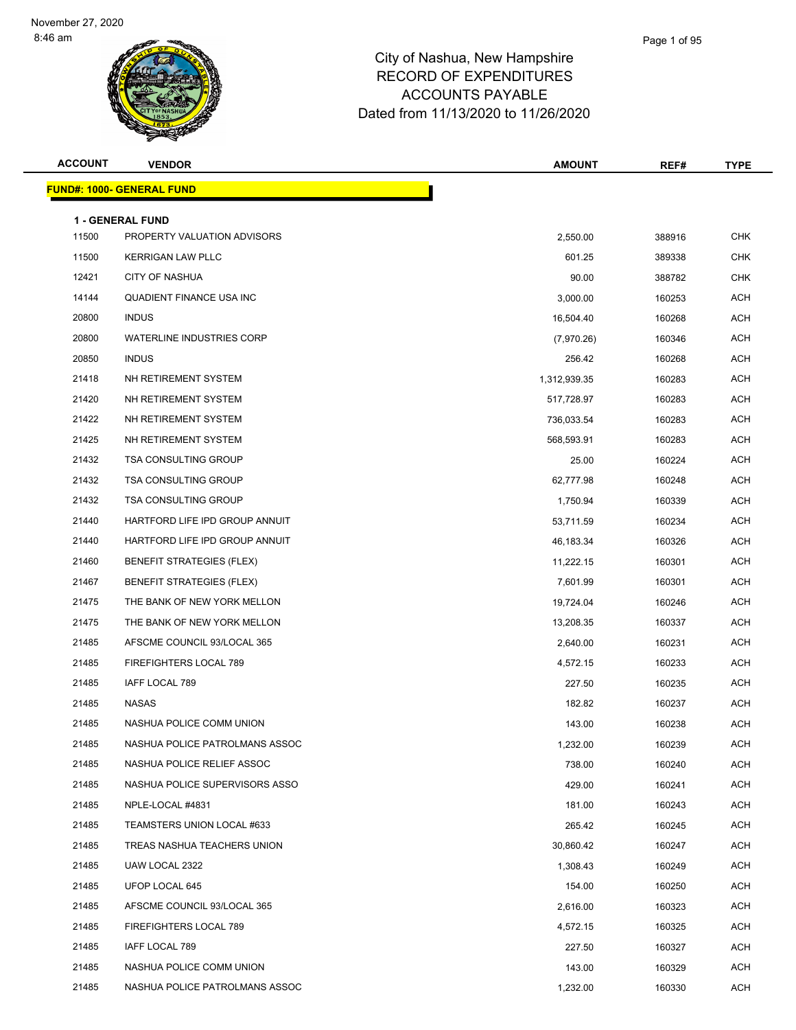| <b>ACCOUNT</b> | <b>VENDOR</b>                                          | <b>AMOUNT</b> | REF#   | <b>TYPE</b> |
|----------------|--------------------------------------------------------|---------------|--------|-------------|
|                | <b>FUND#: 1000- GENERAL FUND</b>                       |               |        |             |
|                |                                                        |               |        |             |
| 11500          | <b>1 - GENERAL FUND</b><br>PROPERTY VALUATION ADVISORS | 2,550.00      | 388916 | <b>CHK</b>  |
| 11500          | <b>KERRIGAN LAW PLLC</b>                               | 601.25        | 389338 | CHK         |
| 12421          | <b>CITY OF NASHUA</b>                                  | 90.00         | 388782 | <b>CHK</b>  |
| 14144          | <b>QUADIENT FINANCE USA INC</b>                        | 3,000.00      | 160253 | <b>ACH</b>  |
| 20800          | <b>INDUS</b>                                           | 16,504.40     | 160268 | ACH         |
| 20800          | <b>WATERLINE INDUSTRIES CORP</b>                       | (7,970.26)    | 160346 | <b>ACH</b>  |
| 20850          | <b>INDUS</b>                                           | 256.42        | 160268 | <b>ACH</b>  |
| 21418          | NH RETIREMENT SYSTEM                                   | 1,312,939.35  | 160283 | <b>ACH</b>  |
| 21420          | NH RETIREMENT SYSTEM                                   | 517,728.97    | 160283 | <b>ACH</b>  |
| 21422          | NH RETIREMENT SYSTEM                                   | 736,033.54    | 160283 | ACH         |
| 21425          | NH RETIREMENT SYSTEM                                   | 568,593.91    | 160283 | <b>ACH</b>  |
| 21432          | <b>TSA CONSULTING GROUP</b>                            | 25.00         | 160224 | ACH         |
| 21432          | <b>TSA CONSULTING GROUP</b>                            | 62,777.98     | 160248 | <b>ACH</b>  |
| 21432          | <b>TSA CONSULTING GROUP</b>                            | 1,750.94      | 160339 | ACH         |
| 21440          | HARTFORD LIFE IPD GROUP ANNUIT                         | 53,711.59     | 160234 | ACH         |
| 21440          | HARTFORD LIFE IPD GROUP ANNUIT                         | 46,183.34     | 160326 | <b>ACH</b>  |
| 21460          | <b>BENEFIT STRATEGIES (FLEX)</b>                       | 11,222.15     | 160301 | <b>ACH</b>  |
| 21467          | <b>BENEFIT STRATEGIES (FLEX)</b>                       | 7,601.99      | 160301 | <b>ACH</b>  |
| 21475          | THE BANK OF NEW YORK MELLON                            | 19,724.04     | 160246 | ACH         |
| 21475          | THE BANK OF NEW YORK MELLON                            | 13,208.35     | 160337 | ACH         |
| 21485          | AFSCME COUNCIL 93/LOCAL 365                            | 2,640.00      | 160231 | <b>ACH</b>  |
| 21485          | FIREFIGHTERS LOCAL 789                                 | 4,572.15      | 160233 | ACH         |
| 21485          | IAFF LOCAL 789                                         | 227.50        | 160235 | <b>ACH</b>  |
| 21485          | NASAS                                                  | 182.82        | 160237 | ACH         |
| 21485          | NASHUA POLICE COMM UNION                               | 143.00        | 160238 | ACH         |
| 21485          | NASHUA POLICE PATROLMANS ASSOC                         | 1,232.00      | 160239 | <b>ACH</b>  |
| 21485          | NASHUA POLICE RELIEF ASSOC                             | 738.00        | 160240 | ACH         |
| 21485          | NASHUA POLICE SUPERVISORS ASSO                         | 429.00        | 160241 | ACH         |
| 21485          | NPLE-LOCAL #4831                                       | 181.00        | 160243 | ACH         |
| 21485          | TEAMSTERS UNION LOCAL #633                             | 265.42        | 160245 | ACH         |
| 21485          | TREAS NASHUA TEACHERS UNION                            | 30,860.42     | 160247 | ACH         |
| 21485          | UAW LOCAL 2322                                         | 1,308.43      | 160249 | ACH         |
| 21485          | UFOP LOCAL 645                                         | 154.00        | 160250 | ACH         |
| 21485          | AFSCME COUNCIL 93/LOCAL 365                            | 2,616.00      | 160323 | ACH         |
| 21485          | FIREFIGHTERS LOCAL 789                                 | 4,572.15      | 160325 | ACH         |
| 21485          | IAFF LOCAL 789                                         | 227.50        | 160327 | ACH         |
| 21485          | NASHUA POLICE COMM UNION                               | 143.00        | 160329 | ACH         |
| 21485          | NASHUA POLICE PATROLMANS ASSOC                         | 1,232.00      | 160330 | ACH         |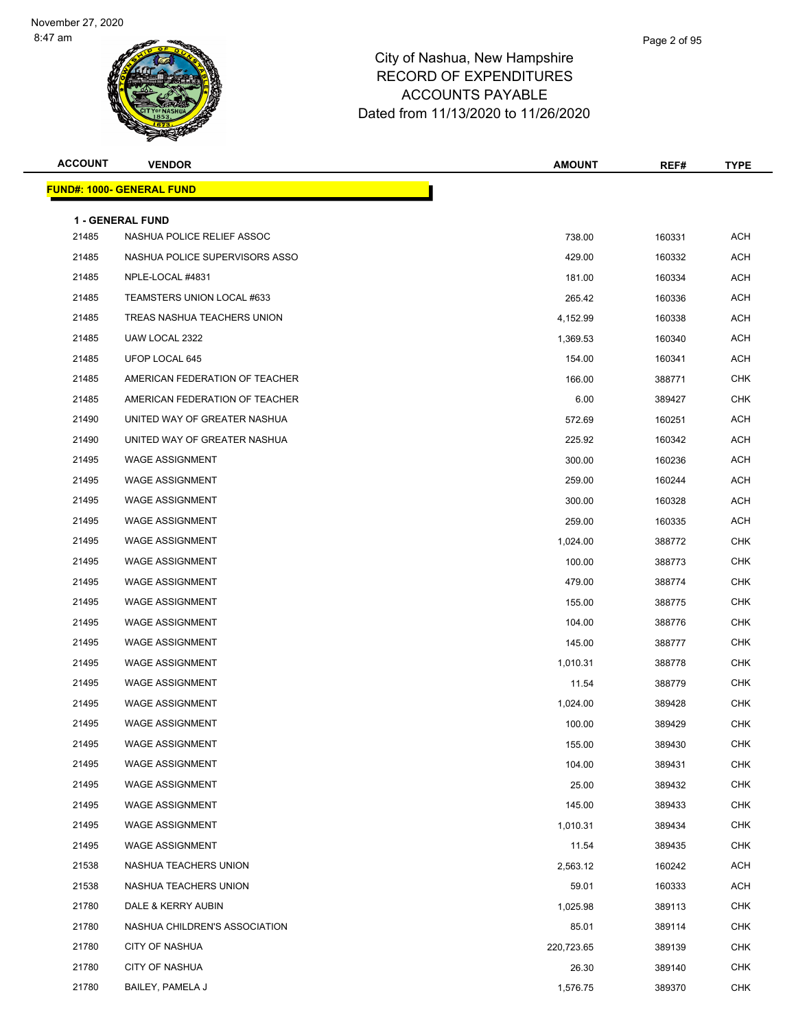| <b>ACCOUNT</b> | <b>VENDOR</b>                                         | <b>AMOUNT</b> | REF#   | <b>TYPE</b> |
|----------------|-------------------------------------------------------|---------------|--------|-------------|
|                | <b>FUND#: 1000- GENERAL FUND</b>                      |               |        |             |
|                |                                                       |               |        |             |
| 21485          | <b>1 - GENERAL FUND</b><br>NASHUA POLICE RELIEF ASSOC | 738.00        | 160331 | <b>ACH</b>  |
| 21485          | NASHUA POLICE SUPERVISORS ASSO                        | 429.00        | 160332 | ACH         |
| 21485          | NPLE-LOCAL #4831                                      | 181.00        | 160334 | <b>ACH</b>  |
| 21485          | TEAMSTERS UNION LOCAL #633                            | 265.42        | 160336 | <b>ACH</b>  |
| 21485          | TREAS NASHUA TEACHERS UNION                           | 4,152.99      | 160338 | ACH         |
| 21485          | UAW LOCAL 2322                                        | 1,369.53      | 160340 | <b>ACH</b>  |
| 21485          | UFOP LOCAL 645                                        | 154.00        | 160341 | ACH         |
| 21485          | AMERICAN FEDERATION OF TEACHER                        | 166.00        | 388771 | <b>CHK</b>  |
| 21485          | AMERICAN FEDERATION OF TEACHER                        | 6.00          | 389427 | <b>CHK</b>  |
| 21490          | UNITED WAY OF GREATER NASHUA                          | 572.69        | 160251 | ACH         |
| 21490          | UNITED WAY OF GREATER NASHUA                          | 225.92        | 160342 | <b>ACH</b>  |
| 21495          | <b>WAGE ASSIGNMENT</b>                                | 300.00        | 160236 | ACH         |
| 21495          | <b>WAGE ASSIGNMENT</b>                                | 259.00        | 160244 | <b>ACH</b>  |
| 21495          | <b>WAGE ASSIGNMENT</b>                                | 300.00        | 160328 | ACH         |
| 21495          | <b>WAGE ASSIGNMENT</b>                                | 259.00        | 160335 | ACH         |
| 21495          | <b>WAGE ASSIGNMENT</b>                                | 1,024.00      | 388772 | <b>CHK</b>  |
| 21495          | <b>WAGE ASSIGNMENT</b>                                | 100.00        | 388773 | <b>CHK</b>  |
| 21495          | <b>WAGE ASSIGNMENT</b>                                | 479.00        | 388774 | <b>CHK</b>  |
| 21495          | <b>WAGE ASSIGNMENT</b>                                | 155.00        | 388775 | <b>CHK</b>  |
| 21495          | <b>WAGE ASSIGNMENT</b>                                | 104.00        | 388776 | <b>CHK</b>  |
| 21495          | <b>WAGE ASSIGNMENT</b>                                | 145.00        | 388777 | <b>CHK</b>  |
| 21495          | <b>WAGE ASSIGNMENT</b>                                | 1,010.31      | 388778 | <b>CHK</b>  |
| 21495          | <b>WAGE ASSIGNMENT</b>                                | 11.54         | 388779 | <b>CHK</b>  |
| 21495          | <b>WAGE ASSIGNMENT</b>                                | 1,024.00      | 389428 | <b>CHK</b>  |
| 21495          | <b>WAGE ASSIGNMENT</b>                                | 100.00        | 389429 | <b>CHK</b>  |
| 21495          | WAGE ASSIGNMENT                                       | 155.00        | 389430 | <b>CHK</b>  |
| 21495          | <b>WAGE ASSIGNMENT</b>                                | 104.00        | 389431 | <b>CHK</b>  |
| 21495          | <b>WAGE ASSIGNMENT</b>                                | 25.00         | 389432 | <b>CHK</b>  |
| 21495          | <b>WAGE ASSIGNMENT</b>                                | 145.00        | 389433 | <b>CHK</b>  |
| 21495          | <b>WAGE ASSIGNMENT</b>                                | 1,010.31      | 389434 | <b>CHK</b>  |
| 21495          | <b>WAGE ASSIGNMENT</b>                                | 11.54         | 389435 | <b>CHK</b>  |
| 21538          | NASHUA TEACHERS UNION                                 | 2,563.12      | 160242 | ACH         |
| 21538          | NASHUA TEACHERS UNION                                 | 59.01         | 160333 | <b>ACH</b>  |
| 21780          | DALE & KERRY AUBIN                                    | 1,025.98      | 389113 | <b>CHK</b>  |
| 21780          | NASHUA CHILDREN'S ASSOCIATION                         | 85.01         | 389114 | <b>CHK</b>  |
| 21780          | <b>CITY OF NASHUA</b>                                 | 220,723.65    | 389139 | <b>CHK</b>  |
| 21780          | CITY OF NASHUA                                        | 26.30         | 389140 | <b>CHK</b>  |
| 21780          | BAILEY, PAMELA J                                      | 1,576.75      | 389370 | <b>CHK</b>  |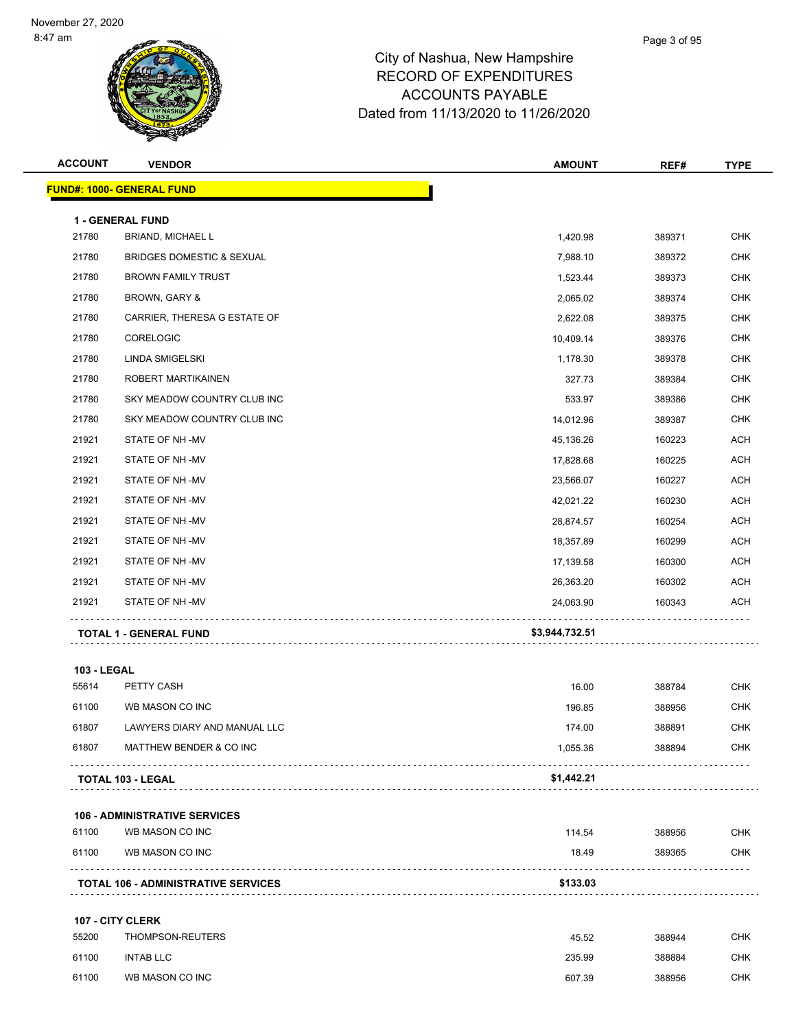| <b>ACCOUNT</b>     | <b>VENDOR</b>                                | <b>AMOUNT</b>  | REF#   | <b>TYPE</b> |
|--------------------|----------------------------------------------|----------------|--------|-------------|
|                    | <b>FUND#: 1000- GENERAL FUND</b>             |                |        |             |
|                    |                                              |                |        |             |
| 21780              | 1 - GENERAL FUND<br><b>BRIAND, MICHAEL L</b> | 1,420.98       | 389371 | <b>CHK</b>  |
| 21780              | <b>BRIDGES DOMESTIC &amp; SEXUAL</b>         | 7,988.10       | 389372 | <b>CHK</b>  |
| 21780              | <b>BROWN FAMILY TRUST</b>                    | 1,523.44       | 389373 | <b>CHK</b>  |
| 21780              | <b>BROWN, GARY &amp;</b>                     | 2,065.02       | 389374 | <b>CHK</b>  |
| 21780              | CARRIER, THERESA G ESTATE OF                 | 2,622.08       | 389375 | <b>CHK</b>  |
| 21780              | CORELOGIC                                    | 10,409.14      | 389376 | <b>CHK</b>  |
| 21780              | LINDA SMIGELSKI                              | 1,178.30       | 389378 | <b>CHK</b>  |
| 21780              | ROBERT MARTIKAINEN                           | 327.73         | 389384 | <b>CHK</b>  |
| 21780              | SKY MEADOW COUNTRY CLUB INC                  | 533.97         | 389386 | <b>CHK</b>  |
| 21780              | SKY MEADOW COUNTRY CLUB INC                  | 14,012.96      | 389387 | <b>CHK</b>  |
| 21921              | STATE OF NH-MV                               | 45,136.26      | 160223 | <b>ACH</b>  |
| 21921              | STATE OF NH-MV                               | 17,828.68      | 160225 | <b>ACH</b>  |
| 21921              | STATE OF NH-MV                               | 23,566.07      | 160227 | <b>ACH</b>  |
| 21921              | STATE OF NH-MV                               | 42,021.22      | 160230 | <b>ACH</b>  |
| 21921              | STATE OF NH-MV                               | 28,874.57      | 160254 | <b>ACH</b>  |
| 21921              | STATE OF NH-MV                               | 18,357.89      | 160299 | <b>ACH</b>  |
| 21921              | STATE OF NH-MV                               | 17,139.58      | 160300 | <b>ACH</b>  |
| 21921              | STATE OF NH-MV                               | 26,363.20      | 160302 | <b>ACH</b>  |
| 21921              | STATE OF NH-MV                               | 24,063.90      | 160343 | <b>ACH</b>  |
|                    | <b>TOTAL 1 - GENERAL FUND</b>                | \$3,944,732.51 |        |             |
| <b>103 - LEGAL</b> |                                              |                |        |             |
| 55614              | PETTY CASH                                   | 16.00          | 388784 | <b>CHK</b>  |
| 61100              | WB MASON CO INC                              | 196.85         | 388956 | <b>CHK</b>  |
| 61807              | LAWYERS DIARY AND MANUAL LLC                 | 174.00         | 388891 | <b>CHK</b>  |
| 61807              | MATTHEW BENDER & CO INC                      | 1,055.36       | 388894 | CHK         |
|                    | TOTAL 103 - LEGAL                            | \$1,442.21     |        |             |
|                    | <b>106 - ADMINISTRATIVE SERVICES</b>         |                |        |             |
| 61100              | WB MASON CO INC                              | 114.54         | 388956 | <b>CHK</b>  |
| 61100              | WB MASON CO INC                              | 18.49          | 389365 | <b>CHK</b>  |
|                    | <b>TOTAL 106 - ADMINISTRATIVE SERVICES</b>   | \$133.03       |        |             |
|                    |                                              |                |        |             |
|                    | 107 - CITY CLERK                             |                |        |             |
| 55200              | THOMPSON-REUTERS                             | 45.52          | 388944 | <b>CHK</b>  |
| 61100              | <b>INTAB LLC</b>                             | 235.99         | 388884 | <b>CHK</b>  |
| 61100              | WB MASON CO INC                              | 607.39         | 388956 | <b>CHK</b>  |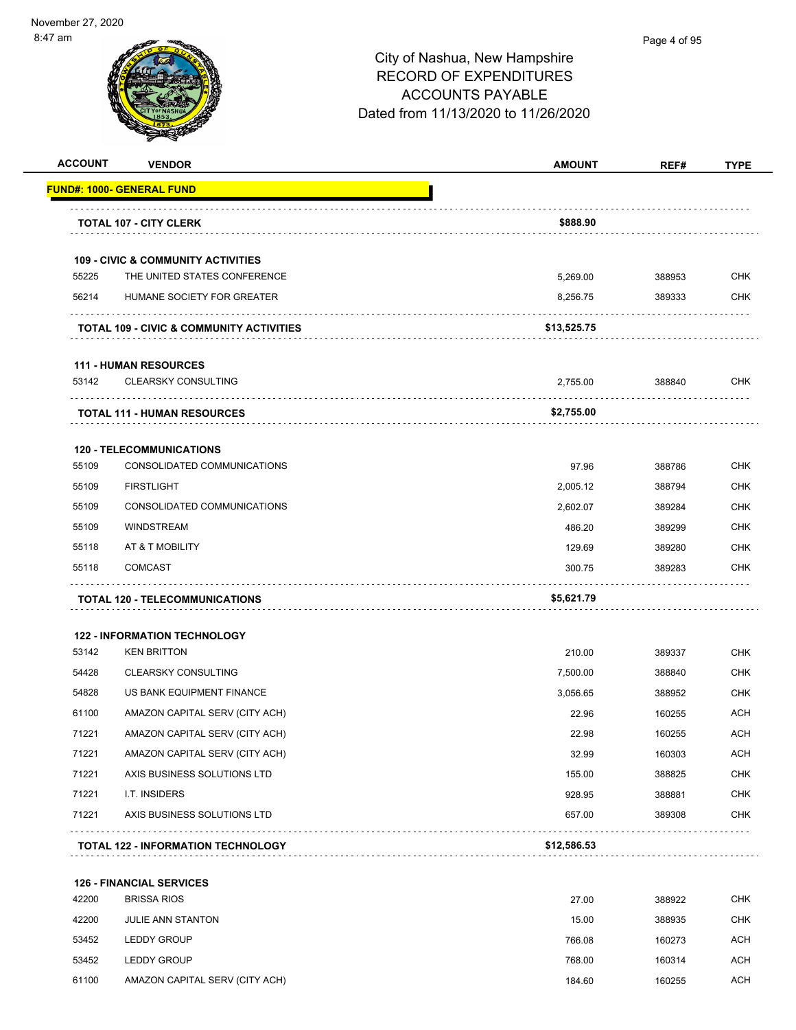| <b>ACCOUNT</b> | <b>VENDOR</b>                                 | <b>AMOUNT</b> | REF#   | <b>TYPE</b> |
|----------------|-----------------------------------------------|---------------|--------|-------------|
|                | <b>FUND#: 1000- GENERAL FUND</b>              |               |        |             |
|                | <b>TOTAL 107 - CITY CLERK</b>                 | \$888.90      |        |             |
|                | <b>109 - CIVIC &amp; COMMUNITY ACTIVITIES</b> |               |        |             |
| 55225          | THE UNITED STATES CONFERENCE                  | 5,269.00      | 388953 | <b>CHK</b>  |
| 56214          | HUMANE SOCIETY FOR GREATER                    | 8,256.75      | 389333 | CHK         |
|                | TOTAL 109 - CIVIC & COMMUNITY ACTIVITIES      | \$13,525.75   |        |             |
|                | <b>111 - HUMAN RESOURCES</b>                  |               |        |             |
| 53142          | <b>CLEARSKY CONSULTING</b>                    | 2,755.00      | 388840 | <b>CHK</b>  |
|                | <b>TOTAL 111 - HUMAN RESOURCES</b>            | \$2,755.00    |        |             |
|                | <b>120 - TELECOMMUNICATIONS</b>               |               |        |             |
| 55109          | CONSOLIDATED COMMUNICATIONS                   | 97.96         | 388786 | <b>CHK</b>  |
| 55109          | <b>FIRSTLIGHT</b>                             | 2,005.12      | 388794 | <b>CHK</b>  |
| 55109          | CONSOLIDATED COMMUNICATIONS                   | 2,602.07      | 389284 | <b>CHK</b>  |
| 55109          | <b>WINDSTREAM</b>                             | 486.20        | 389299 | <b>CHK</b>  |
| 55118          | AT & T MOBILITY                               | 129.69        | 389280 | <b>CHK</b>  |
| 55118          | <b>COMCAST</b>                                | 300.75        | 389283 | CHK         |
|                | <b>TOTAL 120 - TELECOMMUNICATIONS</b>         | \$5,621.79    |        |             |
|                | <b>122 - INFORMATION TECHNOLOGY</b>           |               |        |             |
| 53142          | <b>KEN BRITTON</b>                            | 210.00        | 389337 | <b>CHK</b>  |
| 54428          | <b>CLEARSKY CONSULTING</b>                    | 7,500.00      | 388840 | <b>CHK</b>  |
| 54828          | US BANK EQUIPMENT FINANCE                     | 3,056.65      | 388952 | <b>CHK</b>  |
| 61100          | AMAZON CAPITAL SERV (CITY ACH)                | 22.96         | 160255 | <b>ACH</b>  |
| 71221          | AMAZON CAPITAL SERV (CITY ACH)                | 22.98         | 160255 | ACH         |
| 71221          | AMAZON CAPITAL SERV (CITY ACH)                | 32.99         | 160303 | <b>ACH</b>  |
| 71221          | AXIS BUSINESS SOLUTIONS LTD                   | 155.00        | 388825 | <b>CHK</b>  |
| 71221          | I.T. INSIDERS                                 | 928.95        | 388881 | <b>CHK</b>  |
| 71221          | AXIS BUSINESS SOLUTIONS LTD                   | 657.00        | 389308 | <b>CHK</b>  |
|                | <b>TOTAL 122 - INFORMATION TECHNOLOGY</b>     | \$12,586.53   |        |             |
|                | <b>126 - FINANCIAL SERVICES</b>               |               |        |             |
| 42200          | <b>BRISSA RIOS</b>                            | 27.00         | 388922 | <b>CHK</b>  |
| 42200          | <b>JULIE ANN STANTON</b>                      | 15.00         | 388935 | <b>CHK</b>  |
| 53452          | <b>LEDDY GROUP</b>                            | 766.08        | 160273 | <b>ACH</b>  |

53452 LEDDY GROUP **2008 12:00 160314** ACH 61100 AMAZON CAPITAL SERV (CITY ACH) 184.60 160255 ACH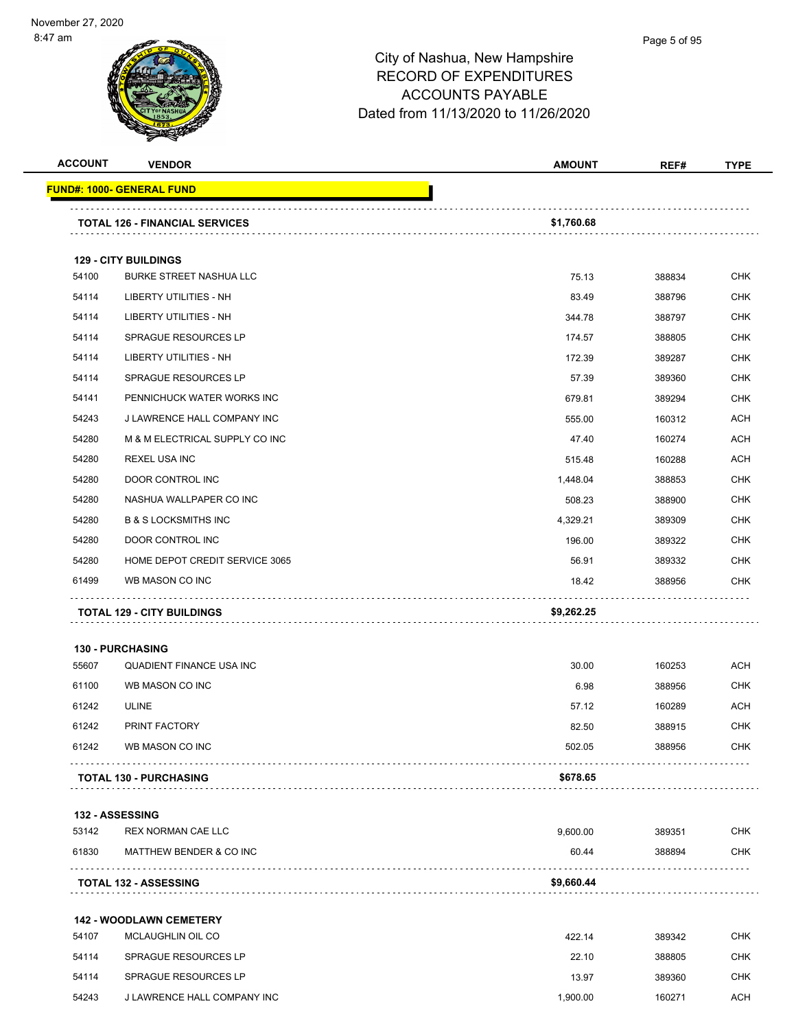| <b>ACCOUNT</b> | <b>VENDOR</b>                                       | <b>AMOUNT</b> | REF#   | <b>TYPE</b> |
|----------------|-----------------------------------------------------|---------------|--------|-------------|
|                | <u> FUND#: 1000- GENERAL FUND</u>                   |               |        |             |
|                |                                                     |               |        |             |
|                | <b>TOTAL 126 - FINANCIAL SERVICES</b>               | \$1,760.68    |        |             |
|                | <b>129 - CITY BUILDINGS</b>                         |               |        |             |
| 54100          | <b>BURKE STREET NASHUA LLC</b>                      | 75.13         | 388834 | <b>CHK</b>  |
| 54114          | <b>LIBERTY UTILITIES - NH</b>                       | 83.49         | 388796 | <b>CHK</b>  |
| 54114          | LIBERTY UTILITIES - NH                              | 344.78        | 388797 | <b>CHK</b>  |
| 54114          | <b>SPRAGUE RESOURCES LP</b>                         | 174.57        | 388805 | <b>CHK</b>  |
| 54114          | LIBERTY UTILITIES - NH                              | 172.39        | 389287 | <b>CHK</b>  |
| 54114          | SPRAGUE RESOURCES LP                                | 57.39         | 389360 | <b>CHK</b>  |
| 54141          | PENNICHUCK WATER WORKS INC                          | 679.81        | 389294 | <b>CHK</b>  |
| 54243          | J LAWRENCE HALL COMPANY INC                         | 555.00        | 160312 | ACH         |
| 54280          | M & M ELECTRICAL SUPPLY CO INC                      | 47.40         | 160274 | <b>ACH</b>  |
| 54280          | <b>REXEL USA INC</b>                                | 515.48        | 160288 | <b>ACH</b>  |
| 54280          | DOOR CONTROL INC                                    | 1,448.04      | 388853 | <b>CHK</b>  |
| 54280          | NASHUA WALLPAPER CO INC                             | 508.23        | 388900 | <b>CHK</b>  |
| 54280          | <b>B &amp; S LOCKSMITHS INC</b>                     | 4,329.21      | 389309 | CHK         |
| 54280          | DOOR CONTROL INC                                    | 196.00        | 389322 | <b>CHK</b>  |
| 54280          | HOME DEPOT CREDIT SERVICE 3065                      | 56.91         | 389332 | CHK         |
| 61499          | WB MASON CO INC                                     | 18.42         | 388956 | <b>CHK</b>  |
|                | <b>TOTAL 129 - CITY BUILDINGS</b>                   | \$9,262.25    |        |             |
|                | <b>130 - PURCHASING</b>                             |               |        |             |
| 55607          | <b>QUADIENT FINANCE USA INC</b>                     | 30.00         | 160253 | <b>ACH</b>  |
| 61100          | WB MASON CO INC                                     | 6.98          | 388956 | CHK         |
| 61242          | ULINE                                               | 57.12         | 160289 | <b>ACH</b>  |
| 61242          | PRINT FACTORY                                       | 82.50         | 388915 | CHK         |
| 61242          | WB MASON CO INC                                     | 502.05        | 388956 | CHK         |
|                |                                                     | \$678.65      |        |             |
|                | <b>TOTAL 130 - PURCHASING</b>                       |               |        |             |
|                | <b>132 - ASSESSING</b>                              |               |        |             |
| 53142          | REX NORMAN CAE LLC                                  | 9,600.00      | 389351 | <b>CHK</b>  |
| 61830          | MATTHEW BENDER & CO INC                             | 60.44         | 388894 | <b>CHK</b>  |
|                | <b>TOTAL 132 - ASSESSING</b>                        | \$9,660.44    |        |             |
|                |                                                     |               |        |             |
| 54107          | <b>142 - WOODLAWN CEMETERY</b><br>MCLAUGHLIN OIL CO | 422.14        | 389342 | <b>CHK</b>  |
| 54114          | <b>SPRAGUE RESOURCES LP</b>                         | 22.10         | 388805 | <b>CHK</b>  |
| 54114          | <b>SPRAGUE RESOURCES LP</b>                         | 13.97         | 389360 | <b>CHK</b>  |
| 54243          | J LAWRENCE HALL COMPANY INC                         | 1,900.00      | 160271 | <b>ACH</b>  |
|                |                                                     |               |        |             |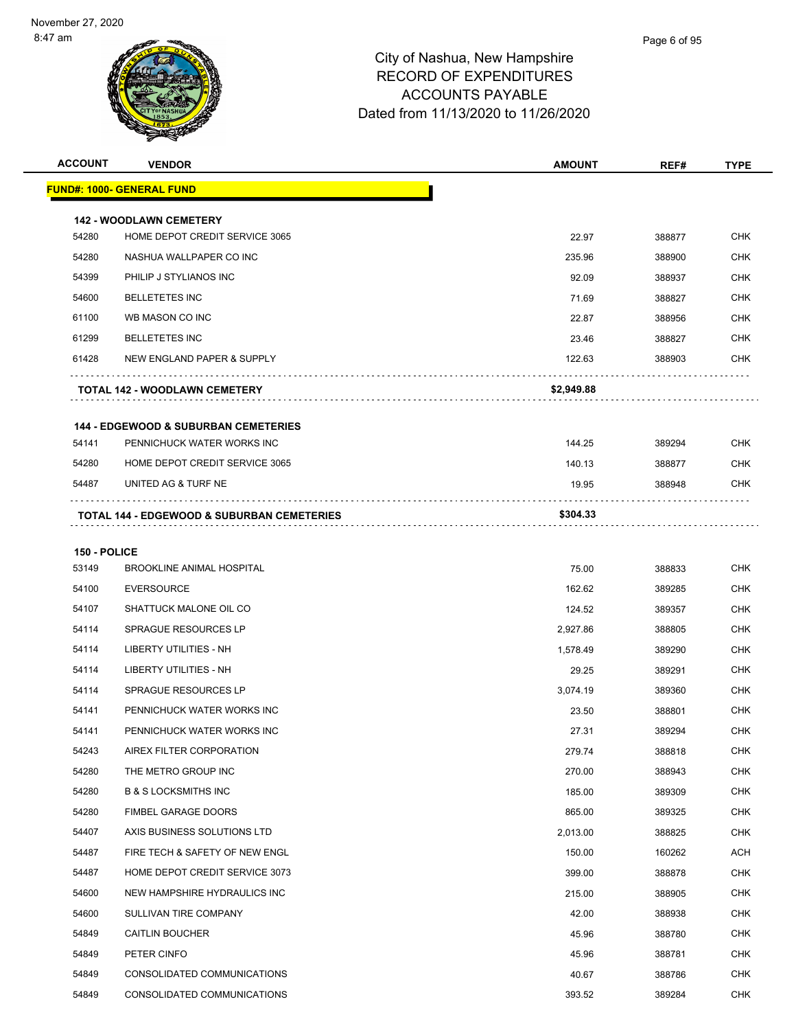| <b>ACCOUNT</b> | <b>VENDOR</b>                                         | <b>AMOUNT</b> | REF#   | <b>TYPE</b> |
|----------------|-------------------------------------------------------|---------------|--------|-------------|
|                | <b>FUND#: 1000- GENERAL FUND</b>                      |               |        |             |
|                | <b>142 - WOODLAWN CEMETERY</b>                        |               |        |             |
| 54280          | HOME DEPOT CREDIT SERVICE 3065                        | 22.97         | 388877 | <b>CHK</b>  |
| 54280          | NASHUA WALLPAPER CO INC                               | 235.96        | 388900 | <b>CHK</b>  |
| 54399          | PHILIP J STYLIANOS INC                                | 92.09         | 388937 | <b>CHK</b>  |
| 54600          | <b>BELLETETES INC</b>                                 | 71.69         | 388827 | <b>CHK</b>  |
| 61100          | WB MASON CO INC                                       | 22.87         | 388956 | <b>CHK</b>  |
| 61299          | <b>BELLETETES INC</b>                                 | 23.46         | 388827 | <b>CHK</b>  |
| 61428          | NEW ENGLAND PAPER & SUPPLY                            | 122.63        | 388903 | <b>CHK</b>  |
|                | <b>TOTAL 142 - WOODLAWN CEMETERY</b>                  | \$2,949.88    |        |             |
|                | <b>144 - EDGEWOOD &amp; SUBURBAN CEMETERIES</b>       |               |        |             |
| 54141          | PENNICHUCK WATER WORKS INC                            | 144.25        | 389294 | <b>CHK</b>  |
| 54280          | HOME DEPOT CREDIT SERVICE 3065                        | 140.13        | 388877 | <b>CHK</b>  |
| 54487          | UNITED AG & TURF NE                                   | 19.95         | 388948 | <b>CHK</b>  |
|                | <b>TOTAL 144 - EDGEWOOD &amp; SUBURBAN CEMETERIES</b> | \$304.33      |        |             |
|                |                                                       |               |        |             |
| 150 - POLICE   |                                                       |               |        |             |
| 53149          | <b>BROOKLINE ANIMAL HOSPITAL</b>                      | 75.00         | 388833 | <b>CHK</b>  |
| 54100          | <b>EVERSOURCE</b>                                     | 162.62        | 389285 | <b>CHK</b>  |
| 54107          | SHATTUCK MALONE OIL CO                                | 124.52        | 389357 | <b>CHK</b>  |
| 54114          | <b>SPRAGUE RESOURCES LP</b>                           | 2,927.86      | 388805 | <b>CHK</b>  |
| 54114          | LIBERTY UTILITIES - NH                                | 1,578.49      | 389290 | <b>CHK</b>  |
| 54114          | <b>LIBERTY UTILITIES - NH</b>                         | 29.25         | 389291 | <b>CHK</b>  |
| 54114          | SPRAGUE RESOURCES LP                                  | 3,074.19      | 389360 | <b>CHK</b>  |
| 54141          | PENNICHUCK WATER WORKS INC                            | 23.50         | 388801 | <b>CHK</b>  |
| 54141          | PENNICHUCK WATER WORKS INC                            | 27.31         | 389294 | <b>CHK</b>  |
| 54243          | AIREX FILTER CORPORATION                              | 279.74        | 388818 | <b>CHK</b>  |
| 54280          | THE METRO GROUP INC                                   | 270.00        | 388943 | <b>CHK</b>  |
| 54280          | <b>B &amp; S LOCKSMITHS INC</b>                       | 185.00        | 389309 | <b>CHK</b>  |
| 54280          | FIMBEL GARAGE DOORS                                   | 865.00        | 389325 | <b>CHK</b>  |
| 54407          | AXIS BUSINESS SOLUTIONS LTD                           | 2,013.00      | 388825 | CHK         |
| 54487          | FIRE TECH & SAFETY OF NEW ENGL                        | 150.00        | 160262 | <b>ACH</b>  |
| 54487          | HOME DEPOT CREDIT SERVICE 3073                        | 399.00        | 388878 | <b>CHK</b>  |
| 54600          | NEW HAMPSHIRE HYDRAULICS INC                          | 215.00        | 388905 | <b>CHK</b>  |
| 54600          | SULLIVAN TIRE COMPANY                                 | 42.00         | 388938 | <b>CHK</b>  |
| 54849          | CAITLIN BOUCHER                                       | 45.96         | 388780 | CHK         |
| 54849          | PETER CINFO                                           | 45.96         | 388781 | <b>CHK</b>  |
| 54849          | CONSOLIDATED COMMUNICATIONS                           | 40.67         | 388786 | <b>CHK</b>  |
| 54849          | CONSOLIDATED COMMUNICATIONS                           | 393.52        | 389284 | <b>CHK</b>  |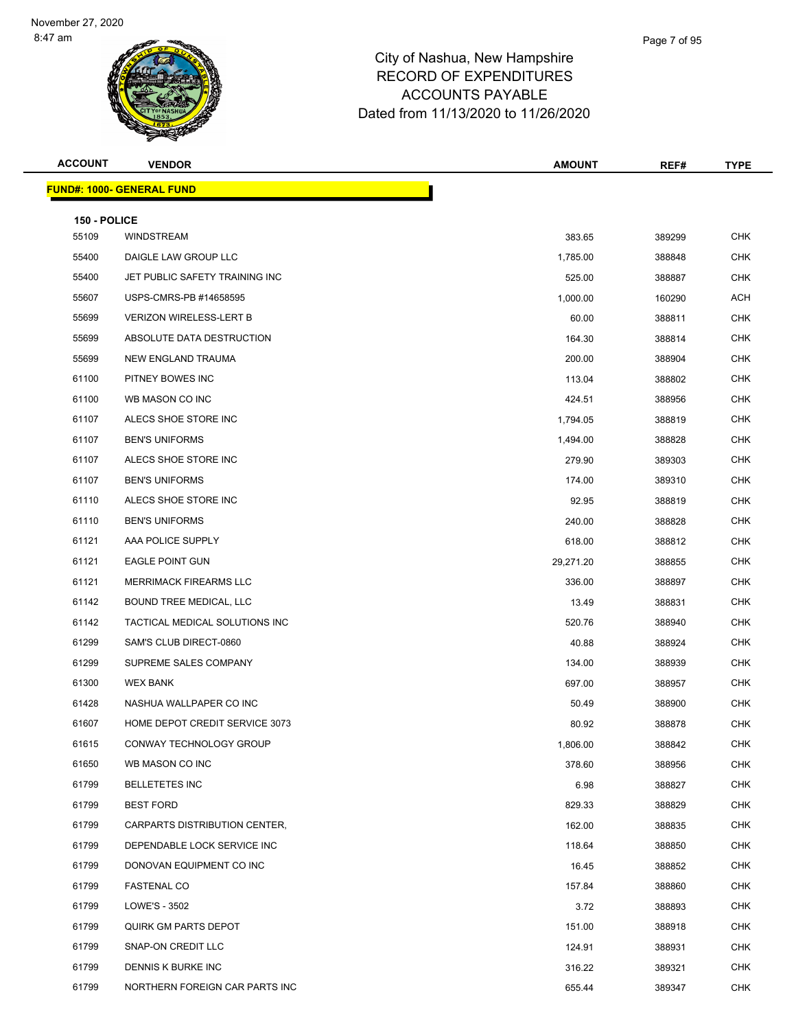| <b>ACCOUNT</b>        | <b>VENDOR</b>                    | <b>AMOUNT</b> | REF#   | <b>TYPE</b> |
|-----------------------|----------------------------------|---------------|--------|-------------|
|                       | <b>FUND#: 1000- GENERAL FUND</b> |               |        |             |
|                       |                                  |               |        |             |
| 150 - POLICE<br>55109 | <b>WINDSTREAM</b>                | 383.65        | 389299 | <b>CHK</b>  |
| 55400                 | DAIGLE LAW GROUP LLC             | 1,785.00      | 388848 | <b>CHK</b>  |
| 55400                 | JET PUBLIC SAFETY TRAINING INC   | 525.00        | 388887 | <b>CHK</b>  |
| 55607                 | USPS-CMRS-PB #14658595           | 1,000.00      | 160290 | <b>ACH</b>  |
| 55699                 | <b>VERIZON WIRELESS-LERT B</b>   | 60.00         | 388811 | CHK         |
| 55699                 | ABSOLUTE DATA DESTRUCTION        | 164.30        | 388814 | <b>CHK</b>  |
| 55699                 | NEW ENGLAND TRAUMA               | 200.00        | 388904 | <b>CHK</b>  |
| 61100                 | PITNEY BOWES INC                 | 113.04        | 388802 | <b>CHK</b>  |
| 61100                 | WB MASON CO INC                  | 424.51        | 388956 | <b>CHK</b>  |
| 61107                 | ALECS SHOE STORE INC             | 1,794.05      | 388819 | CHK         |
| 61107                 | <b>BEN'S UNIFORMS</b>            | 1,494.00      | 388828 | <b>CHK</b>  |
| 61107                 | ALECS SHOE STORE INC             | 279.90        | 389303 | <b>CHK</b>  |
| 61107                 | <b>BEN'S UNIFORMS</b>            | 174.00        | 389310 | <b>CHK</b>  |
| 61110                 | ALECS SHOE STORE INC             | 92.95         | 388819 | <b>CHK</b>  |
| 61110                 | <b>BEN'S UNIFORMS</b>            | 240.00        | 388828 | CHK         |
| 61121                 | AAA POLICE SUPPLY                | 618.00        | 388812 | <b>CHK</b>  |
| 61121                 | <b>EAGLE POINT GUN</b>           | 29,271.20     | 388855 | <b>CHK</b>  |
| 61121                 | MERRIMACK FIREARMS LLC           | 336.00        | 388897 | <b>CHK</b>  |
| 61142                 | BOUND TREE MEDICAL, LLC          | 13.49         | 388831 | <b>CHK</b>  |
| 61142                 | TACTICAL MEDICAL SOLUTIONS INC   | 520.76        | 388940 | CHK         |
| 61299                 | SAM'S CLUB DIRECT-0860           | 40.88         | 388924 | <b>CHK</b>  |
| 61299                 | SUPREME SALES COMPANY            | 134.00        | 388939 | <b>CHK</b>  |
| 61300                 | <b>WEX BANK</b>                  | 697.00        | 388957 | <b>CHK</b>  |
| 61428                 | NASHUA WALLPAPER CO INC          | 50.49         | 388900 | <b>CHK</b>  |
| 61607                 | HOME DEPOT CREDIT SERVICE 3073   | 80.92         | 388878 | CHK         |
| 61615                 | CONWAY TECHNOLOGY GROUP          | 1,806.00      | 388842 | <b>CHK</b>  |
| 61650                 | WB MASON CO INC                  | 378.60        | 388956 | <b>CHK</b>  |
| 61799                 | <b>BELLETETES INC</b>            | 6.98          | 388827 | <b>CHK</b>  |
| 61799                 | <b>BEST FORD</b>                 | 829.33        | 388829 | <b>CHK</b>  |
| 61799                 | CARPARTS DISTRIBUTION CENTER,    | 162.00        | 388835 | CHK         |
| 61799                 | DEPENDABLE LOCK SERVICE INC      | 118.64        | 388850 | <b>CHK</b>  |
| 61799                 | DONOVAN EQUIPMENT CO INC         | 16.45         | 388852 | <b>CHK</b>  |
| 61799                 | <b>FASTENAL CO</b>               | 157.84        | 388860 | <b>CHK</b>  |
| 61799                 | LOWE'S - 3502                    | 3.72          | 388893 | <b>CHK</b>  |
| 61799                 | QUIRK GM PARTS DEPOT             | 151.00        | 388918 | CHK         |
| 61799                 | SNAP-ON CREDIT LLC               | 124.91        | 388931 | <b>CHK</b>  |
| 61799                 | DENNIS K BURKE INC               | 316.22        | 389321 | <b>CHK</b>  |
| 61799                 | NORTHERN FOREIGN CAR PARTS INC   | 655.44        | 389347 | <b>CHK</b>  |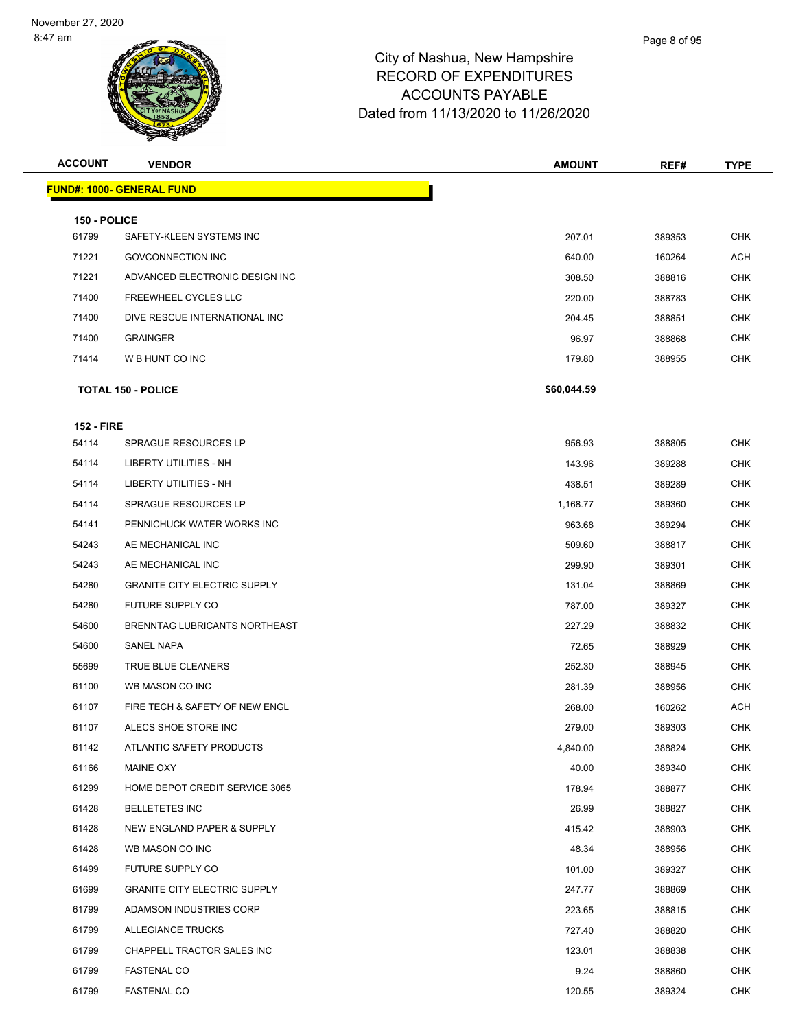| <b>ACCOUNT</b>        | <b>VENDOR</b>                        | <b>AMOUNT</b> | REF#   | <b>TYPE</b> |
|-----------------------|--------------------------------------|---------------|--------|-------------|
|                       | <b>FUND#: 1000- GENERAL FUND</b>     |               |        |             |
|                       |                                      |               |        |             |
| 150 - POLICE<br>61799 | SAFETY-KLEEN SYSTEMS INC             | 207.01        | 389353 | <b>CHK</b>  |
| 71221                 | <b>GOVCONNECTION INC</b>             | 640.00        | 160264 | <b>ACH</b>  |
| 71221                 | ADVANCED ELECTRONIC DESIGN INC       | 308.50        | 388816 | <b>CHK</b>  |
| 71400                 | <b>FREEWHEEL CYCLES LLC</b>          | 220.00        | 388783 | <b>CHK</b>  |
| 71400                 | DIVE RESCUE INTERNATIONAL INC        | 204.45        | 388851 | <b>CHK</b>  |
| 71400                 | <b>GRAINGER</b>                      | 96.97         | 388868 | <b>CHK</b>  |
| 71414                 | W B HUNT CO INC                      | 179.80        | 388955 | <b>CHK</b>  |
|                       | <b>TOTAL 150 - POLICE</b>            | \$60,044.59   |        |             |
|                       |                                      |               |        |             |
| <b>152 - FIRE</b>     |                                      |               |        |             |
| 54114                 | <b>SPRAGUE RESOURCES LP</b>          | 956.93        | 388805 | <b>CHK</b>  |
| 54114                 | LIBERTY UTILITIES - NH               | 143.96        | 389288 | <b>CHK</b>  |
| 54114                 | LIBERTY UTILITIES - NH               | 438.51        | 389289 | <b>CHK</b>  |
| 54114                 | <b>SPRAGUE RESOURCES LP</b>          | 1,168.77      | 389360 | <b>CHK</b>  |
| 54141                 | PENNICHUCK WATER WORKS INC           | 963.68        | 389294 | <b>CHK</b>  |
| 54243                 | AE MECHANICAL INC                    | 509.60        | 388817 | <b>CHK</b>  |
| 54243                 | AE MECHANICAL INC                    | 299.90        | 389301 | <b>CHK</b>  |
| 54280                 | <b>GRANITE CITY ELECTRIC SUPPLY</b>  | 131.04        | 388869 | <b>CHK</b>  |
| 54280                 | FUTURE SUPPLY CO                     | 787.00        | 389327 | CHK         |
| 54600                 | <b>BRENNTAG LUBRICANTS NORTHEAST</b> | 227.29        | 388832 | <b>CHK</b>  |
| 54600                 | SANEL NAPA                           | 72.65         | 388929 | <b>CHK</b>  |
| 55699                 | TRUE BLUE CLEANERS                   | 252.30        | 388945 | <b>CHK</b>  |
| 61100                 | WB MASON CO INC                      | 281.39        | 388956 | <b>CHK</b>  |
| 61107                 | FIRE TECH & SAFETY OF NEW ENGL       | 268.00        | 160262 | <b>ACH</b>  |
| 61107                 | ALECS SHOE STORE INC                 | 279.00        | 389303 | <b>CHK</b>  |
| 61142                 | ATLANTIC SAFETY PRODUCTS             | 4,840.00      | 388824 | CHK         |
| 61166                 | MAINE OXY                            | 40.00         | 389340 | <b>CHK</b>  |
| 61299                 | HOME DEPOT CREDIT SERVICE 3065       | 178.94        | 388877 | <b>CHK</b>  |
| 61428                 | <b>BELLETETES INC</b>                | 26.99         | 388827 | <b>CHK</b>  |
| 61428                 | NEW ENGLAND PAPER & SUPPLY           | 415.42        | 388903 | <b>CHK</b>  |
| 61428                 | WB MASON CO INC                      | 48.34         | 388956 | CHK         |
| 61499                 | FUTURE SUPPLY CO                     | 101.00        | 389327 | <b>CHK</b>  |
| 61699                 | <b>GRANITE CITY ELECTRIC SUPPLY</b>  | 247.77        | 388869 | <b>CHK</b>  |
| 61799                 | ADAMSON INDUSTRIES CORP              | 223.65        | 388815 | <b>CHK</b>  |
| 61799                 | ALLEGIANCE TRUCKS                    | 727.40        | 388820 | <b>CHK</b>  |
| 61799                 | CHAPPELL TRACTOR SALES INC           | 123.01        | 388838 | CHK         |
| 61799                 | <b>FASTENAL CO</b>                   | 9.24          | 388860 | <b>CHK</b>  |
| 61799                 | <b>FASTENAL CO</b>                   | 120.55        | 389324 | <b>CHK</b>  |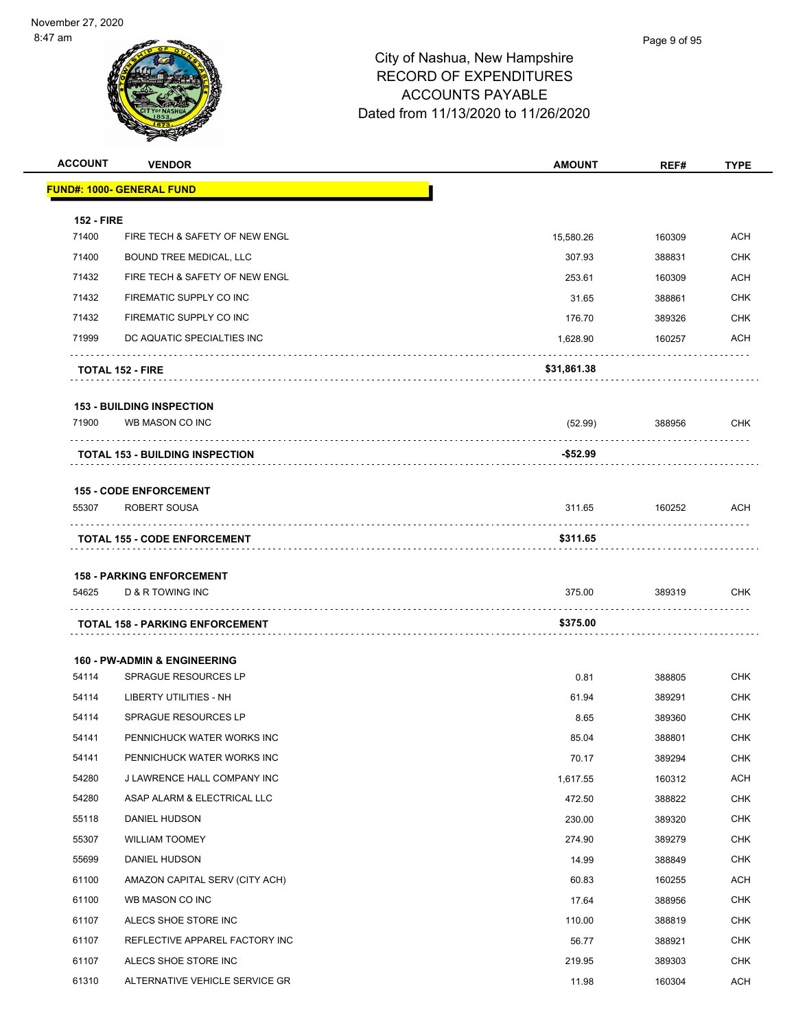| <b>ACCOUNT</b>             | <b>VENDOR</b>                                                   | <b>AMOUNT</b> | REF#   | <b>TYPE</b> |
|----------------------------|-----------------------------------------------------------------|---------------|--------|-------------|
|                            | <b>FUND#: 1000- GENERAL FUND</b>                                |               |        |             |
|                            |                                                                 |               |        |             |
| <b>152 - FIRE</b><br>71400 | FIRE TECH & SAFETY OF NEW ENGL                                  | 15,580.26     | 160309 | <b>ACH</b>  |
| 71400                      | BOUND TREE MEDICAL, LLC                                         | 307.93        | 388831 | CHK         |
| 71432                      | FIRE TECH & SAFETY OF NEW ENGL                                  | 253.61        | 160309 | ACH         |
| 71432                      | FIREMATIC SUPPLY CO INC                                         | 31.65         | 388861 | CHK         |
| 71432                      | FIREMATIC SUPPLY CO INC                                         | 176.70        | 389326 | CHK         |
| 71999                      | DC AQUATIC SPECIALTIES INC                                      | 1,628.90      | 160257 | ACH         |
|                            | <b>TOTAL 152 - FIRE</b>                                         | \$31,861.38   |        |             |
|                            | <b>153 - BUILDING INSPECTION</b>                                |               |        |             |
| 71900                      | WB MASON CO INC                                                 | (52.99)       | 388956 | CHK         |
|                            |                                                                 |               |        |             |
|                            | <b>TOTAL 153 - BUILDING INSPECTION</b>                          | -\$52.99      |        |             |
|                            | <b>155 - CODE ENFORCEMENT</b>                                   |               |        |             |
| 55307                      | ROBERT SOUSA                                                    | 311.65        | 160252 | ACH         |
|                            | <b>TOTAL 155 - CODE ENFORCEMENT</b>                             | \$311.65      |        |             |
|                            |                                                                 |               |        |             |
|                            | <b>158 - PARKING ENFORCEMENT</b>                                |               |        |             |
| 54625                      | D & R TOWING INC                                                | 375.00        | 389319 | CHK         |
|                            | <b>TOTAL 158 - PARKING ENFORCEMENT</b>                          | \$375.00      |        |             |
|                            |                                                                 |               |        |             |
| 54114                      | <b>160 - PW-ADMIN &amp; ENGINEERING</b><br>SPRAGUE RESOURCES LP | 0.81          | 388805 | CHK         |
| 54114                      | LIBERTY UTILITIES - NH                                          | 61.94         | 389291 | CHK         |
| 54114                      | SPRAGUE RESOURCES LP                                            | 8.65          | 389360 | CHK         |
| 54141                      | PENNICHUCK WATER WORKS INC                                      | 85.04         | 388801 | CHK         |
| 54141                      | PENNICHUCK WATER WORKS INC                                      | 70.17         | 389294 | CHK         |
| 54280                      | J LAWRENCE HALL COMPANY INC                                     | 1,617.55      | 160312 | <b>ACH</b>  |
| 54280                      | ASAP ALARM & ELECTRICAL LLC                                     | 472.50        | 388822 | <b>CHK</b>  |
| 55118                      | DANIEL HUDSON                                                   | 230.00        | 389320 | <b>CHK</b>  |
| 55307                      | <b>WILLIAM TOOMEY</b>                                           | 274.90        | 389279 | <b>CHK</b>  |
| 55699                      | DANIEL HUDSON                                                   | 14.99         | 388849 | <b>CHK</b>  |
| 61100                      | AMAZON CAPITAL SERV (CITY ACH)                                  | 60.83         | 160255 | <b>ACH</b>  |
| 61100                      | WB MASON CO INC                                                 | 17.64         | 388956 | <b>CHK</b>  |
| 61107                      | ALECS SHOE STORE INC                                            | 110.00        | 388819 | <b>CHK</b>  |
| 61107                      | REFLECTIVE APPAREL FACTORY INC                                  | 56.77         | 388921 | <b>CHK</b>  |
| 61107                      | ALECS SHOE STORE INC                                            | 219.95        | 389303 | <b>CHK</b>  |
| 61310                      | ALTERNATIVE VEHICLE SERVICE GR                                  | 11.98         | 160304 | ACH         |
|                            |                                                                 |               |        |             |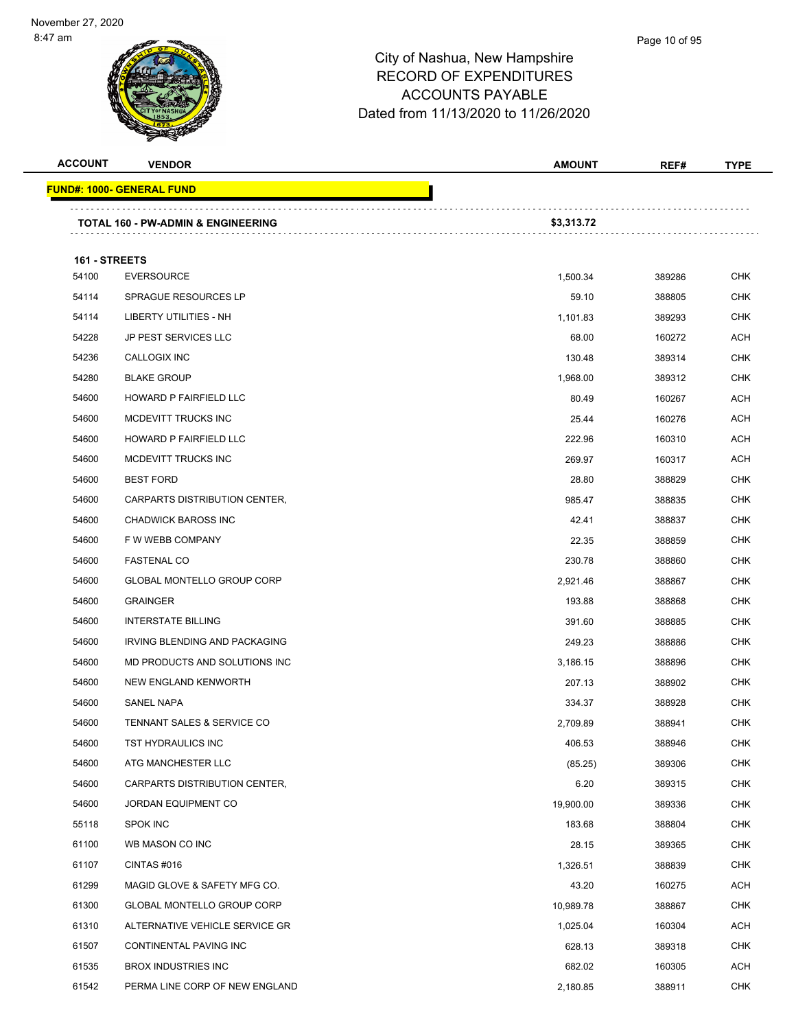

| <b>ACCOUNT</b> | <b>VENDOR</b>                                 | <b>AMOUNT</b> | REF#   | <b>TYPE</b> |
|----------------|-----------------------------------------------|---------------|--------|-------------|
|                | <u> FUND#: 1000- GENERAL FUND</u>             |               |        |             |
|                | <b>TOTAL 160 - PW-ADMIN &amp; ENGINEERING</b> | \$3,313.72    |        |             |
| 161 - STREETS  |                                               |               |        |             |
| 54100          | <b>EVERSOURCE</b>                             | 1,500.34      | 389286 | <b>CHK</b>  |
| 54114          | <b>SPRAGUE RESOURCES LP</b>                   | 59.10         | 388805 | <b>CHK</b>  |
| 54114          | <b>LIBERTY UTILITIES - NH</b>                 | 1,101.83      | 389293 | <b>CHK</b>  |
| 54228          | <b>JP PEST SERVICES LLC</b>                   | 68.00         | 160272 | ACH         |
| 54236          | CALLOGIX INC                                  | 130.48        | 389314 | <b>CHK</b>  |
| 54280          | <b>BLAKE GROUP</b>                            | 1,968.00      | 389312 | <b>CHK</b>  |
| 54600          | HOWARD P FAIRFIELD LLC                        | 80.49         | 160267 | <b>ACH</b>  |
| 54600          | MCDEVITT TRUCKS INC                           | 25.44         | 160276 | ACH         |
| 54600          | HOWARD P FAIRFIELD LLC                        | 222.96        | 160310 | ACH         |
| 54600          | MCDEVITT TRUCKS INC                           | 269.97        | 160317 | <b>ACH</b>  |
| 54600          | <b>BEST FORD</b>                              | 28.80         | 388829 | CHK         |
| 54600          | CARPARTS DISTRIBUTION CENTER,                 | 985.47        | 388835 | <b>CHK</b>  |
| 54600          | <b>CHADWICK BAROSS INC</b>                    | 42.41         | 388837 | <b>CHK</b>  |
| 54600          | F W WEBB COMPANY                              | 22.35         | 388859 | CHK         |
| 54600          | <b>FASTENAL CO</b>                            | 230.78        | 388860 | <b>CHK</b>  |
| 54600          | <b>GLOBAL MONTELLO GROUP CORP</b>             | 2,921.46      | 388867 | CHK         |
| 54600          | <b>GRAINGER</b>                               | 193.88        | 388868 | <b>CHK</b>  |
| 54600          | <b>INTERSTATE BILLING</b>                     | 391.60        | 388885 | <b>CHK</b>  |
| 54600          | IRVING BLENDING AND PACKAGING                 | 249.23        | 388886 | CHK         |
| 54600          | MD PRODUCTS AND SOLUTIONS INC                 | 3.186.15      | 388896 | <b>CHK</b>  |
| 54600          | NEW ENGLAND KENWORTH                          | 207.13        | 388902 | CHK         |
| 54600          | <b>SANEL NAPA</b>                             | 334.37        | 388928 | CHK         |
| 54600          | TENNANT SALES & SERVICE CO                    | 2,709.89      | 388941 | <b>CHK</b>  |
| 54600          | TST HYDRAULICS INC                            | 406.53        | 388946 | <b>CHK</b>  |
| 54600          | ATG MANCHESTER LLC                            | (85.25)       | 389306 | <b>CHK</b>  |
| 54600          | CARPARTS DISTRIBUTION CENTER,                 | 6.20          | 389315 | <b>CHK</b>  |
| 54600          | JORDAN EQUIPMENT CO                           | 19,900.00     | 389336 | <b>CHK</b>  |
| 55118          | <b>SPOK INC</b>                               | 183.68        | 388804 | <b>CHK</b>  |
| 61100          | WB MASON CO INC                               | 28.15         | 389365 | CHK         |
| 61107          | CINTAS #016                                   | 1,326.51      | 388839 | <b>CHK</b>  |
| 61299          | MAGID GLOVE & SAFETY MFG CO.                  | 43.20         | 160275 | ACH         |
| 61300          | GLOBAL MONTELLO GROUP CORP                    | 10,989.78     | 388867 | <b>CHK</b>  |
| 61310          | ALTERNATIVE VEHICLE SERVICE GR                | 1,025.04      | 160304 | ACH         |
| 61507          | CONTINENTAL PAVING INC                        | 628.13        | 389318 | CHK         |
| 61535          | <b>BROX INDUSTRIES INC</b>                    | 682.02        | 160305 | ACH         |
| 61542          | PERMA LINE CORP OF NEW ENGLAND                | 2,180.85      | 388911 | <b>CHK</b>  |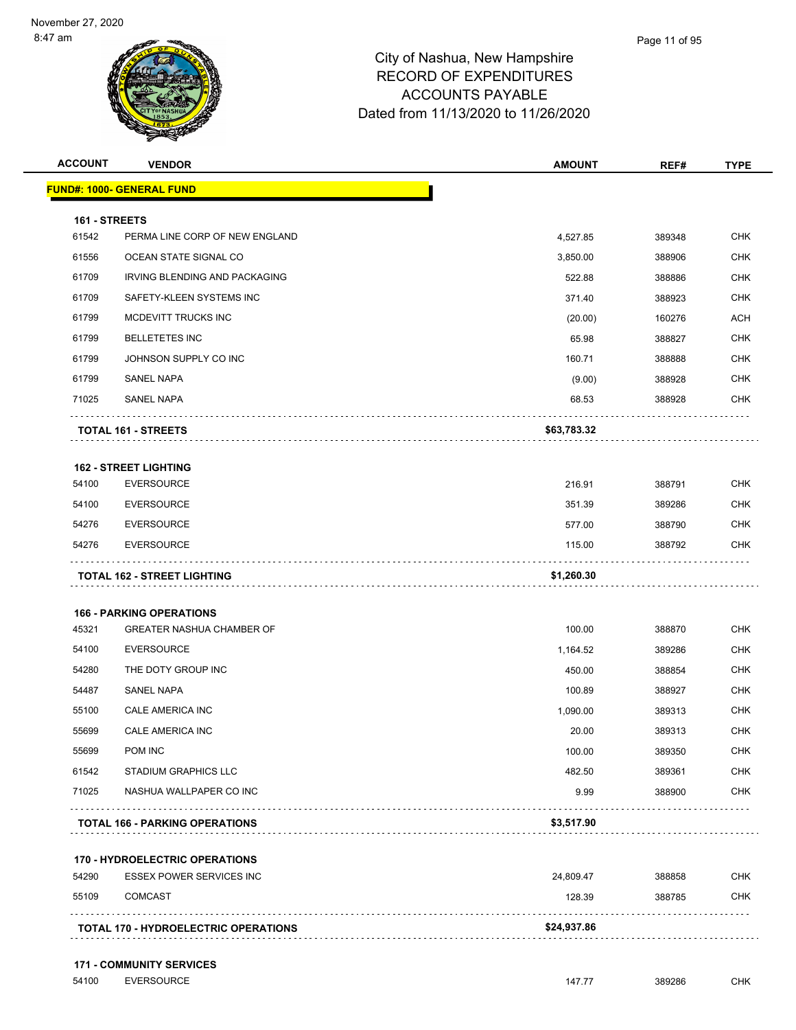| <b>ACCOUNT</b> | <b>VENDOR</b>                         | <b>AMOUNT</b> | REF#   | <b>TYPE</b> |
|----------------|---------------------------------------|---------------|--------|-------------|
|                | <b>FUND#: 1000- GENERAL FUND</b>      |               |        |             |
| 161 - STREETS  |                                       |               |        |             |
| 61542          | PERMA LINE CORP OF NEW ENGLAND        | 4,527.85      | 389348 | <b>CHK</b>  |
| 61556          | OCEAN STATE SIGNAL CO                 | 3,850.00      | 388906 | <b>CHK</b>  |
| 61709          | IRVING BLENDING AND PACKAGING         | 522.88        | 388886 | <b>CHK</b>  |
| 61709          | SAFETY-KLEEN SYSTEMS INC              | 371.40        | 388923 | <b>CHK</b>  |
| 61799          | MCDEVITT TRUCKS INC                   | (20.00)       | 160276 | <b>ACH</b>  |
| 61799          | <b>BELLETETES INC</b>                 | 65.98         | 388827 | <b>CHK</b>  |
| 61799          | JOHNSON SUPPLY CO INC                 | 160.71        | 388888 | <b>CHK</b>  |
| 61799          | SANEL NAPA                            | (9.00)        | 388928 | <b>CHK</b>  |
| 71025          | <b>SANEL NAPA</b>                     | 68.53         | 388928 | <b>CHK</b>  |
|                | <b>TOTAL 161 - STREETS</b>            | \$63,783.32   |        |             |
|                | <b>162 - STREET LIGHTING</b>          |               |        |             |
| 54100          | <b>EVERSOURCE</b>                     | 216.91        | 388791 | <b>CHK</b>  |
| 54100          | <b>EVERSOURCE</b>                     | 351.39        | 389286 | <b>CHK</b>  |
| 54276          | <b>EVERSOURCE</b>                     | 577.00        | 388790 | <b>CHK</b>  |
| 54276          | <b>EVERSOURCE</b>                     | 115.00        | 388792 | <b>CHK</b>  |
|                | <b>TOTAL 162 - STREET LIGHTING</b>    | \$1,260.30    |        |             |
|                | <b>166 - PARKING OPERATIONS</b>       |               |        |             |
| 45321          | <b>GREATER NASHUA CHAMBER OF</b>      | 100.00        | 388870 | <b>CHK</b>  |
| 54100          | <b>EVERSOURCE</b>                     | 1,164.52      | 389286 | <b>CHK</b>  |
| 54280          | THE DOTY GROUP INC                    | 450.00        | 388854 | <b>CHK</b>  |
| 54487          | SANEL NAPA                            | 100.89        | 388927 | <b>CHK</b>  |
| 55100          | CALE AMERICA INC                      | 1,090.00      | 389313 | <b>CHK</b>  |
| 55699          | CALE AMERICA INC                      | 20.00         | 389313 | <b>CHK</b>  |
| 55699          | <b>POM INC</b>                        | 100.00        | 389350 | <b>CHK</b>  |
| 61542          | <b>STADIUM GRAPHICS LLC</b>           | 482.50        | 389361 | <b>CHK</b>  |
| 71025          | NASHUA WALLPAPER CO INC               | 9.99          | 388900 | <b>CHK</b>  |
|                | <b>TOTAL 166 - PARKING OPERATIONS</b> | \$3,517.90    |        |             |
|                | <b>170 - HYDROELECTRIC OPERATIONS</b> |               |        |             |
|                |                                       |               | 388858 | <b>CHK</b>  |
| 54290          | <b>ESSEX POWER SERVICES INC</b>       | 24,809.47     |        |             |
| 55109          | <b>COMCAST</b>                        | 128.39        | 388785 | <b>CHK</b>  |

## **171 - COMMUNITY SERVICES**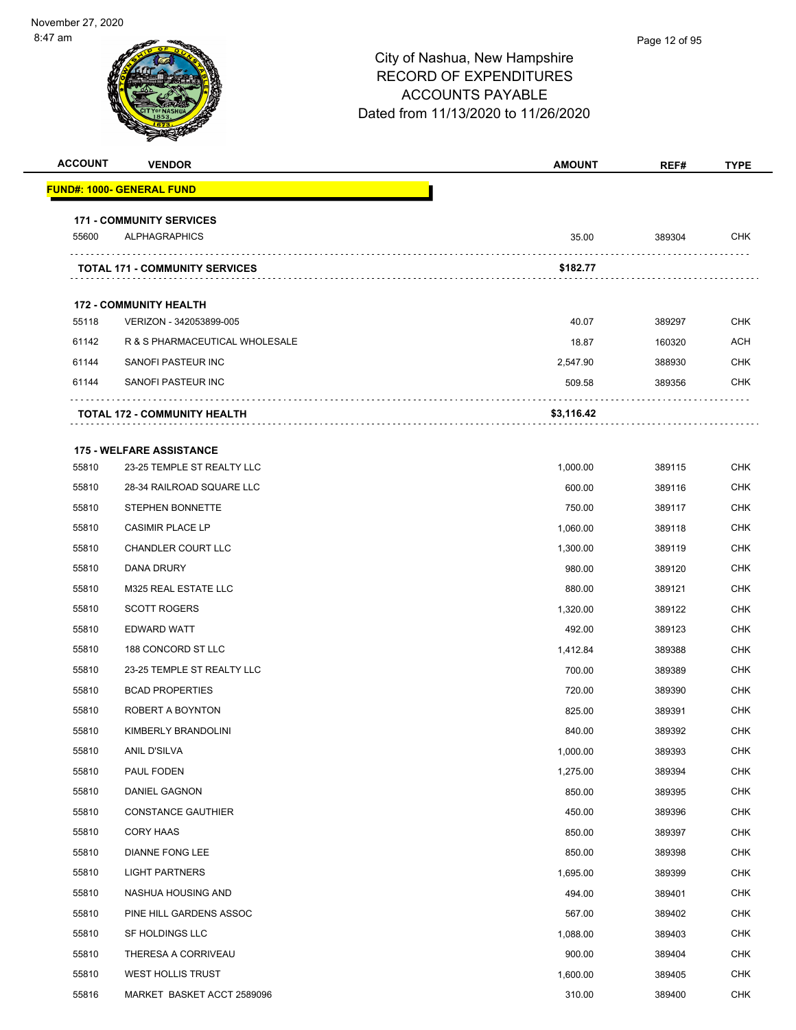| <b>ACCOUNT</b> | <b>VENDOR</b>                                                 | <b>AMOUNT</b> | REF#   | <b>TYPE</b> |
|----------------|---------------------------------------------------------------|---------------|--------|-------------|
|                | <b>FUND#: 1000- GENERAL FUND</b>                              |               |        |             |
|                |                                                               |               |        |             |
| 55600          | <b>171 - COMMUNITY SERVICES</b><br><b>ALPHAGRAPHICS</b>       | 35.00         | 389304 | <b>CHK</b>  |
|                | <b>TOTAL 171 - COMMUNITY SERVICES</b>                         | \$182.77      |        |             |
|                |                                                               |               |        |             |
| 55118          | <b>172 - COMMUNITY HEALTH</b><br>VERIZON - 342053899-005      | 40.07         | 389297 | <b>CHK</b>  |
| 61142          | R & S PHARMACEUTICAL WHOLESALE                                | 18.87         | 160320 | ACH         |
| 61144          | SANOFI PASTEUR INC                                            | 2,547.90      | 388930 | <b>CHK</b>  |
| 61144          | SANOFI PASTEUR INC                                            | 509.58        | 389356 | <b>CHK</b>  |
|                | <b>TOTAL 172 - COMMUNITY HEALTH</b>                           | \$3,116.42    |        |             |
|                |                                                               |               |        |             |
| 55810          | <b>175 - WELFARE ASSISTANCE</b><br>23-25 TEMPLE ST REALTY LLC | 1,000.00      | 389115 | <b>CHK</b>  |
| 55810          | 28-34 RAILROAD SQUARE LLC                                     | 600.00        | 389116 | <b>CHK</b>  |
| 55810          | STEPHEN BONNETTE                                              | 750.00        | 389117 | <b>CHK</b>  |
| 55810          | <b>CASIMIR PLACE LP</b>                                       | 1,060.00      | 389118 | <b>CHK</b>  |
| 55810          | <b>CHANDLER COURT LLC</b>                                     | 1,300.00      | 389119 | <b>CHK</b>  |
| 55810          | DANA DRURY                                                    | 980.00        | 389120 | <b>CHK</b>  |
| 55810          | M325 REAL ESTATE LLC                                          | 880.00        | 389121 | <b>CHK</b>  |
| 55810          | <b>SCOTT ROGERS</b>                                           | 1,320.00      | 389122 | <b>CHK</b>  |
| 55810          | EDWARD WATT                                                   | 492.00        | 389123 | <b>CHK</b>  |
| 55810          | 188 CONCORD ST LLC                                            | 1,412.84      | 389388 | <b>CHK</b>  |
| 55810          | 23-25 TEMPLE ST REALTY LLC                                    | 700.00        | 389389 | <b>CHK</b>  |
| 55810          | <b>BCAD PROPERTIES</b>                                        | 720.00        | 389390 | <b>CHK</b>  |
| 55810          | ROBERT A BOYNTON                                              | 825.00        | 389391 | <b>CHK</b>  |
| 55810          | KIMBERLY BRANDOLINI                                           | 840.00        | 389392 | <b>CHK</b>  |
| 55810          | ANIL D'SILVA                                                  | 1,000.00      | 389393 | <b>CHK</b>  |
| 55810          | PAUL FODEN                                                    | 1,275.00      | 389394 | <b>CHK</b>  |
| 55810          | DANIEL GAGNON                                                 | 850.00        | 389395 | <b>CHK</b>  |
| 55810          | <b>CONSTANCE GAUTHIER</b>                                     | 450.00        | 389396 | <b>CHK</b>  |
| 55810          | CORY HAAS                                                     | 850.00        | 389397 | <b>CHK</b>  |
| 55810          | <b>DIANNE FONG LEE</b>                                        | 850.00        | 389398 | <b>CHK</b>  |
| 55810          | <b>LIGHT PARTNERS</b>                                         | 1,695.00      | 389399 | <b>CHK</b>  |
| 55810          | NASHUA HOUSING AND                                            | 494.00        | 389401 | <b>CHK</b>  |
| 55810          | PINE HILL GARDENS ASSOC                                       | 567.00        | 389402 | <b>CHK</b>  |
| 55810          | SF HOLDINGS LLC                                               | 1,088.00      | 389403 | <b>CHK</b>  |
| 55810          | THERESA A CORRIVEAU                                           |               |        | <b>CHK</b>  |
|                |                                                               | 900.00        | 389404 |             |
| 55810          | WEST HOLLIS TRUST                                             | 1,600.00      | 389405 | <b>CHK</b>  |
| 55816          | MARKET BASKET ACCT 2589096                                    | 310.00        | 389400 | <b>CHK</b>  |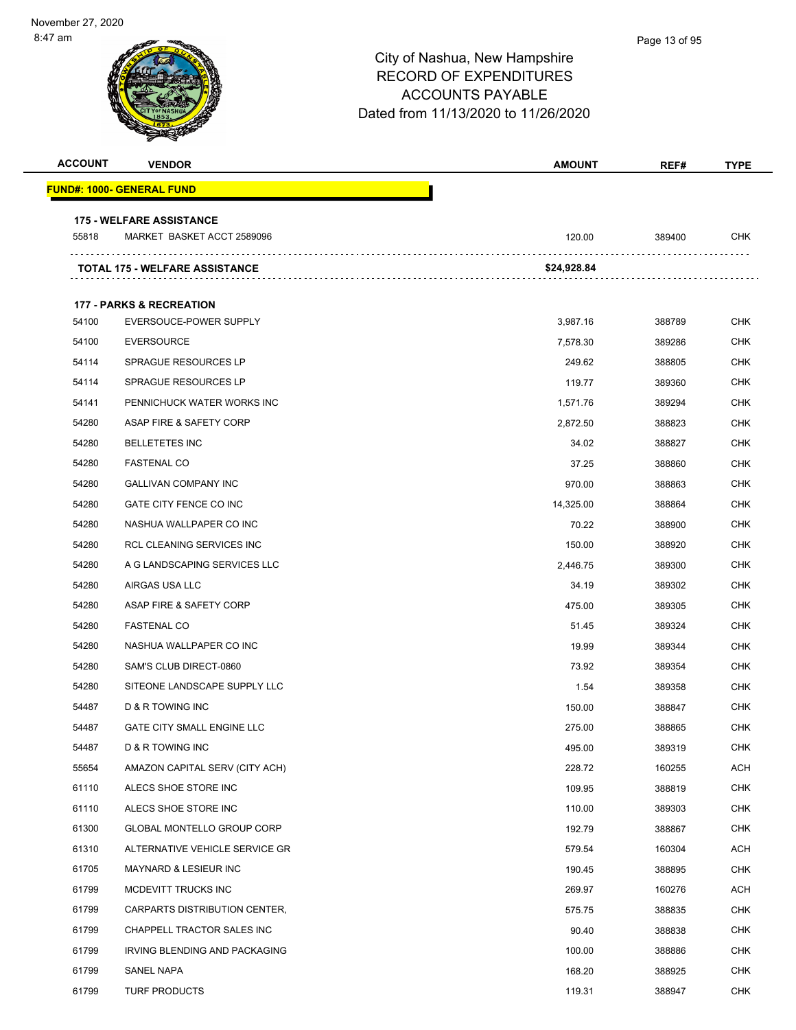| <b>ACCOUNT</b> | <b>VENDOR</b>                                                 | <b>AMOUNT</b> | REF#   | <b>TYPE</b> |
|----------------|---------------------------------------------------------------|---------------|--------|-------------|
|                | FUND#: 1000- GENERAL FUND                                     |               |        |             |
|                |                                                               |               |        |             |
| 55818          | <b>175 - WELFARE ASSISTANCE</b><br>MARKET BASKET ACCT 2589096 | 120.00        | 389400 | <b>CHK</b>  |
|                | TOTAL 175 - WELFARE ASSISTANCE                                | \$24,928.84   |        |             |
|                |                                                               |               |        |             |
|                | <b>177 - PARKS &amp; RECREATION</b>                           |               |        |             |
| 54100          | EVERSOUCE-POWER SUPPLY                                        | 3,987.16      | 388789 | <b>CHK</b>  |
| 54100          | <b>EVERSOURCE</b>                                             | 7,578.30      | 389286 | CHK         |
| 54114          | <b>SPRAGUE RESOURCES LP</b>                                   | 249.62        | 388805 | <b>CHK</b>  |
| 54114          | <b>SPRAGUE RESOURCES LP</b>                                   | 119.77        | 389360 | <b>CHK</b>  |
| 54141          | PENNICHUCK WATER WORKS INC                                    | 1,571.76      | 389294 | <b>CHK</b>  |
| 54280          | ASAP FIRE & SAFETY CORP                                       | 2,872.50      | 388823 | <b>CHK</b>  |
| 54280          | <b>BELLETETES INC</b>                                         | 34.02         | 388827 | <b>CHK</b>  |
| 54280          | <b>FASTENAL CO</b>                                            | 37.25         | 388860 | <b>CHK</b>  |
| 54280          | <b>GALLIVAN COMPANY INC</b>                                   | 970.00        | 388863 | <b>CHK</b>  |
| 54280          | GATE CITY FENCE CO INC                                        | 14,325.00     | 388864 | <b>CHK</b>  |
| 54280          | NASHUA WALLPAPER CO INC                                       | 70.22         | 388900 | <b>CHK</b>  |
| 54280          | <b>RCL CLEANING SERVICES INC</b>                              | 150.00        | 388920 | CHK         |
| 54280          | A G LANDSCAPING SERVICES LLC                                  | 2,446.75      | 389300 | <b>CHK</b>  |
| 54280          | AIRGAS USA LLC                                                | 34.19         | 389302 | <b>CHK</b>  |
| 54280          | ASAP FIRE & SAFETY CORP                                       | 475.00        | 389305 | <b>CHK</b>  |
| 54280          | <b>FASTENAL CO</b>                                            | 51.45         | 389324 | <b>CHK</b>  |
| 54280          | NASHUA WALLPAPER CO INC                                       | 19.99         | 389344 | <b>CHK</b>  |
| 54280          | SAM'S CLUB DIRECT-0860                                        | 73.92         | 389354 | <b>CHK</b>  |
| 54280          | SITEONE LANDSCAPE SUPPLY LLC                                  | 1.54          | 389358 | <b>CHK</b>  |
| 54487          | D & R TOWING INC                                              | 150.00        | 388847 | <b>CHK</b>  |
| 54487          | GATE CITY SMALL ENGINE LLC                                    | 275.00        | 388865 | <b>CHK</b>  |
| 54487          | <b>D &amp; R TOWING INC</b>                                   | 495.00        | 389319 | CHK         |
| 55654          | AMAZON CAPITAL SERV (CITY ACH)                                | 228.72        | 160255 | <b>ACH</b>  |
| 61110          | ALECS SHOE STORE INC                                          | 109.95        | 388819 | <b>CHK</b>  |
| 61110          | ALECS SHOE STORE INC                                          | 110.00        | 389303 | <b>CHK</b>  |
| 61300          | GLOBAL MONTELLO GROUP CORP                                    | 192.79        | 388867 | <b>CHK</b>  |
| 61310          | ALTERNATIVE VEHICLE SERVICE GR                                | 579.54        | 160304 | ACH         |
| 61705          | MAYNARD & LESIEUR INC                                         | 190.45        | 388895 | <b>CHK</b>  |
| 61799          | MCDEVITT TRUCKS INC                                           | 269.97        | 160276 | <b>ACH</b>  |
| 61799          | CARPARTS DISTRIBUTION CENTER,                                 | 575.75        | 388835 | <b>CHK</b>  |
| 61799          | CHAPPELL TRACTOR SALES INC                                    | 90.40         | 388838 | <b>CHK</b>  |
| 61799          | IRVING BLENDING AND PACKAGING                                 | 100.00        | 388886 | CHK         |
| 61799          | SANEL NAPA                                                    | 168.20        | 388925 | <b>CHK</b>  |
| 61799          | <b>TURF PRODUCTS</b>                                          | 119.31        | 388947 | <b>CHK</b>  |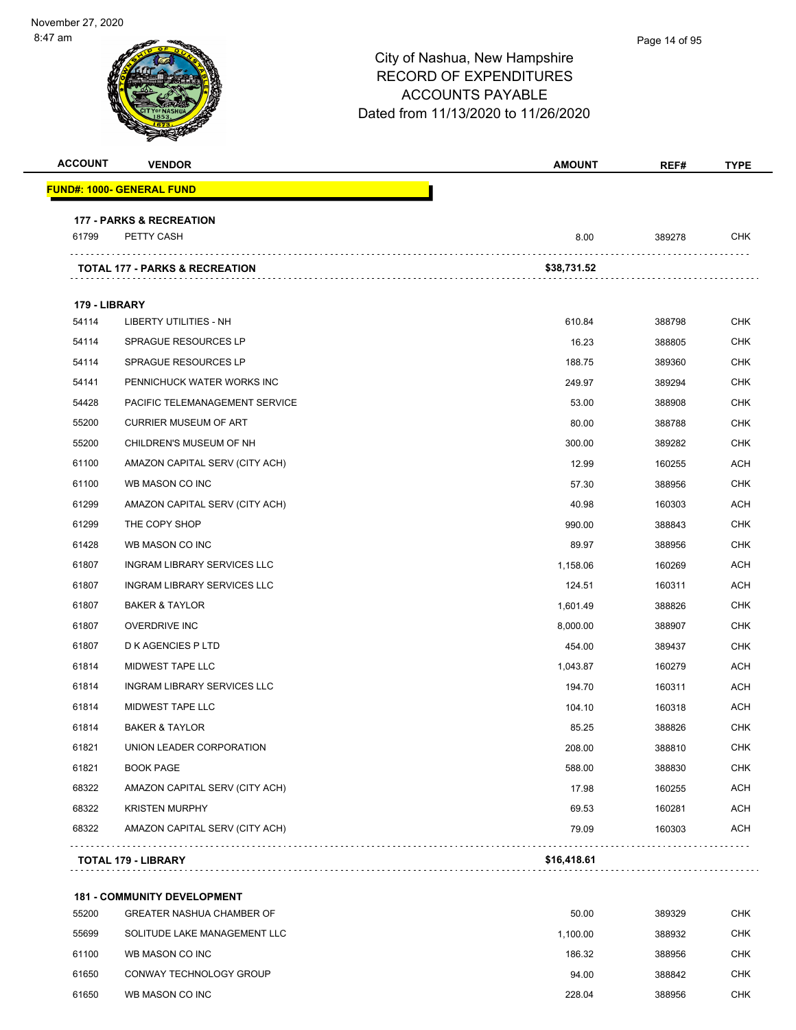|                |                                           | City of Nashua, New Hampshire<br><b>RECORD OF EXPENDITURES</b><br><b>ACCOUNTS PAYABLE</b><br>Dated from 11/13/2020 to 11/26/2020 |        |            |
|----------------|-------------------------------------------|----------------------------------------------------------------------------------------------------------------------------------|--------|------------|
| <b>ACCOUNT</b> | <b>VENDOR</b>                             | <b>AMOUNT</b>                                                                                                                    | REF#   | TYPE       |
|                | <u> FUND#: 1000- GENERAL FUND</u>         |                                                                                                                                  |        |            |
|                | <b>177 - PARKS &amp; RECREATION</b>       |                                                                                                                                  |        |            |
| 61799          | PETTY CASH                                | 8.00                                                                                                                             | 389278 | CHK        |
|                | <b>TOTAL 177 - PARKS &amp; RECREATION</b> | \$38,731.52                                                                                                                      |        |            |
| 179 - LIBRARY  |                                           |                                                                                                                                  |        |            |
| 54114          | LIBERTY UTILITIES - NH                    | 610.84                                                                                                                           | 388798 | <b>CHK</b> |
| 54114          | SPRAGUE RESOURCES LP                      | 16.23                                                                                                                            | 388805 | <b>CHK</b> |
| 54114          | SPRAGUE RESOURCES LP                      | 188.75                                                                                                                           | 389360 | <b>CHK</b> |
| 54141          | PENNICHUCK WATER WORKS INC                | 249.97                                                                                                                           | 389294 | <b>CHK</b> |
| 54428          | PACIFIC TELEMANAGEMENT SERVICE            | 53.00                                                                                                                            | 388908 | <b>CHK</b> |
| 55200          | <b>CURRIER MUSEUM OF ART</b>              | 80.00                                                                                                                            | 388788 | <b>CHK</b> |
| 55200          | CHILDREN'S MUSEUM OF NH                   | 300.00                                                                                                                           | 389282 | <b>CHK</b> |
| 61100          | AMAZON CAPITAL SERV (CITY ACH)            | 12.99                                                                                                                            | 160255 | <b>ACH</b> |
| 61100          | WB MASON CO INC                           | 57.30                                                                                                                            | 388956 | <b>CHK</b> |
| 61299          | AMAZON CAPITAL SERV (CITY ACH)            | 40.98                                                                                                                            | 160303 | <b>ACH</b> |
| 61299          | THE COPY SHOP                             | 990.00                                                                                                                           | 388843 | <b>CHK</b> |
| 61428          | WB MASON CO INC                           | 89.97                                                                                                                            | 388956 | <b>CHK</b> |
| 61807          | <b>INGRAM LIBRARY SERVICES LLC</b>        | 1,158.06                                                                                                                         | 160269 | <b>ACH</b> |
| 61807          | INGRAM LIBRARY SERVICES LLC               | 124.51                                                                                                                           | 160311 | <b>ACH</b> |
| 61807          | <b>BAKER &amp; TAYLOR</b>                 | 1,601.49                                                                                                                         | 388826 | <b>CHK</b> |
| 61807          | <b>OVERDRIVE INC</b>                      | 8,000.00                                                                                                                         | 388907 | <b>CHK</b> |
| 61807          | D K AGENCIES P LTD                        | 454.00                                                                                                                           | 389437 | <b>CHK</b> |
| 61814          | MIDWEST TAPE LLC                          | 1,043.87                                                                                                                         | 160279 | <b>ACH</b> |
| 61814          | <b>INGRAM LIBRARY SERVICES LLC</b>        | 194.70                                                                                                                           | 160311 | <b>ACH</b> |
| 61814          | MIDWEST TAPE LLC                          | 104.10                                                                                                                           | 160318 | <b>ACH</b> |
| 61814          | <b>BAKER &amp; TAYLOR</b>                 | 85.25                                                                                                                            | 388826 | <b>CHK</b> |
| 61821          | UNION LEADER CORPORATION                  | 208.00                                                                                                                           | 388810 | <b>CHK</b> |
| 61821          | <b>BOOK PAGE</b>                          | 588.00                                                                                                                           | 388830 | <b>CHK</b> |
| 68322          | AMAZON CAPITAL SERV (CITY ACH)            | 17.98                                                                                                                            | 160255 | <b>ACH</b> |
| 68322          | <b>KRISTEN MURPHY</b>                     | 69.53                                                                                                                            | 160281 | <b>ACH</b> |
| 68322          | AMAZON CAPITAL SERV (CITY ACH)            | 79.09                                                                                                                            | 160303 | ACH        |
|                | <b>TOTAL 179 - LIBRARY</b>                | \$16,418.61                                                                                                                      |        |            |

**181 - COMMUNITY DEVELOPMENT**

| 55200 | <b>GREATER NASHUA CHAMBER OF</b> | 50.00    | 389329 | <b>CHK</b> |
|-------|----------------------------------|----------|--------|------------|
| 55699 | SOLITUDE LAKE MANAGEMENT LLC     | 1.100.00 | 388932 | <b>CHK</b> |
| 61100 | WB MASON CO INC                  | 186.32   | 388956 | <b>CHK</b> |
| 61650 | CONWAY TECHNOLOGY GROUP          | 94.00    | 388842 | <b>CHK</b> |
| 61650 | WB MASON CO INC                  | 228.04   | 388956 | <b>CHK</b> |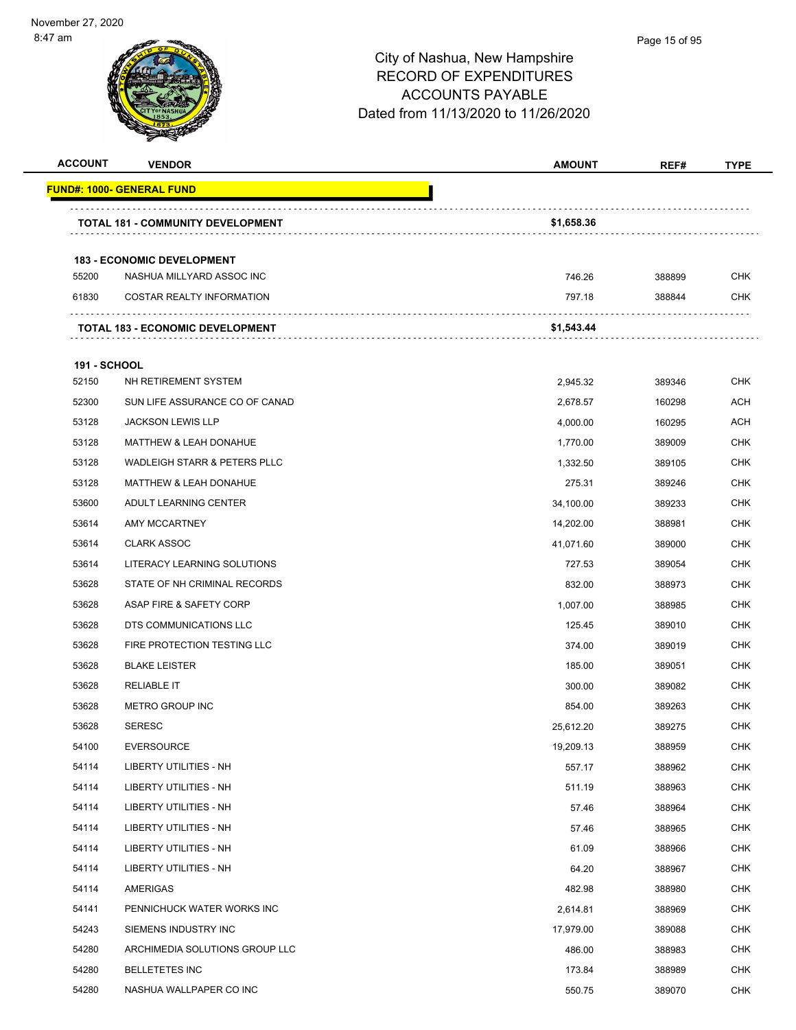| <b>ACCOUNT</b>      | <b>VENDOR</b>                            | <b>AMOUNT</b> | REF#   | <b>TYPE</b> |
|---------------------|------------------------------------------|---------------|--------|-------------|
|                     | <u> FUND#: 1000- GENERAL FUND</u>        |               |        |             |
|                     | <b>TOTAL 181 - COMMUNITY DEVELOPMENT</b> | \$1,658.36    |        |             |
|                     | <b>183 - ECONOMIC DEVELOPMENT</b>        |               |        |             |
| 55200               | NASHUA MILLYARD ASSOC INC                | 746.26        | 388899 | <b>CHK</b>  |
| 61830               | <b>COSTAR REALTY INFORMATION</b>         | 797.18        | 388844 | <b>CHK</b>  |
|                     | <b>TOTAL 183 - ECONOMIC DEVELOPMENT</b>  | \$1,543.44    |        |             |
| <b>191 - SCHOOL</b> |                                          |               |        |             |
| 52150               | NH RETIREMENT SYSTEM                     | 2,945.32      | 389346 | <b>CHK</b>  |
| 52300               | SUN LIFE ASSURANCE CO OF CANAD           | 2,678.57      | 160298 | ACH         |
| 53128               | <b>JACKSON LEWIS LLP</b>                 | 4,000.00      | 160295 | ACH         |
| 53128               | MATTHEW & LEAH DONAHUE                   | 1,770.00      | 389009 | <b>CHK</b>  |
| 53128               | WADLEIGH STARR & PETERS PLLC             | 1,332.50      | 389105 | <b>CHK</b>  |
| 53128               | <b>MATTHEW &amp; LEAH DONAHUE</b>        | 275.31        | 389246 | <b>CHK</b>  |
| 53600               | ADULT LEARNING CENTER                    | 34,100.00     | 389233 | <b>CHK</b>  |
| 53614               | AMY MCCARTNEY                            | 14,202.00     | 388981 | <b>CHK</b>  |
| 53614               | <b>CLARK ASSOC</b>                       | 41,071.60     | 389000 | <b>CHK</b>  |
| 53614               | LITERACY LEARNING SOLUTIONS              | 727.53        | 389054 | <b>CHK</b>  |
| 53628               | STATE OF NH CRIMINAL RECORDS             | 832.00        | 388973 | <b>CHK</b>  |
| 53628               | ASAP FIRE & SAFETY CORP                  | 1,007.00      | 388985 | <b>CHK</b>  |
| 53628               | DTS COMMUNICATIONS LLC                   | 125.45        | 389010 | <b>CHK</b>  |
| 53628               | FIRE PROTECTION TESTING LLC              | 374.00        | 389019 | <b>CHK</b>  |
| 53628               | <b>BLAKE LEISTER</b>                     | 185.00        | 389051 | <b>CHK</b>  |
| 53628               | <b>RELIABLE IT</b>                       | 300.00        | 389082 | <b>CHK</b>  |
| 53628               | METRO GROUP INC                          | 854.00        | 389263 | <b>CHK</b>  |
| 53628               | <b>SERESC</b>                            | 25,612.20     | 389275 | <b>CHK</b>  |
| 54100               | <b>EVERSOURCE</b>                        | 19,209.13     | 388959 | <b>CHK</b>  |
| 54114               | <b>LIBERTY UTILITIES - NH</b>            | 557.17        | 388962 | <b>CHK</b>  |
| 54114               | LIBERTY UTILITIES - NH                   | 511.19        | 388963 | <b>CHK</b>  |
| 54114               | <b>LIBERTY UTILITIES - NH</b>            | 57.46         | 388964 | <b>CHK</b>  |
| 54114               | LIBERTY UTILITIES - NH                   | 57.46         | 388965 | <b>CHK</b>  |
| 54114               | LIBERTY UTILITIES - NH                   | 61.09         | 388966 | <b>CHK</b>  |
| 54114               | LIBERTY UTILITIES - NH                   | 64.20         | 388967 | <b>CHK</b>  |
| 54114               | AMERIGAS                                 | 482.98        | 388980 | <b>CHK</b>  |
| 54141               | PENNICHUCK WATER WORKS INC               | 2,614.81      | 388969 | <b>CHK</b>  |
| 54243               | SIEMENS INDUSTRY INC                     | 17,979.00     | 389088 | <b>CHK</b>  |
| 54280               | ARCHIMEDIA SOLUTIONS GROUP LLC           | 486.00        | 388983 | <b>CHK</b>  |
| 54280               | <b>BELLETETES INC</b>                    | 173.84        | 388989 | <b>CHK</b>  |
| 54280               | NASHUA WALLPAPER CO INC                  | 550.75        | 389070 | <b>CHK</b>  |
|                     |                                          |               |        |             |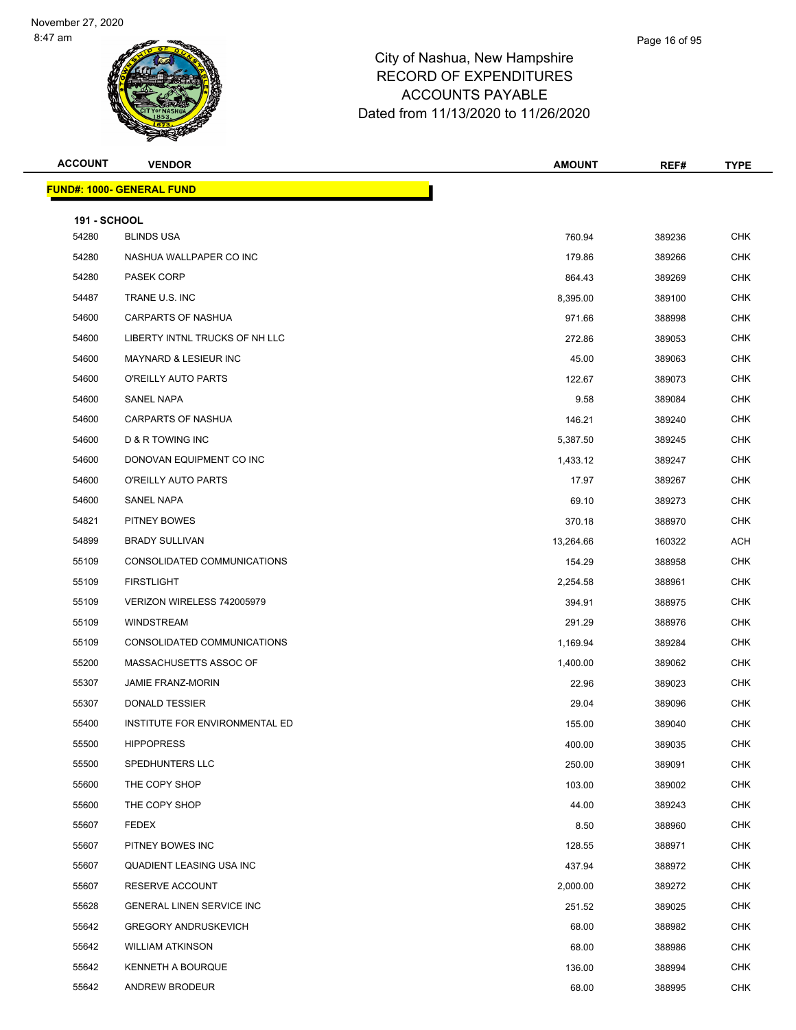| <b>ACCOUNT</b>               | <b>VENDOR</b>                    | <b>AMOUNT</b> | REF#   | <b>TYPE</b> |
|------------------------------|----------------------------------|---------------|--------|-------------|
|                              | <b>FUND#: 1000- GENERAL FUND</b> |               |        |             |
|                              |                                  |               |        |             |
| <b>191 - SCHOOL</b><br>54280 | <b>BLINDS USA</b>                | 760.94        | 389236 | <b>CHK</b>  |
| 54280                        | NASHUA WALLPAPER CO INC          | 179.86        | 389266 | <b>CHK</b>  |
| 54280                        | <b>PASEK CORP</b>                | 864.43        | 389269 | <b>CHK</b>  |
| 54487                        | TRANE U.S. INC                   | 8,395.00      | 389100 | <b>CHK</b>  |
| 54600                        | <b>CARPARTS OF NASHUA</b>        | 971.66        | 388998 | <b>CHK</b>  |
| 54600                        | LIBERTY INTNL TRUCKS OF NH LLC   | 272.86        | 389053 | <b>CHK</b>  |
| 54600                        | <b>MAYNARD &amp; LESIEUR INC</b> | 45.00         | 389063 | <b>CHK</b>  |
| 54600                        | O'REILLY AUTO PARTS              | 122.67        | 389073 | <b>CHK</b>  |
| 54600                        | SANEL NAPA                       | 9.58          | 389084 | <b>CHK</b>  |
| 54600                        | <b>CARPARTS OF NASHUA</b>        | 146.21        | 389240 | CHK         |
| 54600                        | <b>D &amp; R TOWING INC</b>      | 5,387.50      | 389245 | <b>CHK</b>  |
| 54600                        | DONOVAN EQUIPMENT CO INC         | 1,433.12      | 389247 | <b>CHK</b>  |
| 54600                        | O'REILLY AUTO PARTS              | 17.97         | 389267 | <b>CHK</b>  |
| 54600                        | SANEL NAPA                       | 69.10         | 389273 | <b>CHK</b>  |
| 54821                        | <b>PITNEY BOWES</b>              | 370.18        | 388970 | <b>CHK</b>  |
| 54899                        | <b>BRADY SULLIVAN</b>            | 13,264.66     | 160322 | ACH         |
| 55109                        | CONSOLIDATED COMMUNICATIONS      | 154.29        | 388958 | <b>CHK</b>  |
| 55109                        | <b>FIRSTLIGHT</b>                | 2,254.58      | 388961 | <b>CHK</b>  |
| 55109                        | VERIZON WIRELESS 742005979       | 394.91        | 388975 | <b>CHK</b>  |
| 55109                        | <b>WINDSTREAM</b>                | 291.29        | 388976 | CHK         |
| 55109                        | CONSOLIDATED COMMUNICATIONS      | 1,169.94      | 389284 | <b>CHK</b>  |
| 55200                        | MASSACHUSETTS ASSOC OF           | 1,400.00      | 389062 | <b>CHK</b>  |
| 55307                        | <b>JAMIE FRANZ-MORIN</b>         | 22.96         | 389023 | <b>CHK</b>  |
| 55307                        | <b>DONALD TESSIER</b>            | 29.04         | 389096 | <b>CHK</b>  |
| 55400                        | INSTITUTE FOR ENVIRONMENTAL ED   | 155.00        | 389040 | <b>CHK</b>  |
| 55500                        | <b>HIPPOPRESS</b>                | 400.00        | 389035 | <b>CHK</b>  |
| 55500                        | SPEDHUNTERS LLC                  | 250.00        | 389091 | <b>CHK</b>  |
| 55600                        | THE COPY SHOP                    | 103.00        | 389002 | <b>CHK</b>  |
| 55600                        | THE COPY SHOP                    | 44.00         | 389243 | <b>CHK</b>  |
| 55607                        | <b>FEDEX</b>                     | 8.50          | 388960 | CHK         |
| 55607                        | PITNEY BOWES INC                 | 128.55        | 388971 | <b>CHK</b>  |
| 55607                        | QUADIENT LEASING USA INC         | 437.94        | 388972 | <b>CHK</b>  |
| 55607                        | RESERVE ACCOUNT                  | 2,000.00      | 389272 | <b>CHK</b>  |
| 55628                        | <b>GENERAL LINEN SERVICE INC</b> | 251.52        | 389025 | <b>CHK</b>  |
| 55642                        | <b>GREGORY ANDRUSKEVICH</b>      | 68.00         | 388982 | CHK         |
| 55642                        | <b>WILLIAM ATKINSON</b>          | 68.00         | 388986 | <b>CHK</b>  |
| 55642                        | KENNETH A BOURQUE                | 136.00        | 388994 | <b>CHK</b>  |
| 55642                        | ANDREW BRODEUR                   | 68.00         | 388995 | <b>CHK</b>  |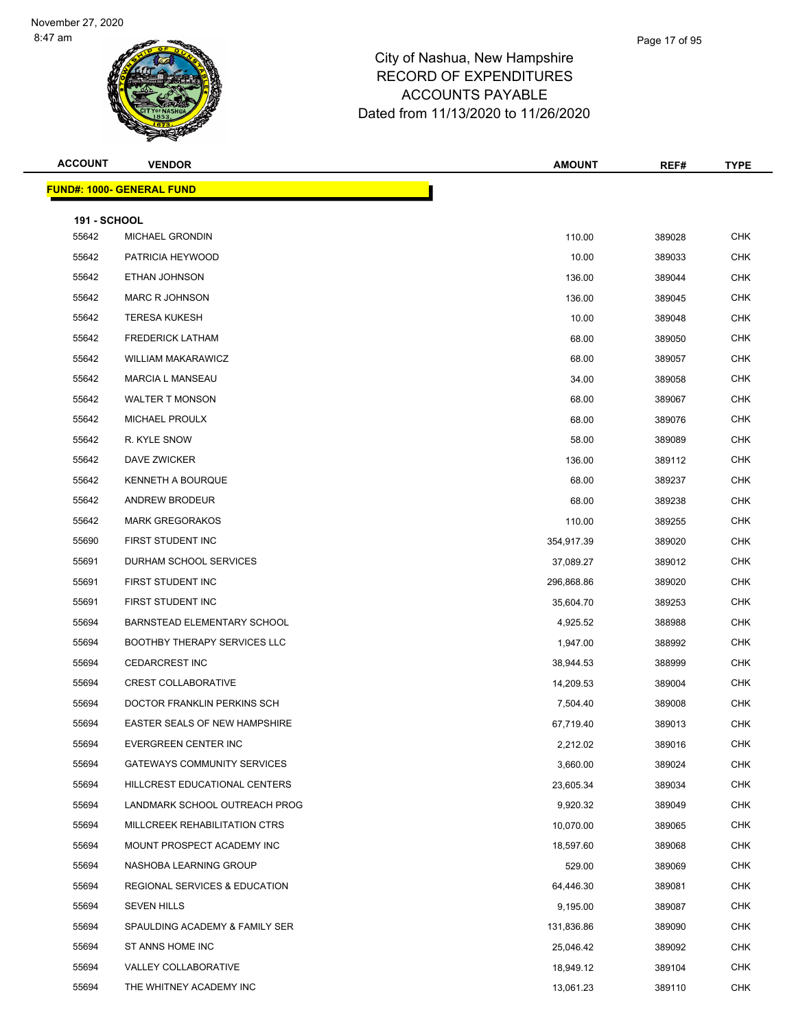| <b>ACCOUNT</b>      | <b>VENDOR</b>                            | <b>AMOUNT</b> | REF#   | <b>TYPE</b> |
|---------------------|------------------------------------------|---------------|--------|-------------|
|                     | <u> FUND#: 1000- GENERAL FUND</u>        |               |        |             |
| <b>191 - SCHOOL</b> |                                          |               |        |             |
| 55642               | MICHAEL GRONDIN                          | 110.00        | 389028 | <b>CHK</b>  |
| 55642               | PATRICIA HEYWOOD                         | 10.00         | 389033 | <b>CHK</b>  |
| 55642               | ETHAN JOHNSON                            | 136.00        | 389044 | <b>CHK</b>  |
| 55642               | <b>MARC R JOHNSON</b>                    | 136.00        | 389045 | <b>CHK</b>  |
| 55642               | <b>TERESA KUKESH</b>                     | 10.00         | 389048 | <b>CHK</b>  |
| 55642               | <b>FREDERICK LATHAM</b>                  | 68.00         | 389050 | <b>CHK</b>  |
| 55642               | <b>WILLIAM MAKARAWICZ</b>                | 68.00         | 389057 | <b>CHK</b>  |
| 55642               | <b>MARCIA L MANSEAU</b>                  | 34.00         | 389058 | <b>CHK</b>  |
| 55642               | <b>WALTER T MONSON</b>                   | 68.00         | 389067 | CHK         |
| 55642               | MICHAEL PROULX                           | 68.00         | 389076 | <b>CHK</b>  |
| 55642               | R. KYLE SNOW                             | 58.00         | 389089 | <b>CHK</b>  |
| 55642               | DAVE ZWICKER                             | 136.00        | 389112 | <b>CHK</b>  |
| 55642               | <b>KENNETH A BOURQUE</b>                 | 68.00         | 389237 | <b>CHK</b>  |
| 55642               | ANDREW BRODEUR                           | 68.00         | 389238 | <b>CHK</b>  |
| 55642               | <b>MARK GREGORAKOS</b>                   | 110.00        | 389255 | <b>CHK</b>  |
| 55690               | FIRST STUDENT INC                        | 354,917.39    | 389020 | <b>CHK</b>  |
| 55691               | DURHAM SCHOOL SERVICES                   | 37,089.27     | 389012 | <b>CHK</b>  |
| 55691               | FIRST STUDENT INC                        | 296,868.86    | 389020 | <b>CHK</b>  |
| 55691               | FIRST STUDENT INC                        | 35,604.70     | 389253 | CHK         |
| 55694               | BARNSTEAD ELEMENTARY SCHOOL              | 4,925.52      | 388988 | <b>CHK</b>  |
| 55694               | <b>BOOTHBY THERAPY SERVICES LLC</b>      | 1,947.00      | 388992 | <b>CHK</b>  |
| 55694               | <b>CEDARCREST INC</b>                    | 38,944.53     | 388999 | <b>CHK</b>  |
| 55694               | <b>CREST COLLABORATIVE</b>               | 14,209.53     | 389004 | <b>CHK</b>  |
| 55694               | DOCTOR FRANKLIN PERKINS SCH              | 7,504.40      | 389008 | CHK         |
| 55694               | <b>EASTER SEALS OF NEW HAMPSHIRE</b>     | 67,719.40     | 389013 | <b>CHK</b>  |
| 55694               | EVERGREEN CENTER INC                     | 2,212.02      | 389016 | CHK         |
| 55694               | GATEWAYS COMMUNITY SERVICES              | 3,660.00      | 389024 | <b>CHK</b>  |
| 55694               | HILLCREST EDUCATIONAL CENTERS            | 23,605.34     | 389034 | <b>CHK</b>  |
| 55694               | LANDMARK SCHOOL OUTREACH PROG            | 9,920.32      | 389049 | CHK         |
| 55694               | MILLCREEK REHABILITATION CTRS            | 10,070.00     | 389065 | <b>CHK</b>  |
| 55694               | MOUNT PROSPECT ACADEMY INC               | 18,597.60     | 389068 | <b>CHK</b>  |
| 55694               | NASHOBA LEARNING GROUP                   | 529.00        | 389069 | <b>CHK</b>  |
| 55694               | <b>REGIONAL SERVICES &amp; EDUCATION</b> | 64,446.30     | 389081 | <b>CHK</b>  |
| 55694               | <b>SEVEN HILLS</b>                       | 9,195.00      | 389087 | CHK         |
| 55694               | SPAULDING ACADEMY & FAMILY SER           | 131,836.86    | 389090 | <b>CHK</b>  |
| 55694               | ST ANNS HOME INC                         | 25,046.42     | 389092 | <b>CHK</b>  |
| 55694               | VALLEY COLLABORATIVE                     | 18,949.12     | 389104 | <b>CHK</b>  |
| 55694               | THE WHITNEY ACADEMY INC                  | 13,061.23     | 389110 | <b>CHK</b>  |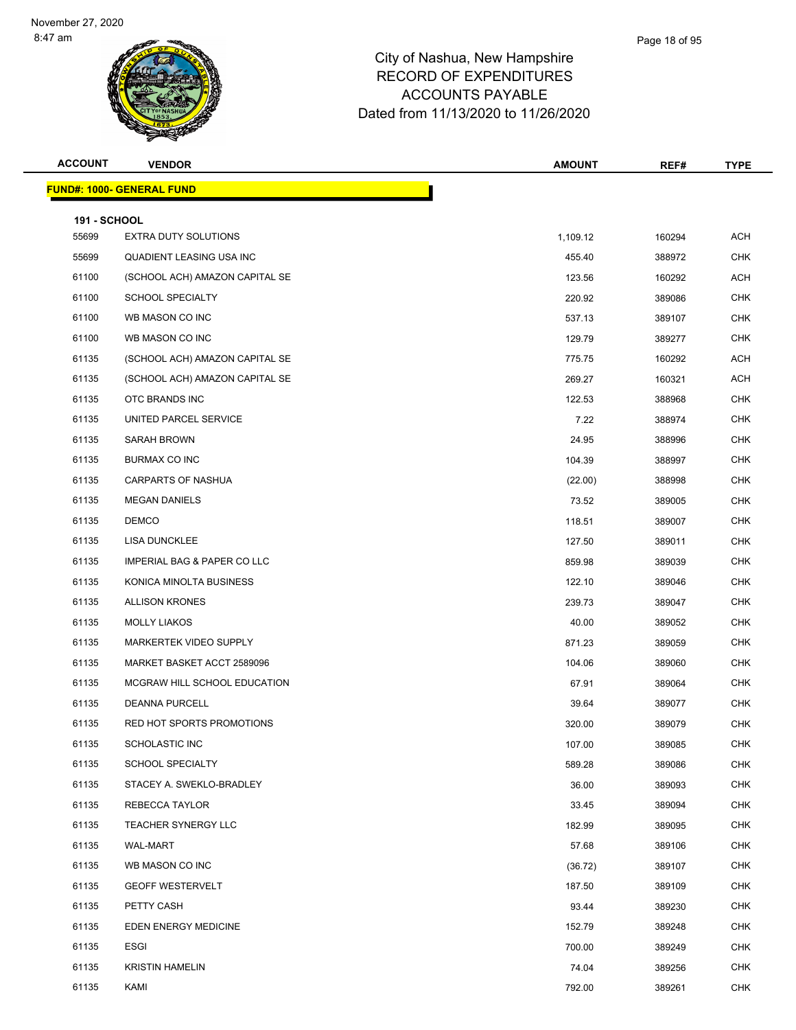| <b>ACCOUNT</b>               | <b>VENDOR</b>                    | <b>AMOUNT</b> | REF#   | <b>TYPE</b> |
|------------------------------|----------------------------------|---------------|--------|-------------|
|                              | <b>FUND#: 1000- GENERAL FUND</b> |               |        |             |
|                              |                                  |               |        |             |
| <b>191 - SCHOOL</b><br>55699 | <b>EXTRA DUTY SOLUTIONS</b>      | 1,109.12      | 160294 | <b>ACH</b>  |
| 55699                        | QUADIENT LEASING USA INC         | 455.40        | 388972 | <b>CHK</b>  |
| 61100                        | (SCHOOL ACH) AMAZON CAPITAL SE   | 123.56        | 160292 | <b>ACH</b>  |
| 61100                        | <b>SCHOOL SPECIALTY</b>          | 220.92        | 389086 | <b>CHK</b>  |
| 61100                        | WB MASON CO INC                  | 537.13        | 389107 | <b>CHK</b>  |
| 61100                        | WB MASON CO INC                  | 129.79        | 389277 | <b>CHK</b>  |
| 61135                        | (SCHOOL ACH) AMAZON CAPITAL SE   | 775.75        | 160292 | <b>ACH</b>  |
| 61135                        | (SCHOOL ACH) AMAZON CAPITAL SE   | 269.27        | 160321 | <b>ACH</b>  |
| 61135                        | OTC BRANDS INC                   | 122.53        | 388968 | <b>CHK</b>  |
| 61135                        | UNITED PARCEL SERVICE            | 7.22          | 388974 | CHK         |
| 61135                        | SARAH BROWN                      | 24.95         | 388996 | <b>CHK</b>  |
| 61135                        | BURMAX CO INC                    | 104.39        | 388997 | <b>CHK</b>  |
| 61135                        | <b>CARPARTS OF NASHUA</b>        | (22.00)       | 388998 | <b>CHK</b>  |
| 61135                        | <b>MEGAN DANIELS</b>             | 73.52         | 389005 | <b>CHK</b>  |
| 61135                        | <b>DEMCO</b>                     | 118.51        | 389007 | CHK         |
| 61135                        | <b>LISA DUNCKLEE</b>             | 127.50        | 389011 | <b>CHK</b>  |
| 61135                        | IMPERIAL BAG & PAPER CO LLC      | 859.98        | 389039 | <b>CHK</b>  |
| 61135                        | KONICA MINOLTA BUSINESS          | 122.10        | 389046 | <b>CHK</b>  |
| 61135                        | <b>ALLISON KRONES</b>            | 239.73        | 389047 | <b>CHK</b>  |
| 61135                        | <b>MOLLY LIAKOS</b>              | 40.00         | 389052 | CHK         |
| 61135                        | MARKERTEK VIDEO SUPPLY           | 871.23        | 389059 | <b>CHK</b>  |
| 61135                        | MARKET BASKET ACCT 2589096       | 104.06        | 389060 | <b>CHK</b>  |
| 61135                        | MCGRAW HILL SCHOOL EDUCATION     | 67.91         | 389064 | <b>CHK</b>  |
| 61135                        | <b>DEANNA PURCELL</b>            | 39.64         | 389077 | <b>CHK</b>  |
| 61135                        | RED HOT SPORTS PROMOTIONS        | 320.00        | 389079 | <b>CHK</b>  |
| 61135                        | SCHOLASTIC INC                   | 107.00        | 389085 | <b>CHK</b>  |
| 61135                        | <b>SCHOOL SPECIALTY</b>          | 589.28        | 389086 | <b>CHK</b>  |
| 61135                        | STACEY A. SWEKLO-BRADLEY         | 36.00         | 389093 | <b>CHK</b>  |
| 61135                        | REBECCA TAYLOR                   | 33.45         | 389094 | <b>CHK</b>  |
| 61135                        | <b>TEACHER SYNERGY LLC</b>       | 182.99        | 389095 | <b>CHK</b>  |
| 61135                        | WAL-MART                         | 57.68         | 389106 | <b>CHK</b>  |
| 61135                        | WB MASON CO INC                  | (36.72)       | 389107 | <b>CHK</b>  |
| 61135                        | <b>GEOFF WESTERVELT</b>          | 187.50        | 389109 | <b>CHK</b>  |
| 61135                        | PETTY CASH                       | 93.44         | 389230 | <b>CHK</b>  |
| 61135                        | EDEN ENERGY MEDICINE             | 152.79        | 389248 | CHK         |
| 61135                        | ESGI                             | 700.00        | 389249 | <b>CHK</b>  |
| 61135                        | <b>KRISTIN HAMELIN</b>           | 74.04         | 389256 | <b>CHK</b>  |
| 61135                        | KAMI                             | 792.00        | 389261 | <b>CHK</b>  |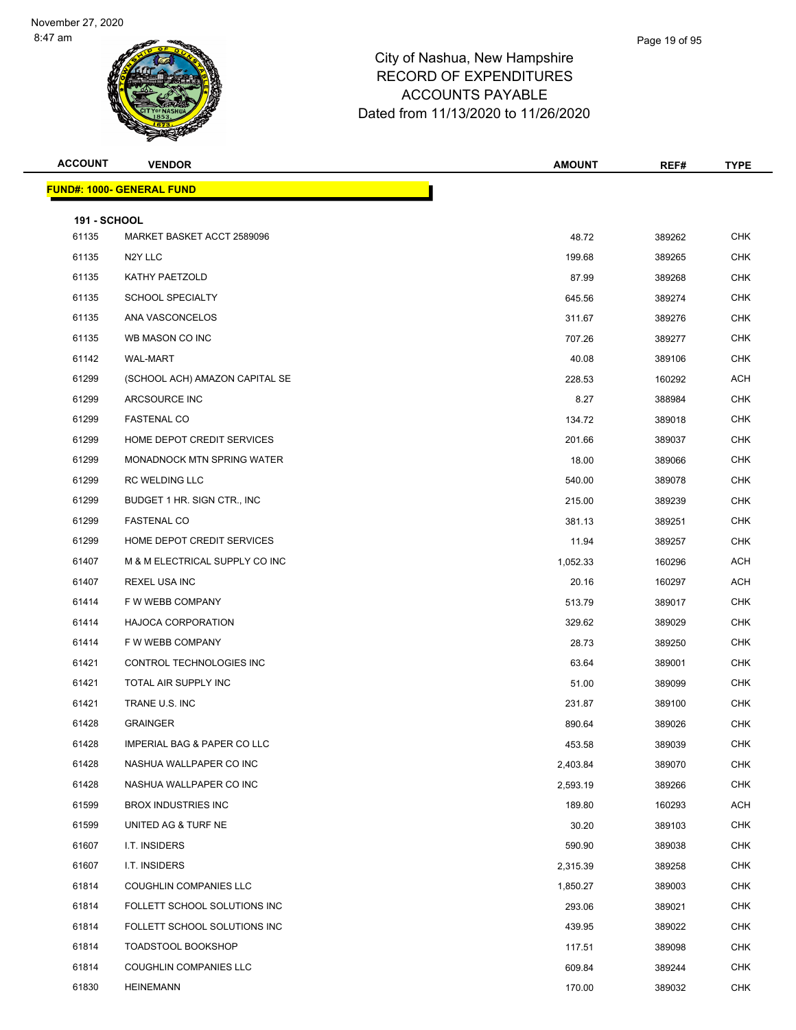| <b>ACCOUNT</b>               | <b>VENDOR</b>                          | <b>AMOUNT</b> | REF#   | <b>TYPE</b> |
|------------------------------|----------------------------------------|---------------|--------|-------------|
|                              | <u> FUND#: 1000- GENERAL FUND</u>      |               |        |             |
|                              |                                        |               |        |             |
| <b>191 - SCHOOL</b><br>61135 | MARKET BASKET ACCT 2589096             | 48.72         | 389262 | <b>CHK</b>  |
| 61135                        | N <sub>2</sub> Y LLC                   | 199.68        | 389265 | <b>CHK</b>  |
| 61135                        | KATHY PAETZOLD                         | 87.99         | 389268 | <b>CHK</b>  |
| 61135                        | <b>SCHOOL SPECIALTY</b>                | 645.56        | 389274 | <b>CHK</b>  |
| 61135                        | ANA VASCONCELOS                        | 311.67        | 389276 | <b>CHK</b>  |
| 61135                        | WB MASON CO INC                        | 707.26        | 389277 | <b>CHK</b>  |
| 61142                        | WAL-MART                               | 40.08         | 389106 | <b>CHK</b>  |
| 61299                        | (SCHOOL ACH) AMAZON CAPITAL SE         | 228.53        | 160292 | ACH         |
| 61299                        | ARCSOURCE INC                          | 8.27          | 388984 | <b>CHK</b>  |
| 61299                        | <b>FASTENAL CO</b>                     | 134.72        | 389018 | <b>CHK</b>  |
| 61299                        | HOME DEPOT CREDIT SERVICES             | 201.66        | 389037 | CHK         |
| 61299                        | <b>MONADNOCK MTN SPRING WATER</b>      | 18.00         | 389066 | <b>CHK</b>  |
| 61299                        | RC WELDING LLC                         | 540.00        | 389078 | <b>CHK</b>  |
| 61299                        | BUDGET 1 HR. SIGN CTR., INC            | 215.00        | 389239 | <b>CHK</b>  |
| 61299                        | <b>FASTENAL CO</b>                     | 381.13        | 389251 | <b>CHK</b>  |
| 61299                        | HOME DEPOT CREDIT SERVICES             | 11.94         | 389257 | <b>CHK</b>  |
| 61407                        | M & M ELECTRICAL SUPPLY CO INC         | 1,052.33      | 160296 | ACH         |
| 61407                        | REXEL USA INC                          | 20.16         | 160297 | ACH         |
| 61414                        | F W WEBB COMPANY                       | 513.79        | 389017 | <b>CHK</b>  |
| 61414                        | <b>HAJOCA CORPORATION</b>              | 329.62        | 389029 | <b>CHK</b>  |
| 61414                        | F W WEBB COMPANY                       | 28.73         | 389250 | CHK         |
| 61421                        | CONTROL TECHNOLOGIES INC               | 63.64         | 389001 | <b>CHK</b>  |
| 61421                        | TOTAL AIR SUPPLY INC                   | 51.00         | 389099 | <b>CHK</b>  |
| 61421                        | TRANE U.S. INC                         | 231.87        | 389100 | <b>CHK</b>  |
| 61428                        | <b>GRAINGER</b>                        | 890.64        | 389026 | <b>CHK</b>  |
| 61428                        | <b>IMPERIAL BAG &amp; PAPER CO LLC</b> | 453.58        | 389039 | <b>CHK</b>  |
| 61428                        | NASHUA WALLPAPER CO INC                | 2,403.84      | 389070 | <b>CHK</b>  |
| 61428                        | NASHUA WALLPAPER CO INC                | 2,593.19      | 389266 | <b>CHK</b>  |
| 61599                        | <b>BROX INDUSTRIES INC</b>             | 189.80        | 160293 | ACH         |
| 61599                        | UNITED AG & TURF NE                    | 30.20         | 389103 | <b>CHK</b>  |
| 61607                        | I.T. INSIDERS                          | 590.90        | 389038 | <b>CHK</b>  |
| 61607                        | I.T. INSIDERS                          | 2,315.39      | 389258 | <b>CHK</b>  |
| 61814                        | COUGHLIN COMPANIES LLC                 | 1,850.27      | 389003 | <b>CHK</b>  |
| 61814                        | FOLLETT SCHOOL SOLUTIONS INC           | 293.06        | 389021 | <b>CHK</b>  |
| 61814                        | FOLLETT SCHOOL SOLUTIONS INC           | 439.95        | 389022 | <b>CHK</b>  |
| 61814                        | <b>TOADSTOOL BOOKSHOP</b>              | 117.51        | 389098 | <b>CHK</b>  |
| 61814                        | COUGHLIN COMPANIES LLC                 | 609.84        | 389244 | <b>CHK</b>  |
| 61830                        | <b>HEINEMANN</b>                       | 170.00        | 389032 | <b>CHK</b>  |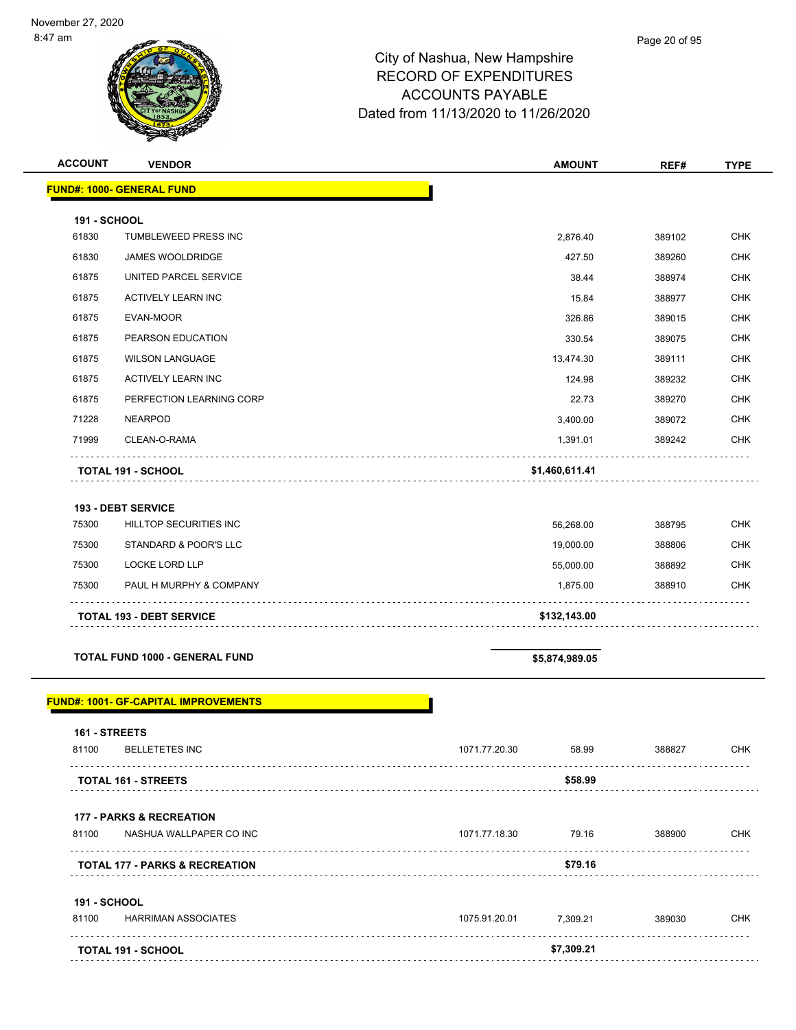| <b>ACCOUNT</b>               | <b>VENDOR</b>                                | <b>AMOUNT</b>          | REF#   | <b>TYPE</b> |
|------------------------------|----------------------------------------------|------------------------|--------|-------------|
|                              | <b>FUND#: 1000- GENERAL FUND</b>             |                        |        |             |
|                              |                                              |                        |        |             |
| <b>191 - SCHOOL</b><br>61830 | TUMBLEWEED PRESS INC                         | 2,876.40               | 389102 | <b>CHK</b>  |
| 61830                        | <b>JAMES WOOLDRIDGE</b>                      | 427.50                 | 389260 | <b>CHK</b>  |
| 61875                        | UNITED PARCEL SERVICE                        | 38.44                  | 388974 | <b>CHK</b>  |
| 61875                        | <b>ACTIVELY LEARN INC</b>                    | 15.84                  | 388977 | <b>CHK</b>  |
| 61875                        | EVAN-MOOR                                    | 326.86                 | 389015 | <b>CHK</b>  |
| 61875                        | PEARSON EDUCATION                            | 330.54                 | 389075 | <b>CHK</b>  |
| 61875                        | <b>WILSON LANGUAGE</b>                       | 13,474.30              | 389111 | <b>CHK</b>  |
| 61875                        | ACTIVELY LEARN INC                           | 124.98                 | 389232 | <b>CHK</b>  |
| 61875                        | PERFECTION LEARNING CORP                     | 22.73                  | 389270 | <b>CHK</b>  |
| 71228                        | <b>NEARPOD</b>                               | 3,400.00               | 389072 | <b>CHK</b>  |
| 71999                        | CLEAN-O-RAMA                                 | 1,391.01               | 389242 | <b>CHK</b>  |
|                              | <b>TOTAL 191 - SCHOOL</b>                    | \$1,460,611.41         |        |             |
|                              | <b>193 - DEBT SERVICE</b>                    |                        |        |             |
| 75300                        | HILLTOP SECURITIES INC                       | 56,268.00              | 388795 | <b>CHK</b>  |
| 75300                        | STANDARD & POOR'S LLC                        | 19,000.00              | 388806 | <b>CHK</b>  |
| 75300                        | LOCKE LORD LLP                               | 55,000.00              | 388892 | <b>CHK</b>  |
| 75300                        | PAUL H MURPHY & COMPANY                      | 1,875.00               | 388910 | <b>CHK</b>  |
|                              | <b>TOTAL 193 - DEBT SERVICE</b>              | \$132,143.00           |        |             |
|                              | TOTAL FUND 1000 - GENERAL FUND               | \$5,874,989.05         |        |             |
|                              | <u> FUND#: 1001- GF-CAPITAL IMPROVEMENTS</u> |                        |        |             |
| 161 - STREETS                |                                              |                        |        |             |
| 81100                        | <b>BELLETETES INC</b>                        | 1071.77.20.30<br>58.99 | 388827 | <b>CHK</b>  |
|                              | <b>TOTAL 161 - STREETS</b>                   | \$58.99                |        |             |
|                              | <b>177 - PARKS &amp; RECREATION</b>          |                        |        |             |

# 81100 NASHUA WALLPAPER CO INC 1071.77.18.30 79.16 388900 CHK **TOTAL 177 - PARKS & RECREATION \$79.16**

| <b>191 - SCHOOL</b> |                           |               |            |        |            |
|---------------------|---------------------------|---------------|------------|--------|------------|
| 81100               | HARRIMAN ASSOCIATES       | 1075.91.20.01 | 7.309.21   | 389030 | <b>CHK</b> |
|                     |                           |               |            |        |            |
|                     | <b>TOTAL 191 - SCHOOL</b> |               | \$7,309.21 |        |            |
|                     |                           |               |            |        |            |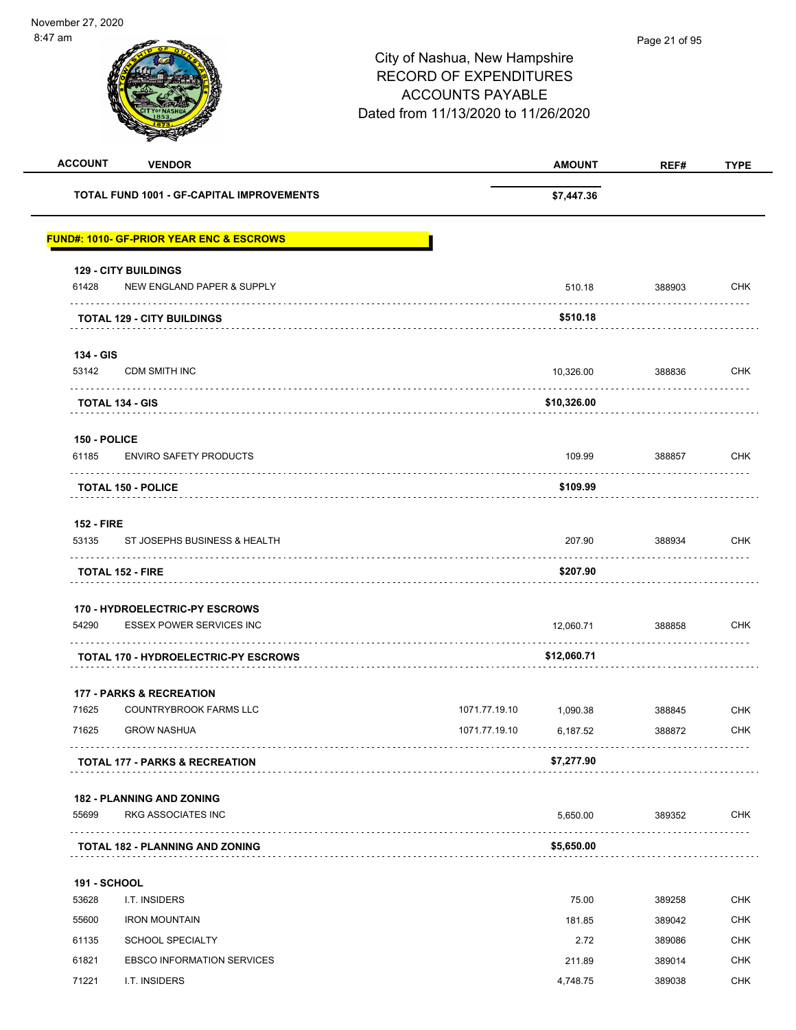| <b>ACCOUNT</b>    | <b>VENDOR</b>                                       |               | <b>AMOUNT</b> | REF#   | <b>TYPE</b> |
|-------------------|-----------------------------------------------------|---------------|---------------|--------|-------------|
|                   | <b>TOTAL FUND 1001 - GF-CAPITAL IMPROVEMENTS</b>    |               | \$7,447.36    |        |             |
|                   | <b>FUND#: 1010- GF-PRIOR YEAR ENC &amp; ESCROWS</b> |               |               |        |             |
|                   | <b>129 - CITY BUILDINGS</b>                         |               |               |        |             |
| 61428             | NEW ENGLAND PAPER & SUPPLY                          |               | 510.18        | 388903 | <b>CHK</b>  |
|                   | <b>TOTAL 129 - CITY BUILDINGS</b>                   |               | \$510.18      |        |             |
| 134 - GIS         |                                                     |               |               |        |             |
| 53142             | <b>CDM SMITH INC</b>                                |               | 10,326.00     | 388836 | <b>CHK</b>  |
|                   | <b>TOTAL 134 - GIS</b>                              | \$10,326.00   |               |        |             |
| 150 - POLICE      |                                                     |               |               |        |             |
| 61185             | <b>ENVIRO SAFETY PRODUCTS</b>                       |               | 109.99        | 388857 | <b>CHK</b>  |
|                   | <b>TOTAL 150 - POLICE</b>                           |               | \$109.99      | .      |             |
| <b>152 - FIRE</b> |                                                     |               |               |        |             |
| 53135             | ST JOSEPHS BUSINESS & HEALTH                        |               | 207.90        | 388934 | <b>CHK</b>  |
|                   | <b>TOTAL 152 - FIRE</b>                             |               | \$207.90      |        |             |
|                   | 170 - HYDROELECTRIC-PY ESCROWS                      |               |               |        |             |
| 54290             | <b>ESSEX POWER SERVICES INC</b>                     |               | 12,060.71     | 388858 | <b>CHK</b>  |
|                   | <b>TOTAL 170 - HYDROELECTRIC-PY ESCROWS</b>         | \$12,060.71   |               |        |             |
|                   | <b>177 - PARKS &amp; RECREATION</b>                 |               |               |        |             |
| 71625             | COUNTRYBROOK FARMS LLC                              | 1071.77.19.10 | 1,090.38      | 388845 | <b>CHK</b>  |
| 71625             | <b>GROW NASHUA</b>                                  | 1071.77.19.10 | 6,187.52      | 388872 | <b>CHK</b>  |
|                   | <b>TOTAL 177 - PARKS &amp; RECREATION</b>           |               | \$7,277.90    |        |             |
|                   | <b>182 - PLANNING AND ZONING</b>                    |               |               |        |             |
| 55699             | RKG ASSOCIATES INC                                  |               | 5,650.00      | 389352 | <b>CHK</b>  |
|                   | <b>TOTAL 182 - PLANNING AND ZONING</b>              |               | \$5,650.00    |        |             |
| 191 - SCHOOL      |                                                     |               |               |        |             |
| 53628             | I.T. INSIDERS                                       |               | 75.00         | 389258 | <b>CHK</b>  |
| 55600             | <b>IRON MOUNTAIN</b>                                |               | 181.85        | 389042 | <b>CHK</b>  |
| 61135             | <b>SCHOOL SPECIALTY</b>                             |               | 2.72          | 389086 | <b>CHK</b>  |
| 61821             | <b>EBSCO INFORMATION SERVICES</b>                   |               | 211.89        | 389014 | <b>CHK</b>  |
| 71221             | I.T. INSIDERS                                       |               | 4,748.75      | 389038 | <b>CHK</b>  |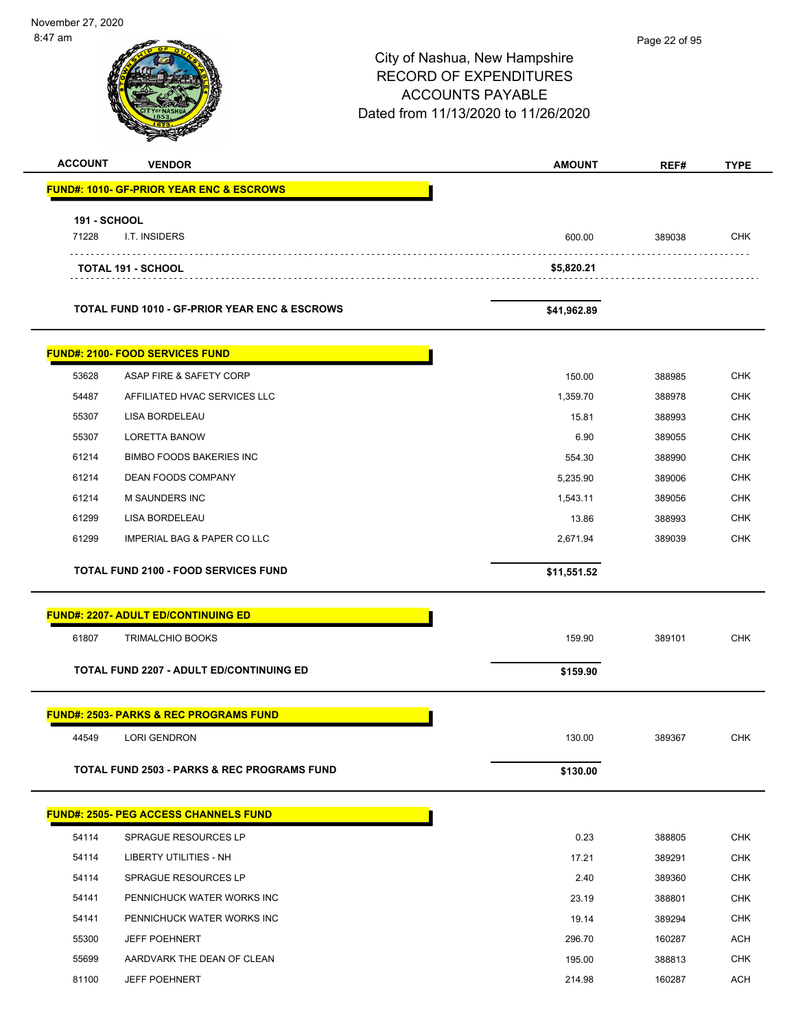| 8:47 am                      |                                                          | City of Nashua, New Hampshire<br><b>RECORD OF EXPENDITURES</b><br><b>ACCOUNTS PAYABLE</b><br>Dated from 11/13/2020 to 11/26/2020 | Page 22 of 95 |             |  |
|------------------------------|----------------------------------------------------------|----------------------------------------------------------------------------------------------------------------------------------|---------------|-------------|--|
| <b>ACCOUNT</b>               | <b>VENDOR</b>                                            | <b>AMOUNT</b>                                                                                                                    | REF#          | <b>TYPE</b> |  |
|                              | <b>FUND#: 1010- GF-PRIOR YEAR ENC &amp; ESCROWS</b>      |                                                                                                                                  |               |             |  |
| <b>191 - SCHOOL</b><br>71228 | I.T. INSIDERS                                            | 600.00                                                                                                                           | 389038        | <b>CHK</b>  |  |
|                              | <b>TOTAL 191 - SCHOOL</b>                                | \$5,820.21                                                                                                                       |               |             |  |
|                              | <b>TOTAL FUND 1010 - GF-PRIOR YEAR ENC &amp; ESCROWS</b> | \$41,962.89                                                                                                                      |               |             |  |
|                              | <b>FUND#: 2100- FOOD SERVICES FUND</b>                   |                                                                                                                                  |               |             |  |
| 53628                        | ASAP FIRE & SAFETY CORP                                  | 150.00                                                                                                                           | 388985        | CHK         |  |
| 54487                        | AFFILIATED HVAC SERVICES LLC                             | 1,359.70                                                                                                                         | 388978        | <b>CHK</b>  |  |
| 55307                        | LISA BORDELEAU                                           | 15.81                                                                                                                            | 388993        | <b>CHK</b>  |  |
| 55307                        | <b>LORETTA BANOW</b>                                     | 6.90                                                                                                                             | 389055        | CHK         |  |
| 61214                        | <b>BIMBO FOODS BAKERIES INC</b>                          | 554.30                                                                                                                           | 388990        | <b>CHK</b>  |  |
| 61214                        | DEAN FOODS COMPANY                                       | 5,235.90                                                                                                                         | 389006        | <b>CHK</b>  |  |
| 61214                        | M SAUNDERS INC                                           | 1,543.11                                                                                                                         | 389056        | <b>CHK</b>  |  |
| 61299                        | LISA BORDELEAU                                           | 13.86                                                                                                                            | 388993        | <b>CHK</b>  |  |
| 61299                        | <b>IMPERIAL BAG &amp; PAPER CO LLC</b>                   | 2,671.94                                                                                                                         | 389039        | <b>CHK</b>  |  |
|                              | <b>TOTAL FUND 2100 - FOOD SERVICES FUND</b>              | \$11,551.52                                                                                                                      |               |             |  |
|                              | <b>FUND#: 2207- ADULT ED/CONTINUING ED</b>               |                                                                                                                                  |               |             |  |
| 61807                        | <b>TRIMALCHIO BOOKS</b>                                  | 159.90                                                                                                                           | 389101        | <b>CHK</b>  |  |
|                              | <b>TOTAL FUND 2207 - ADULT ED/CONTINUING ED</b>          | \$159.90                                                                                                                         |               |             |  |
|                              | <b>FUND#: 2503- PARKS &amp; REC PROGRAMS FUND</b>        |                                                                                                                                  |               |             |  |
| 44549                        | <b>LORI GENDRON</b>                                      | 130.00                                                                                                                           | 389367        | <b>CHK</b>  |  |
|                              | <b>TOTAL FUND 2503 - PARKS &amp; REC PROGRAMS FUND</b>   | \$130.00                                                                                                                         |               |             |  |
|                              | <b>FUND#: 2505- PEG ACCESS CHANNELS FUND</b>             |                                                                                                                                  |               |             |  |
| 54114                        | SPRAGUE RESOURCES LP                                     | 0.23                                                                                                                             | 388805        | <b>CHK</b>  |  |
| 54114                        | LIBERTY UTILITIES - NH                                   | 17.21                                                                                                                            | 389291        | <b>CHK</b>  |  |
| 54114                        | SPRAGUE RESOURCES LP                                     | 2.40                                                                                                                             | 389360        | <b>CHK</b>  |  |
| 54141                        | PENNICHUCK WATER WORKS INC                               | 23.19                                                                                                                            | 388801        | <b>CHK</b>  |  |
| 54141                        | PENNICHUCK WATER WORKS INC                               | 19.14                                                                                                                            | 389294        | <b>CHK</b>  |  |
| 55300                        | <b>JEFF POEHNERT</b>                                     | 296.70                                                                                                                           | 160287        | <b>ACH</b>  |  |
| 55699                        | AARDVARK THE DEAN OF CLEAN                               | 195.00                                                                                                                           | 388813        | <b>CHK</b>  |  |
| 81100                        | <b>JEFF POEHNERT</b>                                     | 214.98                                                                                                                           | 160287        | <b>ACH</b>  |  |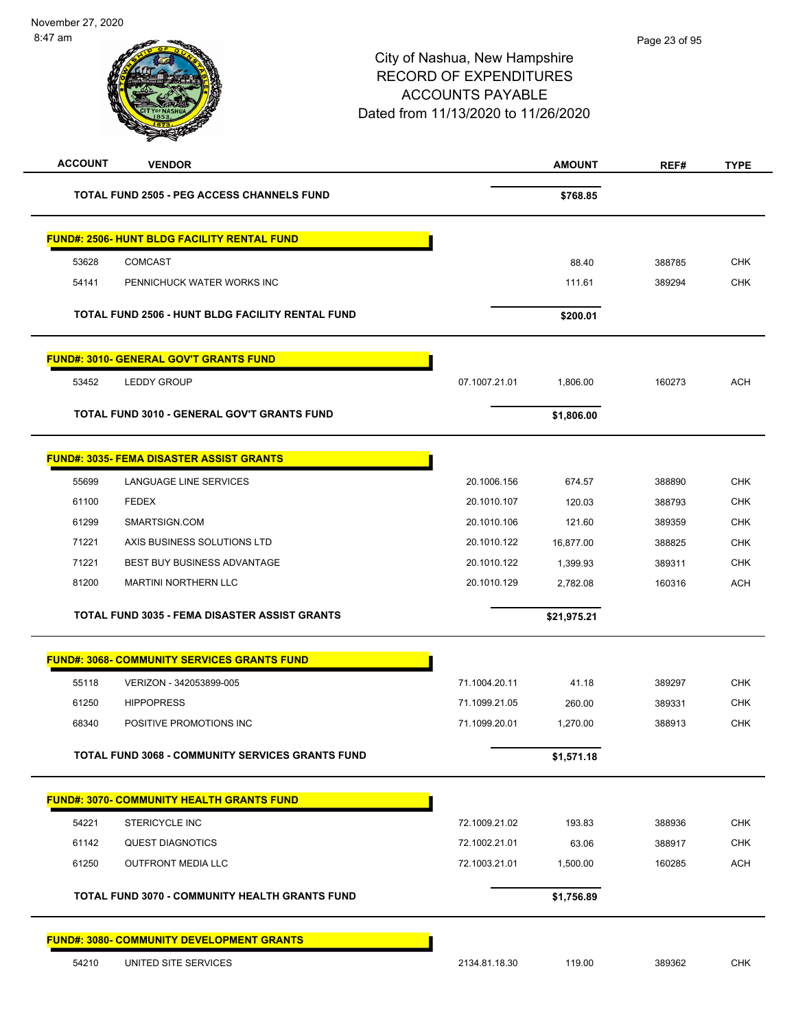| <b>ACCOUNT</b> | <b>VENDOR</b>                                           |               | <b>AMOUNT</b> | REF#   | <b>TYPE</b> |
|----------------|---------------------------------------------------------|---------------|---------------|--------|-------------|
|                | <b>TOTAL FUND 2505 - PEG ACCESS CHANNELS FUND</b>       |               | \$768.85      |        |             |
|                | <b>FUND#: 2506- HUNT BLDG FACILITY RENTAL FUND</b>      |               |               |        |             |
| 53628          | <b>COMCAST</b>                                          |               | 88.40         | 388785 | <b>CHK</b>  |
| 54141          | PENNICHUCK WATER WORKS INC                              |               | 111.61        | 389294 | <b>CHK</b>  |
|                | TOTAL FUND 2506 - HUNT BLDG FACILITY RENTAL FUND        |               | \$200.01      |        |             |
|                | <u> FUND#: 3010- GENERAL GOV'T GRANTS FUND</u>          |               |               |        |             |
| 53452          | <b>LEDDY GROUP</b>                                      | 07.1007.21.01 | 1,806.00      | 160273 | <b>ACH</b>  |
|                | TOTAL FUND 3010 - GENERAL GOV'T GRANTS FUND             |               | \$1,806.00    |        |             |
|                | <b>FUND#: 3035- FEMA DISASTER ASSIST GRANTS</b>         |               |               |        |             |
| 55699          | LANGUAGE LINE SERVICES                                  | 20.1006.156   | 674.57        | 388890 | <b>CHK</b>  |
| 61100          | <b>FEDEX</b>                                            | 20.1010.107   | 120.03        | 388793 | <b>CHK</b>  |
| 61299          | SMARTSIGN.COM                                           | 20.1010.106   | 121.60        | 389359 | <b>CHK</b>  |
| 71221          | AXIS BUSINESS SOLUTIONS LTD                             | 20.1010.122   | 16,877.00     | 388825 | <b>CHK</b>  |
| 71221          | <b>BEST BUY BUSINESS ADVANTAGE</b>                      | 20.1010.122   | 1,399.93      | 389311 | <b>CHK</b>  |
| 81200          | <b>MARTINI NORTHERN LLC</b>                             | 20.1010.129   | 2,782.08      | 160316 | ACH         |
|                | TOTAL FUND 3035 - FEMA DISASTER ASSIST GRANTS           |               | \$21,975.21   |        |             |
|                | <b>FUND#: 3068- COMMUNITY SERVICES GRANTS FUND</b>      |               |               |        |             |
| 55118          | VERIZON - 342053899-005                                 | 71.1004.20.11 | 41.18         | 389297 | <b>CHK</b>  |
| 61250          | <b>HIPPOPRESS</b>                                       | 71.1099.21.05 | 260.00        | 389331 | <b>CHK</b>  |
| 68340          | POSITIVE PROMOTIONS INC                                 | 71.1099.20.01 | 1,270.00      | 388913 | <b>CHK</b>  |
|                | <b>TOTAL FUND 3068 - COMMUNITY SERVICES GRANTS FUND</b> |               | \$1,571.18    |        |             |
|                | <b>FUND#: 3070- COMMUNITY HEALTH GRANTS FUND</b>        |               |               |        |             |
| 54221          | STERICYCLE INC                                          | 72.1009.21.02 | 193.83        | 388936 | <b>CHK</b>  |
| 61142          | <b>QUEST DIAGNOTICS</b>                                 | 72.1002.21.01 | 63.06         | 388917 | <b>CHK</b>  |
| 61250          | <b>OUTFRONT MEDIA LLC</b>                               | 72.1003.21.01 | 1,500.00      | 160285 | <b>ACH</b>  |
|                | <b>TOTAL FUND 3070 - COMMUNITY HEALTH GRANTS FUND</b>   |               | \$1,756.89    |        |             |
|                | <b>FUND#: 3080- COMMUNITY DEVELOPMENT GRANTS</b>        |               |               |        |             |
| 54210          | UNITED SITE SERVICES                                    | 2134.81.18.30 | 119.00        | 389362 | <b>CHK</b>  |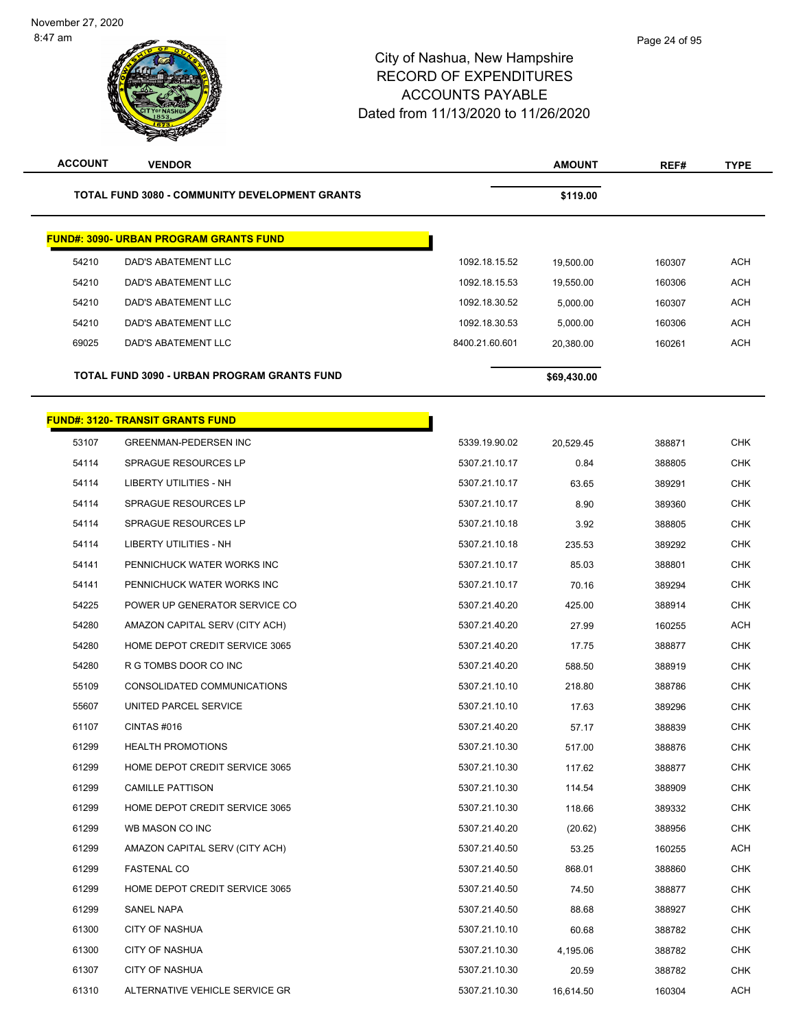÷

| <b>ACCOUNT</b> | <b>VENDOR</b>                                         |                | <b>AMOUNT</b> | REF#   | <b>TYPE</b> |
|----------------|-------------------------------------------------------|----------------|---------------|--------|-------------|
|                | <b>TOTAL FUND 3080 - COMMUNITY DEVELOPMENT GRANTS</b> |                | \$119.00      |        |             |
|                | <b>FUND#: 3090- URBAN PROGRAM GRANTS FUND</b>         |                |               |        |             |
| 54210          | DAD'S ABATEMENT LLC                                   | 1092.18.15.52  | 19,500.00     | 160307 | <b>ACH</b>  |
| 54210          | DAD'S ABATEMENT LLC                                   | 1092.18.15.53  | 19,550.00     | 160306 | <b>ACH</b>  |
| 54210          | <b>DAD'S ABATEMENT LLC</b>                            | 1092.18.30.52  | 5,000.00      | 160307 | <b>ACH</b>  |
| 54210          | DAD'S ABATEMENT LLC                                   | 1092.18.30.53  | 5,000.00      | 160306 | ACH         |
| 69025          | <b>DAD'S ABATEMENT LLC</b>                            | 8400.21.60.601 | 20,380.00     | 160261 | <b>ACH</b>  |
|                | TOTAL FUND 3090 - URBAN PROGRAM GRANTS FUND           |                | \$69,430.00   |        |             |
|                | <b>FUND#: 3120- TRANSIT GRANTS FUND</b>               |                |               |        |             |
| 53107          | <b>GREENMAN-PEDERSEN INC</b>                          | 5339.19.90.02  | 20.529.45     | 388871 | <b>CHK</b>  |
| 54114          | <b>SPRAGUE RESOURCES LP</b>                           | 5307.21.10.17  | 0.84          | 388805 | <b>CHK</b>  |
| 54114          | <b>LIBERTY UTILITIES - NH</b>                         | 5307.21.10.17  | 63.65         | 389291 | CHK         |
| 54114          | <b>SPRAGUE RESOURCES LP</b>                           | 5307.21.10.17  | 8.90          | 389360 | <b>CHK</b>  |
| 54114          | <b>SPRAGUE RESOURCES LP</b>                           | 5307.21.10.18  | 3.92          | 388805 | <b>CHK</b>  |
| 54114          | LIBERTY UTILITIES - NH                                | 5307.21.10.18  | 235.53        | 389292 | <b>CHK</b>  |
| 54141          | PENNICHUCK WATER WORKS INC                            | 5307.21.10.17  | 85.03         | 388801 | <b>CHK</b>  |
| 54141          | PENNICHUCK WATER WORKS INC                            | 5307.21.10.17  | 70.16         | 389294 | CHK         |
| 54225          | POWER UP GENERATOR SERVICE CO                         | 5307.21.40.20  | 425.00        | 388914 | <b>CHK</b>  |
| 54280          | AMAZON CAPITAL SERV (CITY ACH)                        | 5307.21.40.20  | 27.99         | 160255 | <b>ACH</b>  |
| 54280          | HOME DEPOT CREDIT SERVICE 3065                        | 5307.21.40.20  | 17.75         | 388877 | <b>CHK</b>  |
| 54280          | R G TOMBS DOOR CO INC                                 | 5307.21.40.20  | 588.50        | 388919 | <b>CHK</b>  |
| 55109          | CONSOLIDATED COMMUNICATIONS                           | 5307.21.10.10  | 218.80        | 388786 | CHK         |
| 55607          | UNITED PARCEL SERVICE                                 | 5307.21.10.10  | 17.63         | 389296 | <b>CHK</b>  |
| 61107          | CINTAS#016                                            | 5307.21.40.20  | 57.17         | 388839 | <b>CHK</b>  |
| 61299          | <b>HEALTH PROMOTIONS</b>                              | 5307.21.10.30  | 517.00        | 388876 | CHK         |
| 61299          | HOME DEPOT CREDIT SERVICE 3065                        | 5307.21.10.30  | 117.62        | 388877 | <b>CHK</b>  |
| 61299          | <b>CAMILLE PATTISON</b>                               | 5307.21.10.30  | 114.54        | 388909 | CHK         |
| 61299          | HOME DEPOT CREDIT SERVICE 3065                        | 5307.21.10.30  | 118.66        | 389332 | <b>CHK</b>  |
| 61299          | WB MASON CO INC                                       | 5307.21.40.20  | (20.62)       | 388956 | <b>CHK</b>  |
| 61299          | AMAZON CAPITAL SERV (CITY ACH)                        | 5307.21.40.50  | 53.25         | 160255 | ACH         |
| 61299          | <b>FASTENAL CO</b>                                    | 5307.21.40.50  | 868.01        | 388860 | CHK         |
| 61299          | HOME DEPOT CREDIT SERVICE 3065                        | 5307.21.40.50  | 74.50         | 388877 | CHK         |
| 61299          | SANEL NAPA                                            | 5307.21.40.50  | 88.68         | 388927 | <b>CHK</b>  |
| 61300          | <b>CITY OF NASHUA</b>                                 | 5307.21.10.10  | 60.68         | 388782 | CHK         |
| 61300          | <b>CITY OF NASHUA</b>                                 | 5307.21.10.30  | 4,195.06      | 388782 | CHK         |
| 61307          | <b>CITY OF NASHUA</b>                                 | 5307.21.10.30  | 20.59         | 388782 | <b>CHK</b>  |
| 61310          | ALTERNATIVE VEHICLE SERVICE GR                        | 5307.21.10.30  | 16,614.50     | 160304 | ACH         |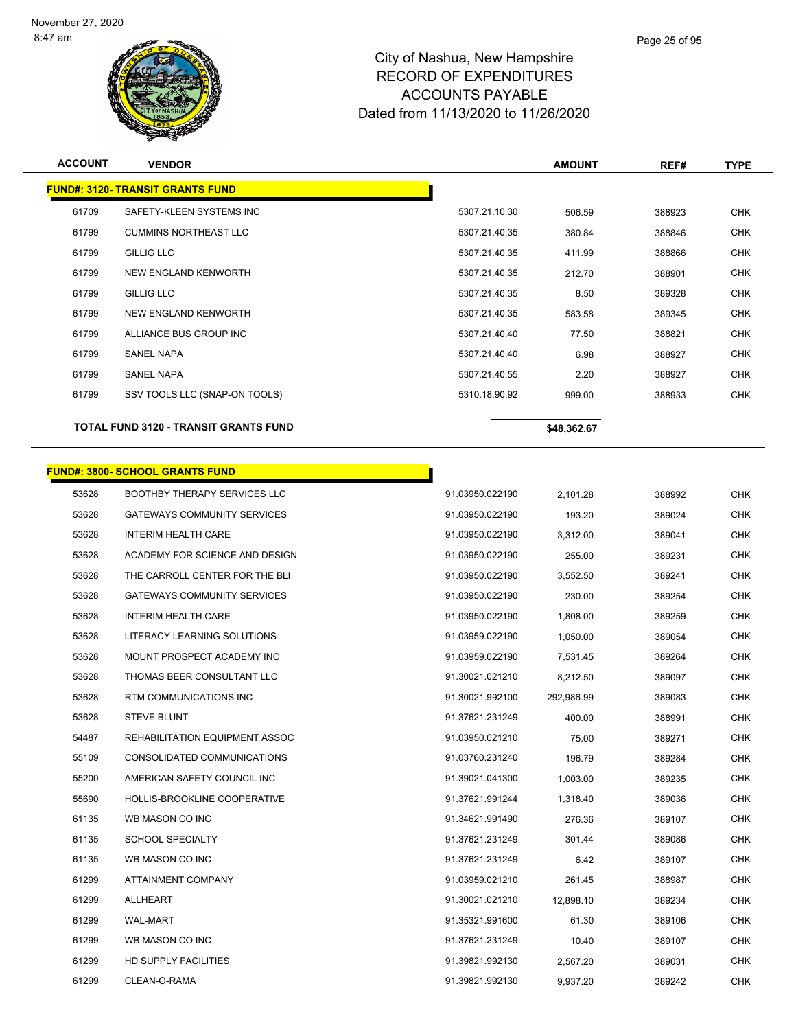

| <b>ACCOUNT</b> | <b>VENDOR</b>                                |                 | <b>AMOUNT</b> | REF#   | TYPE       |
|----------------|----------------------------------------------|-----------------|---------------|--------|------------|
|                | <b>FUND#: 3120- TRANSIT GRANTS FUND</b>      |                 |               |        |            |
| 61709          | SAFETY-KLEEN SYSTEMS INC                     | 5307.21.10.30   | 506.59        | 388923 | <b>CHK</b> |
| 61799          | <b>CUMMINS NORTHEAST LLC</b>                 | 5307.21.40.35   | 380.84        | 388846 | <b>CHK</b> |
| 61799          | <b>GILLIG LLC</b>                            | 5307.21.40.35   | 411.99        | 388866 | <b>CHK</b> |
| 61799          | NEW ENGLAND KENWORTH                         | 5307.21.40.35   | 212.70        | 388901 | <b>CHK</b> |
| 61799          | <b>GILLIG LLC</b>                            | 5307.21.40.35   | 8.50          | 389328 | <b>CHK</b> |
| 61799          | NEW ENGLAND KENWORTH                         | 5307.21.40.35   | 583.58        | 389345 | <b>CHK</b> |
| 61799          | ALLIANCE BUS GROUP INC                       | 5307.21.40.40   | 77.50         | 388821 | <b>CHK</b> |
| 61799          | SANEL NAPA                                   | 5307.21.40.40   | 6.98          | 388927 | <b>CHK</b> |
| 61799          | <b>SANEL NAPA</b>                            | 5307.21.40.55   | 2.20          | 388927 | <b>CHK</b> |
| 61799          | SSV TOOLS LLC (SNAP-ON TOOLS)                | 5310.18.90.92   | 999.00        | 388933 | <b>CHK</b> |
|                | <b>TOTAL FUND 3120 - TRANSIT GRANTS FUND</b> |                 | \$48,362.67   |        |            |
|                | <b>FUND#: 3800- SCHOOL GRANTS FUND</b>       |                 |               |        |            |
| 53628          | <b>BOOTHBY THERAPY SERVICES LLC</b>          | 91.03950.022190 | 2,101.28      | 388992 | <b>CHK</b> |
| 53628          | <b>GATEWAYS COMMUNITY SERVICES</b>           | 91.03950.022190 | 193.20        | 389024 | <b>CHK</b> |
| 53628          | INTERIM HEALTH CARE                          | 91.03950.022190 | 3,312.00      | 389041 | <b>CHK</b> |
| 53628          | ACADEMY FOR SCIENCE AND DESIGN               | 91.03950.022190 | 255.00        | 389231 | CHK        |
| 53628          | THE CARROLL CENTER FOR THE BLI               | 91.03950.022190 | 3,552.50      | 389241 | <b>CHK</b> |
| 53628          | <b>GATEWAYS COMMUNITY SERVICES</b>           | 91.03950.022190 | 230.00        | 389254 | <b>CHK</b> |
| 53628          | <b>INTERIM HEALTH CARE</b>                   | 91.03950.022190 | 1,808.00      | 389259 | <b>CHK</b> |
| 53628          | LITERACY LEARNING SOLUTIONS                  | 91.03959.022190 | 1,050.00      | 389054 | <b>CHK</b> |
| 53628          | MOUNT PROSPECT ACADEMY INC                   | 91.03959.022190 | 7,531.45      | 389264 | CHK        |
| 53628          | THOMAS BEER CONSULTANT LLC                   | 91.30021.021210 | 8,212.50      | 389097 | <b>CHK</b> |
| 53628          | RTM COMMUNICATIONS INC                       | 91.30021.992100 | 292,986.99    | 389083 | <b>CHK</b> |
| 53628          | <b>STEVE BLUNT</b>                           | 91.37621.231249 | 400.00        | 388991 | <b>CHK</b> |
| 54487          | REHABILITATION EQUIPMENT ASSOC               | 91.03950.021210 | 75.00         | 389271 | <b>CHK</b> |
| 55109          | CONSOLIDATED COMMUNICATIONS                  | 91.03760.231240 | 196.79        | 389284 | <b>CHK</b> |
| 55200          | AMERICAN SAFETY COUNCIL INC                  | 91.39021.041300 | 1,003.00      | 389235 | <b>CHK</b> |
| 55690          | HOLLIS-BROOKLINE COOPERATIVE                 | 91.37621.991244 | 1,318.40      | 389036 | <b>CHK</b> |
| 61135          | WB MASON CO INC                              | 91.34621.991490 | 276.36        | 389107 | <b>CHK</b> |
| 61135          | <b>SCHOOL SPECIALTY</b>                      | 91.37621.231249 | 301.44        | 389086 | <b>CHK</b> |
| 61135          | WB MASON CO INC                              | 91.37621.231249 | 6.42          | 389107 | <b>CHK</b> |
| 61299          | ATTAINMENT COMPANY                           | 91.03959.021210 | 261.45        | 388987 | <b>CHK</b> |
| 61299          | ALLHEART                                     | 91.30021.021210 | 12,898.10     | 389234 | <b>CHK</b> |
| 61299          | <b>WAL-MART</b>                              | 91.35321.991600 | 61.30         | 389106 | <b>CHK</b> |
| 61299          | WB MASON CO INC                              | 91.37621.231249 | 10.40         | 389107 | <b>CHK</b> |
| 61299          | HD SUPPLY FACILITIES                         | 91.39821.992130 | 2,567.20      | 389031 | <b>CHK</b> |
| 61299          | CLEAN-O-RAMA                                 | 91.39821.992130 | 9,937.20      | 389242 | CHK        |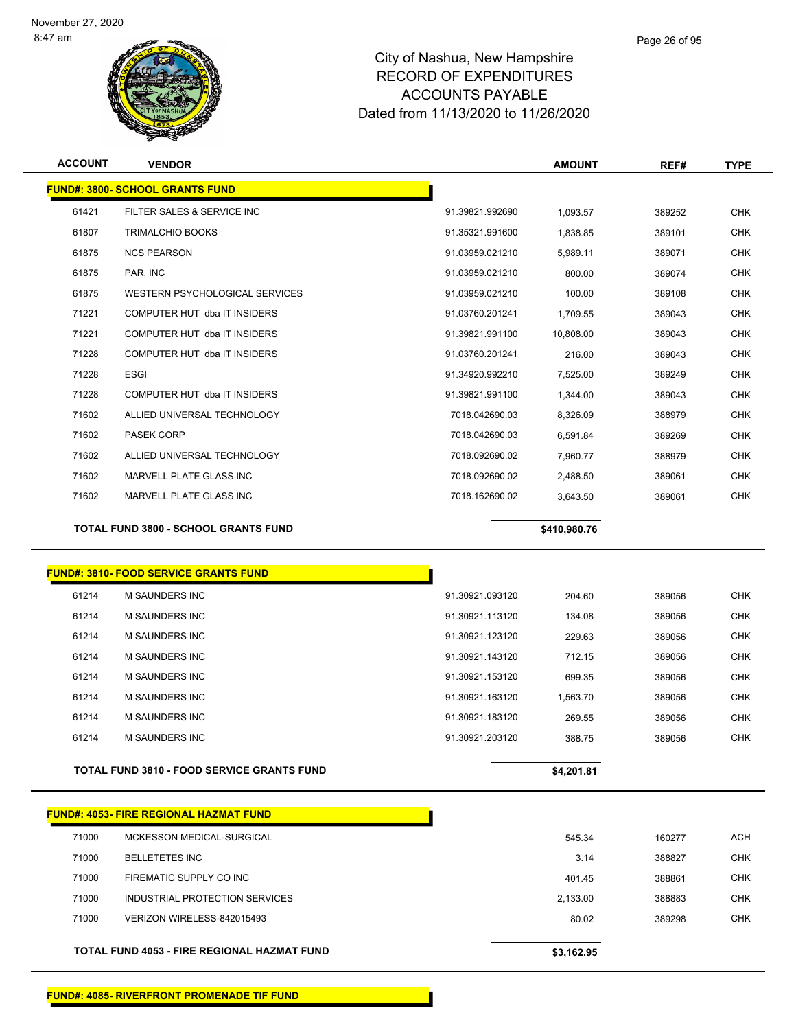

## Page 26 of 95

# City of Nashua, New Hampshire RECORD OF EXPENDITURES ACCOUNTS PAYABLE Dated from 11/13/2020 to 11/26/2020

| <b>ACCOUNT</b> | <b>VENDOR</b>                               |                 | <b>AMOUNT</b> | REF#   | <b>TYPE</b> |
|----------------|---------------------------------------------|-----------------|---------------|--------|-------------|
|                | <b>FUND#: 3800- SCHOOL GRANTS FUND</b>      |                 |               |        |             |
| 61421          | FILTER SALES & SERVICE INC                  | 91.39821.992690 | 1,093.57      | 389252 | <b>CHK</b>  |
| 61807          | <b>TRIMALCHIO BOOKS</b>                     | 91.35321.991600 | 1,838.85      | 389101 | <b>CHK</b>  |
| 61875          | <b>NCS PEARSON</b>                          | 91.03959.021210 | 5,989.11      | 389071 | <b>CHK</b>  |
| 61875          | PAR. INC                                    | 91.03959.021210 | 800.00        | 389074 | <b>CHK</b>  |
| 61875          | WESTERN PSYCHOLOGICAL SERVICES              | 91.03959.021210 | 100.00        | 389108 | <b>CHK</b>  |
| 71221          | COMPUTER HUT dba IT INSIDERS                | 91.03760.201241 | 1.709.55      | 389043 | <b>CHK</b>  |
| 71221          | COMPUTER HUT dba IT INSIDERS                | 91.39821.991100 | 10,808.00     | 389043 | <b>CHK</b>  |
| 71228          | COMPUTER HUT dba IT INSIDERS                | 91.03760.201241 | 216.00        | 389043 | <b>CHK</b>  |
| 71228          | <b>ESGI</b>                                 | 91.34920.992210 | 7,525.00      | 389249 | <b>CHK</b>  |
| 71228          | COMPUTER HUT dba IT INSIDERS                | 91.39821.991100 | 1,344.00      | 389043 | <b>CHK</b>  |
| 71602          | ALLIED UNIVERSAL TECHNOLOGY                 | 7018.042690.03  | 8,326.09      | 388979 | <b>CHK</b>  |
| 71602          | <b>PASEK CORP</b>                           | 7018.042690.03  | 6,591.84      | 389269 | <b>CHK</b>  |
| 71602          | ALLIED UNIVERSAL TECHNOLOGY                 | 7018.092690.02  | 7,960.77      | 388979 | <b>CHK</b>  |
| 71602          | <b>MARVELL PLATE GLASS INC</b>              | 7018.092690.02  | 2,488.50      | 389061 | <b>CHK</b>  |
| 71602          | <b>MARVELL PLATE GLASS INC</b>              | 7018.162690.02  | 3,643.50      | 389061 | <b>CHK</b>  |
|                | <b>TOTAL FUND 3800 - SCHOOL GRANTS FUND</b> |                 | \$410,980.76  |        |             |
|                |                                             |                 |               |        |             |

## **FUND#: 3810- FOOD SERVICE GRANTS FUND**

| 61214 | M SAUNDERS INC                                    | 91.30921.093120 | 204.60     | 389056 | <b>CHK</b> |
|-------|---------------------------------------------------|-----------------|------------|--------|------------|
| 61214 | M SAUNDERS INC                                    | 91.30921.113120 | 134.08     | 389056 | <b>CHK</b> |
| 61214 | M SAUNDERS INC                                    | 91.30921.123120 | 229.63     | 389056 | <b>CHK</b> |
| 61214 | M SAUNDERS INC                                    | 91.30921.143120 | 712.15     | 389056 | <b>CHK</b> |
| 61214 | M SAUNDERS INC                                    | 91.30921.153120 | 699.35     | 389056 | <b>CHK</b> |
| 61214 | M SAUNDERS INC                                    | 91.30921.163120 | 1.563.70   | 389056 | <b>CHK</b> |
| 61214 | M SAUNDERS INC                                    | 91.30921.183120 | 269.55     | 389056 | <b>CHK</b> |
| 61214 | M SAUNDERS INC                                    | 91.30921.203120 | 388.75     | 389056 | <b>CHK</b> |
|       |                                                   |                 |            |        |            |
|       | <b>TOTAL FUND 3810 - FOOD SERVICE GRANTS FUND</b> |                 | \$4,201.81 |        |            |

|       | <b>FUND#: 4053- FIRE REGIONAL HAZMAT FUND</b> |            |        |            |
|-------|-----------------------------------------------|------------|--------|------------|
| 71000 | MCKESSON MEDICAL-SURGICAL                     | 545.34     | 160277 | ACH        |
| 71000 | <b>BELLETETES INC</b>                         | 3.14       | 388827 | <b>CHK</b> |
| 71000 | FIREMATIC SUPPLY CO INC                       | 401.45     | 388861 | <b>CHK</b> |
| 71000 | INDUSTRIAL PROTECTION SERVICES                | 2,133.00   | 388883 | <b>CHK</b> |
| 71000 | VERIZON WIRELESS-842015493                    | 80.02      | 389298 | <b>CHK</b> |
|       |                                               |            |        |            |
|       | TOTAL FUND 4053 - FIRE REGIONAL HAZMAT FUND   | \$3,162.95 |        |            |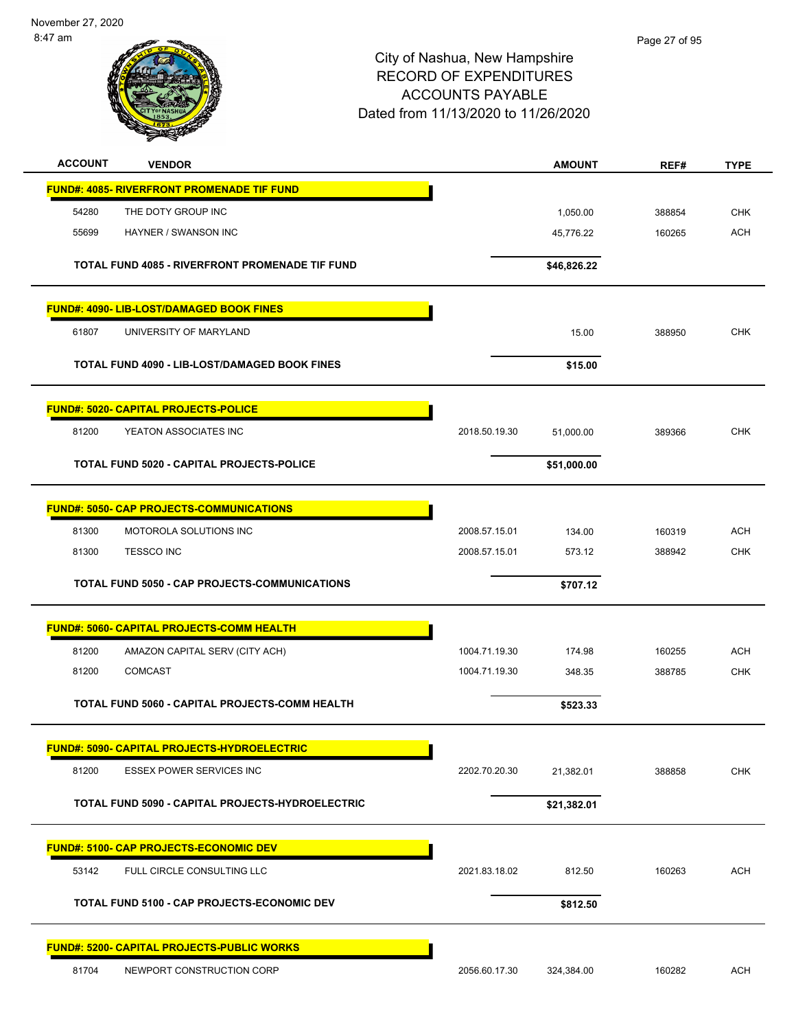November 27, 2020 8:47 am



| <b>ACCOUNT</b> | <b>VENDOR</b>                                          |               | <b>AMOUNT</b> | REF#   | <b>TYPE</b> |
|----------------|--------------------------------------------------------|---------------|---------------|--------|-------------|
|                | <b>FUND#: 4085- RIVERFRONT PROMENADE TIF FUND</b>      |               |               |        |             |
| 54280          | THE DOTY GROUP INC                                     |               | 1,050.00      | 388854 | <b>CHK</b>  |
| 55699          | HAYNER / SWANSON INC                                   |               | 45,776.22     | 160265 | <b>ACH</b>  |
|                | <b>TOTAL FUND 4085 - RIVERFRONT PROMENADE TIF FUND</b> |               | \$46,826.22   |        |             |
|                | FUND#: 4090- LIB-LOST/DAMAGED BOOK FINES               |               |               |        |             |
| 61807          | UNIVERSITY OF MARYLAND                                 |               | 15.00         | 388950 | <b>CHK</b>  |
|                | <b>TOTAL FUND 4090 - LIB-LOST/DAMAGED BOOK FINES</b>   |               | \$15.00       |        |             |
|                | <b>FUND#: 5020- CAPITAL PROJECTS-POLICE</b>            |               |               |        |             |
| 81200          | YEATON ASSOCIATES INC                                  | 2018.50.19.30 | 51,000.00     | 389366 | <b>CHK</b>  |
|                | TOTAL FUND 5020 - CAPITAL PROJECTS-POLICE              |               | \$51,000.00   |        |             |
|                | <b>FUND#: 5050- CAP PROJECTS-COMMUNICATIONS</b>        |               |               |        |             |
| 81300          | MOTOROLA SOLUTIONS INC                                 | 2008.57.15.01 | 134.00        | 160319 | <b>ACH</b>  |
| 81300          | <b>TESSCO INC</b>                                      | 2008.57.15.01 | 573.12        | 388942 | <b>CHK</b>  |
|                | TOTAL FUND 5050 - CAP PROJECTS-COMMUNICATIONS          |               | \$707.12      |        |             |
|                | <b>FUND#: 5060- CAPITAL PROJECTS-COMM HEALTH</b>       |               |               |        |             |
| 81200          | AMAZON CAPITAL SERV (CITY ACH)                         | 1004.71.19.30 | 174.98        | 160255 | <b>ACH</b>  |
| 81200          | <b>COMCAST</b>                                         | 1004.71.19.30 | 348.35        | 388785 | <b>CHK</b>  |
|                | TOTAL FUND 5060 - CAPITAL PROJECTS-COMM HEALTH         |               | \$523.33      |        |             |
|                | <b>FUND#: 5090- CAPITAL PROJECTS-HYDROELECTRIC</b>     |               |               |        |             |
| 81200          | <b>ESSEX POWER SERVICES INC</b>                        | 2202.70.20.30 | 21,382.01     | 388858 | <b>CHK</b>  |
|                | TOTAL FUND 5090 - CAPITAL PROJECTS-HYDROELECTRIC       |               | \$21,382.01   |        |             |
|                | <b>FUND#: 5100- CAP PROJECTS-ECONOMIC DEV</b>          |               |               |        |             |
| 53142          | FULL CIRCLE CONSULTING LLC                             | 2021.83.18.02 | 812.50        | 160263 | <b>ACH</b>  |
|                | <b>TOTAL FUND 5100 - CAP PROJECTS-ECONOMIC DEV</b>     |               | \$812.50      |        |             |
|                | <b>FUND#: 5200- CAPITAL PROJECTS-PUBLIC WORKS</b>      |               |               |        |             |
| 81704          | NEWPORT CONSTRUCTION CORP                              | 2056.60.17.30 | 324,384.00    | 160282 | <b>ACH</b>  |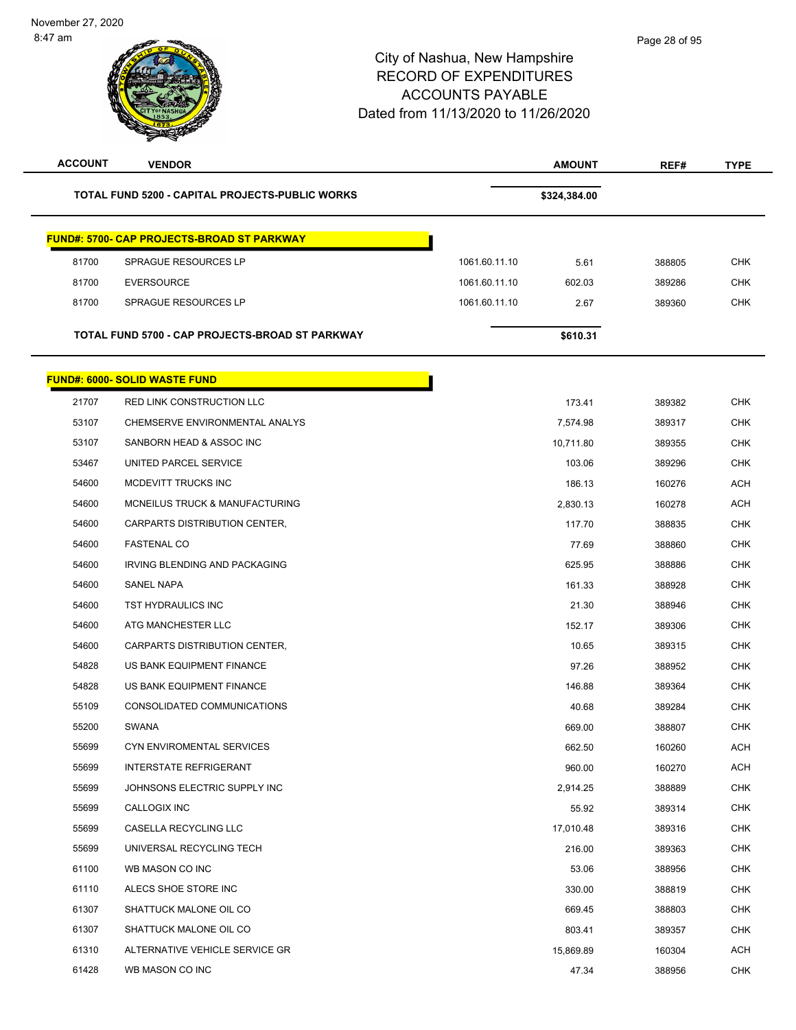| <b>ACCOUNT</b> | <b>VENDOR</b>                                          |               | <b>AMOUNT</b> | REF#   | <b>TYPE</b> |
|----------------|--------------------------------------------------------|---------------|---------------|--------|-------------|
|                | <b>TOTAL FUND 5200 - CAPITAL PROJECTS-PUBLIC WORKS</b> |               | \$324,384.00  |        |             |
|                | <b>FUND#: 5700- CAP PROJECTS-BROAD ST PARKWAY</b>      |               |               |        |             |
| 81700          | SPRAGUE RESOURCES LP                                   | 1061.60.11.10 | 5.61          | 388805 | <b>CHK</b>  |
| 81700          | <b>EVERSOURCE</b>                                      | 1061.60.11.10 | 602.03        | 389286 | <b>CHK</b>  |
| 81700          | SPRAGUE RESOURCES LP                                   | 1061.60.11.10 | 2.67          | 389360 | <b>CHK</b>  |
|                | TOTAL FUND 5700 - CAP PROJECTS-BROAD ST PARKWAY        |               | \$610.31      |        |             |
|                | <b>FUND#: 6000- SOLID WASTE FUND</b>                   |               |               |        |             |
| 21707          | RED LINK CONSTRUCTION LLC                              |               | 173.41        | 389382 | <b>CHK</b>  |
| 53107          | CHEMSERVE ENVIRONMENTAL ANALYS                         |               | 7,574.98      | 389317 | <b>CHK</b>  |
| 53107          | SANBORN HEAD & ASSOC INC                               |               | 10,711.80     | 389355 | <b>CHK</b>  |
| 53467          | UNITED PARCEL SERVICE                                  |               | 103.06        | 389296 | <b>CHK</b>  |
| 54600          | MCDEVITT TRUCKS INC                                    |               | 186.13        | 160276 | <b>ACH</b>  |
| 54600          | MCNEILUS TRUCK & MANUFACTURING                         |               | 2,830.13      | 160278 | <b>ACH</b>  |
| 54600          | CARPARTS DISTRIBUTION CENTER,                          |               | 117.70        | 388835 | <b>CHK</b>  |
| 54600          | <b>FASTENAL CO</b>                                     |               | 77.69         | 388860 | CHK         |
| 54600          | IRVING BLENDING AND PACKAGING                          |               | 625.95        | 388886 | <b>CHK</b>  |
| 54600          | <b>SANEL NAPA</b>                                      |               | 161.33        | 388928 | <b>CHK</b>  |
| 54600          | TST HYDRAULICS INC                                     |               | 21.30         | 388946 | <b>CHK</b>  |
| 54600          | ATG MANCHESTER LLC                                     |               | 152.17        | 389306 | <b>CHK</b>  |
| 54600          | CARPARTS DISTRIBUTION CENTER,                          |               | 10.65         | 389315 | <b>CHK</b>  |
| 54828          | US BANK EQUIPMENT FINANCE                              |               | 97.26         | 388952 | <b>CHK</b>  |
| 54828          | US BANK EQUIPMENT FINANCE                              |               | 146.88        | 389364 | CHK         |
| 55109          | CONSOLIDATED COMMUNICATIONS                            |               | 40.68         | 389284 | <b>CHK</b>  |
| 55200          | <b>SWANA</b>                                           |               | 669.00        | 388807 | <b>CHK</b>  |
| 55699          | CYN ENVIROMENTAL SERVICES                              |               | 662.50        | 160260 | <b>ACH</b>  |
| 55699          | <b>INTERSTATE REFRIGERANT</b>                          |               | 960.00        | 160270 | <b>ACH</b>  |
| 55699          | JOHNSONS ELECTRIC SUPPLY INC                           |               | 2,914.25      | 388889 | CHK         |
| 55699          | CALLOGIX INC                                           |               | 55.92         | 389314 | <b>CHK</b>  |
| 55699          | CASELLA RECYCLING LLC                                  |               | 17,010.48     | 389316 | <b>CHK</b>  |
| 55699          | UNIVERSAL RECYCLING TECH                               |               | 216.00        | 389363 | CHK         |
| 61100          | WB MASON CO INC                                        |               | 53.06         | 388956 | <b>CHK</b>  |
| 61110          | ALECS SHOE STORE INC                                   |               | 330.00        | 388819 | <b>CHK</b>  |
| 61307          | SHATTUCK MALONE OIL CO                                 |               | 669.45        | 388803 | <b>CHK</b>  |
| 61307          | SHATTUCK MALONE OIL CO                                 |               | 803.41        | 389357 | CHK         |
| 61310          | ALTERNATIVE VEHICLE SERVICE GR                         |               | 15,869.89     | 160304 | <b>ACH</b>  |
| 61428          | WB MASON CO INC                                        |               | 47.34         | 388956 | <b>CHK</b>  |
|                |                                                        |               |               |        |             |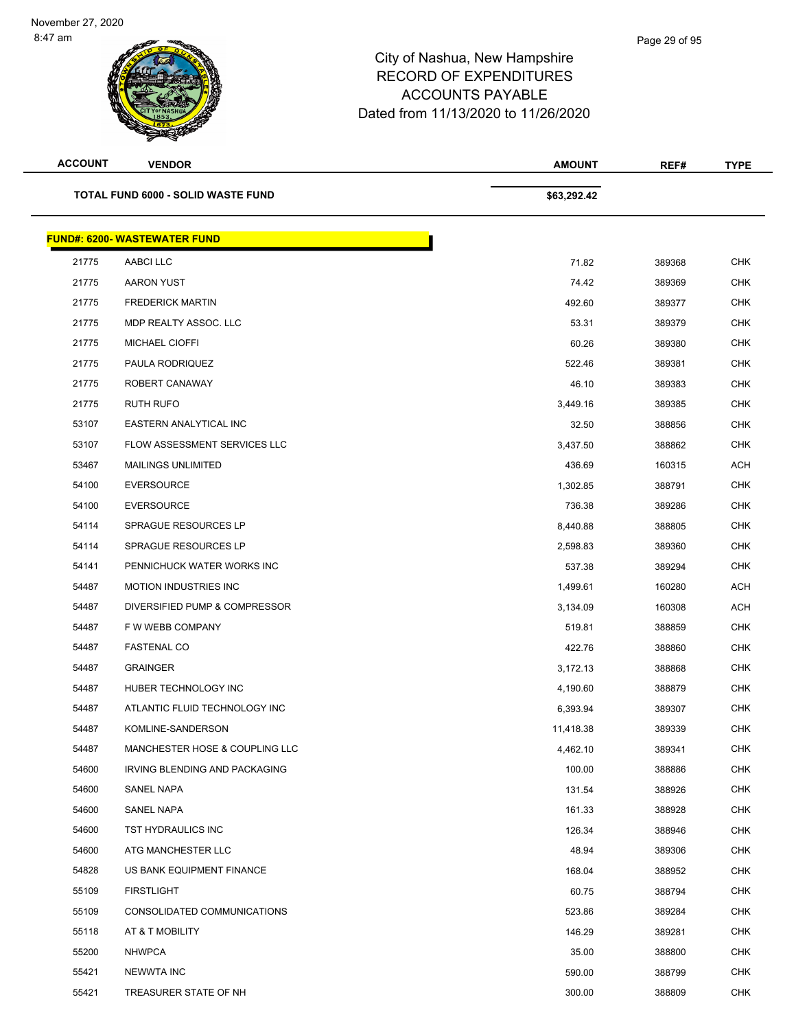| <b>ACCOUNT</b> | <b>VENDOR</b>                       | <b>AMOUNT</b> | REF#   | <b>TYPE</b> |
|----------------|-------------------------------------|---------------|--------|-------------|
|                | TOTAL FUND 6000 - SOLID WASTE FUND  | \$63,292.42   |        |             |
|                | <b>FUND#: 6200- WASTEWATER FUND</b> |               |        |             |
| 21775          | AABCI LLC                           | 71.82         | 389368 | <b>CHK</b>  |
| 21775          | <b>AARON YUST</b>                   | 74.42         | 389369 | <b>CHK</b>  |
| 21775          | <b>FREDERICK MARTIN</b>             | 492.60        | 389377 | <b>CHK</b>  |
| 21775          | MDP REALTY ASSOC. LLC               | 53.31         | 389379 | <b>CHK</b>  |
| 21775          | MICHAEL CIOFFI                      | 60.26         | 389380 | <b>CHK</b>  |
| 21775          | PAULA RODRIQUEZ                     | 522.46        | 389381 | <b>CHK</b>  |
| 21775          | ROBERT CANAWAY                      | 46.10         | 389383 | <b>CHK</b>  |
| 21775          | <b>RUTH RUFO</b>                    | 3,449.16      | 389385 | <b>CHK</b>  |
| 53107          | EASTERN ANALYTICAL INC              | 32.50         | 388856 | <b>CHK</b>  |
| 53107          | FLOW ASSESSMENT SERVICES LLC        | 3,437.50      | 388862 | <b>CHK</b>  |
| 53467          | <b>MAILINGS UNLIMITED</b>           | 436.69        | 160315 | <b>ACH</b>  |
| 54100          | <b>EVERSOURCE</b>                   | 1,302.85      | 388791 | <b>CHK</b>  |
| 54100          | <b>EVERSOURCE</b>                   | 736.38        | 389286 | <b>CHK</b>  |
| 54114          | <b>SPRAGUE RESOURCES LP</b>         | 8,440.88      | 388805 | <b>CHK</b>  |
| 54114          | <b>SPRAGUE RESOURCES LP</b>         | 2,598.83      | 389360 | <b>CHK</b>  |
| 54141          | PENNICHUCK WATER WORKS INC          | 537.38        | 389294 | <b>CHK</b>  |
| 54487          | <b>MOTION INDUSTRIES INC</b>        | 1,499.61      | 160280 | <b>ACH</b>  |
| 54487          | DIVERSIFIED PUMP & COMPRESSOR       | 3,134.09      | 160308 | <b>ACH</b>  |
| 54487          | F W WEBB COMPANY                    | 519.81        | 388859 | <b>CHK</b>  |
| 54487          | <b>FASTENAL CO</b>                  | 422.76        | 388860 | <b>CHK</b>  |
| 54487          | <b>GRAINGER</b>                     | 3,172.13      | 388868 | <b>CHK</b>  |
| 54487          | HUBER TECHNOLOGY INC                | 4,190.60      | 388879 | <b>CHK</b>  |
| 54487          | ATLANTIC FLUID TECHNOLOGY INC       | 6,393.94      | 389307 | <b>CHK</b>  |
| 54487          | KOMLINE-SANDERSON                   | 11,418.38     | 389339 | <b>CHK</b>  |
| 54487          | MANCHESTER HOSE & COUPLING LLC      | 4,462.10      | 389341 | <b>CHK</b>  |
| 54600          | IRVING BLENDING AND PACKAGING       | 100.00        | 388886 | <b>CHK</b>  |
| 54600          | SANEL NAPA                          | 131.54        | 388926 | <b>CHK</b>  |
| 54600          | SANEL NAPA                          | 161.33        | 388928 | <b>CHK</b>  |
| 54600          | TST HYDRAULICS INC                  | 126.34        | 388946 | <b>CHK</b>  |
| 54600          | ATG MANCHESTER LLC                  | 48.94         | 389306 | <b>CHK</b>  |
| 54828          | US BANK EQUIPMENT FINANCE           | 168.04        | 388952 | <b>CHK</b>  |
| 55109          | <b>FIRSTLIGHT</b>                   | 60.75         | 388794 | <b>CHK</b>  |
| 55109          | CONSOLIDATED COMMUNICATIONS         | 523.86        | 389284 | <b>CHK</b>  |
| 55118          | AT & T MOBILITY                     | 146.29        | 389281 | <b>CHK</b>  |
| 55200          | <b>NHWPCA</b>                       | 35.00         | 388800 | <b>CHK</b>  |
| 55421          | NEWWTA INC                          | 590.00        | 388799 | <b>CHK</b>  |
| 55421          | TREASURER STATE OF NH               | 300.00        | 388809 | <b>CHK</b>  |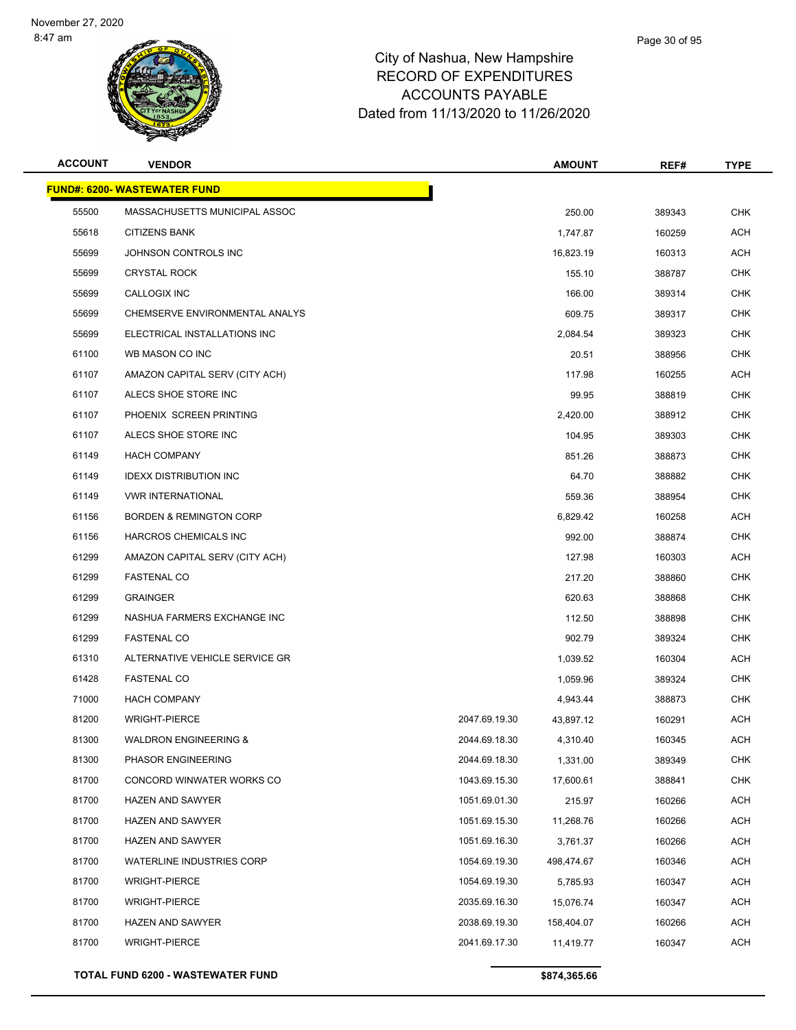

| <b>ACCOUNT</b> | <b>VENDOR</b>                       |               | <b>AMOUNT</b> | REF#   | <b>TYPE</b> |
|----------------|-------------------------------------|---------------|---------------|--------|-------------|
|                | <b>FUND#: 6200- WASTEWATER FUND</b> |               |               |        |             |
| 55500          | MASSACHUSETTS MUNICIPAL ASSOC       |               | 250.00        | 389343 | <b>CHK</b>  |
| 55618          | <b>CITIZENS BANK</b>                |               | 1,747.87      | 160259 | ACH         |
| 55699          | JOHNSON CONTROLS INC                |               | 16,823.19     | 160313 | ACH         |
| 55699          | <b>CRYSTAL ROCK</b>                 |               | 155.10        | 388787 | <b>CHK</b>  |
| 55699          | CALLOGIX INC                        |               | 166.00        | 389314 | <b>CHK</b>  |
| 55699          | CHEMSERVE ENVIRONMENTAL ANALYS      |               | 609.75        | 389317 | CHK         |
| 55699          | ELECTRICAL INSTALLATIONS INC        |               | 2,084.54      | 389323 | <b>CHK</b>  |
| 61100          | WB MASON CO INC                     |               | 20.51         | 388956 | CHK         |
| 61107          | AMAZON CAPITAL SERV (CITY ACH)      |               | 117.98        | 160255 | ACH         |
| 61107          | ALECS SHOE STORE INC                |               | 99.95         | 388819 | <b>CHK</b>  |
| 61107          | PHOENIX SCREEN PRINTING             |               | 2,420.00      | 388912 | CHK         |
| 61107          | ALECS SHOE STORE INC                |               | 104.95        | 389303 | <b>CHK</b>  |
| 61149          | <b>HACH COMPANY</b>                 |               | 851.26        | 388873 | CHK         |
| 61149          | <b>IDEXX DISTRIBUTION INC</b>       |               | 64.70         | 388882 | <b>CHK</b>  |
| 61149          | <b>VWR INTERNATIONAL</b>            |               | 559.36        | 388954 | <b>CHK</b>  |
| 61156          | <b>BORDEN &amp; REMINGTON CORP</b>  |               | 6,829.42      | 160258 | ACH         |
| 61156          | HARCROS CHEMICALS INC               |               | 992.00        | 388874 | <b>CHK</b>  |
| 61299          | AMAZON CAPITAL SERV (CITY ACH)      |               | 127.98        | 160303 | ACH         |
| 61299          | <b>FASTENAL CO</b>                  |               | 217.20        | 388860 | <b>CHK</b>  |
| 61299          | <b>GRAINGER</b>                     |               | 620.63        | 388868 | <b>CHK</b>  |
| 61299          | NASHUA FARMERS EXCHANGE INC         |               | 112.50        | 388898 | CHK         |
| 61299          | <b>FASTENAL CO</b>                  |               | 902.79        | 389324 | <b>CHK</b>  |
| 61310          | ALTERNATIVE VEHICLE SERVICE GR      |               | 1,039.52      | 160304 | ACH         |
| 61428          | <b>FASTENAL CO</b>                  |               | 1,059.96      | 389324 | <b>CHK</b>  |
| 71000          | <b>HACH COMPANY</b>                 |               | 4,943.44      | 388873 | <b>CHK</b>  |
| 81200          | <b>WRIGHT-PIERCE</b>                | 2047.69.19.30 | 43,897.12     | 160291 | ACH         |
| 81300          | <b>WALDRON ENGINEERING &amp;</b>    | 2044.69.18.30 | 4,310.40      | 160345 | ACH         |
| 81300          | PHASOR ENGINEERING                  | 2044.69.18.30 | 1,331.00      | 389349 | <b>CHK</b>  |
| 81700          | CONCORD WINWATER WORKS CO           | 1043.69.15.30 | 17,600.61     | 388841 | <b>CHK</b>  |
| 81700          | <b>HAZEN AND SAWYER</b>             | 1051.69.01.30 | 215.97        | 160266 | ACH         |
| 81700          | <b>HAZEN AND SAWYER</b>             | 1051.69.15.30 | 11,268.76     | 160266 | <b>ACH</b>  |
| 81700          | <b>HAZEN AND SAWYER</b>             | 1051.69.16.30 | 3,761.37      | 160266 | <b>ACH</b>  |
| 81700          | <b>WATERLINE INDUSTRIES CORP</b>    | 1054.69.19.30 | 498,474.67    | 160346 | <b>ACH</b>  |
| 81700          | <b>WRIGHT-PIERCE</b>                | 1054.69.19.30 | 5,785.93      | 160347 | <b>ACH</b>  |
| 81700          | <b>WRIGHT-PIERCE</b>                | 2035.69.16.30 | 15,076.74     | 160347 | ACH         |
| 81700          | <b>HAZEN AND SAWYER</b>             | 2038.69.19.30 | 158,404.07    | 160266 | <b>ACH</b>  |
| 81700          | <b>WRIGHT-PIERCE</b>                | 2041.69.17.30 | 11,419.77     | 160347 | <b>ACH</b>  |
|                |                                     |               |               |        |             |

**TOTAL FUND 6200 - WASTEWATER FUND \$874,365.66 \$874,365.66**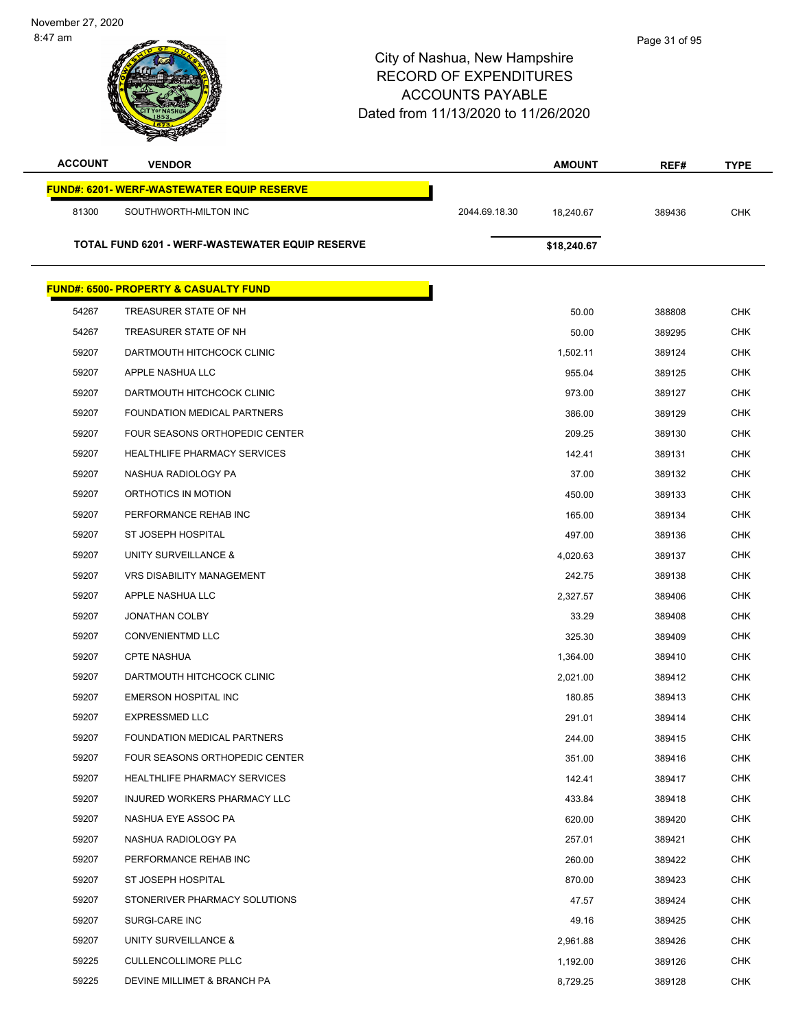| <b>ACCOUNT</b> | <b>VENDOR</b>                                     |               | <b>AMOUNT</b> | REF#   | <b>TYPE</b> |
|----------------|---------------------------------------------------|---------------|---------------|--------|-------------|
|                | <b>FUND#: 6201- WERF-WASTEWATER EQUIP RESERVE</b> |               |               |        |             |
| 81300          | SOUTHWORTH-MILTON INC                             | 2044.69.18.30 | 18,240.67     | 389436 | <b>CHK</b>  |
|                |                                                   |               |               |        |             |
|                | TOTAL FUND 6201 - WERF-WASTEWATER EQUIP RESERVE   |               | \$18,240.67   |        |             |
|                | <b>FUND#: 6500- PROPERTY &amp; CASUALTY FUND</b>  |               |               |        |             |
| 54267          | TREASURER STATE OF NH                             |               | 50.00         | 388808 | <b>CHK</b>  |
| 54267          | TREASURER STATE OF NH                             |               | 50.00         | 389295 | <b>CHK</b>  |
| 59207          | DARTMOUTH HITCHCOCK CLINIC                        |               | 1,502.11      | 389124 | <b>CHK</b>  |
| 59207          | APPLE NASHUA LLC                                  |               | 955.04        | 389125 | <b>CHK</b>  |
| 59207          | DARTMOUTH HITCHCOCK CLINIC                        |               | 973.00        | 389127 | <b>CHK</b>  |
| 59207          | FOUNDATION MEDICAL PARTNERS                       |               | 386.00        | 389129 | <b>CHK</b>  |
| 59207          | FOUR SEASONS ORTHOPEDIC CENTER                    |               | 209.25        | 389130 | <b>CHK</b>  |
| 59207          | <b>HEALTHLIFE PHARMACY SERVICES</b>               |               | 142.41        | 389131 | <b>CHK</b>  |
| 59207          | NASHUA RADIOLOGY PA                               |               | 37.00         | 389132 | <b>CHK</b>  |
| 59207          | ORTHOTICS IN MOTION                               |               | 450.00        | 389133 | <b>CHK</b>  |
| 59207          | PERFORMANCE REHAB INC                             |               | 165.00        | 389134 | <b>CHK</b>  |
| 59207          | ST JOSEPH HOSPITAL                                |               | 497.00        | 389136 | <b>CHK</b>  |
| 59207          | UNITY SURVEILLANCE &                              |               | 4,020.63      | 389137 | <b>CHK</b>  |
| 59207          | <b>VRS DISABILITY MANAGEMENT</b>                  |               | 242.75        | 389138 | <b>CHK</b>  |
| 59207          | APPLE NASHUA LLC                                  |               | 2,327.57      | 389406 | <b>CHK</b>  |
| 59207          | <b>JONATHAN COLBY</b>                             |               | 33.29         | 389408 | <b>CHK</b>  |
| 59207          | <b>CONVENIENTMD LLC</b>                           |               | 325.30        | 389409 | <b>CHK</b>  |
| 59207          | <b>CPTE NASHUA</b>                                |               | 1,364.00      | 389410 | <b>CHK</b>  |
| 59207          | DARTMOUTH HITCHCOCK CLINIC                        |               | 2,021.00      | 389412 | <b>CHK</b>  |
| 59207          | <b>EMERSON HOSPITAL INC</b>                       |               | 180.85        | 389413 | <b>CHK</b>  |
| 59207          | <b>EXPRESSMED LLC</b>                             |               | 291.01        | 389414 | <b>CHK</b>  |
| 59207          | FOUNDATION MEDICAL PARTNERS                       |               | 244.00        | 389415 | CHK         |
| 59207          | FOUR SEASONS ORTHOPEDIC CENTER                    |               | 351.00        | 389416 | <b>CHK</b>  |
| 59207          | <b>HEALTHLIFE PHARMACY SERVICES</b>               |               | 142.41        | 389417 | <b>CHK</b>  |
| 59207          | INJURED WORKERS PHARMACY LLC                      |               | 433.84        | 389418 | CHK         |
| 59207          | NASHUA EYE ASSOC PA                               |               | 620.00        | 389420 | <b>CHK</b>  |
| 59207          | NASHUA RADIOLOGY PA                               |               | 257.01        | 389421 | <b>CHK</b>  |
| 59207          | PERFORMANCE REHAB INC                             |               | 260.00        | 389422 | <b>CHK</b>  |
| 59207          | ST JOSEPH HOSPITAL                                |               | 870.00        | 389423 | <b>CHK</b>  |
| 59207          | STONERIVER PHARMACY SOLUTIONS                     |               | 47.57         | 389424 | CHK         |
| 59207          | SURGI-CARE INC                                    |               | 49.16         | 389425 | <b>CHK</b>  |
| 59207          | UNITY SURVEILLANCE &                              |               | 2,961.88      | 389426 | <b>CHK</b>  |
| 59225          | <b>CULLENCOLLIMORE PLLC</b>                       |               | 1,192.00      | 389126 | <b>CHK</b>  |
| 59225          | DEVINE MILLIMET & BRANCH PA                       |               | 8,729.25      | 389128 | <b>CHK</b>  |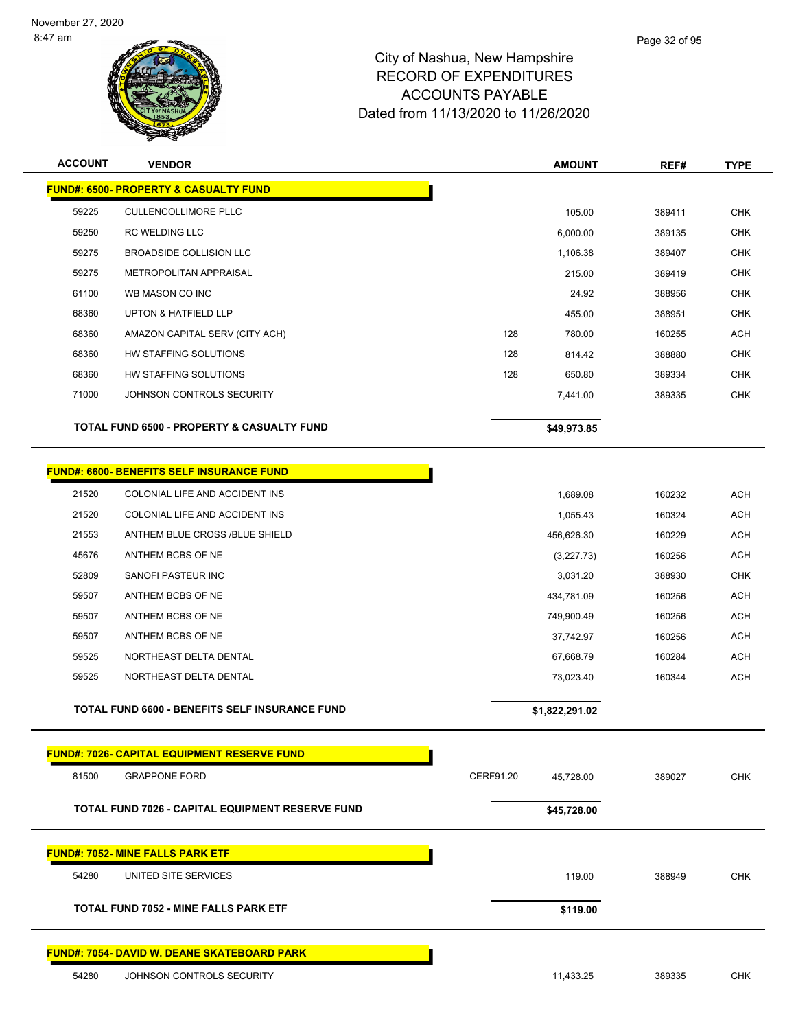

| <b>ACCOUNT</b> | <b>VENDOR</b>                                         |           | <b>AMOUNT</b>  | REF#   | <b>TYPE</b> |
|----------------|-------------------------------------------------------|-----------|----------------|--------|-------------|
|                | <b>FUND#: 6500- PROPERTY &amp; CASUALTY FUND</b>      |           |                |        |             |
| 59225          | <b>CULLENCOLLIMORE PLLC</b>                           |           | 105.00         | 389411 | <b>CHK</b>  |
| 59250          | <b>RC WELDING LLC</b>                                 |           | 6,000.00       | 389135 | <b>CHK</b>  |
| 59275          | <b>BROADSIDE COLLISION LLC</b>                        |           | 1,106.38       | 389407 | <b>CHK</b>  |
| 59275          | METROPOLITAN APPRAISAL                                |           | 215.00         | 389419 | <b>CHK</b>  |
| 61100          | WB MASON CO INC                                       |           | 24.92          | 388956 | <b>CHK</b>  |
| 68360          | <b>UPTON &amp; HATFIELD LLP</b>                       |           | 455.00         | 388951 | <b>CHK</b>  |
| 68360          | AMAZON CAPITAL SERV (CITY ACH)                        | 128       | 780.00         | 160255 | <b>ACH</b>  |
| 68360          | HW STAFFING SOLUTIONS                                 | 128       | 814.42         | 388880 | <b>CHK</b>  |
| 68360          | HW STAFFING SOLUTIONS                                 | 128       | 650.80         | 389334 | <b>CHK</b>  |
| 71000          | JOHNSON CONTROLS SECURITY                             |           | 7,441.00       | 389335 | <b>CHK</b>  |
|                | <b>TOTAL FUND 6500 - PROPERTY &amp; CASUALTY FUND</b> |           | \$49,973.85    |        |             |
|                | <b>FUND#: 6600- BENEFITS SELF INSURANCE FUND</b>      |           |                |        |             |
| 21520          | COLONIAL LIFE AND ACCIDENT INS                        |           | 1,689.08       | 160232 | <b>ACH</b>  |
| 21520          | COLONIAL LIFE AND ACCIDENT INS                        |           | 1,055.43       | 160324 | <b>ACH</b>  |
| 21553          | ANTHEM BLUE CROSS /BLUE SHIELD                        |           | 456,626.30     | 160229 | <b>ACH</b>  |
| 45676          | ANTHEM BCBS OF NE                                     |           | (3,227.73)     | 160256 | <b>ACH</b>  |
| 52809          | SANOFI PASTEUR INC                                    |           | 3,031.20       | 388930 | <b>CHK</b>  |
| 59507          | ANTHEM BCBS OF NE                                     |           | 434,781.09     | 160256 | <b>ACH</b>  |
| 59507          | ANTHEM BCBS OF NE                                     |           | 749,900.49     | 160256 | <b>ACH</b>  |
| 59507          | ANTHEM BCBS OF NE                                     |           | 37,742.97      | 160256 | <b>ACH</b>  |
| 59525          | NORTHEAST DELTA DENTAL                                |           | 67,668.79      | 160284 | <b>ACH</b>  |
| 59525          | NORTHEAST DELTA DENTAL                                |           | 73,023.40      | 160344 | <b>ACH</b>  |
|                | TOTAL FUND 6600 - BENEFITS SELF INSURANCE FUND        |           | \$1,822,291.02 |        |             |
|                | <u> FUND#: 7026- CAPITAL EQUIPMENT RESERVE FUND</u>   |           |                |        |             |
| 81500          | <b>GRAPPONE FORD</b>                                  | CERF91.20 | 45,728.00      | 389027 | <b>CHK</b>  |
|                | TOTAL FUND 7026 - CAPITAL EQUIPMENT RESERVE FUND      |           | \$45,728.00    |        |             |
|                | <b>FUND#: 7052- MINE FALLS PARK ETF</b>               |           |                |        |             |
| 54280          | UNITED SITE SERVICES                                  |           | 119.00         | 388949 | <b>CHK</b>  |
|                | <b>TOTAL FUND 7052 - MINE FALLS PARK ETF</b>          |           | \$119.00       |        |             |
|                | <b>FUND#: 7054- DAVID W. DEANE SKATEBOARD PARK</b>    |           |                |        |             |
| 54280          | JOHNSON CONTROLS SECURITY                             |           | 11,433.25      | 389335 | CHK         |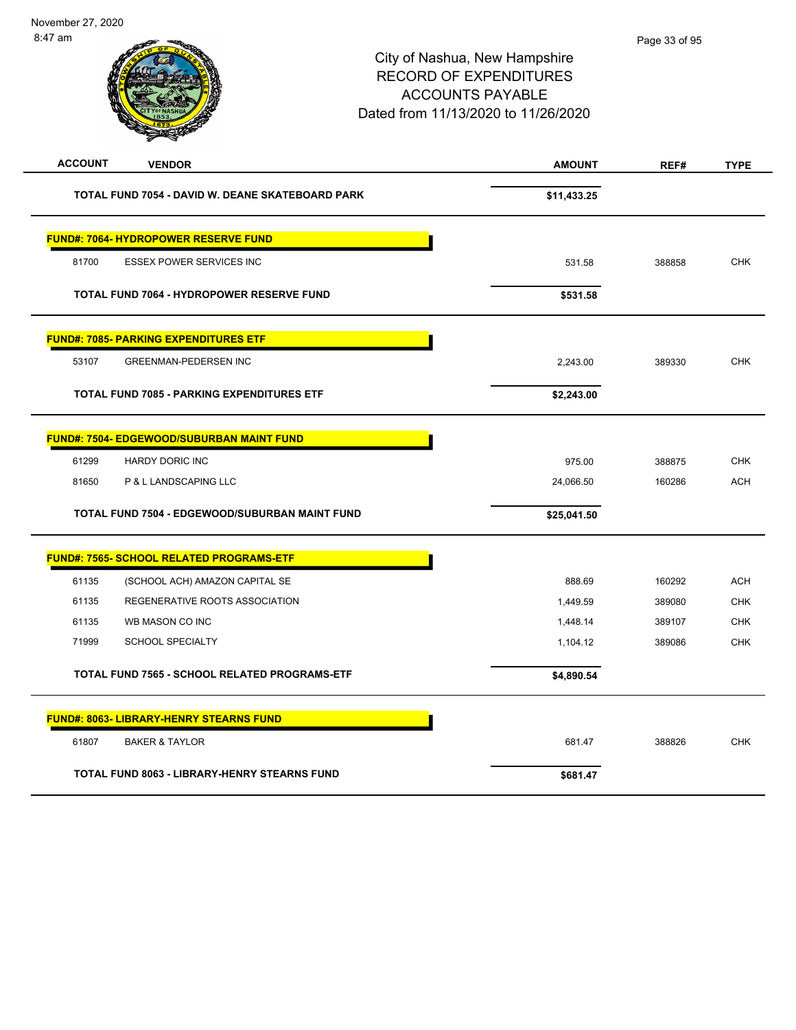| <b>ACCOUNT</b> | <b>VENDOR</b>                                        | <b>AMOUNT</b> | REF#   | <b>TYPE</b> |
|----------------|------------------------------------------------------|---------------|--------|-------------|
|                | TOTAL FUND 7054 - DAVID W. DEANE SKATEBOARD PARK     | \$11,433.25   |        |             |
|                | <b>FUND#: 7064- HYDROPOWER RESERVE FUND</b>          |               |        |             |
| 81700          | <b>ESSEX POWER SERVICES INC</b>                      | 531.58        | 388858 | <b>CHK</b>  |
|                | TOTAL FUND 7064 - HYDROPOWER RESERVE FUND            | \$531.58      |        |             |
|                | <b>FUND#: 7085- PARKING EXPENDITURES ETF</b>         |               |        |             |
| 53107          | <b>GREENMAN-PEDERSEN INC</b>                         | 2,243.00      | 389330 | <b>CHK</b>  |
|                | <b>TOTAL FUND 7085 - PARKING EXPENDITURES ETF</b>    | \$2,243.00    |        |             |
|                | <b>FUND#: 7504- EDGEWOOD/SUBURBAN MAINT FUND</b>     |               |        |             |
| 61299          | HARDY DORIC INC                                      | 975.00        | 388875 | <b>CHK</b>  |
| 81650          | P & L LANDSCAPING LLC                                | 24,066.50     | 160286 | <b>ACH</b>  |
|                | TOTAL FUND 7504 - EDGEWOOD/SUBURBAN MAINT FUND       | \$25,041.50   |        |             |
|                | <b>FUND#: 7565- SCHOOL RELATED PROGRAMS-ETF</b>      |               |        |             |
| 61135          | (SCHOOL ACH) AMAZON CAPITAL SE                       | 888.69        | 160292 | <b>ACH</b>  |
| 61135          | REGENERATIVE ROOTS ASSOCIATION                       | 1,449.59      | 389080 | <b>CHK</b>  |
| 61135          | WB MASON CO INC                                      | 1,448.14      | 389107 | <b>CHK</b>  |
| 71999          | <b>SCHOOL SPECIALTY</b>                              | 1,104.12      | 389086 | <b>CHK</b>  |
|                | <b>TOTAL FUND 7565 - SCHOOL RELATED PROGRAMS-ETF</b> | \$4,890.54    |        |             |
|                | <b>FUND#: 8063- LIBRARY-HENRY STEARNS FUND</b>       |               |        |             |
| 61807          | <b>BAKER &amp; TAYLOR</b>                            | 681.47        | 388826 | <b>CHK</b>  |
|                | <b>TOTAL FUND 8063 - LIBRARY-HENRY STEARNS FUND</b>  | \$681.47      |        |             |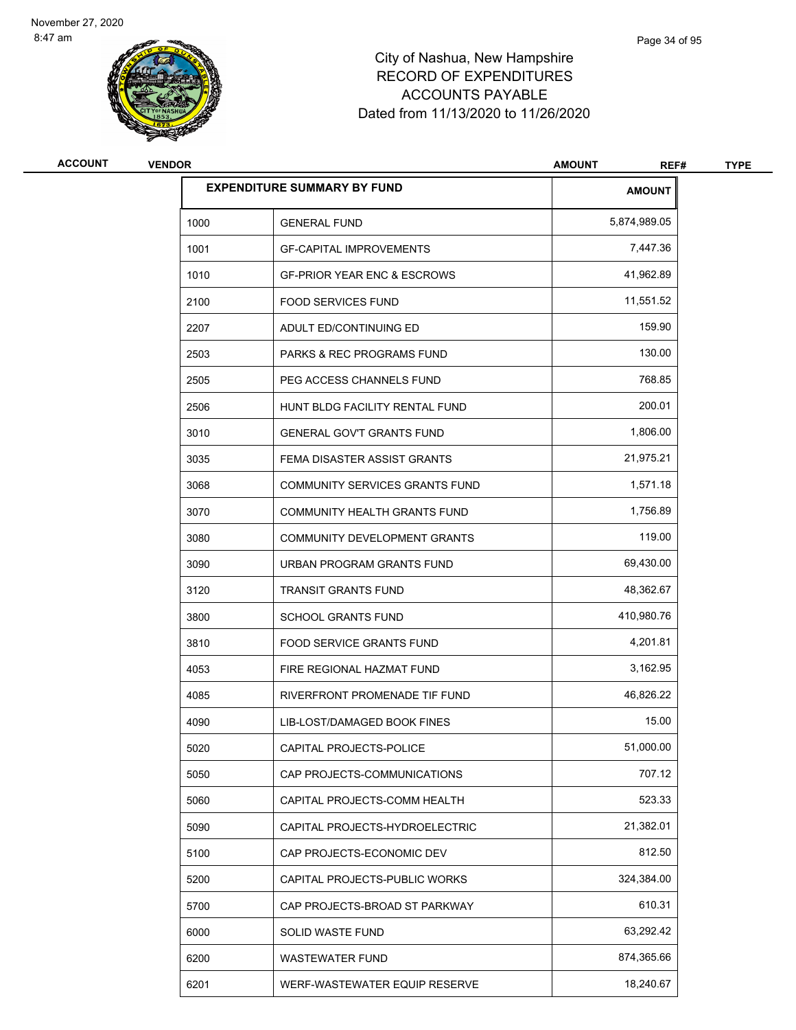

| <b>ACCOUNT</b> | <b>VENDOR</b> |                                        | <b>AMOUNT</b><br>REF# | <b>TYPE</b> |
|----------------|---------------|----------------------------------------|-----------------------|-------------|
|                |               | <b>EXPENDITURE SUMMARY BY FUND</b>     | <b>AMOUNT</b>         |             |
|                | 1000          | <b>GENERAL FUND</b>                    | 5,874,989.05          |             |
|                | 1001          | <b>GF-CAPITAL IMPROVEMENTS</b>         | 7,447.36              |             |
|                | 1010          | <b>GF-PRIOR YEAR ENC &amp; ESCROWS</b> | 41,962.89             |             |
|                | 2100          | <b>FOOD SERVICES FUND</b>              | 11,551.52             |             |
|                | 2207          | ADULT ED/CONTINUING ED                 | 159.90                |             |
|                | 2503          | <b>PARKS &amp; REC PROGRAMS FUND</b>   | 130.00                |             |
|                | 2505          | PEG ACCESS CHANNELS FUND               | 768.85                |             |
|                | 2506          | HUNT BLDG FACILITY RENTAL FUND         | 200.01                |             |
|                | 3010          | <b>GENERAL GOV'T GRANTS FUND</b>       | 1,806.00              |             |
|                | 3035          | FEMA DISASTER ASSIST GRANTS            | 21,975.21             |             |
|                | 3068          | <b>COMMUNITY SERVICES GRANTS FUND</b>  | 1,571.18              |             |
|                | 3070          | COMMUNITY HEALTH GRANTS FUND           | 1,756.89              |             |
|                | 3080          | COMMUNITY DEVELOPMENT GRANTS           | 119.00                |             |
|                | 3090          | URBAN PROGRAM GRANTS FUND              | 69,430.00             |             |
|                | 3120          | <b>TRANSIT GRANTS FUND</b>             | 48,362.67             |             |
|                | 3800          | <b>SCHOOL GRANTS FUND</b>              | 410,980.76            |             |
|                | 3810          | <b>FOOD SERVICE GRANTS FUND</b>        | 4,201.81              |             |
|                | 4053          | FIRE REGIONAL HAZMAT FUND              | 3,162.95              |             |
|                | 4085          | RIVERFRONT PROMENADE TIF FUND          | 46,826.22             |             |
|                | 4090          | LIB-LOST/DAMAGED BOOK FINES            | 15.00                 |             |
|                | 5020          | CAPITAL PROJECTS-POLICE                | 51,000.00             |             |
|                | 5050          | CAP PROJECTS-COMMUNICATIONS            | 707.12                |             |
|                | 5060          | CAPITAL PROJECTS-COMM HEALTH           | 523.33                |             |
|                | 5090          | CAPITAL PROJECTS-HYDROELECTRIC         | 21,382.01             |             |
|                | 5100          | CAP PROJECTS-ECONOMIC DEV              | 812.50                |             |
|                | 5200          | CAPITAL PROJECTS-PUBLIC WORKS          | 324,384.00            |             |
|                | 5700          | CAP PROJECTS-BROAD ST PARKWAY          | 610.31                |             |
|                | 6000          | SOLID WASTE FUND                       | 63,292.42             |             |
|                | 6200          | <b>WASTEWATER FUND</b>                 | 874,365.66            |             |
|                | 6201          | WERF-WASTEWATER EQUIP RESERVE          | 18,240.67             |             |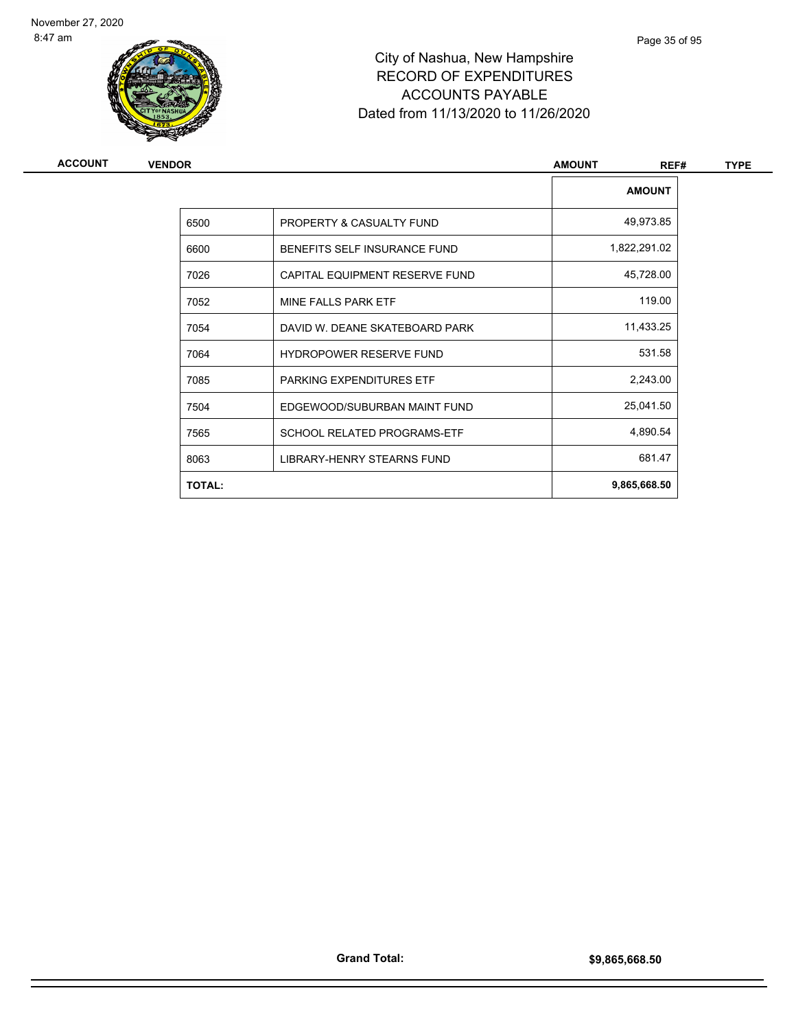

| <b>ACCOUNT</b> | <b>VENDOR</b> |                                | <b>AMOUNT</b><br>REF# | <b>TYPE</b> |
|----------------|---------------|--------------------------------|-----------------------|-------------|
|                |               |                                | <b>AMOUNT</b>         |             |
|                | 6500          | PROPERTY & CASUALTY FUND       | 49,973.85             |             |
|                | 6600          | BENEFITS SELF INSURANCE FUND   | 1,822,291.02          |             |
|                | 7026          | CAPITAL EQUIPMENT RESERVE FUND | 45,728.00             |             |
|                | 7052          | MINE FALLS PARK ETF            | 119.00                |             |
|                | 7054          | DAVID W. DEANE SKATEBOARD PARK | 11,433.25             |             |
|                | 7064          | <b>HYDROPOWER RESERVE FUND</b> | 531.58                |             |
|                | 7085          | PARKING EXPENDITURES ETF       | 2,243.00              |             |
|                | 7504          | EDGEWOOD/SUBURBAN MAINT FUND   | 25,041.50             |             |
|                | 7565          | SCHOOL RELATED PROGRAMS-ETF    | 4,890.54              |             |
|                | 8063          | LIBRARY-HENRY STEARNS FUND     | 681.47                |             |
|                | <b>TOTAL:</b> |                                | 9,865,668.50          |             |
|                |               |                                |                       |             |

Page 35 of 95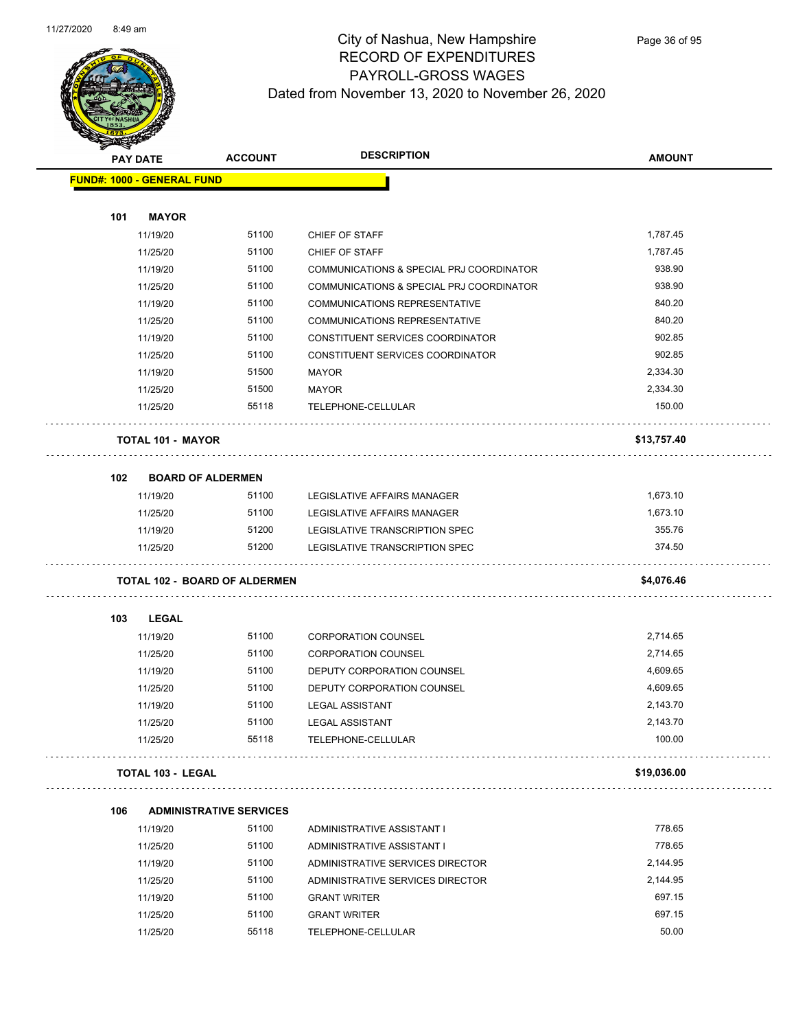

## City of Nashua, New Hampshire RECORD OF EXPENDITURES PAYROLL-GROSS WAGES Dated from November 13, 2020 to November 26, 2020

| <b>PAY DATE</b>                      | <b>ACCOUNT</b>                 | <b>DESCRIPTION</b>                       | <b>AMOUNT</b> |
|--------------------------------------|--------------------------------|------------------------------------------|---------------|
| <b>FUND#: 1000 - GENERAL FUND</b>    |                                |                                          |               |
|                                      |                                |                                          |               |
| <b>MAYOR</b><br>101                  |                                |                                          |               |
| 11/19/20                             | 51100                          | CHIEF OF STAFF                           | 1,787.45      |
| 11/25/20                             | 51100                          | <b>CHIEF OF STAFF</b>                    | 1,787.45      |
| 11/19/20                             | 51100                          | COMMUNICATIONS & SPECIAL PRJ COORDINATOR | 938.90        |
| 11/25/20                             | 51100                          | COMMUNICATIONS & SPECIAL PRJ COORDINATOR | 938.90        |
| 11/19/20                             | 51100                          | <b>COMMUNICATIONS REPRESENTATIVE</b>     | 840.20        |
| 11/25/20                             | 51100                          | <b>COMMUNICATIONS REPRESENTATIVE</b>     | 840.20        |
| 11/19/20                             | 51100                          | CONSTITUENT SERVICES COORDINATOR         | 902.85        |
| 11/25/20                             | 51100                          | CONSTITUENT SERVICES COORDINATOR         | 902.85        |
| 11/19/20                             | 51500                          | <b>MAYOR</b>                             | 2,334.30      |
| 11/25/20                             | 51500                          | <b>MAYOR</b>                             | 2,334.30      |
| 11/25/20                             | 55118                          | TELEPHONE-CELLULAR                       | 150.00        |
|                                      |                                |                                          |               |
| <b>TOTAL 101 - MAYOR</b>             |                                |                                          | \$13,757.40   |
| <b>BOARD OF ALDERMEN</b><br>102      |                                |                                          |               |
| 11/19/20                             | 51100                          | LEGISLATIVE AFFAIRS MANAGER              | 1,673.10      |
| 11/25/20                             | 51100                          | LEGISLATIVE AFFAIRS MANAGER              | 1,673.10      |
| 11/19/20                             | 51200                          | LEGISLATIVE TRANSCRIPTION SPEC           | 355.76        |
| 11/25/20                             | 51200                          | LEGISLATIVE TRANSCRIPTION SPEC           | 374.50        |
|                                      |                                |                                          |               |
| <b>TOTAL 102 - BOARD OF ALDERMEN</b> |                                |                                          | \$4,076.46    |
| 103<br>LEGAL                         |                                |                                          |               |
| 11/19/20                             | 51100                          | <b>CORPORATION COUNSEL</b>               | 2,714.65      |
| 11/25/20                             | 51100                          | <b>CORPORATION COUNSEL</b>               | 2,714.65      |
| 11/19/20                             | 51100                          | DEPUTY CORPORATION COUNSEL               | 4,609.65      |
| 11/25/20                             | 51100                          | DEPUTY CORPORATION COUNSEL               | 4,609.65      |
| 11/19/20                             | 51100                          | <b>LEGAL ASSISTANT</b>                   | 2,143.70      |
| 11/25/20                             | 51100                          | <b>LEGAL ASSISTANT</b>                   | 2,143.70      |
| 11/25/20                             | 55118                          | TELEPHONE-CELLULAR                       | 100.00        |
|                                      |                                |                                          |               |
| <b>TOTAL 103 - LEGAL</b>             |                                |                                          | \$19,036.00   |
| 106                                  | <b>ADMINISTRATIVE SERVICES</b> |                                          |               |
| 11/19/20                             | 51100                          | ADMINISTRATIVE ASSISTANT I               | 778.65        |
| 11/25/20                             | 51100                          | ADMINISTRATIVE ASSISTANT I               | 778.65        |
| 11/19/20                             | 51100                          | ADMINISTRATIVE SERVICES DIRECTOR         | 2,144.95      |
| 11/25/20                             | 51100                          | ADMINISTRATIVE SERVICES DIRECTOR         | 2,144.95      |
| 11/19/20                             | 51100                          | <b>GRANT WRITER</b>                      | 697.15        |
| 11/25/20                             | 51100                          | <b>GRANT WRITER</b>                      | 697.15        |
| 11/25/20                             | 55118                          | TELEPHONE-CELLULAR                       | 50.00         |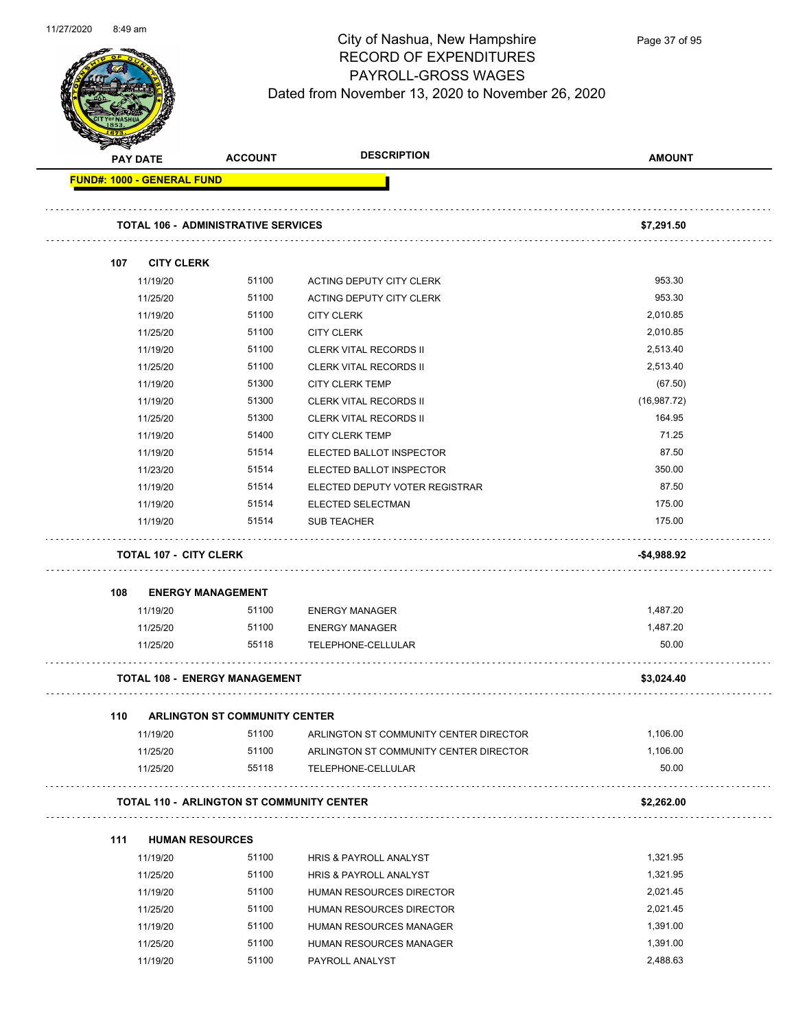

|     | <b>PAY DATE</b>      | <b>ACCOUNT</b>                                   | <b>DESCRIPTION</b>                                           | <b>AMOUNT</b>        |
|-----|----------------------|--------------------------------------------------|--------------------------------------------------------------|----------------------|
|     |                      | <b>FUND#: 1000 - GENERAL FUND</b>                |                                                              |                      |
|     |                      | <b>TOTAL 106 - ADMINISTRATIVE SERVICES</b>       |                                                              | \$7,291.50           |
|     |                      |                                                  |                                                              |                      |
| 107 |                      | <b>CITY CLERK</b>                                |                                                              |                      |
|     | 11/19/20             | 51100                                            | ACTING DEPUTY CITY CLERK                                     | 953.30               |
|     | 11/25/20             | 51100                                            | ACTING DEPUTY CITY CLERK                                     | 953.30               |
|     | 11/19/20             | 51100                                            | <b>CITY CLERK</b>                                            | 2,010.85             |
|     | 11/25/20             | 51100                                            | <b>CITY CLERK</b>                                            | 2,010.85             |
|     | 11/19/20             | 51100                                            | <b>CLERK VITAL RECORDS II</b>                                | 2,513.40             |
|     | 11/25/20             | 51100                                            | <b>CLERK VITAL RECORDS II</b>                                | 2,513.40             |
|     | 11/19/20             | 51300                                            | <b>CITY CLERK TEMP</b>                                       | (67.50)              |
|     | 11/19/20             | 51300                                            | <b>CLERK VITAL RECORDS II</b>                                | (16, 987.72)         |
|     | 11/25/20             | 51300                                            | <b>CLERK VITAL RECORDS II</b>                                | 164.95               |
|     | 11/19/20             | 51400                                            | <b>CITY CLERK TEMP</b>                                       | 71.25                |
|     | 11/19/20             | 51514                                            | ELECTED BALLOT INSPECTOR                                     | 87.50                |
|     | 11/23/20             | 51514                                            | ELECTED BALLOT INSPECTOR                                     | 350.00               |
|     | 11/19/20             | 51514                                            | ELECTED DEPUTY VOTER REGISTRAR                               | 87.50                |
|     | 11/19/20             | 51514                                            | ELECTED SELECTMAN                                            | 175.00               |
|     | 11/19/20             | 51514                                            | <b>SUB TEACHER</b>                                           | 175.00               |
|     |                      | <b>TOTAL 107 - CITY CLERK</b>                    |                                                              | -\$4,988.92          |
| 108 |                      | <b>ENERGY MANAGEMENT</b>                         |                                                              |                      |
|     | 11/19/20             | 51100                                            | <b>ENERGY MANAGER</b>                                        | 1,487.20             |
|     | 11/25/20             | 51100                                            | <b>ENERGY MANAGER</b>                                        | 1,487.20             |
|     | 11/25/20             | 55118                                            | TELEPHONE-CELLULAR                                           | 50.00                |
|     |                      | <b>TOTAL 108 - ENERGY MANAGEMENT</b>             |                                                              | \$3,024.40           |
|     |                      |                                                  |                                                              |                      |
| 110 |                      | ARLINGTON ST COMMUNITY CENTER                    |                                                              |                      |
|     | 11/19/20             | 51100<br>51100                                   | ARLINGTON ST COMMUNITY CENTER DIRECTOR                       | 1,106.00<br>1,106.00 |
|     | 11/25/20<br>11/25/20 | 55118                                            | ARLINGTON ST COMMUNITY CENTER DIRECTOR<br>TELEPHONE-CELLULAR | 50.00                |
|     |                      | <b>TOTAL 110 - ARLINGTON ST COMMUNITY CENTER</b> |                                                              | \$2,262.00           |
|     |                      |                                                  |                                                              |                      |
| 111 |                      | <b>HUMAN RESOURCES</b>                           |                                                              |                      |
|     | 11/19/20             | 51100                                            | <b>HRIS &amp; PAYROLL ANALYST</b>                            | 1,321.95             |
|     | 11/25/20             | 51100                                            | HRIS & PAYROLL ANALYST                                       | 1,321.95             |
|     | 11/19/20             | 51100                                            | HUMAN RESOURCES DIRECTOR                                     | 2,021.45             |
|     | 11/25/20             | 51100                                            | HUMAN RESOURCES DIRECTOR                                     | 2,021.45             |
|     | 11/19/20             | 51100                                            | HUMAN RESOURCES MANAGER                                      | 1,391.00             |
|     | 11/25/20             | 51100                                            | HUMAN RESOURCES MANAGER                                      | 1,391.00             |

11/19/20 51100 PAYROLL ANALYST 2,488.63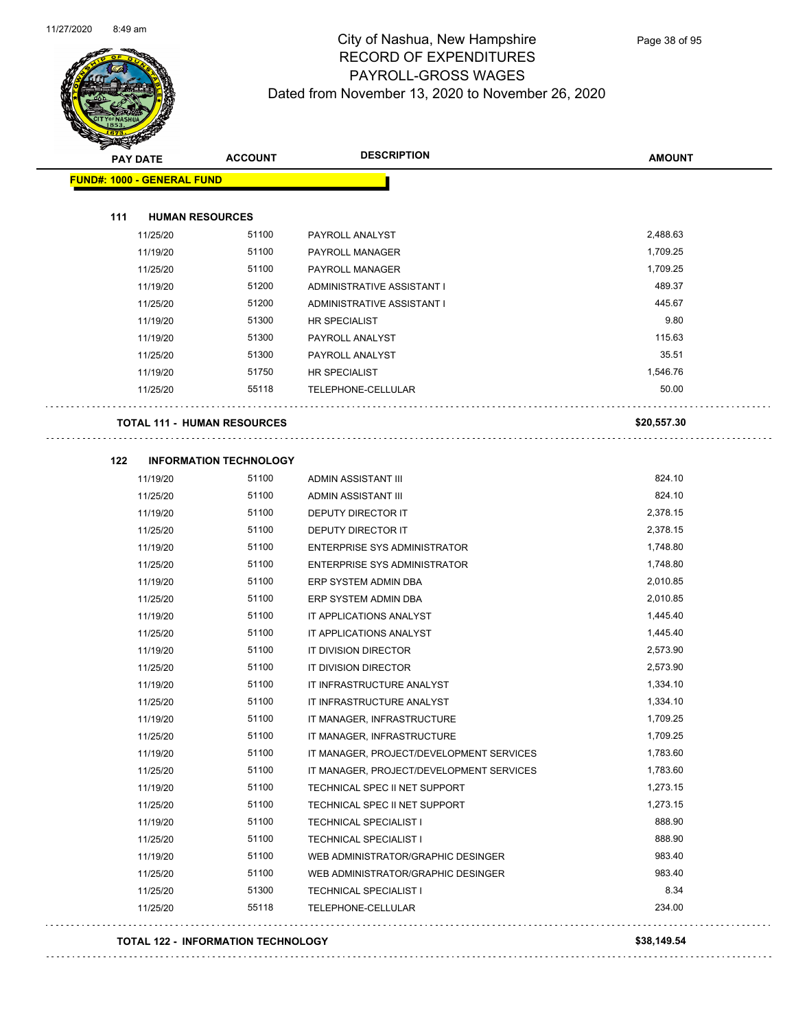

| <b>PAY DATE</b>                    | <b>ACCOUNT</b>                | <b>DESCRIPTION</b>                       | <b>AMOUNT</b> |
|------------------------------------|-------------------------------|------------------------------------------|---------------|
| <b>FUND#: 1000 - GENERAL FUND</b>  |                               |                                          |               |
|                                    |                               |                                          |               |
| 111<br><b>HUMAN RESOURCES</b>      |                               |                                          |               |
| 11/25/20                           | 51100                         | PAYROLL ANALYST                          | 2,488.63      |
| 11/19/20                           | 51100                         | PAYROLL MANAGER                          | 1,709.25      |
| 11/25/20                           | 51100                         | PAYROLL MANAGER                          | 1,709.25      |
| 11/19/20                           | 51200                         | ADMINISTRATIVE ASSISTANT I               | 489.37        |
| 11/25/20                           | 51200                         | ADMINISTRATIVE ASSISTANT I               | 445.67        |
| 11/19/20                           | 51300                         | HR SPECIALIST                            | 9.80          |
| 11/19/20                           | 51300                         | PAYROLL ANALYST                          | 115.63        |
| 11/25/20                           | 51300                         | PAYROLL ANALYST                          | 35.51         |
| 11/19/20                           | 51750                         | HR SPECIALIST                            | 1,546.76      |
| 11/25/20                           | 55118                         | TELEPHONE-CELLULAR                       | 50.00         |
|                                    |                               |                                          |               |
| <b>TOTAL 111 - HUMAN RESOURCES</b> |                               |                                          | \$20,557.30   |
| 122                                | <b>INFORMATION TECHNOLOGY</b> |                                          |               |
| 11/19/20                           | 51100                         | <b>ADMIN ASSISTANT III</b>               | 824.10        |
| 11/25/20                           | 51100                         | ADMIN ASSISTANT III                      | 824.10        |
| 11/19/20                           | 51100                         | DEPUTY DIRECTOR IT                       | 2,378.15      |
| 11/25/20                           | 51100                         | DEPUTY DIRECTOR IT                       | 2,378.15      |
| 11/19/20                           | 51100                         | ENTERPRISE SYS ADMINISTRATOR             | 1,748.80      |
| 11/25/20                           | 51100                         | ENTERPRISE SYS ADMINISTRATOR             | 1,748.80      |
| 11/19/20                           | 51100                         | ERP SYSTEM ADMIN DBA                     | 2,010.85      |
| 11/25/20                           | 51100                         | ERP SYSTEM ADMIN DBA                     | 2,010.85      |
| 11/19/20                           | 51100                         | IT APPLICATIONS ANALYST                  | 1,445.40      |
| 11/25/20                           | 51100                         | IT APPLICATIONS ANALYST                  | 1,445.40      |
| 11/19/20                           | 51100                         | IT DIVISION DIRECTOR                     | 2,573.90      |
| 11/25/20                           | 51100                         | IT DIVISION DIRECTOR                     | 2,573.90      |
| 11/19/20                           | 51100                         | IT INFRASTRUCTURE ANALYST                | 1,334.10      |
| 11/25/20                           | 51100                         | IT INFRASTRUCTURE ANALYST                | 1,334.10      |
| 11/19/20                           | 51100                         | IT MANAGER, INFRASTRUCTURE               | 1,709.25      |
| 11/25/20                           | 51100                         | IT MANAGER, INFRASTRUCTURE               | 1,709.25      |
| 11/19/20                           | 51100                         | IT MANAGER, PROJECT/DEVELOPMENT SERVICES | 1,783.60      |
| 11/25/20                           | 51100                         | IT MANAGER, PROJECT/DEVELOPMENT SERVICES | 1,783.60      |
| 11/19/20                           | 51100                         | TECHNICAL SPEC II NET SUPPORT            | 1,273.15      |
| 11/25/20                           | 51100                         | TECHNICAL SPEC II NET SUPPORT            | 1,273.15      |
| 11/19/20                           | 51100                         | <b>TECHNICAL SPECIALIST I</b>            | 888.90        |
| 11/25/20                           | 51100                         | TECHNICAL SPECIALIST I                   | 888.90        |
| 11/19/20                           | 51100                         | WEB ADMINISTRATOR/GRAPHIC DESINGER       | 983.40        |
| 11/25/20                           | 51100                         | WEB ADMINISTRATOR/GRAPHIC DESINGER       | 983.40        |
| 11/25/20                           | 51300                         | TECHNICAL SPECIALIST I                   | 8.34          |
| 11/25/20                           | 55118                         | TELEPHONE-CELLULAR                       | 234.00        |
|                                    |                               |                                          |               |

#### **TOTAL 122 - INFORMATION TECHNOLOGY \$38,149.54**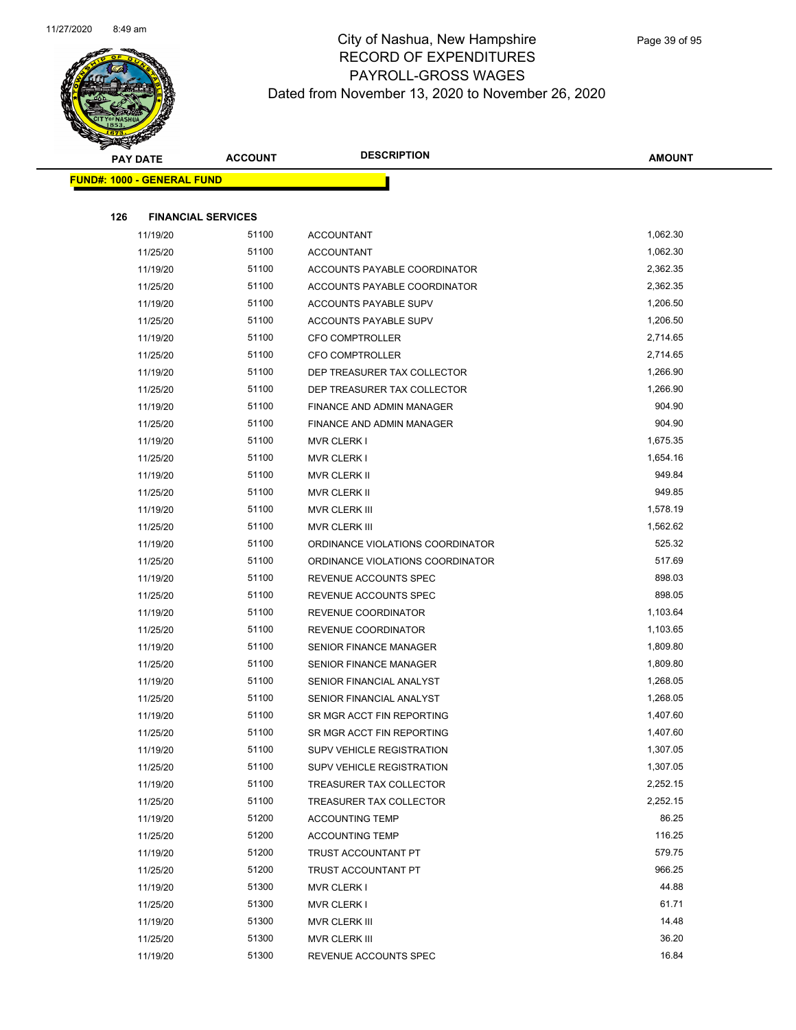

| <b>PAY DATE</b> |                                   | <b>ACCOUNT</b> | <b>DESCRIPTION</b>                                    | <b>AMOUNT</b>        |
|-----------------|-----------------------------------|----------------|-------------------------------------------------------|----------------------|
|                 | <b>FUND#: 1000 - GENERAL FUND</b> |                |                                                       |                      |
|                 |                                   |                |                                                       |                      |
| 126             | <b>FINANCIAL SERVICES</b>         |                |                                                       |                      |
|                 | 11/19/20                          | 51100          | <b>ACCOUNTANT</b>                                     | 1,062.30             |
|                 | 11/25/20                          | 51100          | <b>ACCOUNTANT</b>                                     | 1,062.30             |
|                 | 11/19/20                          | 51100          | ACCOUNTS PAYABLE COORDINATOR                          | 2,362.35             |
|                 | 11/25/20                          | 51100          | ACCOUNTS PAYABLE COORDINATOR                          | 2,362.35             |
|                 | 11/19/20                          | 51100          | ACCOUNTS PAYABLE SUPV                                 | 1,206.50             |
|                 | 11/25/20                          | 51100          | ACCOUNTS PAYABLE SUPV                                 | 1,206.50             |
|                 | 11/19/20                          | 51100          | <b>CFO COMPTROLLER</b>                                | 2,714.65             |
|                 | 11/25/20                          | 51100          | <b>CFO COMPTROLLER</b>                                | 2,714.65             |
|                 | 11/19/20                          | 51100          | DEP TREASURER TAX COLLECTOR                           | 1,266.90             |
|                 | 11/25/20                          | 51100          | DEP TREASURER TAX COLLECTOR                           | 1,266.90             |
|                 | 11/19/20                          | 51100          | FINANCE AND ADMIN MANAGER                             | 904.90               |
|                 | 11/25/20                          | 51100          | FINANCE AND ADMIN MANAGER                             | 904.90               |
|                 | 11/19/20                          | 51100          | <b>MVR CLERK I</b>                                    | 1,675.35             |
|                 | 11/25/20                          | 51100          | <b>MVR CLERK I</b>                                    | 1,654.16             |
|                 | 11/19/20                          | 51100          | MVR CLERK II                                          | 949.84               |
|                 | 11/25/20                          | 51100          | MVR CLERK II                                          | 949.85               |
|                 | 11/19/20                          | 51100          | <b>MVR CLERK III</b>                                  | 1,578.19             |
|                 | 11/25/20                          | 51100          | MVR CLERK III                                         | 1,562.62             |
|                 | 11/19/20                          | 51100          | ORDINANCE VIOLATIONS COORDINATOR                      | 525.32               |
|                 | 11/25/20                          | 51100          | ORDINANCE VIOLATIONS COORDINATOR                      | 517.69               |
|                 | 11/19/20                          | 51100          | REVENUE ACCOUNTS SPEC                                 | 898.03               |
|                 | 11/25/20                          | 51100          | REVENUE ACCOUNTS SPEC                                 | 898.05               |
|                 | 11/19/20                          | 51100          | REVENUE COORDINATOR                                   | 1,103.64             |
|                 | 11/25/20                          | 51100          | REVENUE COORDINATOR                                   | 1,103.65             |
|                 | 11/19/20                          | 51100          | <b>SENIOR FINANCE MANAGER</b>                         | 1,809.80             |
|                 | 11/25/20                          | 51100          | <b>SENIOR FINANCE MANAGER</b>                         | 1,809.80             |
|                 | 11/19/20                          | 51100          | SENIOR FINANCIAL ANALYST                              | 1,268.05             |
|                 | 11/25/20<br>11/19/20              | 51100<br>51100 | SENIOR FINANCIAL ANALYST<br>SR MGR ACCT FIN REPORTING | 1,268.05<br>1,407.60 |
|                 | 11/25/20                          | 51100          | SR MGR ACCT FIN REPORTING                             | 1,407.60             |
|                 | 11/19/20                          | 51100          | <b>SUPV VEHICLE REGISTRATION</b>                      | 1,307.05             |
|                 | 11/25/20                          | 51100          | SUPV VEHICLE REGISTRATION                             | 1,307.05             |
|                 | 11/19/20                          | 51100          | TREASURER TAX COLLECTOR                               | 2,252.15             |
|                 | 11/25/20                          | 51100          | TREASURER TAX COLLECTOR                               | 2,252.15             |
|                 | 11/19/20                          | 51200          | <b>ACCOUNTING TEMP</b>                                | 86.25                |
|                 | 11/25/20                          | 51200          | <b>ACCOUNTING TEMP</b>                                | 116.25               |
|                 | 11/19/20                          | 51200          | TRUST ACCOUNTANT PT                                   | 579.75               |
|                 | 11/25/20                          | 51200          | TRUST ACCOUNTANT PT                                   | 966.25               |
|                 | 11/19/20                          | 51300          | MVR CLERK I                                           | 44.88                |
|                 | 11/25/20                          | 51300          | <b>MVR CLERK I</b>                                    | 61.71                |
|                 | 11/19/20                          | 51300          | MVR CLERK III                                         | 14.48                |
|                 | 11/25/20                          | 51300          | MVR CLERK III                                         | 36.20                |
|                 | 11/19/20                          | 51300          | REVENUE ACCOUNTS SPEC                                 | 16.84                |
|                 |                                   |                |                                                       |                      |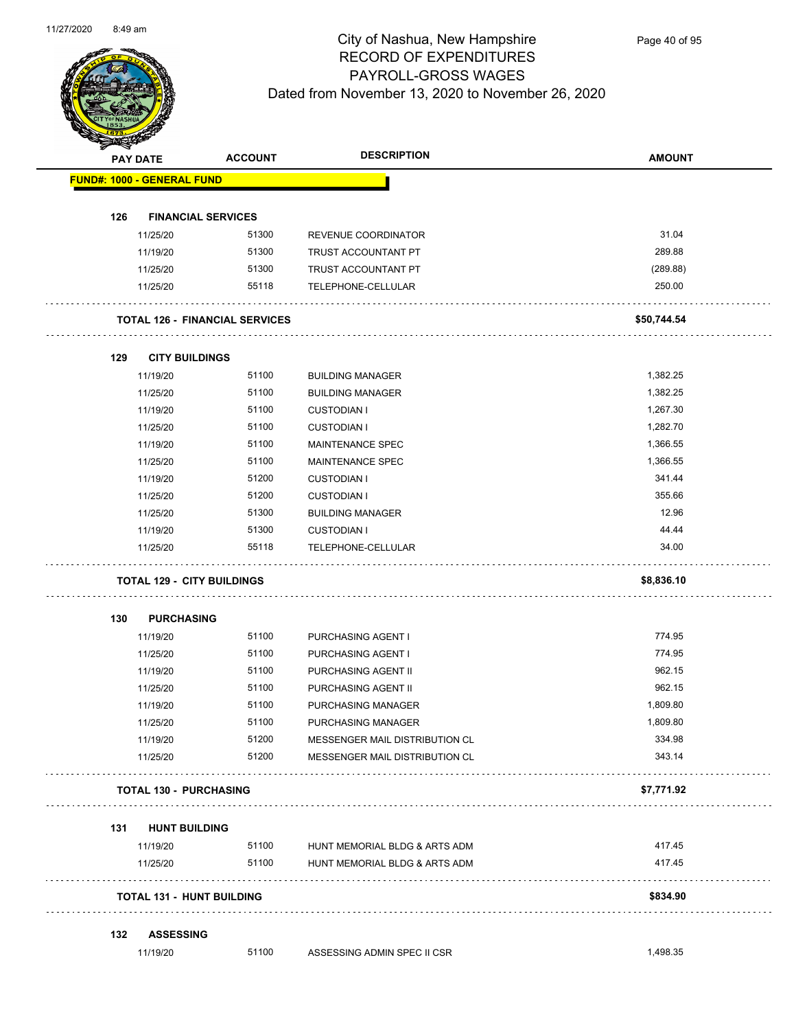

| <b>SANGAN</b>                     |                  |                                       |                                |               |
|-----------------------------------|------------------|---------------------------------------|--------------------------------|---------------|
|                                   | <b>PAY DATE</b>  | <b>ACCOUNT</b>                        | <b>DESCRIPTION</b>             | <b>AMOUNT</b> |
| <b>FUND#: 1000 - GENERAL FUND</b> |                  |                                       |                                |               |
| 126                               |                  | <b>FINANCIAL SERVICES</b>             |                                |               |
|                                   | 11/25/20         | 51300                                 | REVENUE COORDINATOR            | 31.04         |
|                                   | 11/19/20         | 51300                                 | TRUST ACCOUNTANT PT            | 289.88        |
|                                   | 11/25/20         | 51300                                 | TRUST ACCOUNTANT PT            | (289.88)      |
|                                   | 11/25/20         | 55118                                 | TELEPHONE-CELLULAR             | 250.00        |
|                                   |                  |                                       |                                |               |
|                                   |                  | <b>TOTAL 126 - FINANCIAL SERVICES</b> |                                | \$50,744.54   |
| 129                               |                  | <b>CITY BUILDINGS</b>                 |                                |               |
|                                   | 11/19/20         | 51100                                 | <b>BUILDING MANAGER</b>        | 1,382.25      |
|                                   | 11/25/20         | 51100                                 | <b>BUILDING MANAGER</b>        | 1,382.25      |
|                                   | 11/19/20         | 51100                                 | <b>CUSTODIAN I</b>             | 1,267.30      |
|                                   | 11/25/20         | 51100                                 | <b>CUSTODIAN I</b>             | 1,282.70      |
|                                   | 11/19/20         | 51100                                 | MAINTENANCE SPEC               | 1,366.55      |
|                                   | 11/25/20         | 51100                                 | <b>MAINTENANCE SPEC</b>        | 1,366.55      |
|                                   | 11/19/20         | 51200                                 | <b>CUSTODIAN I</b>             | 341.44        |
|                                   | 11/25/20         | 51200                                 | <b>CUSTODIAN I</b>             | 355.66        |
|                                   | 11/25/20         | 51300                                 | <b>BUILDING MANAGER</b>        | 12.96         |
|                                   | 11/19/20         | 51300                                 | <b>CUSTODIAN I</b>             | 44.44         |
|                                   | 11/25/20         | 55118                                 | TELEPHONE-CELLULAR             | 34.00         |
|                                   |                  | <b>TOTAL 129 - CITY BUILDINGS</b>     |                                | \$8,836.10    |
| 130                               |                  | <b>PURCHASING</b>                     |                                |               |
|                                   | 11/19/20         | 51100                                 | PURCHASING AGENT I             | 774.95        |
|                                   | 11/25/20         | 51100                                 | PURCHASING AGENT I             | 774.95        |
|                                   | 11/19/20         | 51100                                 | PURCHASING AGENT II            | 962.15        |
|                                   | 11/25/20         | 51100                                 | PURCHASING AGENT II            | 962.15        |
|                                   | 11/19/20         | 51100                                 | PURCHASING MANAGER             | 1,809.80      |
|                                   | 11/25/20         | 51100                                 | PURCHASING MANAGER             | 1,809.80      |
|                                   | 11/19/20         | 51200                                 | MESSENGER MAIL DISTRIBUTION CL | 334.98        |
|                                   | 11/25/20         | 51200                                 | MESSENGER MAIL DISTRIBUTION CL | 343.14        |
|                                   |                  | <b>TOTAL 130 - PURCHASING</b>         |                                | \$7,771.92    |
|                                   |                  |                                       |                                |               |
| 131                               |                  | <b>HUNT BUILDING</b>                  |                                |               |
|                                   | 11/19/20         | 51100                                 | HUNT MEMORIAL BLDG & ARTS ADM  | 417.45        |
|                                   | 11/25/20         | 51100                                 | HUNT MEMORIAL BLDG & ARTS ADM  | 417.45        |
|                                   |                  | <b>TOTAL 131 - HUNT BUILDING</b>      |                                | \$834.90      |
| 132                               | <b>ASSESSING</b> |                                       |                                |               |
|                                   | 11/19/20         | 51100                                 | ASSESSING ADMIN SPEC II CSR    | 1,498.35      |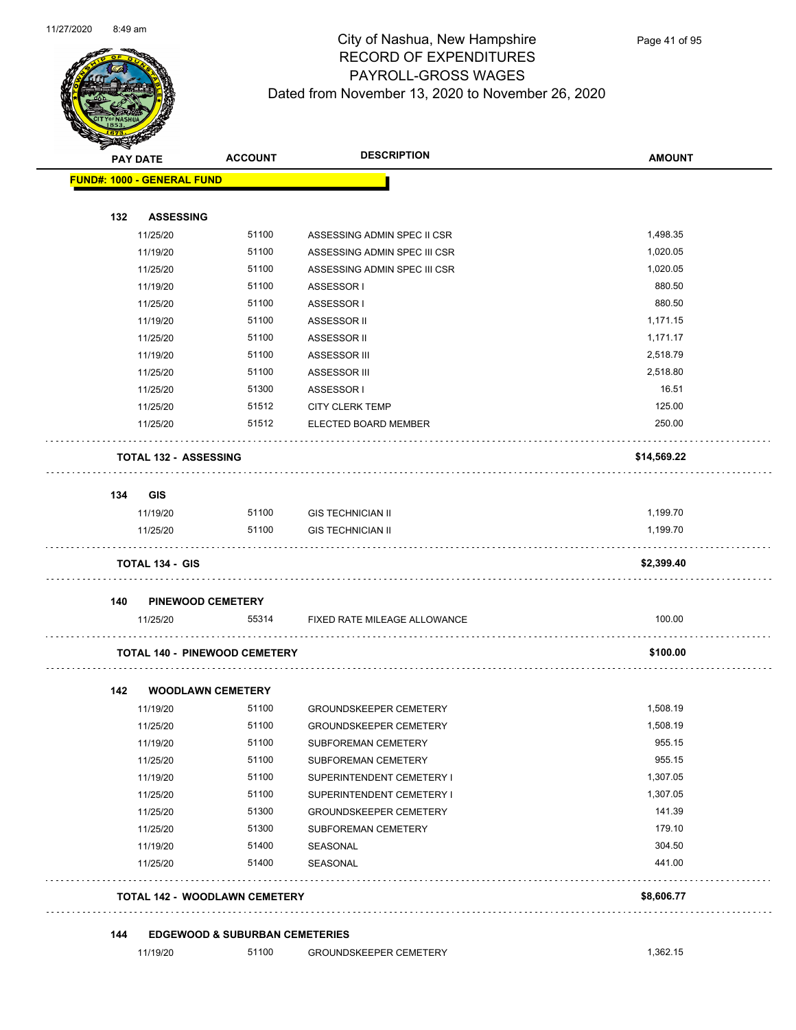$\overline{\phantom{0}}$ 



## City of Nashua, New Hampshire RECORD OF EXPENDITURES PAYROLL-GROSS WAGES Dated from November 13, 2020 to November 26, 2020

|     | <b>PAY DATE</b>                      | <b>ACCOUNT</b>           | <b>DESCRIPTION</b>            | <b>AMOUNT</b> |
|-----|--------------------------------------|--------------------------|-------------------------------|---------------|
|     | <b>FUND#: 1000 - GENERAL FUND</b>    |                          |                               |               |
| 132 | <b>ASSESSING</b>                     |                          |                               |               |
|     | 11/25/20                             | 51100                    | ASSESSING ADMIN SPEC II CSR   | 1,498.35      |
|     | 11/19/20                             | 51100                    | ASSESSING ADMIN SPEC III CSR  | 1,020.05      |
|     | 11/25/20                             | 51100                    | ASSESSING ADMIN SPEC III CSR  | 1,020.05      |
|     | 11/19/20                             | 51100                    | ASSESSOR I                    | 880.50        |
|     | 11/25/20                             | 51100                    | ASSESSOR I                    | 880.50        |
|     | 11/19/20                             | 51100                    | ASSESSOR II                   | 1,171.15      |
|     | 11/25/20                             | 51100                    | ASSESSOR II                   | 1,171.17      |
|     | 11/19/20                             | 51100                    | ASSESSOR III                  | 2,518.79      |
|     | 11/25/20                             | 51100                    | ASSESSOR III                  | 2,518.80      |
|     | 11/25/20                             | 51300                    | ASSESSOR I                    | 16.51         |
|     | 11/25/20                             | 51512                    | <b>CITY CLERK TEMP</b>        | 125.00        |
|     | 11/25/20                             | 51512                    | ELECTED BOARD MEMBER          | 250.00        |
|     | <b>TOTAL 132 - ASSESSING</b>         |                          |                               | \$14,569.22   |
| 134 | <b>GIS</b>                           |                          |                               |               |
|     | 11/19/20                             | 51100                    | <b>GIS TECHNICIAN II</b>      | 1,199.70      |
|     | 11/25/20                             | 51100                    | <b>GIS TECHNICIAN II</b>      | 1,199.70      |
|     | <b>TOTAL 134 - GIS</b>               |                          |                               | \$2,399.40    |
| 140 | <b>PINEWOOD CEMETERY</b>             |                          |                               |               |
|     | 11/25/20                             | 55314                    | FIXED RATE MILEAGE ALLOWANCE  | 100.00        |
|     | <b>TOTAL 140 - PINEWOOD CEMETERY</b> |                          |                               | \$100.00      |
|     |                                      | <b>WOODLAWN CEMETERY</b> |                               |               |
|     |                                      |                          |                               | 1,508.19      |
|     | 11/19/20                             | 51100                    | <b>GROUNDSKEEPER CEMETERY</b> |               |
|     | 11/25/20                             | 51100                    | GROUNDSKEEPER CEMETERY        | 1,508.19      |
|     | 11/19/20                             | 51100                    | SUBFOREMAN CEMETERY           | 955.15        |
|     | 11/25/20                             | 51100                    | SUBFOREMAN CEMETERY           | 955.15        |
|     | 11/19/20                             | 51100                    | SUPERINTENDENT CEMETERY I     | 1,307.05      |
|     | 11/25/20                             | 51100                    | SUPERINTENDENT CEMETERY I     | 1,307.05      |
|     | 11/25/20                             | 51300                    | <b>GROUNDSKEEPER CEMETERY</b> | 141.39        |
| 142 | 11/25/20                             | 51300                    | SUBFOREMAN CEMETERY           | 179.10        |
|     | 11/19/20                             | 51400                    | SEASONAL                      | 304.50        |
|     | 11/25/20                             | 51400                    | SEASONAL                      | 441.00        |
|     | <b>TOTAL 142 - WOODLAWN CEMETERY</b> |                          |                               | \$8,606.77    |

11/19/20 51100 GROUNDSKEEPER CEMETERY 51,362.15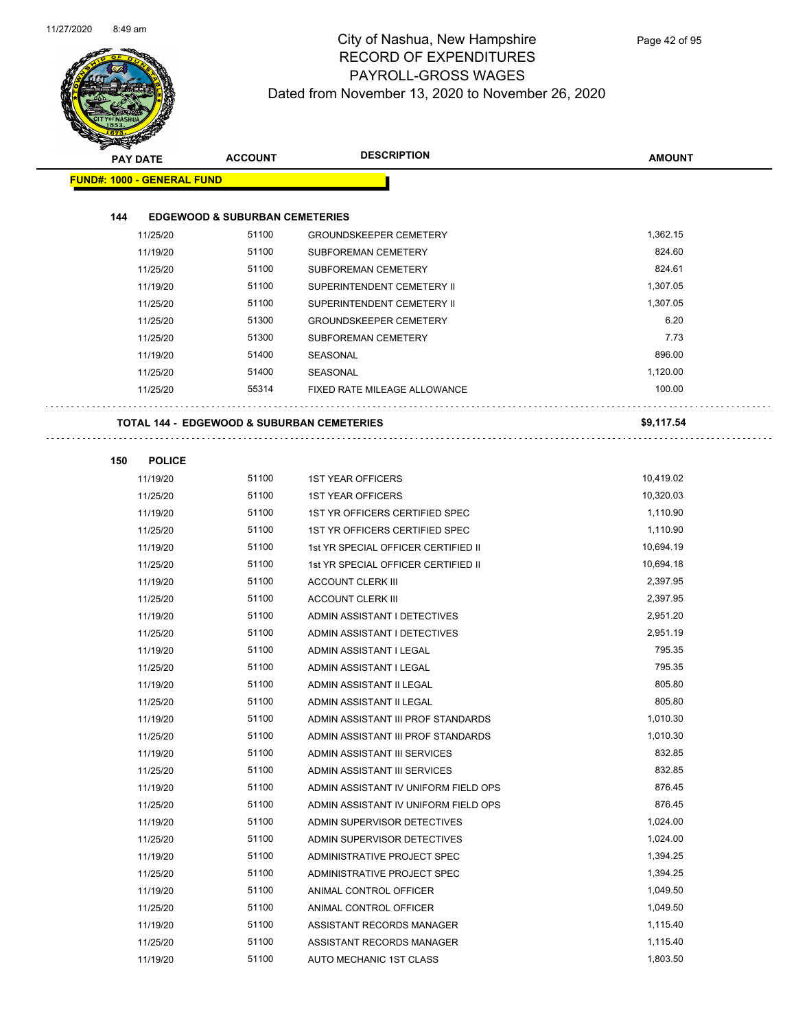

| <b>PAY DATE</b>                   | <b>ACCOUNT</b>                            | <b>DESCRIPTION</b>                                                 | <b>AMOUNT</b>        |
|-----------------------------------|-------------------------------------------|--------------------------------------------------------------------|----------------------|
| <b>FUND#: 1000 - GENERAL FUND</b> |                                           |                                                                    |                      |
|                                   |                                           |                                                                    |                      |
| 144                               | <b>EDGEWOOD &amp; SUBURBAN CEMETERIES</b> |                                                                    |                      |
| 11/25/20                          | 51100                                     | <b>GROUNDSKEEPER CEMETERY</b>                                      | 1,362.15             |
| 11/19/20                          | 51100                                     | SUBFOREMAN CEMETERY                                                | 824.60               |
| 11/25/20                          | 51100                                     | SUBFOREMAN CEMETERY                                                | 824.61               |
| 11/19/20                          | 51100                                     | SUPERINTENDENT CEMETERY II                                         | 1,307.05             |
| 11/25/20                          | 51100                                     | SUPERINTENDENT CEMETERY II                                         | 1,307.05             |
| 11/25/20                          | 51300                                     | <b>GROUNDSKEEPER CEMETERY</b>                                      | 6.20                 |
| 11/25/20                          | 51300                                     | SUBFOREMAN CEMETERY                                                | 7.73                 |
| 11/19/20                          | 51400                                     | SEASONAL                                                           | 896.00               |
| 11/25/20                          | 51400                                     | SEASONAL                                                           | 1,120.00             |
| 11/25/20                          | 55314                                     | FIXED RATE MILEAGE ALLOWANCE                                       | 100.00               |
|                                   |                                           |                                                                    |                      |
|                                   |                                           | TOTAL 144 - EDGEWOOD & SUBURBAN CEMETERIES                         | \$9,117.54           |
|                                   |                                           |                                                                    |                      |
| <b>POLICE</b><br>150              |                                           |                                                                    |                      |
| 11/19/20                          | 51100                                     | <b>1ST YEAR OFFICERS</b>                                           | 10,419.02            |
| 11/25/20                          | 51100                                     | <b>1ST YEAR OFFICERS</b>                                           | 10,320.03            |
| 11/19/20                          | 51100                                     | 1ST YR OFFICERS CERTIFIED SPEC                                     | 1,110.90             |
| 11/25/20                          | 51100                                     | 1ST YR OFFICERS CERTIFIED SPEC                                     | 1,110.90             |
| 11/19/20                          | 51100                                     | 1st YR SPECIAL OFFICER CERTIFIED II                                | 10,694.19            |
| 11/25/20                          | 51100                                     | 1st YR SPECIAL OFFICER CERTIFIED II                                | 10,694.18            |
| 11/19/20                          | 51100                                     | <b>ACCOUNT CLERK III</b>                                           | 2,397.95             |
| 11/25/20                          | 51100                                     | <b>ACCOUNT CLERK III</b>                                           | 2,397.95             |
| 11/19/20                          | 51100                                     | ADMIN ASSISTANT I DETECTIVES                                       | 2,951.20             |
| 11/25/20                          | 51100                                     | ADMIN ASSISTANT I DETECTIVES                                       | 2,951.19<br>795.35   |
| 11/19/20                          | 51100<br>51100                            | ADMIN ASSISTANT I LEGAL                                            | 795.35               |
| 11/25/20                          | 51100                                     | ADMIN ASSISTANT I LEGAL                                            | 805.80               |
| 11/19/20                          |                                           | ADMIN ASSISTANT II LEGAL                                           |                      |
| 11/25/20                          | 51100                                     | ADMIN ASSISTANT II LEGAL                                           | 805.80               |
| 11/19/20                          | 51100<br>51100                            | ADMIN ASSISTANT III PROF STANDARDS                                 | 1,010.30<br>1,010.30 |
| 11/25/20                          | 51100                                     | ADMIN ASSISTANT III PROF STANDARDS<br>ADMIN ASSISTANT III SERVICES | 832.85               |
| 11/19/20<br>11/25/20              | 51100                                     | ADMIN ASSISTANT III SERVICES                                       | 832.85               |
| 11/19/20                          | 51100                                     | ADMIN ASSISTANT IV UNIFORM FIELD OPS                               | 876.45               |
| 11/25/20                          | 51100                                     | ADMIN ASSISTANT IV UNIFORM FIELD OPS                               | 876.45               |
| 11/19/20                          | 51100                                     | ADMIN SUPERVISOR DETECTIVES                                        | 1,024.00             |
| 11/25/20                          | 51100                                     | ADMIN SUPERVISOR DETECTIVES                                        | 1,024.00             |
| 11/19/20                          | 51100                                     | ADMINISTRATIVE PROJECT SPEC                                        | 1,394.25             |
| 11/25/20                          | 51100                                     | ADMINISTRATIVE PROJECT SPEC                                        | 1,394.25             |
| 11/19/20                          | 51100                                     | ANIMAL CONTROL OFFICER                                             | 1,049.50             |
| 11/25/20                          | 51100                                     | ANIMAL CONTROL OFFICER                                             | 1,049.50             |
| 11/19/20                          | 51100                                     | ASSISTANT RECORDS MANAGER                                          | 1,115.40             |
| 11/25/20                          | 51100                                     | ASSISTANT RECORDS MANAGER                                          | 1,115.40             |
| 11/19/20                          | 51100                                     | AUTO MECHANIC 1ST CLASS                                            | 1,803.50             |
|                                   |                                           |                                                                    |                      |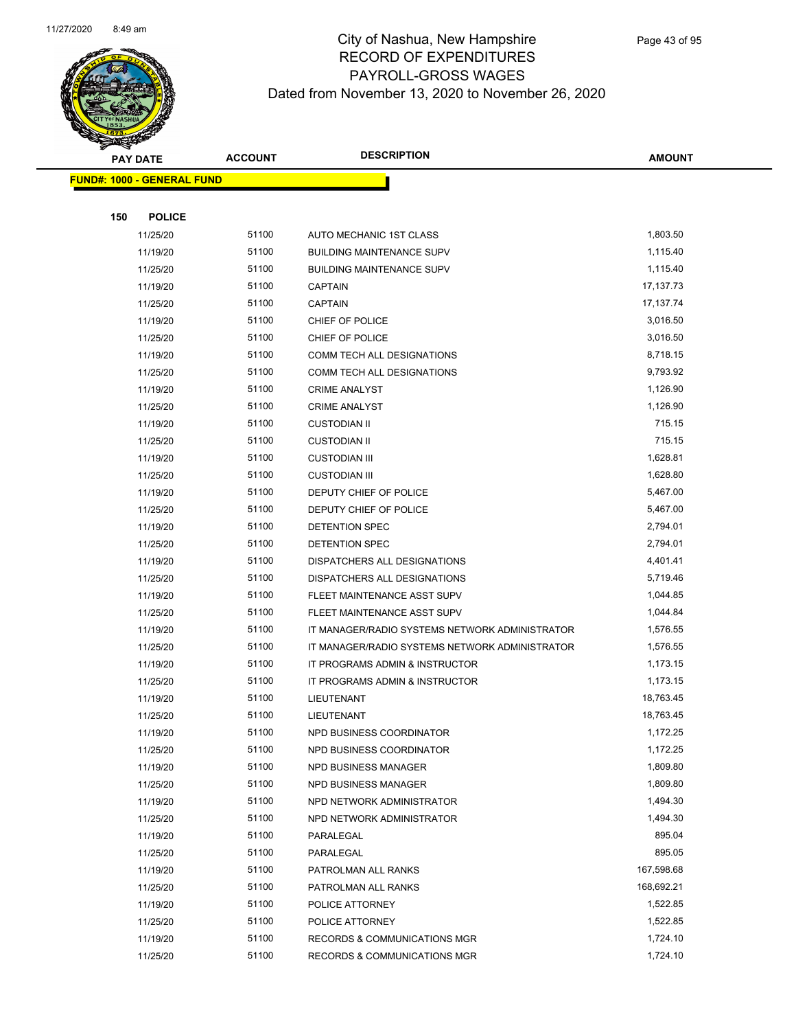

|     | <b>PAY DATE</b>                   | <b>ACCOUNT</b> | <b>DESCRIPTION</b>                             | <b>AMOUNT</b> |  |
|-----|-----------------------------------|----------------|------------------------------------------------|---------------|--|
|     | <b>FUND#: 1000 - GENERAL FUND</b> |                |                                                |               |  |
|     |                                   |                |                                                |               |  |
| 150 | <b>POLICE</b>                     |                |                                                |               |  |
|     | 11/25/20                          | 51100          | AUTO MECHANIC 1ST CLASS                        | 1,803.50      |  |
|     | 11/19/20                          | 51100          | <b>BUILDING MAINTENANCE SUPV</b>               | 1,115.40      |  |
|     | 11/25/20                          | 51100          | <b>BUILDING MAINTENANCE SUPV</b>               | 1,115.40      |  |
|     | 11/19/20                          | 51100          | <b>CAPTAIN</b>                                 | 17,137.73     |  |
|     | 11/25/20                          | 51100          | <b>CAPTAIN</b>                                 | 17,137.74     |  |
|     | 11/19/20                          | 51100          | CHIEF OF POLICE                                | 3,016.50      |  |
|     | 11/25/20                          | 51100          | CHIEF OF POLICE                                | 3,016.50      |  |
|     | 11/19/20                          | 51100          | COMM TECH ALL DESIGNATIONS                     | 8,718.15      |  |
|     | 11/25/20                          | 51100          | COMM TECH ALL DESIGNATIONS                     | 9,793.92      |  |
|     | 11/19/20                          | 51100          | <b>CRIME ANALYST</b>                           | 1,126.90      |  |
|     | 11/25/20                          | 51100          | <b>CRIME ANALYST</b>                           | 1,126.90      |  |
|     | 11/19/20                          | 51100          | <b>CUSTODIAN II</b>                            | 715.15        |  |
|     | 11/25/20                          | 51100          | <b>CUSTODIAN II</b>                            | 715.15        |  |
|     | 11/19/20                          | 51100          | <b>CUSTODIAN III</b>                           | 1,628.81      |  |
|     | 11/25/20                          | 51100          | <b>CUSTODIAN III</b>                           | 1,628.80      |  |
|     | 11/19/20                          | 51100          | DEPUTY CHIEF OF POLICE                         | 5,467.00      |  |
|     | 11/25/20                          | 51100          | DEPUTY CHIEF OF POLICE                         | 5,467.00      |  |
|     | 11/19/20                          | 51100          | DETENTION SPEC                                 | 2,794.01      |  |
|     | 11/25/20                          | 51100          | DETENTION SPEC                                 | 2,794.01      |  |
|     | 11/19/20                          | 51100          | DISPATCHERS ALL DESIGNATIONS                   | 4,401.41      |  |
|     | 11/25/20                          | 51100          | DISPATCHERS ALL DESIGNATIONS                   | 5,719.46      |  |
|     | 11/19/20                          | 51100          | FLEET MAINTENANCE ASST SUPV                    | 1,044.85      |  |
|     | 11/25/20                          | 51100          | FLEET MAINTENANCE ASST SUPV                    | 1,044.84      |  |
|     | 11/19/20                          | 51100          | IT MANAGER/RADIO SYSTEMS NETWORK ADMINISTRATOR | 1,576.55      |  |
|     | 11/25/20                          | 51100          | IT MANAGER/RADIO SYSTEMS NETWORK ADMINISTRATOR | 1,576.55      |  |
|     | 11/19/20                          | 51100          | IT PROGRAMS ADMIN & INSTRUCTOR                 | 1,173.15      |  |
|     | 11/25/20                          | 51100          | IT PROGRAMS ADMIN & INSTRUCTOR                 | 1,173.15      |  |
|     | 11/19/20                          | 51100          | LIEUTENANT                                     | 18,763.45     |  |
|     | 11/25/20                          | 51100          | LIEUTENANT                                     | 18,763.45     |  |
|     | 11/19/20                          | 51100          | NPD BUSINESS COORDINATOR                       | 1,172.25      |  |
|     | 11/25/20                          | 51100          | NPD BUSINESS COORDINATOR                       | 1,172.25      |  |
|     | 11/19/20                          | 51100          | NPD BUSINESS MANAGER                           | 1,809.80      |  |
|     | 11/25/20                          | 51100          | NPD BUSINESS MANAGER                           | 1,809.80      |  |
|     | 11/19/20                          | 51100          | NPD NETWORK ADMINISTRATOR                      | 1,494.30      |  |
|     | 11/25/20                          | 51100          | NPD NETWORK ADMINISTRATOR                      | 1,494.30      |  |
|     | 11/19/20                          | 51100          | PARALEGAL                                      | 895.04        |  |
|     | 11/25/20                          | 51100          | PARALEGAL                                      | 895.05        |  |
|     | 11/19/20                          | 51100          | PATROLMAN ALL RANKS                            | 167,598.68    |  |
|     | 11/25/20                          | 51100          | PATROLMAN ALL RANKS                            | 168,692.21    |  |
|     | 11/19/20                          | 51100          | POLICE ATTORNEY                                | 1,522.85      |  |
|     | 11/25/20                          | 51100          | POLICE ATTORNEY                                | 1,522.85      |  |
|     | 11/19/20                          | 51100          | <b>RECORDS &amp; COMMUNICATIONS MGR</b>        | 1,724.10      |  |
|     | 11/25/20                          | 51100          | RECORDS & COMMUNICATIONS MGR                   | 1,724.10      |  |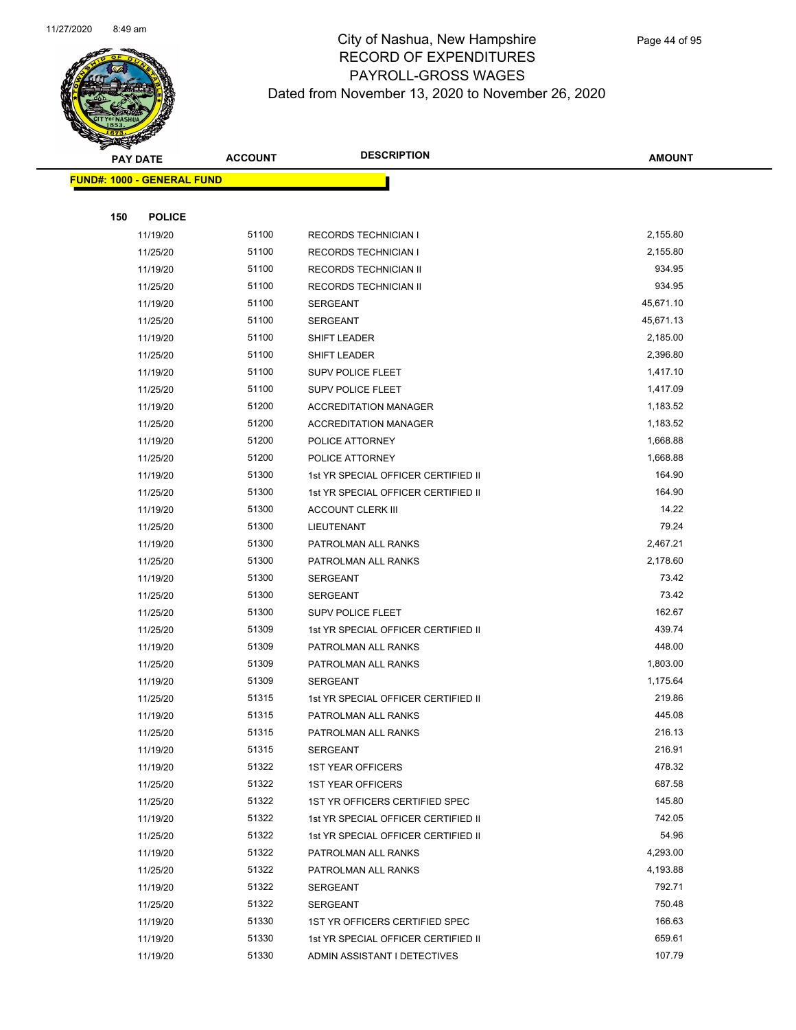

|     | <b>PAY DATE</b>                    | <b>ACCOUNT</b> | <b>DESCRIPTION</b>                  | <b>AMOUNT</b> |
|-----|------------------------------------|----------------|-------------------------------------|---------------|
|     | <u> FUND#: 1000 - GENERAL FUND</u> |                |                                     |               |
|     |                                    |                |                                     |               |
| 150 | <b>POLICE</b>                      |                |                                     |               |
|     | 11/19/20                           | 51100          | <b>RECORDS TECHNICIAN I</b>         | 2,155.80      |
|     | 11/25/20                           | 51100          | <b>RECORDS TECHNICIAN I</b>         | 2,155.80      |
|     | 11/19/20                           | 51100          | <b>RECORDS TECHNICIAN II</b>        | 934.95        |
|     | 11/25/20                           | 51100          | RECORDS TECHNICIAN II               | 934.95        |
|     | 11/19/20                           | 51100          | <b>SERGEANT</b>                     | 45,671.10     |
|     | 11/25/20                           | 51100          | <b>SERGEANT</b>                     | 45,671.13     |
|     | 11/19/20                           | 51100          | <b>SHIFT LEADER</b>                 | 2,185.00      |
|     | 11/25/20                           | 51100          | <b>SHIFT LEADER</b>                 | 2,396.80      |
|     | 11/19/20                           | 51100          | <b>SUPV POLICE FLEET</b>            | 1,417.10      |
|     | 11/25/20                           | 51100          | <b>SUPV POLICE FLEET</b>            | 1,417.09      |
|     | 11/19/20                           | 51200          | <b>ACCREDITATION MANAGER</b>        | 1,183.52      |
|     | 11/25/20                           | 51200          | <b>ACCREDITATION MANAGER</b>        | 1,183.52      |
|     | 11/19/20                           | 51200          | POLICE ATTORNEY                     | 1,668.88      |
|     | 11/25/20                           | 51200          | POLICE ATTORNEY                     | 1,668.88      |
|     | 11/19/20                           | 51300          | 1st YR SPECIAL OFFICER CERTIFIED II | 164.90        |
|     | 11/25/20                           | 51300          | 1st YR SPECIAL OFFICER CERTIFIED II | 164.90        |
|     | 11/19/20                           | 51300          | <b>ACCOUNT CLERK III</b>            | 14.22         |
|     | 11/25/20                           | 51300          | <b>LIEUTENANT</b>                   | 79.24         |
|     | 11/19/20                           | 51300          | PATROLMAN ALL RANKS                 | 2,467.21      |
|     | 11/25/20                           | 51300          | PATROLMAN ALL RANKS                 | 2,178.60      |
|     | 11/19/20                           | 51300          | <b>SERGEANT</b>                     | 73.42         |
|     | 11/25/20                           | 51300          | <b>SERGEANT</b>                     | 73.42         |
|     | 11/25/20                           | 51300          | <b>SUPV POLICE FLEET</b>            | 162.67        |
|     | 11/25/20                           | 51309          | 1st YR SPECIAL OFFICER CERTIFIED II | 439.74        |
|     | 11/19/20                           | 51309          | PATROLMAN ALL RANKS                 | 448.00        |
|     | 11/25/20                           | 51309          | PATROLMAN ALL RANKS                 | 1,803.00      |
|     | 11/19/20                           | 51309          | <b>SERGEANT</b>                     | 1,175.64      |
|     | 11/25/20                           | 51315          | 1st YR SPECIAL OFFICER CERTIFIED II | 219.86        |
|     | 11/19/20                           | 51315          | PATROLMAN ALL RANKS                 | 445.08        |
|     | 11/25/20                           | 51315          | PATROLMAN ALL RANKS                 | 216.13        |
|     | 11/19/20                           | 51315          | SERGEANT                            | 216.91        |
|     | 11/19/20                           | 51322          | <b>1ST YEAR OFFICERS</b>            | 478.32        |
|     | 11/25/20                           | 51322          | <b>1ST YEAR OFFICERS</b>            | 687.58        |
|     | 11/25/20                           | 51322          | 1ST YR OFFICERS CERTIFIED SPEC      | 145.80        |
|     | 11/19/20                           | 51322          | 1st YR SPECIAL OFFICER CERTIFIED II | 742.05        |
|     | 11/25/20                           | 51322          | 1st YR SPECIAL OFFICER CERTIFIED II | 54.96         |
|     | 11/19/20                           | 51322          | PATROLMAN ALL RANKS                 | 4,293.00      |
|     | 11/25/20                           | 51322          | PATROLMAN ALL RANKS                 | 4,193.88      |
|     | 11/19/20                           | 51322          | SERGEANT                            | 792.71        |
|     | 11/25/20                           | 51322          | SERGEANT                            | 750.48        |
|     | 11/19/20                           | 51330          | 1ST YR OFFICERS CERTIFIED SPEC      | 166.63        |
|     | 11/19/20                           | 51330          | 1st YR SPECIAL OFFICER CERTIFIED II | 659.61        |
|     | 11/19/20                           | 51330          | ADMIN ASSISTANT I DETECTIVES        | 107.79        |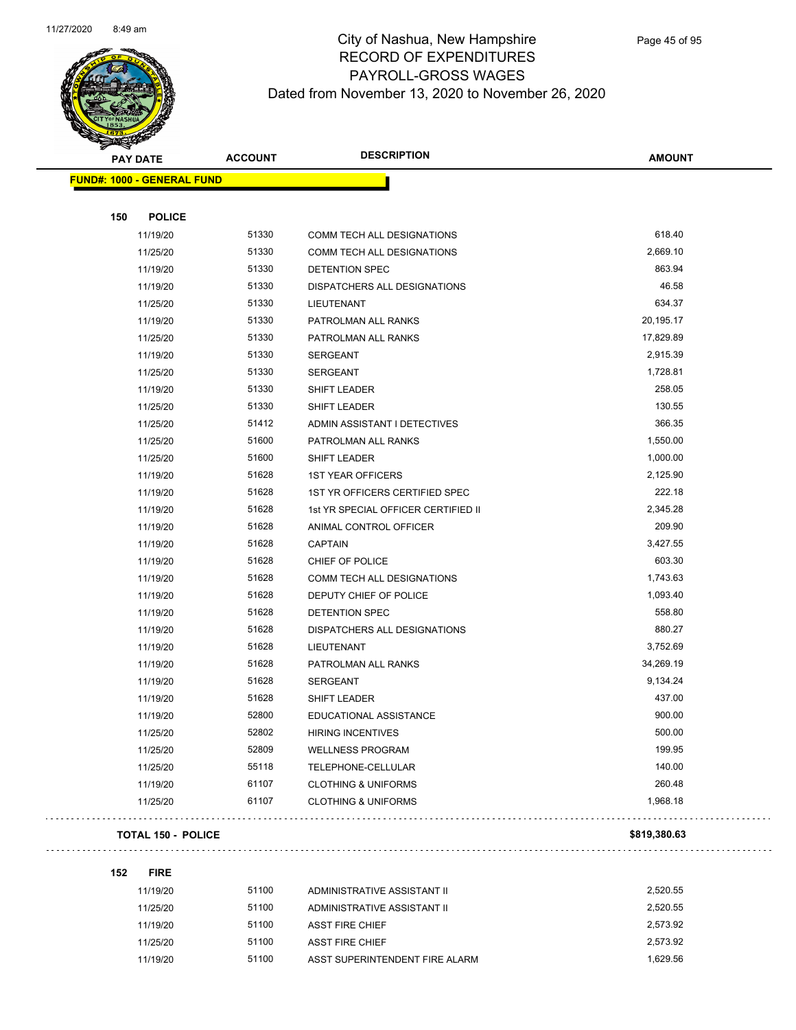

| <b>PAY DATE</b> |                                   | <b>ACCOUNT</b> | <b>DESCRIPTION</b>                  | <b>AMOUNT</b> |
|-----------------|-----------------------------------|----------------|-------------------------------------|---------------|
|                 | <b>FUND#: 1000 - GENERAL FUND</b> |                |                                     |               |
|                 |                                   |                |                                     |               |
| 150             | <b>POLICE</b>                     |                |                                     |               |
|                 | 11/19/20                          | 51330          | COMM TECH ALL DESIGNATIONS          | 618.40        |
|                 | 11/25/20                          | 51330          | COMM TECH ALL DESIGNATIONS          | 2,669.10      |
|                 | 11/19/20                          | 51330          | <b>DETENTION SPEC</b>               | 863.94        |
|                 | 11/19/20                          | 51330          | DISPATCHERS ALL DESIGNATIONS        | 46.58         |
|                 | 11/25/20                          | 51330          | LIEUTENANT                          | 634.37        |
|                 | 11/19/20                          | 51330          | PATROLMAN ALL RANKS                 | 20,195.17     |
|                 | 11/25/20                          | 51330          | PATROLMAN ALL RANKS                 | 17,829.89     |
|                 | 11/19/20                          | 51330          | SERGEANT                            | 2,915.39      |
|                 | 11/25/20                          | 51330          | <b>SERGEANT</b>                     | 1,728.81      |
|                 | 11/19/20                          | 51330          | <b>SHIFT LEADER</b>                 | 258.05        |
|                 | 11/25/20                          | 51330          | SHIFT LEADER                        | 130.55        |
|                 | 11/25/20                          | 51412          | ADMIN ASSISTANT I DETECTIVES        | 366.35        |
|                 | 11/25/20                          | 51600          | PATROLMAN ALL RANKS                 | 1,550.00      |
|                 | 11/25/20                          | 51600          | SHIFT LEADER                        | 1,000.00      |
|                 | 11/19/20                          | 51628          | <b>1ST YEAR OFFICERS</b>            | 2,125.90      |
|                 | 11/19/20                          | 51628          | 1ST YR OFFICERS CERTIFIED SPEC      | 222.18        |
|                 | 11/19/20                          | 51628          | 1st YR SPECIAL OFFICER CERTIFIED II | 2,345.28      |
|                 | 11/19/20                          | 51628          | ANIMAL CONTROL OFFICER              | 209.90        |
|                 | 11/19/20                          | 51628          | <b>CAPTAIN</b>                      | 3,427.55      |
|                 | 11/19/20                          | 51628          | CHIEF OF POLICE                     | 603.30        |
|                 | 11/19/20                          | 51628          | COMM TECH ALL DESIGNATIONS          | 1,743.63      |
|                 | 11/19/20                          | 51628          | DEPUTY CHIEF OF POLICE              | 1,093.40      |
|                 | 11/19/20                          | 51628          | DETENTION SPEC                      | 558.80        |
|                 | 11/19/20                          | 51628          | DISPATCHERS ALL DESIGNATIONS        | 880.27        |
|                 | 11/19/20                          | 51628          | <b>LIEUTENANT</b>                   | 3,752.69      |
|                 | 11/19/20                          | 51628          | PATROLMAN ALL RANKS                 | 34,269.19     |
|                 | 11/19/20                          | 51628          | <b>SERGEANT</b>                     | 9,134.24      |
|                 | 11/19/20                          | 51628          | <b>SHIFT LEADER</b>                 | 437.00        |
|                 | 11/19/20                          | 52800          | EDUCATIONAL ASSISTANCE              | 900.00        |
|                 | 11/25/20                          | 52802          | <b>HIRING INCENTIVES</b>            | 500.00        |
|                 | 11/25/20                          | 52809          | <b>WELLNESS PROGRAM</b>             | 199.95        |
|                 | 11/25/20                          | 55118          | TELEPHONE-CELLULAR                  | 140.00        |
|                 | 11/19/20                          | 61107          | <b>CLOTHING &amp; UNIFORMS</b>      | 260.48        |
|                 | 11/25/20                          | 61107          | <b>CLOTHING &amp; UNIFORMS</b>      | 1,968.18      |
|                 |                                   |                |                                     |               |

#### **TOTAL 150 - POLICE \$819,380.63**

**152 FIRE**

| 11/19/20 | 51100 | ADMINISTRATIVE ASSISTANT II    | 2,520.55 |
|----------|-------|--------------------------------|----------|
| 11/25/20 | 51100 | ADMINISTRATIVE ASSISTANT II    | 2.520.55 |
| 11/19/20 | 51100 | <b>ASST FIRE CHIEF</b>         | 2.573.92 |
| 11/25/20 | 51100 | ASST FIRE CHIEF                | 2.573.92 |
| 11/19/20 | 51100 | ASST SUPERINTENDENT FIRE ALARM | 1.629.56 |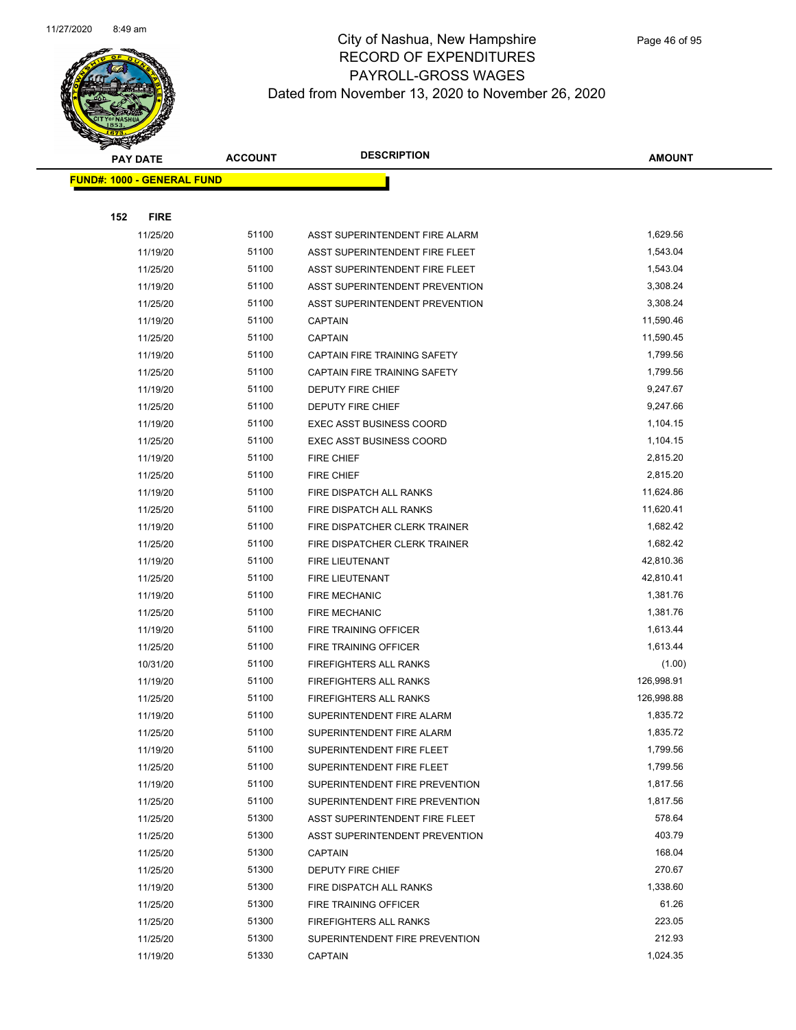

|     | <b>PAY DATE</b>                    | <b>ACCOUNT</b> | <b>DESCRIPTION</b>                                               | <b>AMOUNT</b>        |
|-----|------------------------------------|----------------|------------------------------------------------------------------|----------------------|
|     | <u> FUND#: 1000 - GENERAL FUND</u> |                |                                                                  |                      |
|     |                                    |                |                                                                  |                      |
| 152 | <b>FIRE</b>                        |                |                                                                  |                      |
|     | 11/25/20                           | 51100          | ASST SUPERINTENDENT FIRE ALARM                                   | 1,629.56             |
|     | 11/19/20                           | 51100          | ASST SUPERINTENDENT FIRE FLEET                                   | 1,543.04             |
|     | 11/25/20                           | 51100          | ASST SUPERINTENDENT FIRE FLEET                                   | 1,543.04             |
|     | 11/19/20                           | 51100          | ASST SUPERINTENDENT PREVENTION                                   | 3,308.24             |
|     | 11/25/20                           | 51100          | ASST SUPERINTENDENT PREVENTION                                   | 3,308.24             |
|     | 11/19/20                           | 51100          | <b>CAPTAIN</b>                                                   | 11,590.46            |
|     | 11/25/20                           | 51100          | <b>CAPTAIN</b>                                                   | 11,590.45            |
|     | 11/19/20                           | 51100          | CAPTAIN FIRE TRAINING SAFETY                                     | 1,799.56             |
|     | 11/25/20                           | 51100          | CAPTAIN FIRE TRAINING SAFETY                                     | 1,799.56             |
|     | 11/19/20                           | 51100          | DEPUTY FIRE CHIEF                                                | 9,247.67             |
|     | 11/25/20                           | 51100          | DEPUTY FIRE CHIEF                                                | 9,247.66             |
|     | 11/19/20                           | 51100          | <b>EXEC ASST BUSINESS COORD</b>                                  | 1,104.15             |
|     | 11/25/20                           | 51100          | <b>EXEC ASST BUSINESS COORD</b>                                  | 1,104.15             |
|     | 11/19/20                           | 51100          | <b>FIRE CHIEF</b>                                                | 2,815.20             |
|     | 11/25/20                           | 51100          | <b>FIRE CHIEF</b>                                                | 2,815.20             |
|     | 11/19/20                           | 51100          | FIRE DISPATCH ALL RANKS                                          | 11,624.86            |
|     | 11/25/20                           | 51100          | FIRE DISPATCH ALL RANKS                                          | 11,620.41            |
|     | 11/19/20                           | 51100          | FIRE DISPATCHER CLERK TRAINER                                    | 1,682.42             |
|     | 11/25/20                           | 51100          | FIRE DISPATCHER CLERK TRAINER                                    | 1,682.42             |
|     | 11/19/20                           | 51100          | FIRE LIEUTENANT                                                  | 42,810.36            |
|     | 11/25/20                           | 51100          | FIRE LIEUTENANT                                                  | 42,810.41            |
|     | 11/19/20                           | 51100          | <b>FIRE MECHANIC</b>                                             | 1,381.76             |
|     | 11/25/20                           | 51100          | <b>FIRE MECHANIC</b>                                             | 1,381.76             |
|     | 11/19/20                           | 51100          | FIRE TRAINING OFFICER                                            | 1,613.44             |
|     | 11/25/20                           | 51100          | FIRE TRAINING OFFICER                                            | 1,613.44             |
|     | 10/31/20                           | 51100          | FIREFIGHTERS ALL RANKS                                           | (1.00)               |
|     | 11/19/20                           | 51100          | <b>FIREFIGHTERS ALL RANKS</b>                                    | 126,998.91           |
|     | 11/25/20                           | 51100          | <b>FIREFIGHTERS ALL RANKS</b>                                    | 126,998.88           |
|     | 11/19/20                           | 51100          | SUPERINTENDENT FIRE ALARM                                        | 1,835.72             |
|     | 11/25/20                           | 51100          | SUPERINTENDENT FIRE ALARM                                        | 1,835.72             |
|     | 11/19/20                           | 51100          | SUPERINTENDENT FIRE FLEET                                        | 1,799.56<br>1,799.56 |
|     | 11/25/20                           | 51100          | SUPERINTENDENT FIRE FLEET<br>SUPERINTENDENT FIRE PREVENTION      |                      |
|     | 11/19/20                           | 51100<br>51100 |                                                                  | 1,817.56<br>1,817.56 |
|     | 11/25/20                           | 51300          | SUPERINTENDENT FIRE PREVENTION<br>ASST SUPERINTENDENT FIRE FLEET | 578.64               |
|     | 11/25/20<br>11/25/20               | 51300          | ASST SUPERINTENDENT PREVENTION                                   | 403.79               |
|     | 11/25/20                           | 51300          | <b>CAPTAIN</b>                                                   | 168.04               |
|     | 11/25/20                           | 51300          | DEPUTY FIRE CHIEF                                                | 270.67               |
|     | 11/19/20                           | 51300          | FIRE DISPATCH ALL RANKS                                          | 1,338.60             |
|     | 11/25/20                           | 51300          | FIRE TRAINING OFFICER                                            | 61.26                |
|     | 11/25/20                           | 51300          | FIREFIGHTERS ALL RANKS                                           | 223.05               |
|     | 11/25/20                           | 51300          | SUPERINTENDENT FIRE PREVENTION                                   | 212.93               |
|     | 11/19/20                           | 51330          | <b>CAPTAIN</b>                                                   | 1,024.35             |
|     |                                    |                |                                                                  |                      |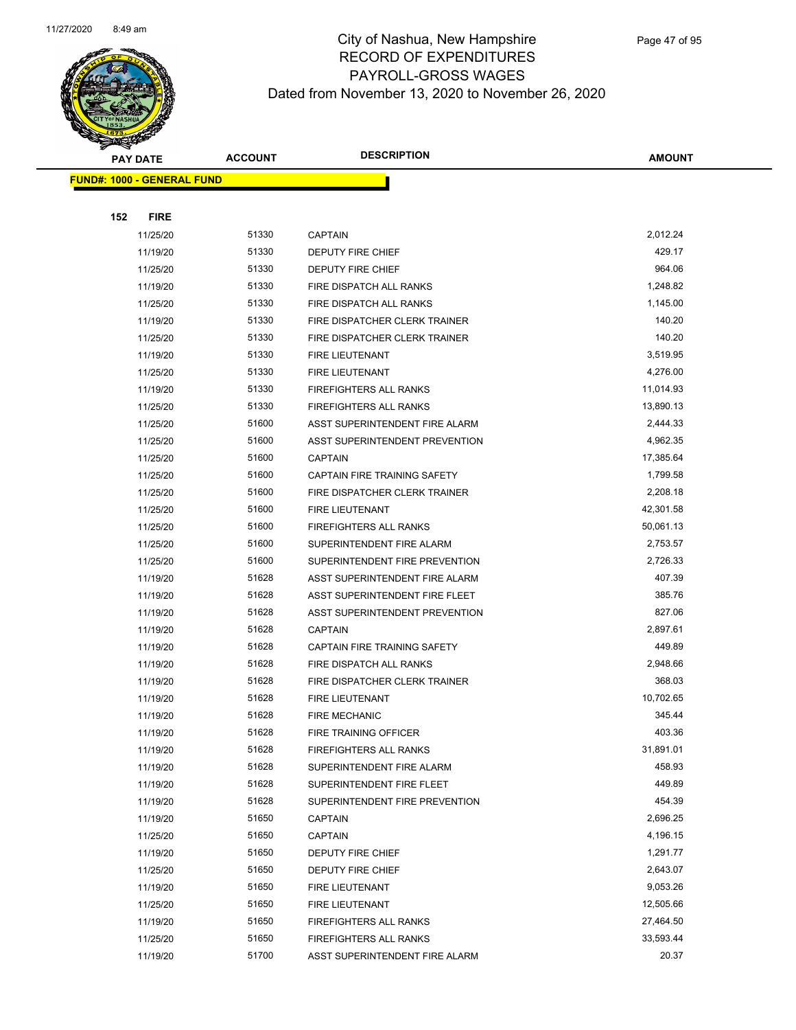

| <b>PAY DATE</b>                   | <b>ACCOUNT</b> | <b>DESCRIPTION</b>             | <b>AMOUNT</b> |
|-----------------------------------|----------------|--------------------------------|---------------|
| <b>FUND#: 1000 - GENERAL FUND</b> |                |                                |               |
|                                   |                |                                |               |
| 152<br><b>FIRE</b>                |                |                                |               |
| 11/25/20                          | 51330          | <b>CAPTAIN</b>                 | 2,012.24      |
| 11/19/20                          | 51330          | DEPUTY FIRE CHIEF              | 429.17        |
| 11/25/20                          | 51330          | <b>DEPUTY FIRE CHIEF</b>       | 964.06        |
| 11/19/20                          | 51330          | FIRE DISPATCH ALL RANKS        | 1,248.82      |
| 11/25/20                          | 51330          | FIRE DISPATCH ALL RANKS        | 1,145.00      |
| 11/19/20                          | 51330          | FIRE DISPATCHER CLERK TRAINER  | 140.20        |
| 11/25/20                          | 51330          | FIRE DISPATCHER CLERK TRAINER  | 140.20        |
| 11/19/20                          | 51330          | FIRE LIEUTENANT                | 3,519.95      |
| 11/25/20                          | 51330          | FIRE LIEUTENANT                | 4,276.00      |
| 11/19/20                          | 51330          | FIREFIGHTERS ALL RANKS         | 11,014.93     |
| 11/25/20                          | 51330          | <b>FIREFIGHTERS ALL RANKS</b>  | 13,890.13     |
| 11/25/20                          | 51600          | ASST SUPERINTENDENT FIRE ALARM | 2,444.33      |
| 11/25/20                          | 51600          | ASST SUPERINTENDENT PREVENTION | 4,962.35      |
| 11/25/20                          | 51600          | <b>CAPTAIN</b>                 | 17,385.64     |
| 11/25/20                          | 51600          | CAPTAIN FIRE TRAINING SAFETY   | 1,799.58      |
| 11/25/20                          | 51600          | FIRE DISPATCHER CLERK TRAINER  | 2,208.18      |
| 11/25/20                          | 51600          | <b>FIRE LIEUTENANT</b>         | 42,301.58     |
| 11/25/20                          | 51600          | <b>FIREFIGHTERS ALL RANKS</b>  | 50,061.13     |
| 11/25/20                          | 51600          | SUPERINTENDENT FIRE ALARM      | 2,753.57      |
| 11/25/20                          | 51600          | SUPERINTENDENT FIRE PREVENTION | 2,726.33      |
| 11/19/20                          | 51628          | ASST SUPERINTENDENT FIRE ALARM | 407.39        |
| 11/19/20                          | 51628          | ASST SUPERINTENDENT FIRE FLEET | 385.76        |
| 11/19/20                          | 51628          | ASST SUPERINTENDENT PREVENTION | 827.06        |
| 11/19/20                          | 51628          | <b>CAPTAIN</b>                 | 2,897.61      |
| 11/19/20                          | 51628          | CAPTAIN FIRE TRAINING SAFETY   | 449.89        |
| 11/19/20                          | 51628          | FIRE DISPATCH ALL RANKS        | 2,948.66      |
| 11/19/20                          | 51628          | FIRE DISPATCHER CLERK TRAINER  | 368.03        |
| 11/19/20                          | 51628          | <b>FIRE LIEUTENANT</b>         | 10,702.65     |
| 11/19/20                          | 51628          | <b>FIRE MECHANIC</b>           | 345.44        |
| 11/19/20                          | 51628          | <b>FIRE TRAINING OFFICER</b>   | 403.36        |
| 11/19/20                          | 51628          | FIREFIGHTERS ALL RANKS         | 31,891.01     |
| 11/19/20                          | 51628          | SUPERINTENDENT FIRE ALARM      | 458.93        |
| 11/19/20                          | 51628          | SUPERINTENDENT FIRE FLEET      | 449.89        |
| 11/19/20                          | 51628          | SUPERINTENDENT FIRE PREVENTION | 454.39        |
| 11/19/20                          | 51650          | <b>CAPTAIN</b>                 | 2,696.25      |
| 11/25/20                          | 51650          | <b>CAPTAIN</b>                 | 4,196.15      |
| 11/19/20                          | 51650          | DEPUTY FIRE CHIEF              | 1,291.77      |
| 11/25/20                          | 51650          | DEPUTY FIRE CHIEF              | 2,643.07      |
| 11/19/20                          | 51650          | FIRE LIEUTENANT                | 9,053.26      |
| 11/25/20                          | 51650          | FIRE LIEUTENANT                | 12,505.66     |
| 11/19/20                          | 51650          | FIREFIGHTERS ALL RANKS         | 27,464.50     |
| 11/25/20                          | 51650          | FIREFIGHTERS ALL RANKS         | 33,593.44     |
| 11/19/20                          | 51700          | ASST SUPERINTENDENT FIRE ALARM | 20.37         |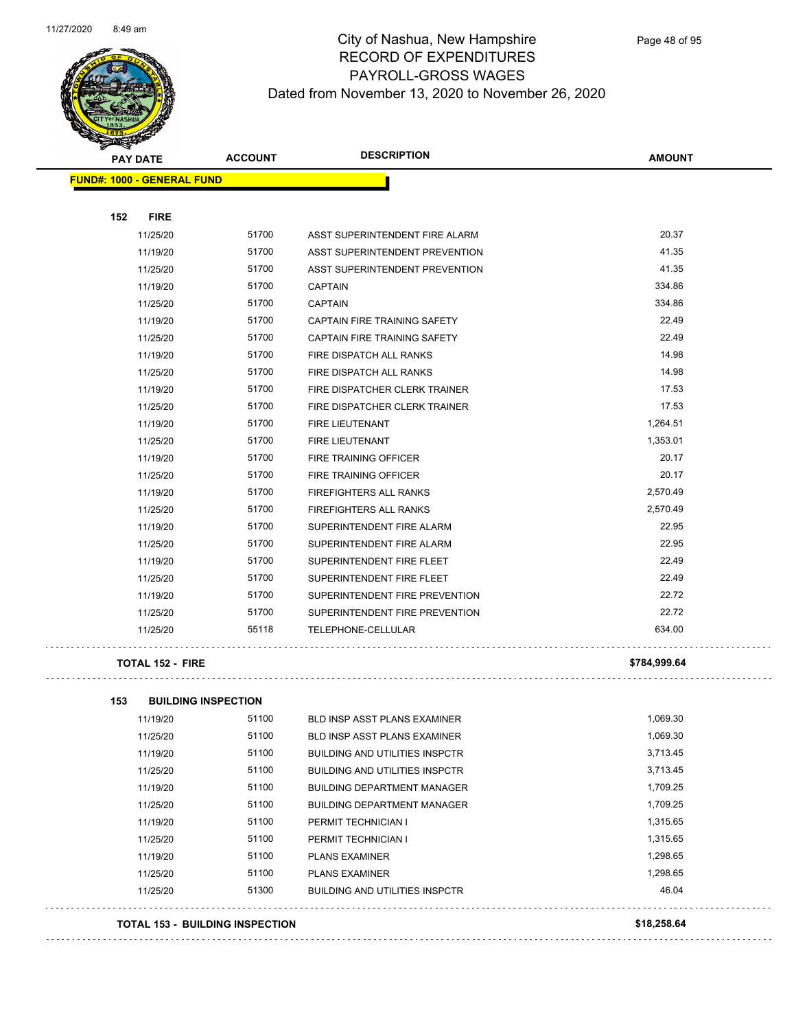

. . . . . . . . . . . . . . . . .

#### City of Nashua, New Hampshire RECORD OF EXPENDITURES PAYROLL-GROSS WAGES Dated from November 13, 2020 to November 26, 2020

| <b>PAY DATE</b>                   | <b>ACCOUNT</b> | <b>DESCRIPTION</b>                  | <b>AMOUNT</b> |  |
|-----------------------------------|----------------|-------------------------------------|---------------|--|
| <b>FUND#: 1000 - GENERAL FUND</b> |                |                                     |               |  |
|                                   |                |                                     |               |  |
| 152<br><b>FIRE</b>                |                |                                     |               |  |
| 11/25/20                          | 51700          | ASST SUPERINTENDENT FIRE ALARM      | 20.37         |  |
| 11/19/20                          | 51700          | ASST SUPERINTENDENT PREVENTION      | 41.35         |  |
| 11/25/20                          | 51700          | ASST SUPERINTENDENT PREVENTION      | 41.35         |  |
| 11/19/20                          | 51700          | <b>CAPTAIN</b>                      | 334.86        |  |
| 11/25/20                          | 51700          | <b>CAPTAIN</b>                      | 334.86        |  |
| 11/19/20                          | 51700          | <b>CAPTAIN FIRE TRAINING SAFETY</b> | 22.49         |  |
| 11/25/20                          | 51700          | CAPTAIN FIRE TRAINING SAFETY        | 22.49         |  |
| 11/19/20                          | 51700          | FIRE DISPATCH ALL RANKS             | 14.98         |  |
| 11/25/20                          | 51700          | FIRE DISPATCH ALL RANKS             | 14.98         |  |
| 11/19/20                          | 51700          | FIRE DISPATCHER CLERK TRAINER       | 17.53         |  |
| 11/25/20                          | 51700          | FIRE DISPATCHER CLERK TRAINER       | 17.53         |  |
| 11/19/20                          | 51700          | <b>FIRE LIEUTENANT</b>              | 1,264.51      |  |
| 11/25/20                          | 51700          | FIRE LIEUTENANT                     | 1,353.01      |  |
| 11/19/20                          | 51700          | FIRE TRAINING OFFICER               | 20.17         |  |
| 11/25/20                          | 51700          | FIRE TRAINING OFFICER               | 20.17         |  |
| 11/19/20                          | 51700          | <b>FIREFIGHTERS ALL RANKS</b>       | 2,570.49      |  |
| 11/25/20                          | 51700          | <b>FIREFIGHTERS ALL RANKS</b>       | 2,570.49      |  |
| 11/19/20                          | 51700          | SUPERINTENDENT FIRE ALARM           | 22.95         |  |
| 11/25/20                          | 51700          | SUPERINTENDENT FIRE ALARM           | 22.95         |  |
| 11/19/20                          | 51700          | SUPERINTENDENT FIRE FLEET           | 22.49         |  |
| 11/25/20                          | 51700          | SUPERINTENDENT FIRE FLEET           | 22.49         |  |
| 11/19/20                          | 51700          | SUPERINTENDENT FIRE PREVENTION      | 22.72         |  |
| 11/25/20                          | 51700          | SUPERINTENDENT FIRE PREVENTION      | 22.72         |  |
| 11/25/20                          | 55118          | TELEPHONE-CELLULAR                  | 634.00        |  |
| <b>TOTAL 152 - FIRE</b>           |                |                                     | \$784.999.64  |  |
|                                   |                |                                     |               |  |

| 153 | <b>BUILDING INSPECTION</b>             |       |                                       |             |
|-----|----------------------------------------|-------|---------------------------------------|-------------|
|     | 11/19/20                               | 51100 | <b>BLD INSP ASST PLANS EXAMINER</b>   | 1,069.30    |
|     | 11/25/20                               | 51100 | <b>BLD INSP ASST PLANS EXAMINER</b>   | 1.069.30    |
|     | 11/19/20                               | 51100 | <b>BUILDING AND UTILITIES INSPCTR</b> | 3,713.45    |
|     | 11/25/20                               | 51100 | <b>BUILDING AND UTILITIES INSPCTR</b> | 3,713.45    |
|     | 11/19/20                               | 51100 | <b>BUILDING DEPARTMENT MANAGER</b>    | 1,709.25    |
|     | 11/25/20                               | 51100 | <b>BUILDING DEPARTMENT MANAGER</b>    | 1,709.25    |
|     | 11/19/20                               | 51100 | PERMIT TECHNICIAN I                   | 1,315.65    |
|     | 11/25/20                               | 51100 | PERMIT TECHNICIAN I                   | 1,315.65    |
|     | 11/19/20                               | 51100 | <b>PLANS EXAMINER</b>                 | 1,298.65    |
|     | 11/25/20                               | 51100 | <b>PLANS EXAMINER</b>                 | 1,298.65    |
|     | 11/25/20                               | 51300 | <b>BUILDING AND UTILITIES INSPCTR</b> | 46.04       |
|     | <b>TOTAL 153 - BUILDING INSPECTION</b> |       |                                       | \$18,258.64 |

####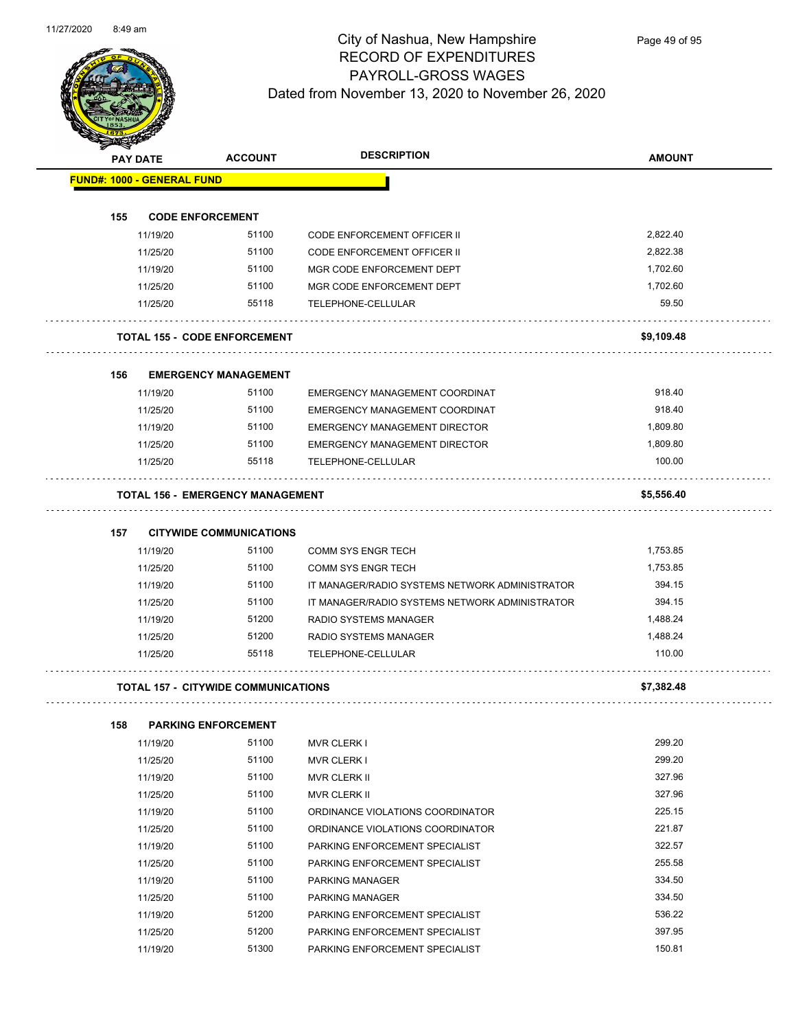

| <b>SANGRAP</b> |                                            |                |                                                |               |
|----------------|--------------------------------------------|----------------|------------------------------------------------|---------------|
|                | <b>PAY DATE</b>                            | <b>ACCOUNT</b> | <b>DESCRIPTION</b>                             | <b>AMOUNT</b> |
|                | <b>FUND#: 1000 - GENERAL FUND</b>          |                |                                                |               |
|                |                                            |                |                                                |               |
| 155            | <b>CODE ENFORCEMENT</b>                    |                |                                                |               |
|                | 11/19/20                                   | 51100          | CODE ENFORCEMENT OFFICER II                    | 2,822.40      |
|                | 11/25/20                                   | 51100          | <b>CODE ENFORCEMENT OFFICER II</b>             | 2,822.38      |
|                | 11/19/20                                   | 51100          | MGR CODE ENFORCEMENT DEPT                      | 1,702.60      |
|                | 11/25/20                                   | 51100          | MGR CODE ENFORCEMENT DEPT                      | 1,702.60      |
|                | 11/25/20                                   | 55118          | TELEPHONE-CELLULAR                             | 59.50         |
|                | <b>TOTAL 155 - CODE ENFORCEMENT</b>        |                |                                                | \$9,109.48    |
| 156            | <b>EMERGENCY MANAGEMENT</b>                |                |                                                |               |
|                | 11/19/20                                   | 51100          | EMERGENCY MANAGEMENT COORDINAT                 | 918.40        |
|                | 11/25/20                                   | 51100          | EMERGENCY MANAGEMENT COORDINAT                 | 918.40        |
|                | 11/19/20                                   | 51100          | <b>EMERGENCY MANAGEMENT DIRECTOR</b>           | 1,809.80      |
|                | 11/25/20                                   | 51100          | EMERGENCY MANAGEMENT DIRECTOR                  | 1,809.80      |
|                | 11/25/20                                   | 55118          | TELEPHONE-CELLULAR                             | 100.00        |
|                | <b>TOTAL 156 - EMERGENCY MANAGEMENT</b>    |                |                                                | \$5,556.40    |
| 157            | <b>CITYWIDE COMMUNICATIONS</b>             |                |                                                |               |
|                | 11/19/20                                   | 51100          | <b>COMM SYS ENGR TECH</b>                      | 1,753.85      |
|                | 11/25/20                                   | 51100          | <b>COMM SYS ENGR TECH</b>                      | 1,753.85      |
|                | 11/19/20                                   | 51100          | IT MANAGER/RADIO SYSTEMS NETWORK ADMINISTRATOR | 394.15        |
|                | 11/25/20                                   | 51100          | IT MANAGER/RADIO SYSTEMS NETWORK ADMINISTRATOR | 394.15        |
|                | 11/19/20                                   | 51200          | RADIO SYSTEMS MANAGER                          | 1,488.24      |
|                | 11/25/20                                   | 51200          | <b>RADIO SYSTEMS MANAGER</b>                   | 1,488.24      |
|                | 11/25/20                                   | 55118          | TELEPHONE-CELLULAR                             | 110.00        |
|                |                                            |                |                                                |               |
|                | <b>TOTAL 157 - CITYWIDE COMMUNICATIONS</b> |                |                                                | \$7,382.48    |
| 158            | <b>PARKING ENFORCEMENT</b>                 |                |                                                |               |
|                | 11/19/20                                   | 51100          | MVR CLERK I                                    | 299.20        |
|                | 11/25/20                                   | 51100          | MVR CLERK I                                    | 299.20        |
|                | 11/19/20                                   | 51100          | <b>MVR CLERK II</b>                            | 327.96        |
|                | 11/25/20                                   | 51100          | MVR CLERK II                                   | 327.96        |
|                | 11/19/20                                   | 51100          | ORDINANCE VIOLATIONS COORDINATOR               | 225.15        |
|                | 11/25/20                                   | 51100          | ORDINANCE VIOLATIONS COORDINATOR               | 221.87        |
|                | 11/19/20                                   | 51100          | PARKING ENFORCEMENT SPECIALIST                 | 322.57        |
|                | 11/25/20                                   | 51100          | PARKING ENFORCEMENT SPECIALIST                 | 255.58        |
|                | 11/19/20                                   | 51100          | PARKING MANAGER                                | 334.50        |
|                | 11/25/20                                   | 51100          | PARKING MANAGER                                | 334.50        |
|                | 11/19/20                                   | 51200          | PARKING ENFORCEMENT SPECIALIST                 | 536.22        |

11/25/20 51200 PARKING ENFORCEMENT SPECIALIST 397.95 11/19/20 51300 PARKING ENFORCEMENT SPECIALIST **150.81**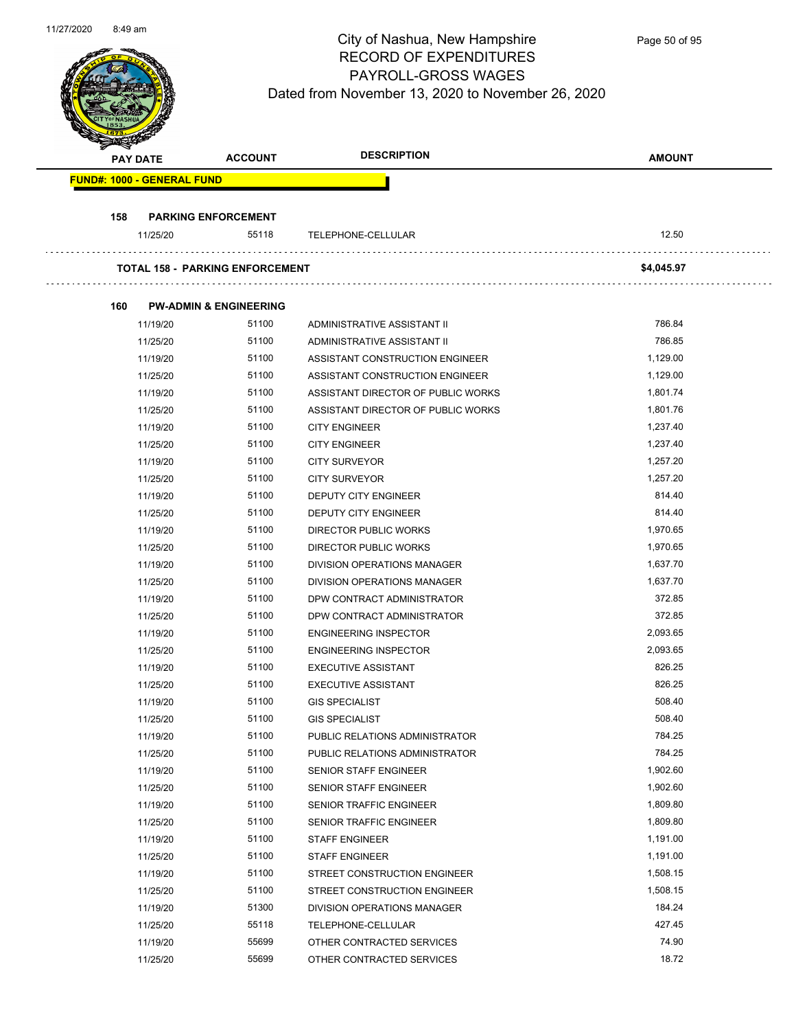

| <b>PAY DATE</b> |                                   | <b>ACCOUNT</b>                         | <b>DESCRIPTION</b>                 | <b>AMOUNT</b>        |
|-----------------|-----------------------------------|----------------------------------------|------------------------------------|----------------------|
|                 | <b>FUND#: 1000 - GENERAL FUND</b> |                                        |                                    |                      |
| 158             |                                   | <b>PARKING ENFORCEMENT</b>             |                                    |                      |
|                 | 11/25/20                          | 55118                                  | TELEPHONE-CELLULAR                 | 12.50                |
|                 |                                   | <b>TOTAL 158 - PARKING ENFORCEMENT</b> |                                    | \$4,045.97           |
| 160             |                                   | <b>PW-ADMIN &amp; ENGINEERING</b>      |                                    |                      |
|                 | 11/19/20                          | 51100                                  | ADMINISTRATIVE ASSISTANT II        | 786.84               |
|                 | 11/25/20                          | 51100                                  | ADMINISTRATIVE ASSISTANT II        | 786.85               |
|                 | 11/19/20                          | 51100                                  | ASSISTANT CONSTRUCTION ENGINEER    | 1,129.00             |
|                 | 11/25/20                          | 51100                                  | ASSISTANT CONSTRUCTION ENGINEER    | 1,129.00             |
|                 | 11/19/20                          | 51100                                  | ASSISTANT DIRECTOR OF PUBLIC WORKS | 1,801.74             |
|                 | 11/25/20                          | 51100                                  | ASSISTANT DIRECTOR OF PUBLIC WORKS | 1,801.76             |
|                 | 11/19/20                          | 51100                                  | <b>CITY ENGINEER</b>               | 1,237.40             |
|                 | 11/25/20                          | 51100                                  | <b>CITY ENGINEER</b>               | 1,237.40             |
|                 | 11/19/20                          | 51100                                  | <b>CITY SURVEYOR</b>               | 1,257.20             |
|                 | 11/25/20                          | 51100                                  | <b>CITY SURVEYOR</b>               | 1,257.20             |
|                 | 11/19/20                          | 51100                                  | DEPUTY CITY ENGINEER               | 814.40               |
|                 | 11/25/20                          | 51100                                  | DEPUTY CITY ENGINEER               | 814.40               |
|                 | 11/19/20                          | 51100                                  | DIRECTOR PUBLIC WORKS              | 1,970.65             |
|                 | 11/25/20                          | 51100                                  | DIRECTOR PUBLIC WORKS              | 1,970.65             |
|                 | 11/19/20                          | 51100                                  | DIVISION OPERATIONS MANAGER        | 1,637.70             |
|                 | 11/25/20                          | 51100                                  | DIVISION OPERATIONS MANAGER        | 1,637.70             |
|                 | 11/19/20                          | 51100                                  | DPW CONTRACT ADMINISTRATOR         | 372.85               |
|                 | 11/25/20                          | 51100                                  | DPW CONTRACT ADMINISTRATOR         | 372.85               |
|                 | 11/19/20                          | 51100                                  | <b>ENGINEERING INSPECTOR</b>       | 2,093.65             |
|                 | 11/25/20                          | 51100                                  | <b>ENGINEERING INSPECTOR</b>       | 2,093.65             |
|                 | 11/19/20                          | 51100                                  | <b>EXECUTIVE ASSISTANT</b>         | 826.25               |
|                 | 11/25/20                          | 51100                                  | <b>EXECUTIVE ASSISTANT</b>         | 826.25               |
|                 | 11/19/20                          | 51100                                  | <b>GIS SPECIALIST</b>              | 508.40               |
|                 | 11/25/20                          | 51100                                  | <b>GIS SPECIALIST</b>              | 508.40               |
|                 | 11/19/20                          | 51100                                  | PUBLIC RELATIONS ADMINISTRATOR     | 784.25               |
|                 | 11/25/20                          | 51100                                  | PUBLIC RELATIONS ADMINISTRATOR     | 784.25               |
|                 | 11/19/20                          | 51100                                  | SENIOR STAFF ENGINEER              | 1,902.60             |
|                 | 11/25/20                          | 51100                                  | SENIOR STAFF ENGINEER              | 1,902.60             |
|                 |                                   | 51100                                  |                                    | 1,809.80             |
|                 | 11/19/20                          |                                        | SENIOR TRAFFIC ENGINEER            |                      |
|                 | 11/25/20                          | 51100                                  | SENIOR TRAFFIC ENGINEER            | 1,809.80             |
|                 | 11/19/20                          | 51100                                  | <b>STAFF ENGINEER</b>              | 1,191.00<br>1,191.00 |
|                 | 11/25/20                          | 51100                                  | <b>STAFF ENGINEER</b>              |                      |
|                 | 11/19/20                          | 51100                                  | STREET CONSTRUCTION ENGINEER       | 1,508.15             |
|                 | 11/25/20                          | 51100                                  | STREET CONSTRUCTION ENGINEER       | 1,508.15             |
|                 | 11/19/20                          | 51300                                  | DIVISION OPERATIONS MANAGER        | 184.24               |
|                 | 11/25/20                          | 55118                                  | TELEPHONE-CELLULAR                 | 427.45               |
|                 | 11/19/20                          | 55699                                  | OTHER CONTRACTED SERVICES          | 74.90                |
|                 | 11/25/20                          | 55699                                  | OTHER CONTRACTED SERVICES          | 18.72                |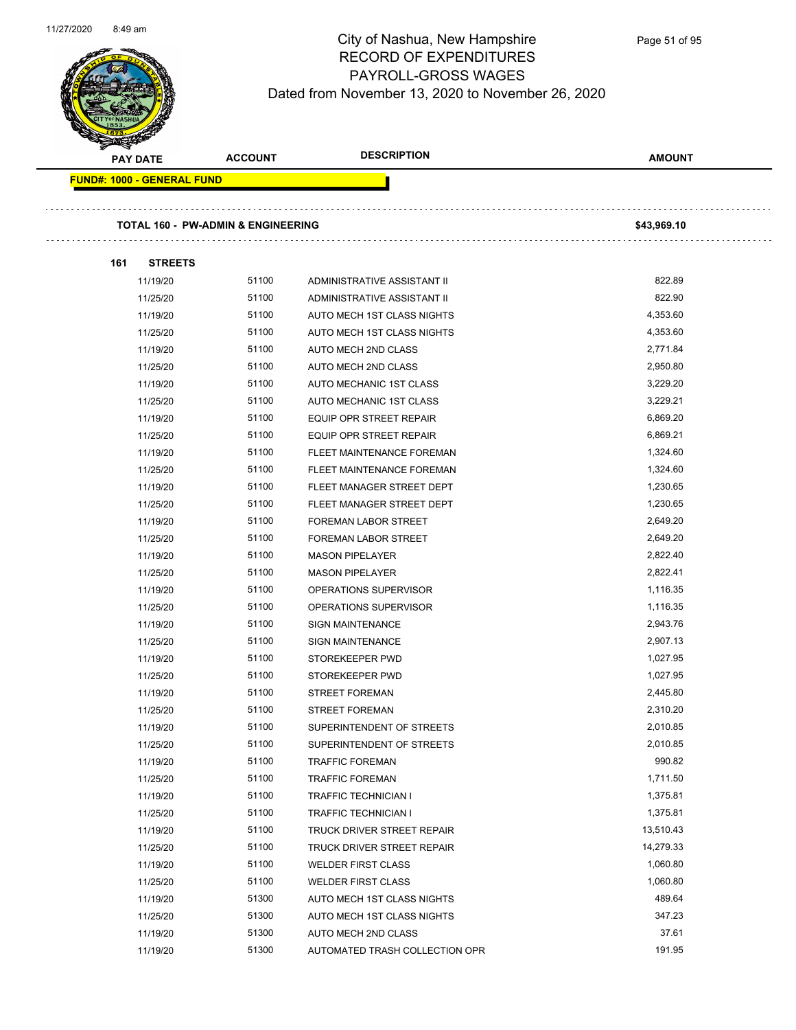

| <b>PAY DATE</b>                   | <b>ACCOUNT</b>                     | <b>DESCRIPTION</b>                                         | <b>AMOUNT</b> |
|-----------------------------------|------------------------------------|------------------------------------------------------------|---------------|
| <b>FUND#: 1000 - GENERAL FUND</b> |                                    |                                                            |               |
|                                   | TOTAL 160 - PW-ADMIN & ENGINEERING |                                                            | \$43,969.10   |
|                                   |                                    |                                                            |               |
| 161<br><b>STREETS</b>             | 51100                              |                                                            | 822.89        |
| 11/19/20<br>11/25/20              | 51100                              | ADMINISTRATIVE ASSISTANT II<br>ADMINISTRATIVE ASSISTANT II | 822.90        |
| 11/19/20                          | 51100                              | AUTO MECH 1ST CLASS NIGHTS                                 | 4,353.60      |
| 11/25/20                          | 51100                              | AUTO MECH 1ST CLASS NIGHTS                                 | 4,353.60      |
| 11/19/20                          | 51100                              | AUTO MECH 2ND CLASS                                        | 2,771.84      |
| 11/25/20                          | 51100                              | AUTO MECH 2ND CLASS                                        | 2,950.80      |
| 11/19/20                          | 51100                              | AUTO MECHANIC 1ST CLASS                                    | 3,229.20      |
| 11/25/20                          | 51100                              | AUTO MECHANIC 1ST CLASS                                    | 3,229.21      |
| 11/19/20                          | 51100                              | EQUIP OPR STREET REPAIR                                    | 6,869.20      |
| 11/25/20                          | 51100                              | <b>EQUIP OPR STREET REPAIR</b>                             | 6,869.21      |
| 11/19/20                          | 51100                              | FLEET MAINTENANCE FOREMAN                                  | 1,324.60      |
| 11/25/20                          | 51100                              | FLEET MAINTENANCE FOREMAN                                  | 1,324.60      |
| 11/19/20                          | 51100                              | FLEET MANAGER STREET DEPT                                  | 1,230.65      |
| 11/25/20                          | 51100                              | FLEET MANAGER STREET DEPT                                  | 1,230.65      |
|                                   | 51100                              | <b>FOREMAN LABOR STREET</b>                                | 2,649.20      |
| 11/19/20                          | 51100                              |                                                            | 2,649.20      |
| 11/25/20                          | 51100                              | <b>FOREMAN LABOR STREET</b>                                | 2,822.40      |
| 11/19/20                          |                                    | <b>MASON PIPELAYER</b>                                     |               |
| 11/25/20                          | 51100                              | <b>MASON PIPELAYER</b>                                     | 2,822.41      |
| 11/19/20                          | 51100                              | OPERATIONS SUPERVISOR                                      | 1,116.35      |
| 11/25/20                          | 51100                              | OPERATIONS SUPERVISOR                                      | 1,116.35      |
| 11/19/20                          | 51100                              | <b>SIGN MAINTENANCE</b>                                    | 2,943.76      |
| 11/25/20                          | 51100                              | <b>SIGN MAINTENANCE</b>                                    | 2,907.13      |
| 11/19/20                          | 51100                              | STOREKEEPER PWD                                            | 1,027.95      |
| 11/25/20                          | 51100                              | STOREKEEPER PWD                                            | 1,027.95      |
| 11/19/20                          | 51100                              | <b>STREET FOREMAN</b>                                      | 2,445.80      |
| 11/25/20                          | 51100                              | <b>STREET FOREMAN</b>                                      | 2,310.20      |
| 11/19/20                          | 51100                              | SUPERINTENDENT OF STREETS                                  | 2,010.85      |
| 11/25/20                          | 51100                              | SUPERINTENDENT OF STREETS                                  | 2,010.85      |
| 11/19/20                          | 51100                              | <b>TRAFFIC FOREMAN</b>                                     | 990.82        |
| 11/25/20                          | 51100                              | <b>TRAFFIC FOREMAN</b>                                     | 1,711.50      |
| 11/19/20                          | 51100                              | TRAFFIC TECHNICIAN I                                       | 1,375.81      |
| 11/25/20                          | 51100                              | TRAFFIC TECHNICIAN I                                       | 1,375.81      |
| 11/19/20                          | 51100                              | TRUCK DRIVER STREET REPAIR                                 | 13,510.43     |
| 11/25/20                          | 51100                              | TRUCK DRIVER STREET REPAIR                                 | 14,279.33     |
| 11/19/20                          | 51100                              | <b>WELDER FIRST CLASS</b>                                  | 1,060.80      |
| 11/25/20                          | 51100                              | <b>WELDER FIRST CLASS</b>                                  | 1,060.80      |
| 11/19/20                          | 51300                              | AUTO MECH 1ST CLASS NIGHTS                                 | 489.64        |
| 11/25/20                          | 51300                              | AUTO MECH 1ST CLASS NIGHTS                                 | 347.23        |
| 11/19/20                          | 51300                              | AUTO MECH 2ND CLASS                                        | 37.61         |
| 11/19/20                          | 51300                              | AUTOMATED TRASH COLLECTION OPR                             | 191.95        |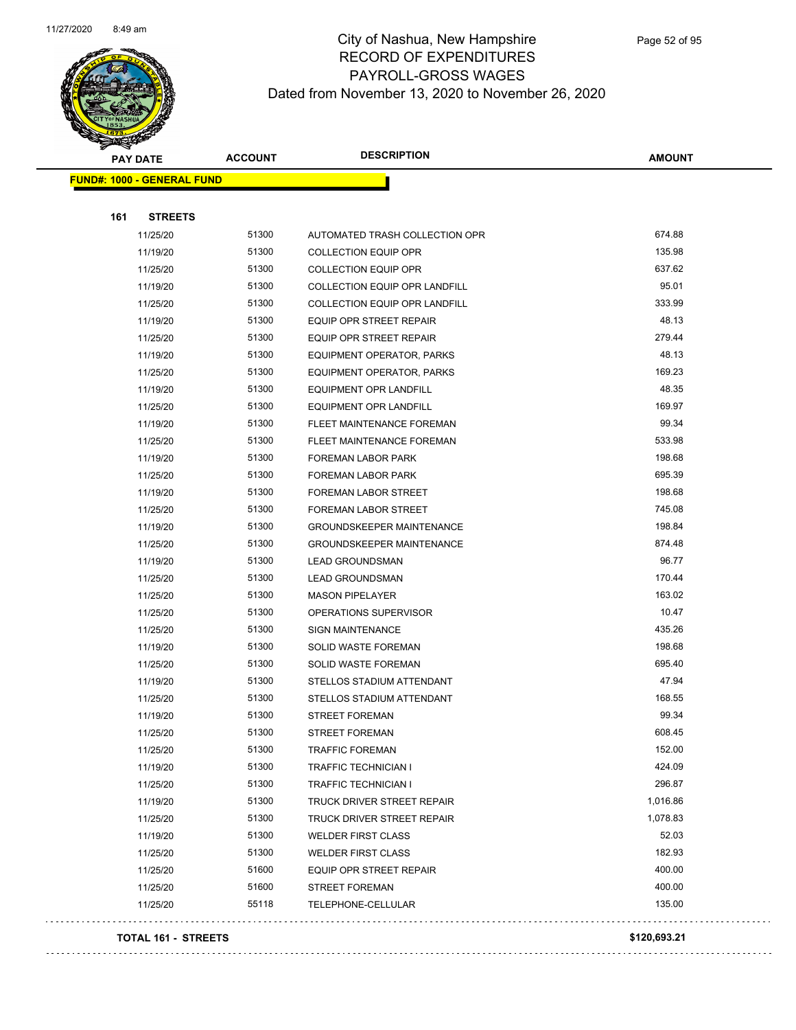

|     | <b>PAY DATE</b>                   | <b>ACCOUNT</b> | <b>DESCRIPTION</b>                   | <b>AMOUNT</b> |
|-----|-----------------------------------|----------------|--------------------------------------|---------------|
|     | <b>FUND#: 1000 - GENERAL FUND</b> |                |                                      |               |
|     |                                   |                |                                      |               |
| 161 | <b>STREETS</b>                    |                |                                      |               |
|     | 11/25/20                          | 51300          | AUTOMATED TRASH COLLECTION OPR       | 674.88        |
|     | 11/19/20                          | 51300          | <b>COLLECTION EQUIP OPR</b>          | 135.98        |
|     | 11/25/20                          | 51300          | <b>COLLECTION EQUIP OPR</b>          | 637.62        |
|     | 11/19/20                          | 51300          | COLLECTION EQUIP OPR LANDFILL        | 95.01         |
|     | 11/25/20                          | 51300          | <b>COLLECTION EQUIP OPR LANDFILL</b> | 333.99        |
|     | 11/19/20                          | 51300          | EQUIP OPR STREET REPAIR              | 48.13         |
|     | 11/25/20                          | 51300          | EQUIP OPR STREET REPAIR              | 279.44        |
|     | 11/19/20                          | 51300          | EQUIPMENT OPERATOR, PARKS            | 48.13         |
|     | 11/25/20                          | 51300          | EQUIPMENT OPERATOR, PARKS            | 169.23        |
|     | 11/19/20                          | 51300          | EQUIPMENT OPR LANDFILL               | 48.35         |
|     | 11/25/20                          | 51300          | EQUIPMENT OPR LANDFILL               | 169.97        |
|     | 11/19/20                          | 51300          | FLEET MAINTENANCE FOREMAN            | 99.34         |
|     | 11/25/20                          | 51300          | FLEET MAINTENANCE FOREMAN            | 533.98        |
|     | 11/19/20                          | 51300          | FOREMAN LABOR PARK                   | 198.68        |
|     | 11/25/20                          | 51300          | FOREMAN LABOR PARK                   | 695.39        |
|     | 11/19/20                          | 51300          | FOREMAN LABOR STREET                 | 198.68        |
|     | 11/25/20                          | 51300          | FOREMAN LABOR STREET                 | 745.08        |
|     | 11/19/20                          | 51300          | <b>GROUNDSKEEPER MAINTENANCE</b>     | 198.84        |
|     | 11/25/20                          | 51300          | <b>GROUNDSKEEPER MAINTENANCE</b>     | 874.48        |
|     | 11/19/20                          | 51300          | <b>LEAD GROUNDSMAN</b>               | 96.77         |
|     | 11/25/20                          | 51300          | <b>LEAD GROUNDSMAN</b>               | 170.44        |
|     | 11/25/20                          | 51300          | <b>MASON PIPELAYER</b>               | 163.02        |
|     | 11/25/20                          | 51300          | OPERATIONS SUPERVISOR                | 10.47         |
|     | 11/25/20                          | 51300          | <b>SIGN MAINTENANCE</b>              | 435.26        |
|     | 11/19/20                          | 51300          | <b>SOLID WASTE FOREMAN</b>           | 198.68        |
|     | 11/25/20                          | 51300          | <b>SOLID WASTE FOREMAN</b>           | 695.40        |
|     | 11/19/20                          | 51300          | STELLOS STADIUM ATTENDANT            | 47.94         |
|     | 11/25/20                          | 51300          | STELLOS STADIUM ATTENDANT            | 168.55        |
|     | 11/19/20                          | 51300          | <b>STREET FOREMAN</b>                | 99.34         |
|     | 11/25/20                          | 51300          | <b>STREET FOREMAN</b>                | 608.45        |
|     | 11/25/20                          | 51300          | <b>TRAFFIC FOREMAN</b>               | 152.00        |
|     | 11/19/20                          | 51300          | <b>TRAFFIC TECHNICIAN I</b>          | 424.09        |
|     | 11/25/20                          | 51300          | <b>TRAFFIC TECHNICIAN I</b>          | 296.87        |
|     | 11/19/20                          | 51300          | TRUCK DRIVER STREET REPAIR           | 1,016.86      |
|     | 11/25/20                          | 51300          | TRUCK DRIVER STREET REPAIR           | 1,078.83      |
|     | 11/19/20                          | 51300          | <b>WELDER FIRST CLASS</b>            | 52.03         |
|     | 11/25/20                          | 51300          | <b>WELDER FIRST CLASS</b>            | 182.93        |
|     | 11/25/20                          | 51600          | <b>EQUIP OPR STREET REPAIR</b>       | 400.00        |
|     | 11/25/20                          | 51600          | STREET FOREMAN                       | 400.00        |
|     | 11/25/20                          | 55118          | TELEPHONE-CELLULAR                   | 135.00        |
|     |                                   |                |                                      |               |

#### **TOTAL 161 - STREETS \$120,693.21**

. . . . . . . . . . . . .

 $\sim$   $\sim$   $\sim$ 

. . . . . . . . . . . .

. . . . . . . . . . . . .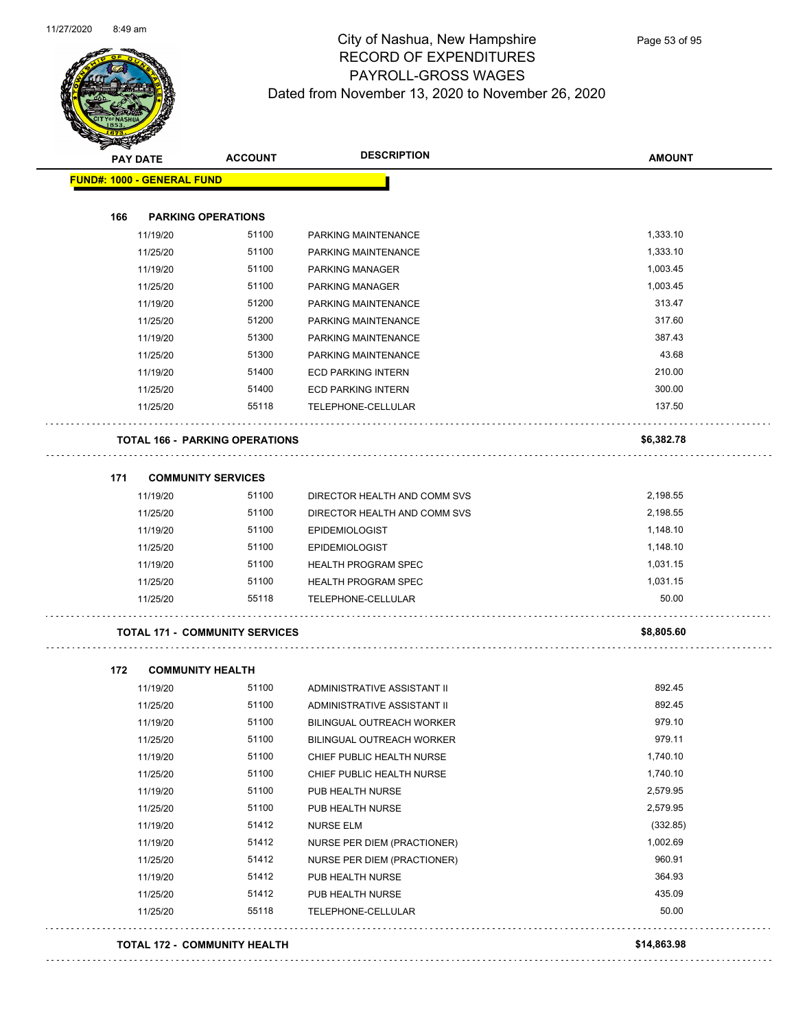

| <b>Arthur Strategy</b>            |                                       | <b>DESCRIPTION</b>               |               |
|-----------------------------------|---------------------------------------|----------------------------------|---------------|
| <b>PAY DATE</b>                   | <b>ACCOUNT</b>                        |                                  | <b>AMOUNT</b> |
| <b>FUND#: 1000 - GENERAL FUND</b> |                                       |                                  |               |
|                                   |                                       |                                  |               |
| 166                               | <b>PARKING OPERATIONS</b>             |                                  |               |
| 11/19/20                          | 51100                                 | PARKING MAINTENANCE              | 1,333.10      |
| 11/25/20                          | 51100                                 | PARKING MAINTENANCE              | 1,333.10      |
| 11/19/20                          | 51100                                 | PARKING MANAGER                  | 1,003.45      |
| 11/25/20                          | 51100                                 | PARKING MANAGER                  | 1,003.45      |
| 11/19/20                          | 51200                                 | PARKING MAINTENANCE              | 313.47        |
| 11/25/20                          | 51200                                 | PARKING MAINTENANCE              | 317.60        |
| 11/19/20                          | 51300                                 | PARKING MAINTENANCE              | 387.43        |
| 11/25/20                          | 51300                                 | PARKING MAINTENANCE              | 43.68         |
| 11/19/20                          | 51400                                 | <b>ECD PARKING INTERN</b>        | 210.00        |
| 11/25/20                          | 51400                                 | <b>ECD PARKING INTERN</b>        | 300.00        |
| 11/25/20                          | 55118                                 | TELEPHONE-CELLULAR               | 137.50        |
|                                   | <b>TOTAL 166 - PARKING OPERATIONS</b> |                                  | \$6,382.78    |
| 171                               | <b>COMMUNITY SERVICES</b>             |                                  |               |
| 11/19/20                          | 51100                                 | DIRECTOR HEALTH AND COMM SVS     | 2,198.55      |
| 11/25/20                          | 51100                                 | DIRECTOR HEALTH AND COMM SVS     | 2,198.55      |
| 11/19/20                          | 51100                                 | <b>EPIDEMIOLOGIST</b>            | 1,148.10      |
| 11/25/20                          | 51100                                 | <b>EPIDEMIOLOGIST</b>            | 1,148.10      |
| 11/19/20                          | 51100                                 | <b>HEALTH PROGRAM SPEC</b>       | 1,031.15      |
| 11/25/20                          | 51100                                 | <b>HEALTH PROGRAM SPEC</b>       | 1,031.15      |
| 11/25/20                          | 55118                                 | TELEPHONE-CELLULAR               | 50.00         |
|                                   | <b>TOTAL 171 - COMMUNITY SERVICES</b> |                                  | \$8,805.60    |
| 172                               | <b>COMMUNITY HEALTH</b>               |                                  |               |
| 11/19/20                          | 51100                                 | ADMINISTRATIVE ASSISTANT II      | 892.45        |
| 11/25/20                          | 51100                                 | ADMINISTRATIVE ASSISTANT II      | 892.45        |
| 11/19/20                          | 51100                                 | <b>BILINGUAL OUTREACH WORKER</b> | 979.10        |
| 11/25/20                          | 51100                                 | BILINGUAL OUTREACH WORKER        | 979.11        |
| 11/19/20                          | 51100                                 | CHIEF PUBLIC HEALTH NURSE        | 1,740.10      |
| 11/25/20                          | 51100                                 | CHIEF PUBLIC HEALTH NURSE        | 1,740.10      |
| 11/19/20                          | 51100                                 | PUB HEALTH NURSE                 | 2,579.95      |
| 11/25/20                          | 51100                                 | PUB HEALTH NURSE                 | 2,579.95      |
| 11/19/20                          | 51412                                 | <b>NURSE ELM</b>                 | (332.85)      |
| 11/19/20                          | 51412                                 | NURSE PER DIEM (PRACTIONER)      | 1,002.69      |
| 11/25/20                          | 51412                                 | NURSE PER DIEM (PRACTIONER)      | 960.91        |
| 11/19/20                          | 51412                                 | PUB HEALTH NURSE                 | 364.93        |
| 11/25/20                          | 51412                                 | PUB HEALTH NURSE                 | 435.09        |

11/25/20 55118 TELEPHONE-CELLULAR 50.00

#### **TOTAL 172 - COMMUNITY HEALTH \$14,863.98**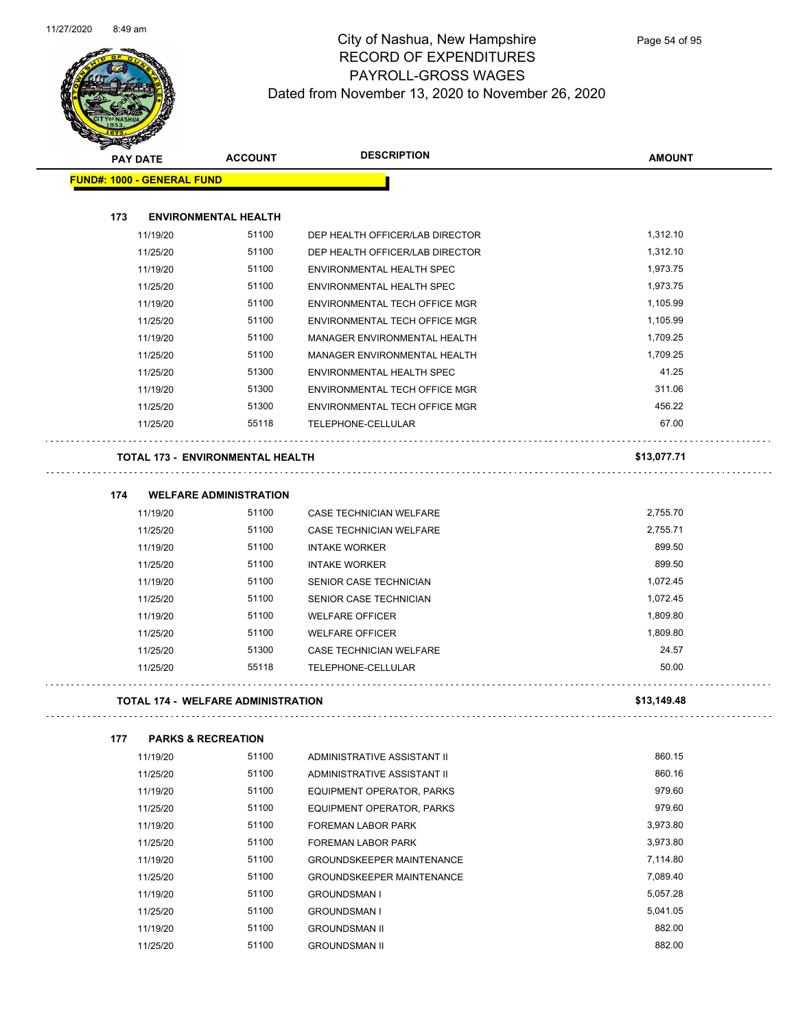

| <b>SANGRAPH</b>                   |                                           |                                  |               |
|-----------------------------------|-------------------------------------------|----------------------------------|---------------|
| <b>PAY DATE</b>                   | <b>ACCOUNT</b>                            | <b>DESCRIPTION</b>               | <b>AMOUNT</b> |
| <b>FUND#: 1000 - GENERAL FUND</b> |                                           |                                  |               |
| 173                               | <b>ENVIRONMENTAL HEALTH</b>               |                                  |               |
| 11/19/20                          | 51100                                     | DEP HEALTH OFFICER/LAB DIRECTOR  | 1,312.10      |
| 11/25/20                          | 51100                                     | DEP HEALTH OFFICER/LAB DIRECTOR  | 1,312.10      |
| 11/19/20                          | 51100                                     | ENVIRONMENTAL HEALTH SPEC        | 1,973.75      |
| 11/25/20                          | 51100                                     | ENVIRONMENTAL HEALTH SPEC        | 1,973.75      |
| 11/19/20                          | 51100                                     | ENVIRONMENTAL TECH OFFICE MGR    | 1,105.99      |
| 11/25/20                          | 51100                                     | ENVIRONMENTAL TECH OFFICE MGR    | 1,105.99      |
| 11/19/20                          | 51100                                     | MANAGER ENVIRONMENTAL HEALTH     | 1,709.25      |
| 11/25/20                          | 51100                                     | MANAGER ENVIRONMENTAL HEALTH     | 1,709.25      |
| 11/25/20                          | 51300                                     | ENVIRONMENTAL HEALTH SPEC        | 41.25         |
| 11/19/20                          | 51300                                     | ENVIRONMENTAL TECH OFFICE MGR    | 311.06        |
| 11/25/20                          | 51300                                     | ENVIRONMENTAL TECH OFFICE MGR    | 456.22        |
| 11/25/20                          | 55118                                     | TELEPHONE-CELLULAR               | 67.00         |
|                                   |                                           |                                  |               |
|                                   | <b>TOTAL 173 - ENVIRONMENTAL HEALTH</b>   |                                  | \$13,077.71   |
| 174                               | <b>WELFARE ADMINISTRATION</b>             |                                  |               |
| 11/19/20                          | 51100                                     | <b>CASE TECHNICIAN WELFARE</b>   | 2,755.70      |
| 11/25/20                          | 51100                                     | CASE TECHNICIAN WELFARE          | 2,755.71      |
| 11/19/20                          | 51100                                     | <b>INTAKE WORKER</b>             | 899.50        |
| 11/25/20                          | 51100                                     | <b>INTAKE WORKER</b>             | 899.50        |
| 11/19/20                          | 51100                                     | SENIOR CASE TECHNICIAN           | 1,072.45      |
| 11/25/20                          | 51100                                     | SENIOR CASE TECHNICIAN           | 1,072.45      |
| 11/19/20                          | 51100                                     | <b>WELFARE OFFICER</b>           | 1,809.80      |
| 11/25/20                          | 51100                                     | <b>WELFARE OFFICER</b>           | 1,809.80      |
| 11/25/20                          | 51300                                     | CASE TECHNICIAN WELFARE          | 24.57         |
| 11/25/20                          | 55118                                     | <b>TELEPHONE-CELLULAR</b>        | 50.00         |
|                                   | <b>TOTAL 174 - WELFARE ADMINISTRATION</b> |                                  | \$13,149.48   |
|                                   |                                           |                                  |               |
| 177<br>11/19/20                   | <b>PARKS &amp; RECREATION</b><br>51100    | ADMINISTRATIVE ASSISTANT II      | 860.15        |
| 11/25/20                          | 51100                                     | ADMINISTRATIVE ASSISTANT II      | 860.16        |
| 11/19/20                          | 51100                                     | EQUIPMENT OPERATOR, PARKS        | 979.60        |
| 11/25/20                          | 51100                                     | <b>EQUIPMENT OPERATOR, PARKS</b> | 979.60        |
| 11/19/20                          | 51100                                     | FOREMAN LABOR PARK               | 3,973.80      |
| 11/25/20                          | 51100                                     | <b>FOREMAN LABOR PARK</b>        | 3,973.80      |
| 11/19/20                          | 51100                                     | <b>GROUNDSKEEPER MAINTENANCE</b> | 7,114.80      |
| 11/25/20                          | 51100                                     | <b>GROUNDSKEEPER MAINTENANCE</b> | 7,089.40      |
| 11/19/20                          | 51100                                     | <b>GROUNDSMAN I</b>              | 5,057.28      |
| 11/25/20                          | 51100                                     | <b>GROUNDSMAN I</b>              | 5,041.05      |
| 11/19/20                          | 51100                                     | <b>GROUNDSMAN II</b>             | 882.00        |

11/25/20 51100 GROUNDSMAN II 882.00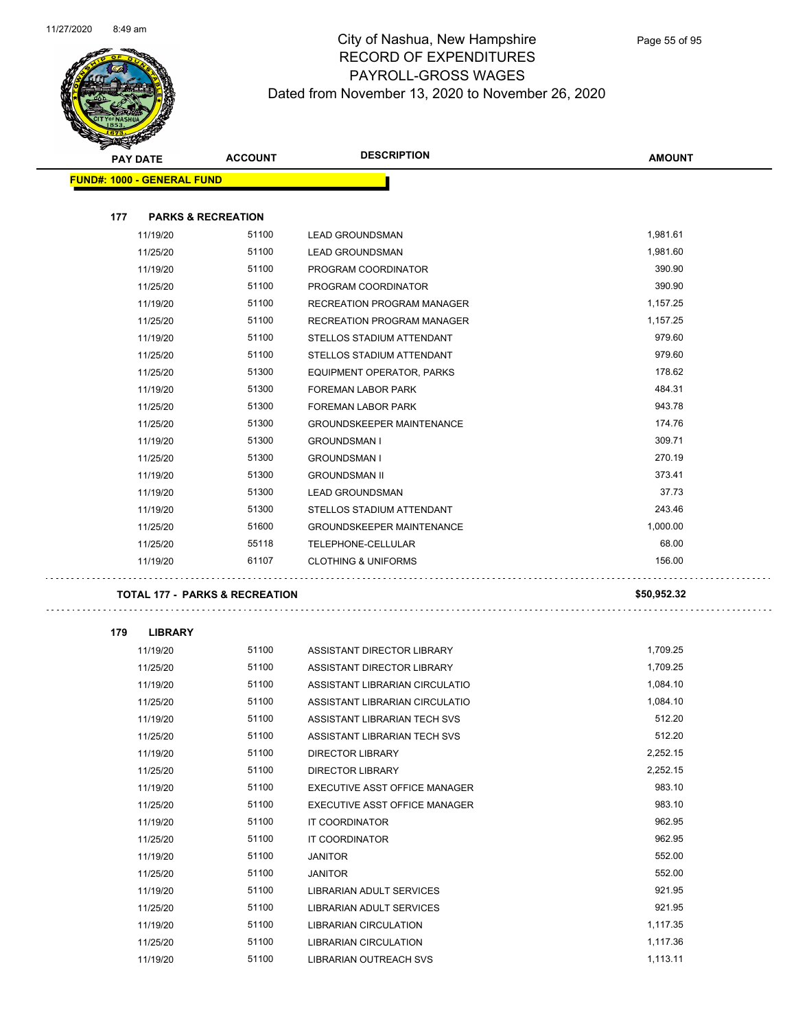

| <b>SANGA</b><br><b>PAY DATE</b>           | <b>ACCOUNT</b> | <b>DESCRIPTION</b>                | <b>AMOUNT</b> |
|-------------------------------------------|----------------|-----------------------------------|---------------|
| <b>FUND#: 1000 - GENERAL FUND</b>         |                |                                   |               |
|                                           |                |                                   |               |
| 177<br><b>PARKS &amp; RECREATION</b>      |                |                                   |               |
| 11/19/20                                  | 51100          | <b>LEAD GROUNDSMAN</b>            | 1,981.61      |
| 11/25/20                                  | 51100          | <b>LEAD GROUNDSMAN</b>            | 1,981.60      |
| 11/19/20                                  | 51100          | PROGRAM COORDINATOR               | 390.90        |
| 11/25/20                                  | 51100          | PROGRAM COORDINATOR               | 390.90        |
| 11/19/20                                  | 51100          | RECREATION PROGRAM MANAGER        | 1,157.25      |
| 11/25/20                                  | 51100          | <b>RECREATION PROGRAM MANAGER</b> | 1,157.25      |
| 11/19/20                                  | 51100          | STELLOS STADIUM ATTENDANT         | 979.60        |
| 11/25/20                                  | 51100          | STELLOS STADIUM ATTENDANT         | 979.60        |
| 11/25/20                                  | 51300          | EQUIPMENT OPERATOR, PARKS         | 178.62        |
| 11/19/20                                  | 51300          | FOREMAN LABOR PARK                | 484.31        |
| 11/25/20                                  | 51300          | FOREMAN LABOR PARK                | 943.78        |
| 11/25/20                                  | 51300          | <b>GROUNDSKEEPER MAINTENANCE</b>  | 174.76        |
| 11/19/20                                  | 51300          | <b>GROUNDSMAN I</b>               | 309.71        |
| 11/25/20                                  | 51300          | <b>GROUNDSMAN I</b>               | 270.19        |
| 11/19/20                                  | 51300          | <b>GROUNDSMAN II</b>              | 373.41        |
| 11/19/20                                  | 51300          | <b>LEAD GROUNDSMAN</b>            | 37.73         |
| 11/19/20                                  | 51300          | STELLOS STADIUM ATTENDANT         | 243.46        |
| 11/25/20                                  | 51600          | <b>GROUNDSKEEPER MAINTENANCE</b>  | 1,000.00      |
| 11/25/20                                  | 55118          | TELEPHONE-CELLULAR                | 68.00         |
| 11/19/20                                  | 61107          | <b>CLOTHING &amp; UNIFORMS</b>    | 156.00        |
| <b>TOTAL 177 - PARKS &amp; RECREATION</b> |                |                                   | \$50,952.32   |
|                                           |                |                                   |               |
| 179<br><b>LIBRARY</b>                     |                |                                   |               |
| 11/19/20                                  | 51100          | ASSISTANT DIRECTOR LIBRARY        | 1,709.25      |
| 11/25/20                                  | 51100          | ASSISTANT DIRECTOR LIBRARY        | 1,709.25      |
| 11/19/20                                  | 51100          | ASSISTANT LIBRARIAN CIRCULATIO    | 1,084.10      |
| 11/25/20                                  | 51100          | ASSISTANT LIBRARIAN CIRCULATIO    | 1,084.10      |
| 11/19/20                                  | 51100          | ASSISTANT LIBRARIAN TECH SVS      | 512.20        |
| 11/25/20                                  | 51100          | ASSISTANT LIBRARIAN TECH SVS      | 512.20        |
| 11/19/20                                  | 51100          | DIRECTOR LIBRARY                  | 2,252.15      |
| 11/25/20                                  | 51100          | DIRECTOR LIBRARY                  | 2,252.15      |
| 11/19/20                                  | 51100          | EXECUTIVE ASST OFFICE MANAGER     | 983.10        |
| 11/25/20                                  | 51100          | EXECUTIVE ASST OFFICE MANAGER     | 983.10        |
| 11/19/20                                  | 51100          | IT COORDINATOR                    | 962.95        |
| 11/25/20                                  | 51100          | IT COORDINATOR                    | 962.95        |
| 11/19/20                                  | 51100          | <b>JANITOR</b>                    | 552.00        |
| 11/25/20                                  | 51100          | <b>JANITOR</b>                    | 552.00        |
| 11/19/20                                  | 51100          | LIBRARIAN ADULT SERVICES          | 921.95        |
| 11/25/20                                  | 51100          | LIBRARIAN ADULT SERVICES          | 921.95        |
| 11/19/20                                  | 51100          | LIBRARIAN CIRCULATION             | 1,117.35      |
| 11/25/20                                  | 51100          | LIBRARIAN CIRCULATION             | 1,117.36      |
| 11/19/20                                  | 51100          | LIBRARIAN OUTREACH SVS            | 1,113.11      |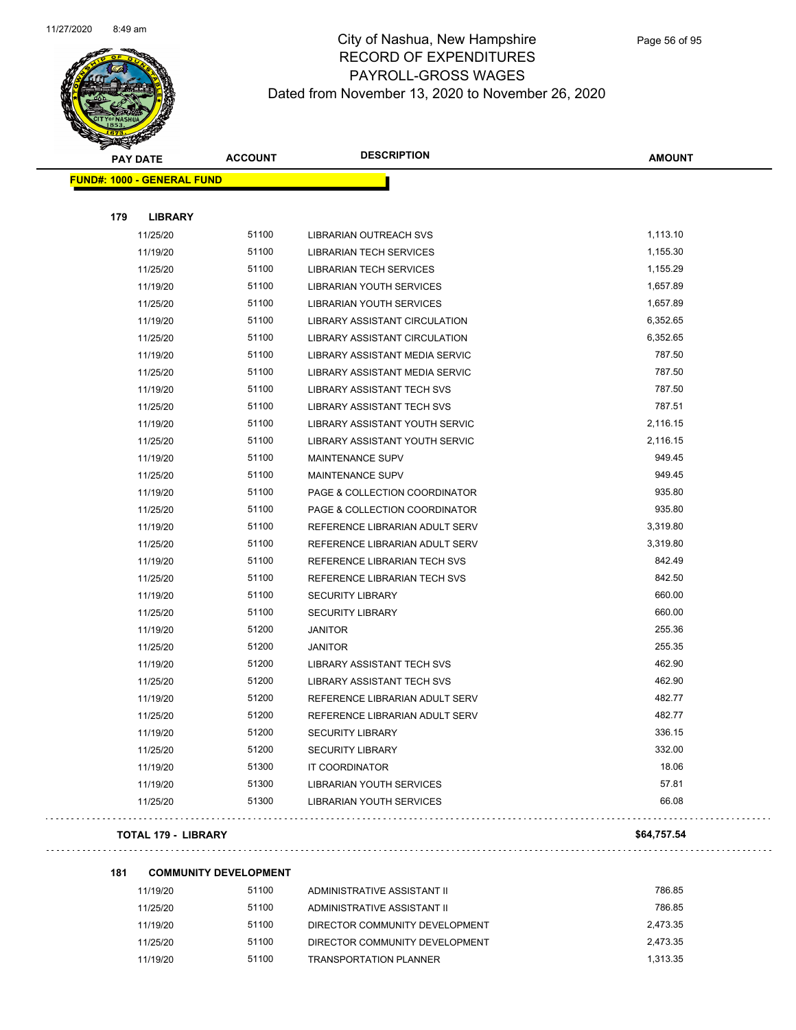

|     | <b>PAY DATE</b>                   | <b>ACCOUNT</b> | <b>DESCRIPTION</b>                   | <b>AMOUNT</b> |
|-----|-----------------------------------|----------------|--------------------------------------|---------------|
|     | <b>FUND#: 1000 - GENERAL FUND</b> |                |                                      |               |
|     |                                   |                |                                      |               |
| 179 | <b>LIBRARY</b>                    |                |                                      |               |
|     | 11/25/20                          | 51100          | LIBRARIAN OUTREACH SVS               | 1,113.10      |
|     | 11/19/20                          | 51100          | <b>LIBRARIAN TECH SERVICES</b>       | 1,155.30      |
|     | 11/25/20                          | 51100          | <b>LIBRARIAN TECH SERVICES</b>       | 1,155.29      |
|     | 11/19/20                          | 51100          | <b>LIBRARIAN YOUTH SERVICES</b>      | 1,657.89      |
|     | 11/25/20                          | 51100          | <b>LIBRARIAN YOUTH SERVICES</b>      | 1,657.89      |
|     | 11/19/20                          | 51100          | <b>LIBRARY ASSISTANT CIRCULATION</b> | 6,352.65      |
|     | 11/25/20                          | 51100          | <b>LIBRARY ASSISTANT CIRCULATION</b> | 6,352.65      |
|     | 11/19/20                          | 51100          | LIBRARY ASSISTANT MEDIA SERVIC       | 787.50        |
|     | 11/25/20                          | 51100          | LIBRARY ASSISTANT MEDIA SERVIC       | 787.50        |
|     | 11/19/20                          | 51100          | <b>LIBRARY ASSISTANT TECH SVS</b>    | 787.50        |
|     | 11/25/20                          | 51100          | <b>LIBRARY ASSISTANT TECH SVS</b>    | 787.51        |
|     | 11/19/20                          | 51100          | LIBRARY ASSISTANT YOUTH SERVIC       | 2,116.15      |
|     | 11/25/20                          | 51100          | LIBRARY ASSISTANT YOUTH SERVIC       | 2,116.15      |
|     | 11/19/20                          | 51100          | MAINTENANCE SUPV                     | 949.45        |
|     | 11/25/20                          | 51100          | MAINTENANCE SUPV                     | 949.45        |
|     | 11/19/20                          | 51100          | PAGE & COLLECTION COORDINATOR        | 935.80        |
|     | 11/25/20                          | 51100          | PAGE & COLLECTION COORDINATOR        | 935.80        |
|     | 11/19/20                          | 51100          | REFERENCE LIBRARIAN ADULT SERV       | 3,319.80      |
|     | 11/25/20                          | 51100          | REFERENCE LIBRARIAN ADULT SERV       | 3,319.80      |
|     | 11/19/20                          | 51100          | REFERENCE LIBRARIAN TECH SVS         | 842.49        |
|     | 11/25/20                          | 51100          | REFERENCE LIBRARIAN TECH SVS         | 842.50        |
|     | 11/19/20                          | 51100          | <b>SECURITY LIBRARY</b>              | 660.00        |
|     | 11/25/20                          | 51100          | <b>SECURITY LIBRARY</b>              | 660.00        |
|     | 11/19/20                          | 51200          | <b>JANITOR</b>                       | 255.36        |
|     | 11/25/20                          | 51200          | <b>JANITOR</b>                       | 255.35        |
|     | 11/19/20                          | 51200          | <b>LIBRARY ASSISTANT TECH SVS</b>    | 462.90        |
|     | 11/25/20                          | 51200          | <b>LIBRARY ASSISTANT TECH SVS</b>    | 462.90        |
|     | 11/19/20                          | 51200          | REFERENCE LIBRARIAN ADULT SERV       | 482.77        |
|     | 11/25/20                          | 51200          | REFERENCE LIBRARIAN ADULT SERV       | 482.77        |
|     | 11/19/20                          | 51200          | <b>SECURITY LIBRARY</b>              | 336.15        |
|     | 11/25/20                          | 51200          | <b>SECURITY LIBRARY</b>              | 332.00        |
|     | 11/19/20                          | 51300          | IT COORDINATOR                       | 18.06         |
|     | 11/19/20                          | 51300          | LIBRARIAN YOUTH SERVICES             | 57.81         |
|     | 11/25/20                          | 51300          | <b>LIBRARIAN YOUTH SERVICES</b>      | 66.08         |

#### **TOTAL 179 - LIBRARY \$64,757.54**

 $\ldots$  .

| 181 | <b>COMMUNITY DEVELOPMENT</b> |       |                                |          |  |  |
|-----|------------------------------|-------|--------------------------------|----------|--|--|
|     | 11/19/20                     | 51100 | ADMINISTRATIVE ASSISTANT II    | 786.85   |  |  |
|     | 11/25/20                     | 51100 | ADMINISTRATIVE ASSISTANT II    | 786.85   |  |  |
|     | 11/19/20                     | 51100 | DIRECTOR COMMUNITY DEVELOPMENT | 2.473.35 |  |  |

| 11/25/20 | 51100 | ADMINISTRATIVE ASSISTANT II    | 786.85   |
|----------|-------|--------------------------------|----------|
| 11/19/20 | 51100 | DIRECTOR COMMUNITY DEVELOPMENT | 2,473.35 |
| 11/25/20 | 51100 | DIRECTOR COMMUNITY DEVELOPMENT | 2,473.35 |
| 11/19/20 | 51100 | <b>TRANSPORTATION PI ANNER</b> | 1,313.35 |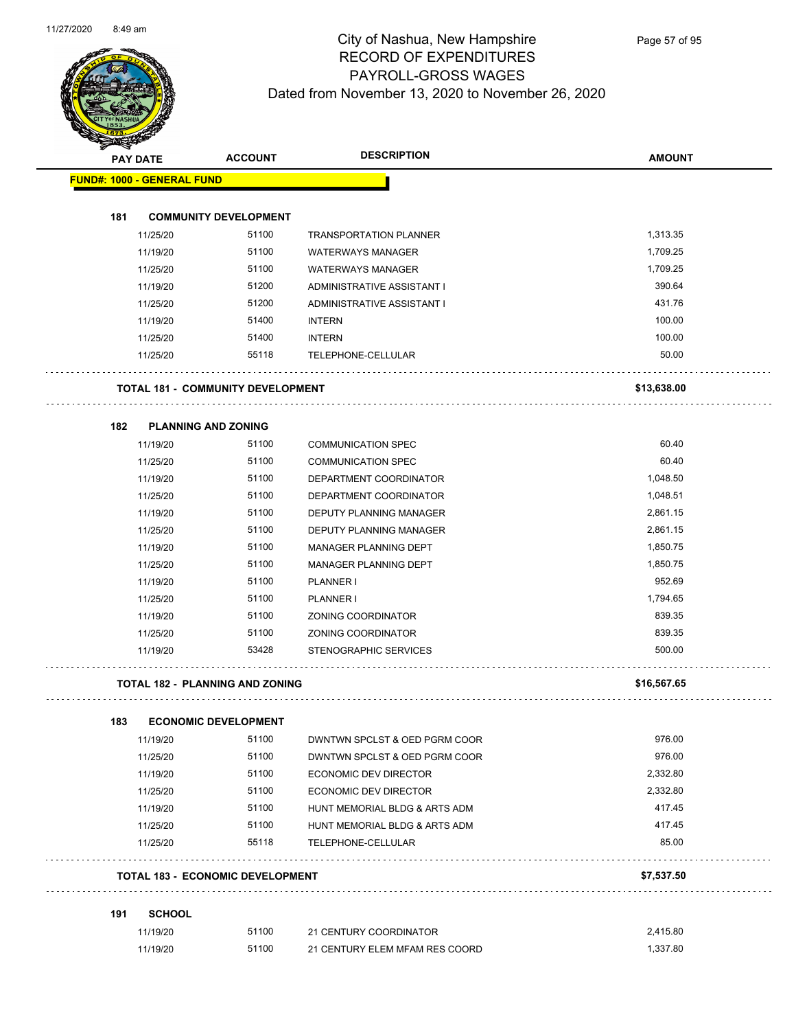

| <b>STARBAN</b>                    |               |                                          |                               |               |
|-----------------------------------|---------------|------------------------------------------|-------------------------------|---------------|
| <b>PAY DATE</b>                   |               | <b>ACCOUNT</b>                           | <b>DESCRIPTION</b>            | <b>AMOUNT</b> |
| <b>FUND#: 1000 - GENERAL FUND</b> |               |                                          |                               |               |
|                                   |               |                                          |                               |               |
| 181                               |               | <b>COMMUNITY DEVELOPMENT</b>             |                               |               |
|                                   | 11/25/20      | 51100                                    | <b>TRANSPORTATION PLANNER</b> | 1,313.35      |
|                                   | 11/19/20      | 51100                                    | <b>WATERWAYS MANAGER</b>      | 1,709.25      |
|                                   | 11/25/20      | 51100                                    | <b>WATERWAYS MANAGER</b>      | 1,709.25      |
|                                   | 11/19/20      | 51200                                    | ADMINISTRATIVE ASSISTANT I    | 390.64        |
|                                   | 11/25/20      | 51200                                    | ADMINISTRATIVE ASSISTANT I    | 431.76        |
|                                   | 11/19/20      | 51400                                    | <b>INTERN</b>                 | 100.00        |
|                                   | 11/25/20      | 51400                                    | <b>INTERN</b>                 | 100.00        |
|                                   | 11/25/20      | 55118                                    | TELEPHONE-CELLULAR            | 50.00         |
|                                   |               | <b>TOTAL 181 - COMMUNITY DEVELOPMENT</b> |                               | \$13,638.00   |
| 182                               |               | <b>PLANNING AND ZONING</b>               |                               |               |
|                                   | 11/19/20      | 51100                                    | <b>COMMUNICATION SPEC</b>     | 60.40         |
|                                   | 11/25/20      | 51100                                    | <b>COMMUNICATION SPEC</b>     | 60.40         |
|                                   | 11/19/20      | 51100                                    | DEPARTMENT COORDINATOR        | 1,048.50      |
|                                   | 11/25/20      | 51100                                    | DEPARTMENT COORDINATOR        | 1,048.51      |
|                                   | 11/19/20      | 51100                                    | DEPUTY PLANNING MANAGER       | 2,861.15      |
|                                   | 11/25/20      | 51100                                    | DEPUTY PLANNING MANAGER       | 2,861.15      |
|                                   | 11/19/20      | 51100                                    | MANAGER PLANNING DEPT         | 1,850.75      |
|                                   | 11/25/20      | 51100                                    | MANAGER PLANNING DEPT         | 1,850.75      |
|                                   | 11/19/20      | 51100                                    | PLANNER I                     | 952.69        |
|                                   |               | 51100                                    | PLANNER I                     | 1,794.65      |
|                                   | 11/25/20      | 51100                                    |                               | 839.35        |
|                                   | 11/19/20      |                                          | ZONING COORDINATOR            |               |
|                                   | 11/25/20      | 51100                                    | ZONING COORDINATOR            | 839.35        |
|                                   | 11/19/20      | 53428                                    | <b>STENOGRAPHIC SERVICES</b>  | 500.00        |
|                                   |               | <b>TOTAL 182 - PLANNING AND ZONING</b>   |                               | \$16,567.65   |
| 183                               |               | <b>ECONOMIC DEVELOPMENT</b>              |                               |               |
|                                   | 11/19/20      | 51100                                    | DWNTWN SPCLST & OED PGRM COOR | 976.00        |
|                                   | 11/25/20      | 51100                                    | DWNTWN SPCLST & OED PGRM COOR | 976.00        |
|                                   | 11/19/20      | 51100                                    | <b>ECONOMIC DEV DIRECTOR</b>  | 2,332.80      |
|                                   | 11/25/20      | 51100                                    | ECONOMIC DEV DIRECTOR         | 2,332.80      |
|                                   | 11/19/20      | 51100                                    | HUNT MEMORIAL BLDG & ARTS ADM | 417.45        |
|                                   | 11/25/20      | 51100                                    | HUNT MEMORIAL BLDG & ARTS ADM | 417.45        |
|                                   | 11/25/20      | 55118                                    | TELEPHONE-CELLULAR            | 85.00         |
|                                   |               | <b>TOTAL 183 - ECONOMIC DEVELOPMENT</b>  |                               | \$7,537.50    |
| 191                               | <b>SCHOOL</b> |                                          |                               |               |
|                                   | 11/19/20      | 51100                                    | 21 CENTURY COORDINATOR        | 2,415.80      |

| 11/19/20 | 51100 | 21 CENTURY COORDINATOR         | 2.415.80 |
|----------|-------|--------------------------------|----------|
| 11/19/20 | 51100 | 21 CENTURY ELEM MFAM RES COORD | .337.80  |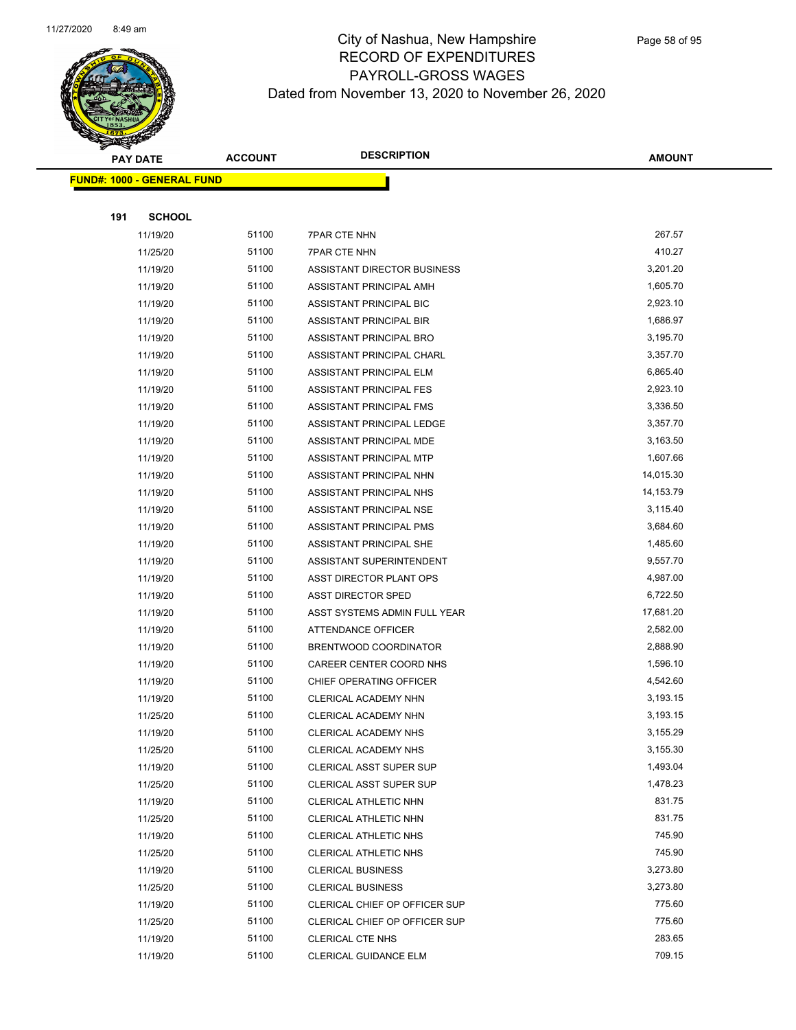

|     | <b>PAY DATE</b>                    | <b>ACCOUNT</b> | <b>DESCRIPTION</b>            | <b>AMOUNT</b> |
|-----|------------------------------------|----------------|-------------------------------|---------------|
|     | <u> FUND#: 1000 - GENERAL FUND</u> |                |                               |               |
|     |                                    |                |                               |               |
| 191 | <b>SCHOOL</b>                      |                |                               |               |
|     | 11/19/20                           | 51100          | <b>7PAR CTE NHN</b>           | 267.57        |
|     | 11/25/20                           | 51100          | <b>7PAR CTE NHN</b>           | 410.27        |
|     | 11/19/20                           | 51100          | ASSISTANT DIRECTOR BUSINESS   | 3,201.20      |
|     | 11/19/20                           | 51100          | ASSISTANT PRINCIPAL AMH       | 1,605.70      |
|     | 11/19/20                           | 51100          | ASSISTANT PRINCIPAL BIC       | 2,923.10      |
|     | 11/19/20                           | 51100          | ASSISTANT PRINCIPAL BIR       | 1,686.97      |
|     | 11/19/20                           | 51100          | ASSISTANT PRINCIPAL BRO       | 3,195.70      |
|     | 11/19/20                           | 51100          | ASSISTANT PRINCIPAL CHARL     | 3,357.70      |
|     | 11/19/20                           | 51100          | ASSISTANT PRINCIPAL ELM       | 6,865.40      |
|     | 11/19/20                           | 51100          | ASSISTANT PRINCIPAL FES       | 2,923.10      |
|     | 11/19/20                           | 51100          | ASSISTANT PRINCIPAL FMS       | 3,336.50      |
|     | 11/19/20                           | 51100          | ASSISTANT PRINCIPAL LEDGE     | 3,357.70      |
|     | 11/19/20                           | 51100          | ASSISTANT PRINCIPAL MDE       | 3,163.50      |
|     | 11/19/20                           | 51100          | ASSISTANT PRINCIPAL MTP       | 1,607.66      |
|     | 11/19/20                           | 51100          | ASSISTANT PRINCIPAL NHN       | 14,015.30     |
|     | 11/19/20                           | 51100          | ASSISTANT PRINCIPAL NHS       | 14,153.79     |
|     | 11/19/20                           | 51100          | ASSISTANT PRINCIPAL NSE       | 3,115.40      |
|     | 11/19/20                           | 51100          | ASSISTANT PRINCIPAL PMS       | 3,684.60      |
|     | 11/19/20                           | 51100          | ASSISTANT PRINCIPAL SHE       | 1,485.60      |
|     | 11/19/20                           | 51100          | ASSISTANT SUPERINTENDENT      | 9,557.70      |
|     | 11/19/20                           | 51100          | ASST DIRECTOR PLANT OPS       | 4,987.00      |
|     | 11/19/20                           | 51100          | <b>ASST DIRECTOR SPED</b>     | 6,722.50      |
|     | 11/19/20                           | 51100          | ASST SYSTEMS ADMIN FULL YEAR  | 17,681.20     |
|     | 11/19/20                           | 51100          | ATTENDANCE OFFICER            | 2,582.00      |
|     | 11/19/20                           | 51100          | BRENTWOOD COORDINATOR         | 2,888.90      |
|     | 11/19/20                           | 51100          | CAREER CENTER COORD NHS       | 1,596.10      |
|     | 11/19/20                           | 51100          | CHIEF OPERATING OFFICER       | 4,542.60      |
|     | 11/19/20                           | 51100          | CLERICAL ACADEMY NHN          | 3,193.15      |
|     | 11/25/20                           | 51100          | CLERICAL ACADEMY NHN          | 3,193.15      |
|     | 11/19/20                           | 51100          | CLERICAL ACADEMY NHS          | 3,155.29      |
|     | 11/25/20                           | 51100          | CLERICAL ACADEMY NHS          | 3,155.30      |
|     | 11/19/20                           | 51100          | CLERICAL ASST SUPER SUP       | 1,493.04      |
|     | 11/25/20                           | 51100          | CLERICAL ASST SUPER SUP       | 1,478.23      |
|     | 11/19/20                           | 51100          | CLERICAL ATHLETIC NHN         | 831.75        |
|     | 11/25/20                           | 51100          | CLERICAL ATHLETIC NHN         | 831.75        |
|     | 11/19/20                           | 51100          | CLERICAL ATHLETIC NHS         | 745.90        |
|     | 11/25/20                           | 51100          | CLERICAL ATHLETIC NHS         | 745.90        |
|     | 11/19/20                           | 51100          | <b>CLERICAL BUSINESS</b>      | 3,273.80      |
|     | 11/25/20                           | 51100          | <b>CLERICAL BUSINESS</b>      | 3,273.80      |
|     | 11/19/20                           | 51100          | CLERICAL CHIEF OP OFFICER SUP | 775.60        |
|     | 11/25/20                           | 51100          | CLERICAL CHIEF OP OFFICER SUP | 775.60        |
|     | 11/19/20                           | 51100          | <b>CLERICAL CTE NHS</b>       | 283.65        |
|     | 11/19/20                           | 51100          | CLERICAL GUIDANCE ELM         | 709.15        |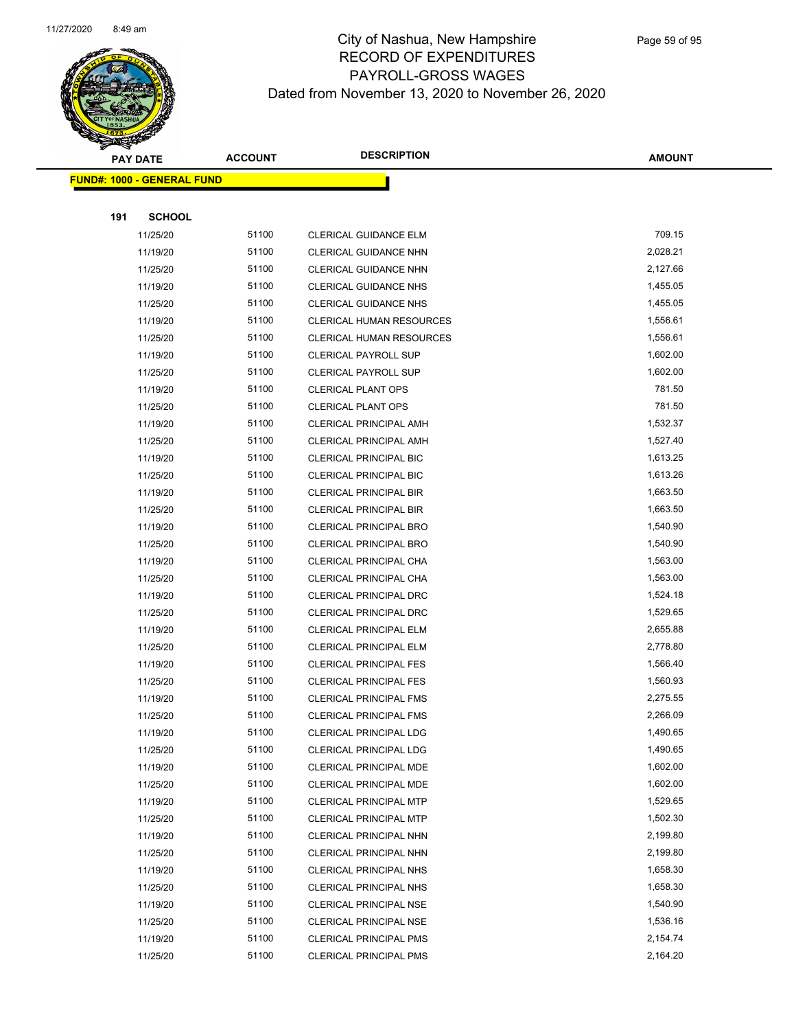

Page 59 of 95

|     | <b>PAY DATE</b>                    | <b>ACCOUNT</b> | <b>DESCRIPTION</b>              | <b>AMOUNT</b> |
|-----|------------------------------------|----------------|---------------------------------|---------------|
|     | <u> FUND#: 1000 - GENERAL FUND</u> |                |                                 |               |
|     |                                    |                |                                 |               |
| 191 | <b>SCHOOL</b>                      |                |                                 |               |
|     | 11/25/20                           | 51100          | CLERICAL GUIDANCE ELM           | 709.15        |
|     | 11/19/20                           | 51100          | CLERICAL GUIDANCE NHN           | 2,028.21      |
|     | 11/25/20                           | 51100          | CLERICAL GUIDANCE NHN           | 2,127.66      |
|     | 11/19/20                           | 51100          | <b>CLERICAL GUIDANCE NHS</b>    | 1,455.05      |
|     | 11/25/20                           | 51100          | CLERICAL GUIDANCE NHS           | 1,455.05      |
|     | 11/19/20                           | 51100          | <b>CLERICAL HUMAN RESOURCES</b> | 1,556.61      |
|     | 11/25/20                           | 51100          | <b>CLERICAL HUMAN RESOURCES</b> | 1,556.61      |
|     | 11/19/20                           | 51100          | <b>CLERICAL PAYROLL SUP</b>     | 1,602.00      |
|     | 11/25/20                           | 51100          | <b>CLERICAL PAYROLL SUP</b>     | 1,602.00      |
|     | 11/19/20                           | 51100          | <b>CLERICAL PLANT OPS</b>       | 781.50        |
|     | 11/25/20                           | 51100          | <b>CLERICAL PLANT OPS</b>       | 781.50        |
|     | 11/19/20                           | 51100          | CLERICAL PRINCIPAL AMH          | 1,532.37      |
|     | 11/25/20                           | 51100          | CLERICAL PRINCIPAL AMH          | 1,527.40      |
|     | 11/19/20                           | 51100          | <b>CLERICAL PRINCIPAL BIC</b>   | 1,613.25      |
|     | 11/25/20                           | 51100          | <b>CLERICAL PRINCIPAL BIC</b>   | 1,613.26      |
|     | 11/19/20                           | 51100          | CLERICAL PRINCIPAL BIR          | 1,663.50      |
|     | 11/25/20                           | 51100          | <b>CLERICAL PRINCIPAL BIR</b>   | 1,663.50      |
|     | 11/19/20                           | 51100          | <b>CLERICAL PRINCIPAL BRO</b>   | 1,540.90      |
|     | 11/25/20                           | 51100          | <b>CLERICAL PRINCIPAL BRO</b>   | 1,540.90      |
|     | 11/19/20                           | 51100          | CLERICAL PRINCIPAL CHA          | 1,563.00      |
|     | 11/25/20                           | 51100          | CLERICAL PRINCIPAL CHA          | 1,563.00      |
|     | 11/19/20                           | 51100          | <b>CLERICAL PRINCIPAL DRC</b>   | 1,524.18      |
|     | 11/25/20                           | 51100          | <b>CLERICAL PRINCIPAL DRC</b>   | 1,529.65      |
|     | 11/19/20                           | 51100          | <b>CLERICAL PRINCIPAL ELM</b>   | 2,655.88      |
|     | 11/25/20                           | 51100          | CLERICAL PRINCIPAL ELM          | 2,778.80      |
|     | 11/19/20                           | 51100          | <b>CLERICAL PRINCIPAL FES</b>   | 1,566.40      |
|     | 11/25/20                           | 51100          | <b>CLERICAL PRINCIPAL FES</b>   | 1,560.93      |
|     | 11/19/20                           | 51100          | <b>CLERICAL PRINCIPAL FMS</b>   | 2,275.55      |
|     | 11/25/20                           | 51100          | <b>CLERICAL PRINCIPAL FMS</b>   | 2,266.09      |
|     | 11/19/20                           | 51100          | <b>CLERICAL PRINCIPAL LDG</b>   | 1,490.65      |
|     | 11/25/20                           | 51100          | <b>CLERICAL PRINCIPAL LDG</b>   | 1,490.65      |
|     | 11/19/20                           | 51100          | CLERICAL PRINCIPAL MDE          | 1,602.00      |
|     | 11/25/20                           | 51100          | <b>CLERICAL PRINCIPAL MDE</b>   | 1,602.00      |
|     | 11/19/20                           | 51100          | <b>CLERICAL PRINCIPAL MTP</b>   | 1,529.65      |
|     | 11/25/20                           | 51100          | <b>CLERICAL PRINCIPAL MTP</b>   | 1,502.30      |
|     | 11/19/20                           | 51100          | CLERICAL PRINCIPAL NHN          | 2,199.80      |
|     | 11/25/20                           | 51100          | CLERICAL PRINCIPAL NHN          | 2,199.80      |
|     | 11/19/20                           | 51100          | CLERICAL PRINCIPAL NHS          | 1,658.30      |
|     | 11/25/20                           | 51100          | CLERICAL PRINCIPAL NHS          | 1,658.30      |
|     | 11/19/20                           | 51100          | <b>CLERICAL PRINCIPAL NSE</b>   | 1,540.90      |
|     | 11/25/20                           | 51100          | <b>CLERICAL PRINCIPAL NSE</b>   | 1,536.16      |
|     | 11/19/20                           | 51100          | <b>CLERICAL PRINCIPAL PMS</b>   | 2,154.74      |
|     | 11/25/20                           | 51100          | <b>CLERICAL PRINCIPAL PMS</b>   | 2,164.20      |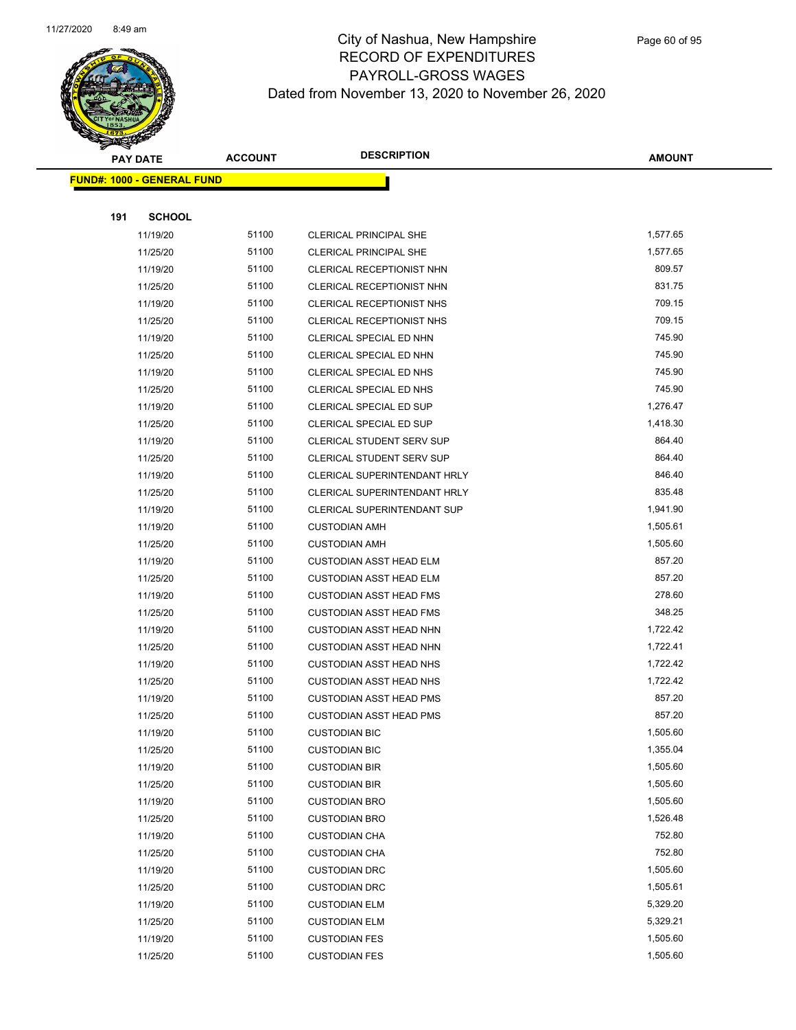

Page 60 of 95

|     | <b>PAY DATE</b>                   | <b>ACCOUNT</b> | <b>DESCRIPTION</b>                  | <b>AMOUNT</b> |
|-----|-----------------------------------|----------------|-------------------------------------|---------------|
|     | <b>FUND#: 1000 - GENERAL FUND</b> |                |                                     |               |
|     |                                   |                |                                     |               |
| 191 | <b>SCHOOL</b>                     |                |                                     |               |
|     | 11/19/20                          | 51100          | <b>CLERICAL PRINCIPAL SHE</b>       | 1,577.65      |
|     | 11/25/20                          | 51100          | <b>CLERICAL PRINCIPAL SHE</b>       | 1,577.65      |
|     | 11/19/20                          | 51100          | CLERICAL RECEPTIONIST NHN           | 809.57        |
|     | 11/25/20                          | 51100          | CLERICAL RECEPTIONIST NHN           | 831.75        |
|     | 11/19/20                          | 51100          | CLERICAL RECEPTIONIST NHS           | 709.15        |
|     | 11/25/20                          | 51100          | CLERICAL RECEPTIONIST NHS           | 709.15        |
|     | 11/19/20                          | 51100          | CLERICAL SPECIAL ED NHN             | 745.90        |
|     | 11/25/20                          | 51100          | CLERICAL SPECIAL ED NHN             | 745.90        |
|     | 11/19/20                          | 51100          | CLERICAL SPECIAL ED NHS             | 745.90        |
|     | 11/25/20                          | 51100          | CLERICAL SPECIAL ED NHS             | 745.90        |
|     | 11/19/20                          | 51100          | CLERICAL SPECIAL ED SUP             | 1,276.47      |
|     | 11/25/20                          | 51100          | CLERICAL SPECIAL ED SUP             | 1,418.30      |
|     | 11/19/20                          | 51100          | CLERICAL STUDENT SERV SUP           | 864.40        |
|     | 11/25/20                          | 51100          | <b>CLERICAL STUDENT SERV SUP</b>    | 864.40        |
|     | 11/19/20                          | 51100          | <b>CLERICAL SUPERINTENDANT HRLY</b> | 846.40        |
|     | 11/25/20                          | 51100          | <b>CLERICAL SUPERINTENDANT HRLY</b> | 835.48        |
|     | 11/19/20                          | 51100          | CLERICAL SUPERINTENDANT SUP         | 1,941.90      |
|     | 11/19/20                          | 51100          | <b>CUSTODIAN AMH</b>                | 1,505.61      |
|     | 11/25/20                          | 51100          | <b>CUSTODIAN AMH</b>                | 1,505.60      |
|     | 11/19/20                          | 51100          | <b>CUSTODIAN ASST HEAD ELM</b>      | 857.20        |
|     | 11/25/20                          | 51100          | <b>CUSTODIAN ASST HEAD ELM</b>      | 857.20        |
|     | 11/19/20                          | 51100          | <b>CUSTODIAN ASST HEAD FMS</b>      | 278.60        |
|     | 11/25/20                          | 51100          | <b>CUSTODIAN ASST HEAD FMS</b>      | 348.25        |
|     | 11/19/20                          | 51100          | <b>CUSTODIAN ASST HEAD NHN</b>      | 1,722.42      |
|     | 11/25/20                          | 51100          | <b>CUSTODIAN ASST HEAD NHN</b>      | 1,722.41      |
|     | 11/19/20                          | 51100          | <b>CUSTODIAN ASST HEAD NHS</b>      | 1,722.42      |
|     | 11/25/20                          | 51100          | <b>CUSTODIAN ASST HEAD NHS</b>      | 1,722.42      |
|     | 11/19/20                          | 51100          | <b>CUSTODIAN ASST HEAD PMS</b>      | 857.20        |
|     | 11/25/20                          | 51100          | <b>CUSTODIAN ASST HEAD PMS</b>      | 857.20        |
|     | 11/19/20                          | 51100          | <b>CUSTODIAN BIC</b>                | 1,505.60      |
|     | 11/25/20                          | 51100          | <b>CUSTODIAN BIC</b>                | 1,355.04      |
|     | 11/19/20                          | 51100          | <b>CUSTODIAN BIR</b>                | 1,505.60      |
|     | 11/25/20                          | 51100          | <b>CUSTODIAN BIR</b>                | 1,505.60      |
|     | 11/19/20                          | 51100          | <b>CUSTODIAN BRO</b>                | 1,505.60      |
|     | 11/25/20                          | 51100          | <b>CUSTODIAN BRO</b>                | 1,526.48      |
|     | 11/19/20                          | 51100          | <b>CUSTODIAN CHA</b>                | 752.80        |
|     | 11/25/20                          | 51100          | <b>CUSTODIAN CHA</b>                | 752.80        |
|     | 11/19/20                          | 51100          | <b>CUSTODIAN DRC</b>                | 1,505.60      |
|     | 11/25/20                          | 51100          | <b>CUSTODIAN DRC</b>                | 1,505.61      |
|     | 11/19/20                          | 51100          | <b>CUSTODIAN ELM</b>                | 5,329.20      |
|     | 11/25/20                          | 51100          | <b>CUSTODIAN ELM</b>                | 5,329.21      |
|     | 11/19/20                          | 51100          | <b>CUSTODIAN FES</b>                | 1,505.60      |
|     | 11/25/20                          | 51100          | <b>CUSTODIAN FES</b>                | 1,505.60      |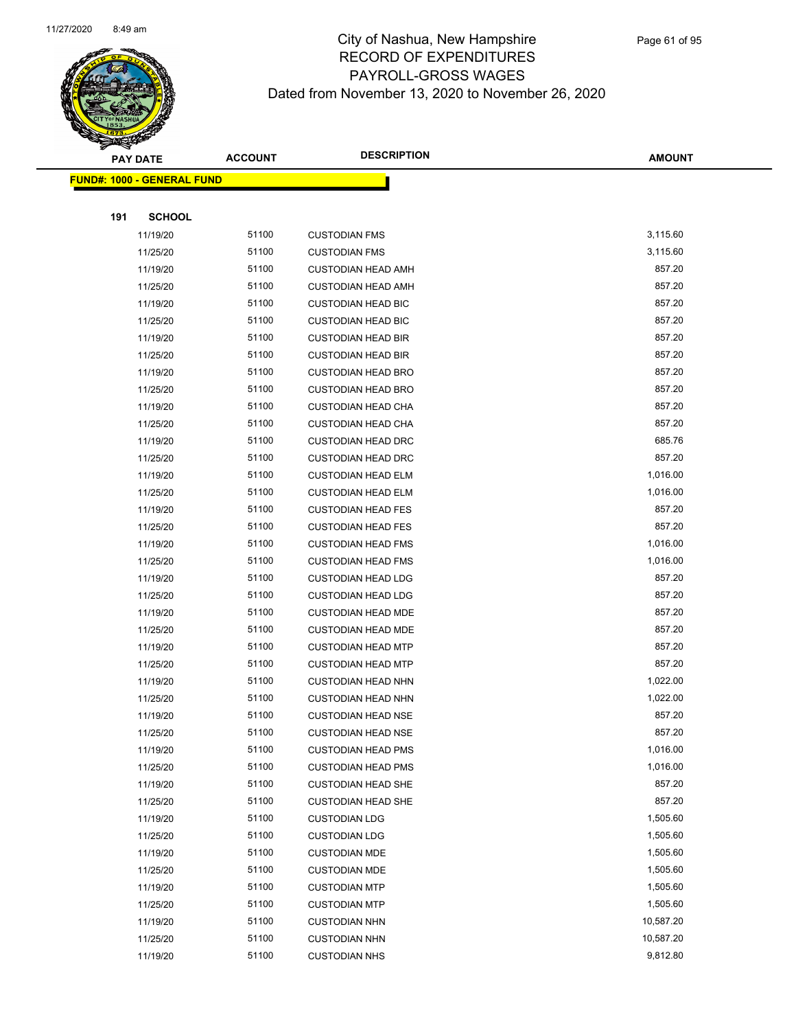

|     | <b>PAY DATE</b>                    | <b>ACCOUNT</b> | <b>DESCRIPTION</b>        | <b>AMOUNT</b> |
|-----|------------------------------------|----------------|---------------------------|---------------|
|     | <u> FUND#: 1000 - GENERAL FUND</u> |                |                           |               |
|     |                                    |                |                           |               |
| 191 | <b>SCHOOL</b>                      |                |                           |               |
|     | 11/19/20                           | 51100          | <b>CUSTODIAN FMS</b>      | 3,115.60      |
|     | 11/25/20                           | 51100          | <b>CUSTODIAN FMS</b>      | 3,115.60      |
|     | 11/19/20                           | 51100          | <b>CUSTODIAN HEAD AMH</b> | 857.20        |
|     | 11/25/20                           | 51100          | <b>CUSTODIAN HEAD AMH</b> | 857.20        |
|     | 11/19/20                           | 51100          | <b>CUSTODIAN HEAD BIC</b> | 857.20        |
|     | 11/25/20                           | 51100          | <b>CUSTODIAN HEAD BIC</b> | 857.20        |
|     | 11/19/20                           | 51100          | <b>CUSTODIAN HEAD BIR</b> | 857.20        |
|     | 11/25/20                           | 51100          | <b>CUSTODIAN HEAD BIR</b> | 857.20        |
|     | 11/19/20                           | 51100          | <b>CUSTODIAN HEAD BRO</b> | 857.20        |
|     | 11/25/20                           | 51100          | <b>CUSTODIAN HEAD BRO</b> | 857.20        |
|     | 11/19/20                           | 51100          | <b>CUSTODIAN HEAD CHA</b> | 857.20        |
|     | 11/25/20                           | 51100          | <b>CUSTODIAN HEAD CHA</b> | 857.20        |
|     | 11/19/20                           | 51100          | <b>CUSTODIAN HEAD DRC</b> | 685.76        |
|     | 11/25/20                           | 51100          | <b>CUSTODIAN HEAD DRC</b> | 857.20        |
|     | 11/19/20                           | 51100          | <b>CUSTODIAN HEAD ELM</b> | 1,016.00      |
|     | 11/25/20                           | 51100          | <b>CUSTODIAN HEAD ELM</b> | 1,016.00      |
|     | 11/19/20                           | 51100          | <b>CUSTODIAN HEAD FES</b> | 857.20        |
|     | 11/25/20                           | 51100          | <b>CUSTODIAN HEAD FES</b> | 857.20        |
|     | 11/19/20                           | 51100          | <b>CUSTODIAN HEAD FMS</b> | 1,016.00      |
|     | 11/25/20                           | 51100          | <b>CUSTODIAN HEAD FMS</b> | 1,016.00      |
|     | 11/19/20                           | 51100          | <b>CUSTODIAN HEAD LDG</b> | 857.20        |
|     | 11/25/20                           | 51100          | <b>CUSTODIAN HEAD LDG</b> | 857.20        |
|     | 11/19/20                           | 51100          | <b>CUSTODIAN HEAD MDE</b> | 857.20        |
|     | 11/25/20                           | 51100          | <b>CUSTODIAN HEAD MDE</b> | 857.20        |
|     | 11/19/20                           | 51100          | <b>CUSTODIAN HEAD MTP</b> | 857.20        |
|     | 11/25/20                           | 51100          | <b>CUSTODIAN HEAD MTP</b> | 857.20        |
|     | 11/19/20                           | 51100          | <b>CUSTODIAN HEAD NHN</b> | 1,022.00      |
|     | 11/25/20                           | 51100          | <b>CUSTODIAN HEAD NHN</b> | 1,022.00      |
|     | 11/19/20                           | 51100          | <b>CUSTODIAN HEAD NSE</b> | 857.20        |
|     | 11/25/20                           | 51100          | <b>CUSTODIAN HEAD NSE</b> | 857.20        |
|     | 11/19/20                           | 51100          | <b>CUSTODIAN HEAD PMS</b> | 1,016.00      |
|     | 11/25/20                           | 51100          | <b>CUSTODIAN HEAD PMS</b> | 1,016.00      |
|     | 11/19/20                           | 51100          | <b>CUSTODIAN HEAD SHE</b> | 857.20        |
|     | 11/25/20                           | 51100          | <b>CUSTODIAN HEAD SHE</b> | 857.20        |
|     | 11/19/20                           | 51100          | <b>CUSTODIAN LDG</b>      | 1,505.60      |
|     | 11/25/20                           | 51100          | <b>CUSTODIAN LDG</b>      | 1,505.60      |
|     | 11/19/20                           | 51100          | <b>CUSTODIAN MDE</b>      | 1,505.60      |
|     | 11/25/20                           | 51100          | <b>CUSTODIAN MDE</b>      | 1,505.60      |
|     | 11/19/20                           | 51100          | <b>CUSTODIAN MTP</b>      | 1,505.60      |
|     | 11/25/20                           | 51100          | <b>CUSTODIAN MTP</b>      | 1,505.60      |
|     | 11/19/20                           | 51100          | <b>CUSTODIAN NHN</b>      | 10,587.20     |
|     | 11/25/20                           | 51100          | <b>CUSTODIAN NHN</b>      | 10,587.20     |
|     | 11/19/20                           | 51100          | <b>CUSTODIAN NHS</b>      | 9,812.80      |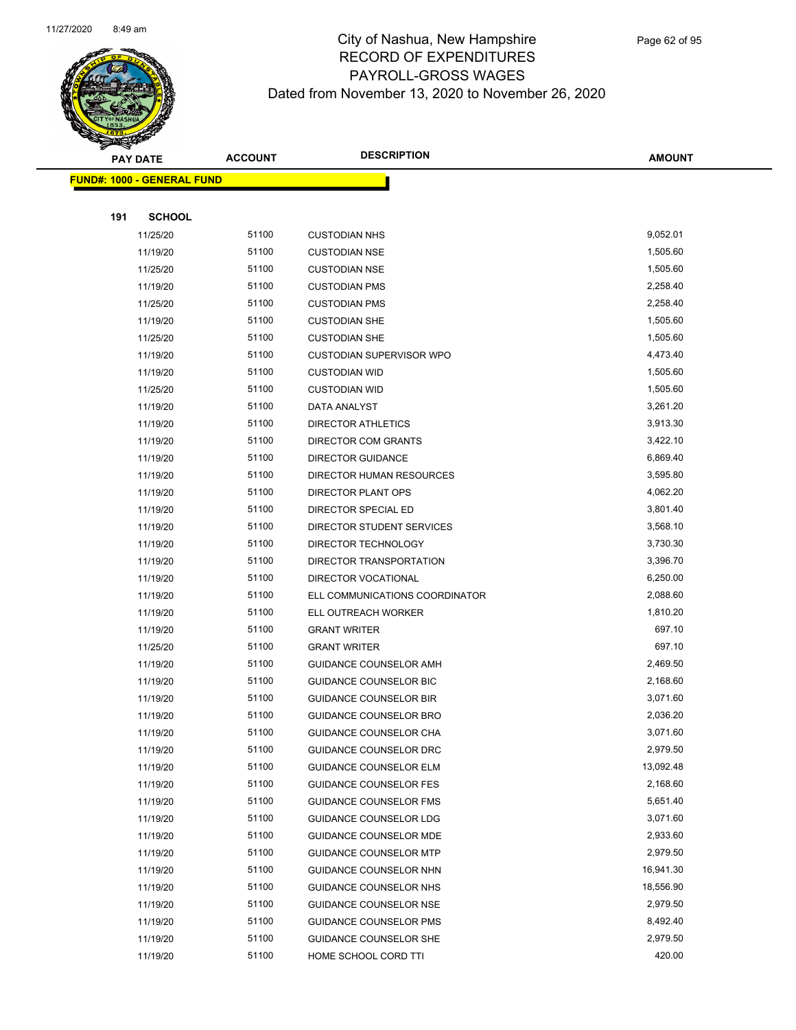

|     | <b>PAY DATE</b>                   | <b>ACCOUNT</b> | <b>DESCRIPTION</b>                            | <b>AMOUNT</b>      |  |
|-----|-----------------------------------|----------------|-----------------------------------------------|--------------------|--|
|     | <b>FUND#: 1000 - GENERAL FUND</b> |                |                                               |                    |  |
|     |                                   |                |                                               |                    |  |
| 191 | <b>SCHOOL</b>                     |                |                                               |                    |  |
|     | 11/25/20                          | 51100          | <b>CUSTODIAN NHS</b>                          | 9,052.01           |  |
|     | 11/19/20                          | 51100          | <b>CUSTODIAN NSE</b>                          | 1,505.60           |  |
|     | 11/25/20                          | 51100          | <b>CUSTODIAN NSE</b>                          | 1,505.60           |  |
|     | 11/19/20                          | 51100          | <b>CUSTODIAN PMS</b>                          | 2,258.40           |  |
|     | 11/25/20                          | 51100          | <b>CUSTODIAN PMS</b>                          | 2,258.40           |  |
|     | 11/19/20                          | 51100          | <b>CUSTODIAN SHE</b>                          | 1,505.60           |  |
|     | 11/25/20                          | 51100          | <b>CUSTODIAN SHE</b>                          | 1,505.60           |  |
|     | 11/19/20                          | 51100          | <b>CUSTODIAN SUPERVISOR WPO</b>               | 4,473.40           |  |
|     | 11/19/20                          | 51100          | <b>CUSTODIAN WID</b>                          | 1,505.60           |  |
|     | 11/25/20                          | 51100          | <b>CUSTODIAN WID</b>                          | 1,505.60           |  |
|     | 11/19/20                          | 51100          | DATA ANALYST                                  | 3,261.20           |  |
|     | 11/19/20                          | 51100          | <b>DIRECTOR ATHLETICS</b>                     | 3,913.30           |  |
|     | 11/19/20                          | 51100          | DIRECTOR COM GRANTS                           | 3,422.10           |  |
|     | 11/19/20                          | 51100          | <b>DIRECTOR GUIDANCE</b>                      | 6,869.40           |  |
|     | 11/19/20                          | 51100          | <b>DIRECTOR HUMAN RESOURCES</b>               | 3,595.80           |  |
|     | 11/19/20                          | 51100          | <b>DIRECTOR PLANT OPS</b>                     | 4,062.20           |  |
|     | 11/19/20                          | 51100          | <b>DIRECTOR SPECIAL ED</b>                    | 3,801.40           |  |
|     | 11/19/20                          | 51100          | DIRECTOR STUDENT SERVICES                     | 3,568.10           |  |
|     | 11/19/20                          | 51100          | DIRECTOR TECHNOLOGY                           | 3,730.30           |  |
|     | 11/19/20                          | 51100          | DIRECTOR TRANSPORTATION                       | 3,396.70           |  |
|     | 11/19/20                          | 51100          | DIRECTOR VOCATIONAL                           | 6,250.00           |  |
|     | 11/19/20                          | 51100          | ELL COMMUNICATIONS COORDINATOR                | 2,088.60           |  |
|     | 11/19/20                          | 51100<br>51100 | ELL OUTREACH WORKER                           | 1,810.20<br>697.10 |  |
|     | 11/19/20                          | 51100          | <b>GRANT WRITER</b>                           | 697.10             |  |
|     | 11/25/20<br>11/19/20              | 51100          | <b>GRANT WRITER</b><br>GUIDANCE COUNSELOR AMH | 2,469.50           |  |
|     | 11/19/20                          | 51100          | <b>GUIDANCE COUNSELOR BIC</b>                 | 2,168.60           |  |
|     | 11/19/20                          | 51100          | <b>GUIDANCE COUNSELOR BIR</b>                 | 3,071.60           |  |
|     | 11/19/20                          | 51100          | GUIDANCE COUNSELOR BRO                        | 2,036.20           |  |
|     | 11/19/20                          | 51100          | GUIDANCE COUNSELOR CHA                        | 3,071.60           |  |
|     | 11/19/20                          | 51100          | GUIDANCE COUNSELOR DRC                        | 2,979.50           |  |
|     | 11/19/20                          | 51100          | <b>GUIDANCE COUNSELOR ELM</b>                 | 13,092.48          |  |
|     | 11/19/20                          | 51100          | <b>GUIDANCE COUNSELOR FES</b>                 | 2,168.60           |  |
|     | 11/19/20                          | 51100          | GUIDANCE COUNSELOR FMS                        | 5,651.40           |  |
|     | 11/19/20                          | 51100          | GUIDANCE COUNSELOR LDG                        | 3,071.60           |  |
|     | 11/19/20                          | 51100          | GUIDANCE COUNSELOR MDE                        | 2,933.60           |  |
|     | 11/19/20                          | 51100          | <b>GUIDANCE COUNSELOR MTP</b>                 | 2,979.50           |  |
|     | 11/19/20                          | 51100          | GUIDANCE COUNSELOR NHN                        | 16,941.30          |  |
|     | 11/19/20                          | 51100          | GUIDANCE COUNSELOR NHS                        | 18,556.90          |  |
|     | 11/19/20                          | 51100          | GUIDANCE COUNSELOR NSE                        | 2,979.50           |  |
|     | 11/19/20                          | 51100          | GUIDANCE COUNSELOR PMS                        | 8,492.40           |  |
|     | 11/19/20                          | 51100          | GUIDANCE COUNSELOR SHE                        | 2,979.50           |  |
|     | 11/19/20                          | 51100          | HOME SCHOOL CORD TTI                          | 420.00             |  |
|     |                                   |                |                                               |                    |  |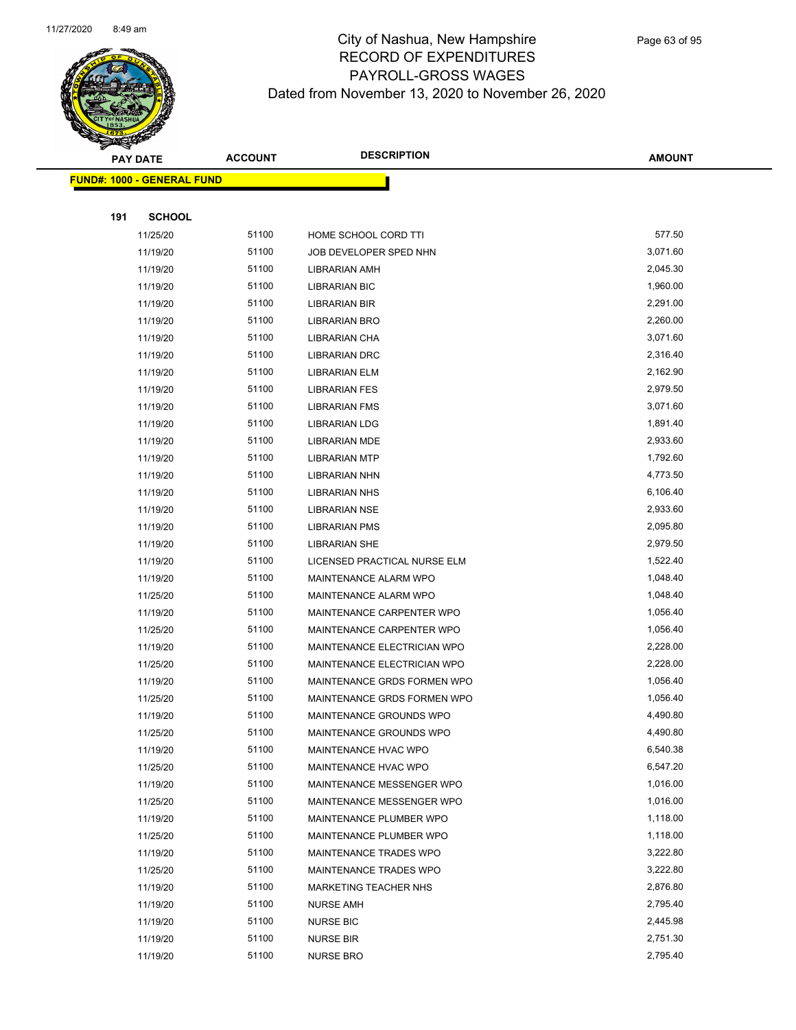

Page 63 of 95

|     | <b>PAY DATE</b>                    | <b>ACCOUNT</b> | <b>DESCRIPTION</b>           | <b>AMOUNT</b> |
|-----|------------------------------------|----------------|------------------------------|---------------|
|     | <u> FUND#: 1000 - GENERAL FUND</u> |                |                              |               |
|     |                                    |                |                              |               |
| 191 | <b>SCHOOL</b>                      |                |                              |               |
|     | 11/25/20                           | 51100          | HOME SCHOOL CORD TTI         | 577.50        |
|     | 11/19/20                           | 51100          | JOB DEVELOPER SPED NHN       | 3,071.60      |
|     | 11/19/20                           | 51100          | LIBRARIAN AMH                | 2,045.30      |
|     | 11/19/20                           | 51100          | <b>LIBRARIAN BIC</b>         | 1,960.00      |
|     | 11/19/20                           | 51100          | <b>LIBRARIAN BIR</b>         | 2,291.00      |
|     | 11/19/20                           | 51100          | LIBRARIAN BRO                | 2,260.00      |
|     | 11/19/20                           | 51100          | LIBRARIAN CHA                | 3,071.60      |
|     | 11/19/20                           | 51100          | <b>LIBRARIAN DRC</b>         | 2,316.40      |
|     | 11/19/20                           | 51100          | LIBRARIAN ELM                | 2,162.90      |
|     | 11/19/20                           | 51100          | <b>LIBRARIAN FES</b>         | 2,979.50      |
|     | 11/19/20                           | 51100          | <b>LIBRARIAN FMS</b>         | 3,071.60      |
|     | 11/19/20                           | 51100          | <b>LIBRARIAN LDG</b>         | 1,891.40      |
|     | 11/19/20                           | 51100          | <b>LIBRARIAN MDE</b>         | 2,933.60      |
|     | 11/19/20                           | 51100          | <b>LIBRARIAN MTP</b>         | 1,792.60      |
|     | 11/19/20                           | 51100          | <b>LIBRARIAN NHN</b>         | 4,773.50      |
|     | 11/19/20                           | 51100          | <b>LIBRARIAN NHS</b>         | 6,106.40      |
|     | 11/19/20                           | 51100          | <b>LIBRARIAN NSE</b>         | 2,933.60      |
|     | 11/19/20                           | 51100          | <b>LIBRARIAN PMS</b>         | 2,095.80      |
|     | 11/19/20                           | 51100          | <b>LIBRARIAN SHE</b>         | 2,979.50      |
|     | 11/19/20                           | 51100          | LICENSED PRACTICAL NURSE ELM | 1,522.40      |
|     | 11/19/20                           | 51100          | MAINTENANCE ALARM WPO        | 1,048.40      |
|     | 11/25/20                           | 51100          | MAINTENANCE ALARM WPO        | 1,048.40      |
|     | 11/19/20                           | 51100          | MAINTENANCE CARPENTER WPO    | 1,056.40      |
|     | 11/25/20                           | 51100          | MAINTENANCE CARPENTER WPO    | 1,056.40      |
|     | 11/19/20                           | 51100          | MAINTENANCE ELECTRICIAN WPO  | 2,228.00      |
|     | 11/25/20                           | 51100          | MAINTENANCE ELECTRICIAN WPO  | 2,228.00      |
|     | 11/19/20                           | 51100          | MAINTENANCE GRDS FORMEN WPO  | 1,056.40      |
|     | 11/25/20                           | 51100          | MAINTENANCE GRDS FORMEN WPO  | 1,056.40      |
|     | 11/19/20                           | 51100          | MAINTENANCE GROUNDS WPO      | 4,490.80      |
|     | 11/25/20                           | 51100          | MAINTENANCE GROUNDS WPO      | 4,490.80      |
|     | 11/19/20                           | 51100          | MAINTENANCE HVAC WPO         | 6,540.38      |
|     | 11/25/20                           | 51100          | MAINTENANCE HVAC WPO         | 6,547.20      |
|     | 11/19/20                           | 51100          | MAINTENANCE MESSENGER WPO    | 1,016.00      |
|     | 11/25/20                           | 51100          | MAINTENANCE MESSENGER WPO    | 1,016.00      |
|     | 11/19/20                           | 51100          | MAINTENANCE PLUMBER WPO      | 1,118.00      |
|     | 11/25/20                           | 51100          | MAINTENANCE PLUMBER WPO      | 1,118.00      |
|     | 11/19/20                           | 51100          | MAINTENANCE TRADES WPO       | 3,222.80      |
|     | 11/25/20                           | 51100          | MAINTENANCE TRADES WPO       | 3,222.80      |
|     | 11/19/20                           | 51100          | MARKETING TEACHER NHS        | 2,876.80      |
|     | 11/19/20                           | 51100          | <b>NURSE AMH</b>             | 2,795.40      |
|     | 11/19/20                           | 51100          | <b>NURSE BIC</b>             | 2,445.98      |
|     | 11/19/20                           | 51100          | <b>NURSE BIR</b>             | 2,751.30      |
|     | 11/19/20                           | 51100          | <b>NURSE BRO</b>             | 2,795.40      |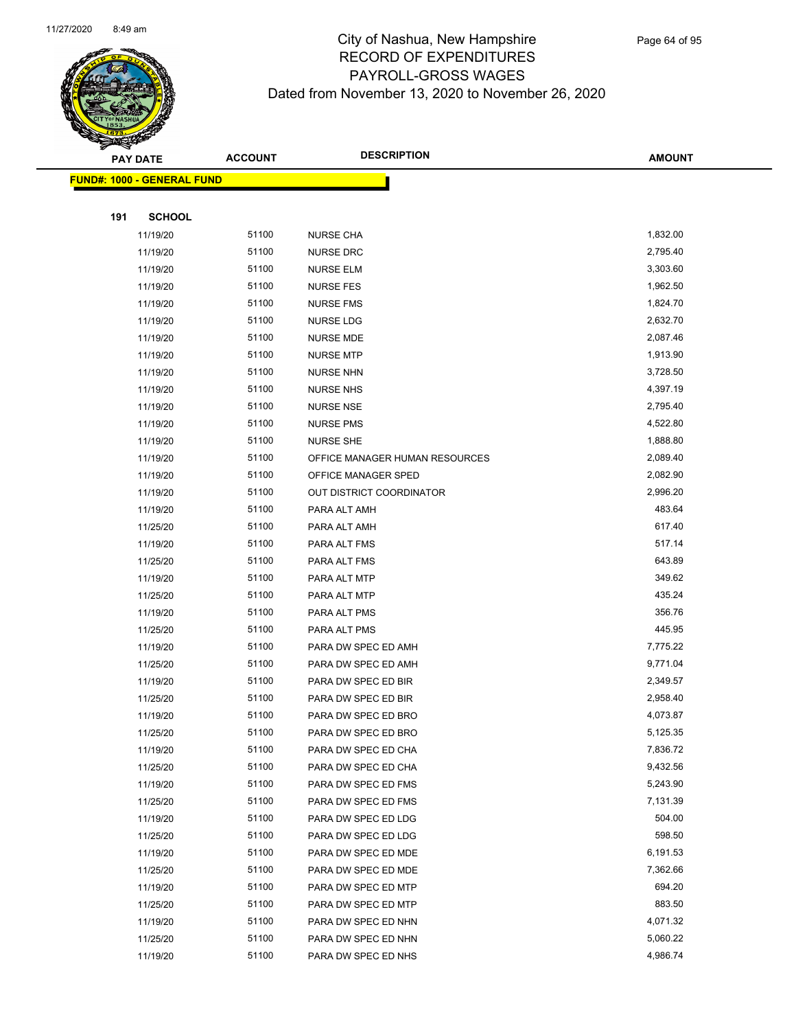

Page 64 of 95

|     | <b>PAY DATE</b>                   | <b>ACCOUNT</b> | <b>DESCRIPTION</b>                         | <b>AMOUNT</b>      |  |
|-----|-----------------------------------|----------------|--------------------------------------------|--------------------|--|
|     | <b>FUND#: 1000 - GENERAL FUND</b> |                |                                            |                    |  |
|     |                                   |                |                                            |                    |  |
| 191 | <b>SCHOOL</b>                     |                |                                            |                    |  |
|     | 11/19/20                          | 51100          | <b>NURSE CHA</b>                           | 1,832.00           |  |
|     | 11/19/20                          | 51100          | <b>NURSE DRC</b>                           | 2,795.40           |  |
|     | 11/19/20                          | 51100          | <b>NURSE ELM</b>                           | 3,303.60           |  |
|     | 11/19/20                          | 51100          | <b>NURSE FES</b>                           | 1,962.50           |  |
|     | 11/19/20                          | 51100          | <b>NURSE FMS</b>                           | 1,824.70           |  |
|     | 11/19/20                          | 51100          | NURSE LDG                                  | 2,632.70           |  |
|     | 11/19/20                          | 51100          | <b>NURSE MDE</b>                           | 2,087.46           |  |
|     | 11/19/20                          | 51100          | <b>NURSE MTP</b>                           | 1,913.90           |  |
|     | 11/19/20                          | 51100          | <b>NURSE NHN</b>                           | 3,728.50           |  |
|     | 11/19/20                          | 51100          | <b>NURSE NHS</b>                           | 4,397.19           |  |
|     | 11/19/20                          | 51100          | <b>NURSE NSE</b>                           | 2,795.40           |  |
|     | 11/19/20                          | 51100          | <b>NURSE PMS</b>                           | 4,522.80           |  |
|     | 11/19/20                          | 51100          | <b>NURSE SHE</b>                           | 1,888.80           |  |
|     | 11/19/20                          | 51100          | OFFICE MANAGER HUMAN RESOURCES             | 2,089.40           |  |
|     | 11/19/20                          | 51100          | OFFICE MANAGER SPED                        | 2,082.90           |  |
|     | 11/19/20                          | 51100          | OUT DISTRICT COORDINATOR                   | 2,996.20           |  |
|     | 11/19/20                          | 51100          | PARA ALT AMH                               | 483.64             |  |
|     | 11/25/20                          | 51100          | PARA ALT AMH                               | 617.40             |  |
|     | 11/19/20                          | 51100          | PARA ALT FMS                               | 517.14             |  |
|     | 11/25/20                          | 51100          | PARA ALT FMS                               | 643.89             |  |
|     | 11/19/20                          | 51100          | PARA ALT MTP                               | 349.62             |  |
|     | 11/25/20                          | 51100          | PARA ALT MTP                               | 435.24             |  |
|     | 11/19/20                          | 51100          | PARA ALT PMS                               | 356.76             |  |
|     | 11/25/20                          | 51100          | PARA ALT PMS                               | 445.95             |  |
|     | 11/19/20                          | 51100          | PARA DW SPEC ED AMH                        | 7,775.22           |  |
|     | 11/25/20                          | 51100          | PARA DW SPEC ED AMH                        | 9,771.04           |  |
|     | 11/19/20                          | 51100          | PARA DW SPEC ED BIR                        | 2,349.57           |  |
|     | 11/25/20                          | 51100          | PARA DW SPEC ED BIR                        | 2,958.40           |  |
|     | 11/19/20                          | 51100          | PARA DW SPEC ED BRO                        | 4,073.87           |  |
|     | 11/25/20                          | 51100          | PARA DW SPEC ED BRO                        | 5,125.35           |  |
|     | 11/19/20                          | 51100          | PARA DW SPEC ED CHA                        | 7,836.72           |  |
|     | 11/25/20                          | 51100          | PARA DW SPEC ED CHA                        | 9,432.56           |  |
|     | 11/19/20                          | 51100          | PARA DW SPEC ED FMS                        | 5,243.90           |  |
|     | 11/25/20                          | 51100          | PARA DW SPEC ED FMS                        | 7,131.39           |  |
|     | 11/19/20                          | 51100          | PARA DW SPEC ED LDG                        | 504.00<br>598.50   |  |
|     | 11/25/20                          | 51100          | PARA DW SPEC ED LDG                        | 6,191.53           |  |
|     | 11/19/20                          | 51100          | PARA DW SPEC ED MDE                        |                    |  |
|     | 11/25/20                          | 51100          | PARA DW SPEC ED MDE                        | 7,362.66<br>694.20 |  |
|     | 11/19/20                          | 51100<br>51100 | PARA DW SPEC ED MTP                        | 883.50             |  |
|     | 11/25/20                          | 51100          | PARA DW SPEC ED MTP                        | 4,071.32           |  |
|     | 11/19/20<br>11/25/20              | 51100          | PARA DW SPEC ED NHN<br>PARA DW SPEC ED NHN | 5,060.22           |  |
|     |                                   | 51100          |                                            | 4,986.74           |  |
|     | 11/19/20                          |                | PARA DW SPEC ED NHS                        |                    |  |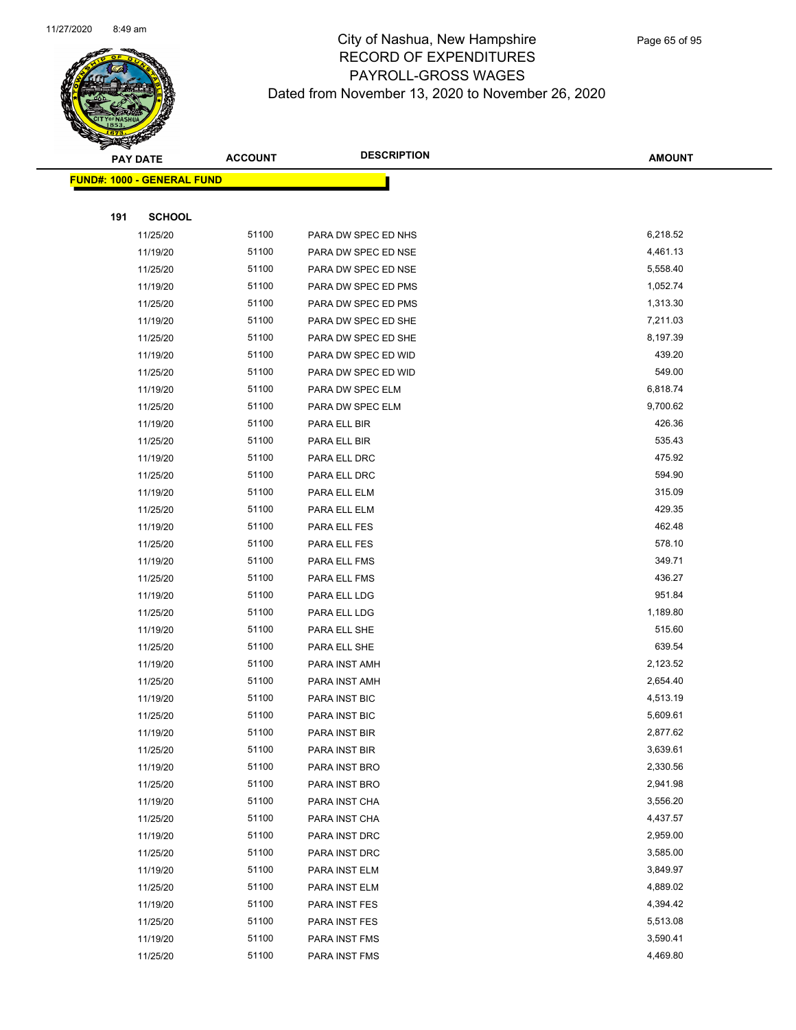

|     | <b>PAY DATE</b>                   | <b>ACCOUNT</b> | <b>DESCRIPTION</b>  | <b>AMOUNT</b> |
|-----|-----------------------------------|----------------|---------------------|---------------|
|     | <b>FUND#: 1000 - GENERAL FUND</b> |                |                     |               |
|     |                                   |                |                     |               |
| 191 | <b>SCHOOL</b>                     |                |                     |               |
|     | 11/25/20                          | 51100          | PARA DW SPEC ED NHS | 6,218.52      |
|     | 11/19/20                          | 51100          | PARA DW SPEC ED NSE | 4,461.13      |
|     | 11/25/20                          | 51100          | PARA DW SPEC ED NSE | 5,558.40      |
|     | 11/19/20                          | 51100          | PARA DW SPEC ED PMS | 1,052.74      |
|     | 11/25/20                          | 51100          | PARA DW SPEC ED PMS | 1,313.30      |
|     | 11/19/20                          | 51100          | PARA DW SPEC ED SHE | 7,211.03      |
|     | 11/25/20                          | 51100          | PARA DW SPEC ED SHE | 8,197.39      |
|     | 11/19/20                          | 51100          | PARA DW SPEC ED WID | 439.20        |
|     | 11/25/20                          | 51100          | PARA DW SPEC ED WID | 549.00        |
|     | 11/19/20                          | 51100          | PARA DW SPEC ELM    | 6,818.74      |
|     | 11/25/20                          | 51100          | PARA DW SPEC ELM    | 9,700.62      |
|     | 11/19/20                          | 51100          | PARA ELL BIR        | 426.36        |
|     | 11/25/20                          | 51100          | PARA ELL BIR        | 535.43        |
|     | 11/19/20                          | 51100          | PARA ELL DRC        | 475.92        |
|     | 11/25/20                          | 51100          | PARA ELL DRC        | 594.90        |
|     | 11/19/20                          | 51100          | PARA ELL ELM        | 315.09        |
|     | 11/25/20                          | 51100          | PARA ELL ELM        | 429.35        |
|     | 11/19/20                          | 51100          | PARA ELL FES        | 462.48        |
|     | 11/25/20                          | 51100          | PARA ELL FES        | 578.10        |
|     | 11/19/20                          | 51100          | PARA ELL FMS        | 349.71        |
|     | 11/25/20                          | 51100          | PARA ELL FMS        | 436.27        |
|     | 11/19/20                          | 51100          | PARA ELL LDG        | 951.84        |
|     | 11/25/20                          | 51100          | PARA ELL LDG        | 1,189.80      |
|     | 11/19/20                          | 51100          | PARA ELL SHE        | 515.60        |
|     | 11/25/20                          | 51100          | PARA ELL SHE        | 639.54        |
|     | 11/19/20                          | 51100          | PARA INST AMH       | 2,123.52      |
|     | 11/25/20                          | 51100          | PARA INST AMH       | 2,654.40      |
|     | 11/19/20                          | 51100          | PARA INST BIC       | 4,513.19      |
|     | 11/25/20                          | 51100          | PARA INST BIC       | 5,609.61      |
|     | 11/19/20                          | 51100          | PARA INST BIR       | 2,877.62      |
|     | 11/25/20                          | 51100          | PARA INST BIR       | 3,639.61      |
|     | 11/19/20                          | 51100          | PARA INST BRO       | 2,330.56      |
|     | 11/25/20                          | 51100          | PARA INST BRO       | 2,941.98      |
|     | 11/19/20                          | 51100          | PARA INST CHA       | 3,556.20      |
|     | 11/25/20                          | 51100          | PARA INST CHA       | 4,437.57      |
|     | 11/19/20                          | 51100          | PARA INST DRC       | 2,959.00      |
|     | 11/25/20                          | 51100          | PARA INST DRC       | 3,585.00      |
|     | 11/19/20                          | 51100          | PARA INST ELM       | 3,849.97      |
|     | 11/25/20                          | 51100          | PARA INST ELM       | 4,889.02      |
|     | 11/19/20                          | 51100          | PARA INST FES       | 4,394.42      |
|     | 11/25/20                          | 51100          | PARA INST FES       | 5,513.08      |
|     | 11/19/20                          | 51100          | PARA INST FMS       | 3,590.41      |
|     | 11/25/20                          | 51100          | PARA INST FMS       | 4,469.80      |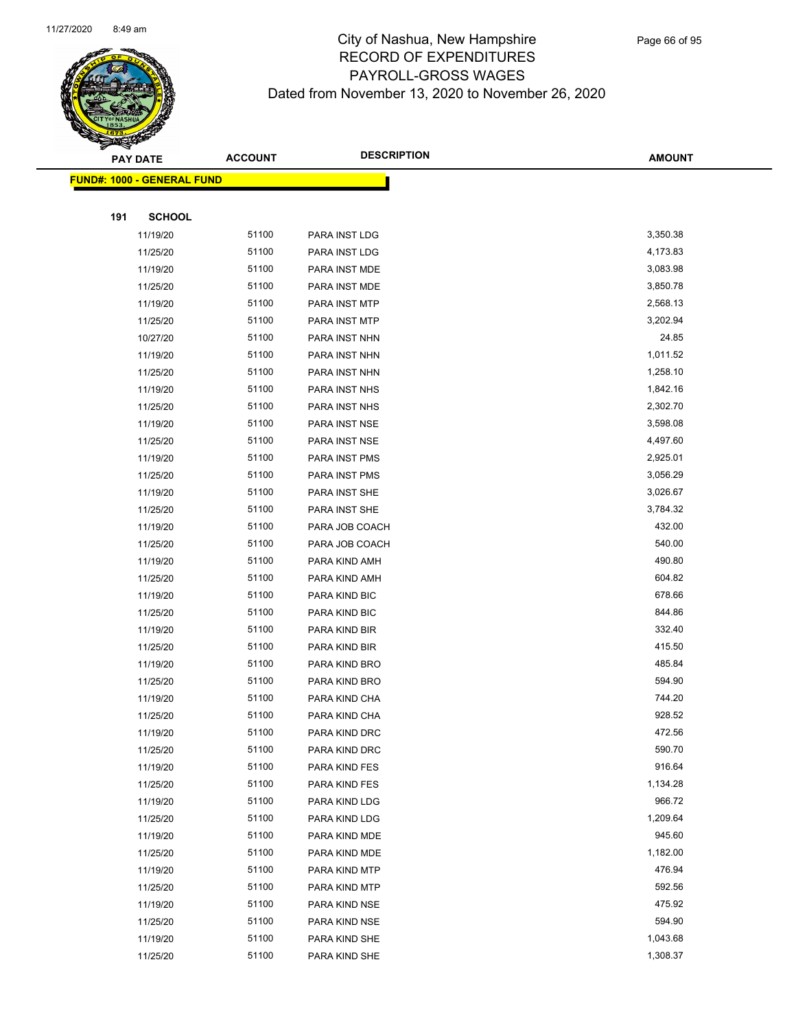

|     | <b>PAY DATE</b>                    | <b>ACCOUNT</b> | <b>DESCRIPTION</b> | <b>AMOUNT</b> |  |
|-----|------------------------------------|----------------|--------------------|---------------|--|
|     | <u> FUND#: 1000 - GENERAL FUND</u> |                |                    |               |  |
|     |                                    |                |                    |               |  |
| 191 | <b>SCHOOL</b>                      |                |                    |               |  |
|     | 11/19/20                           | 51100          | PARA INST LDG      | 3,350.38      |  |
|     | 11/25/20                           | 51100          | PARA INST LDG      | 4,173.83      |  |
|     | 11/19/20                           | 51100          | PARA INST MDE      | 3,083.98      |  |
|     | 11/25/20                           | 51100          | PARA INST MDE      | 3,850.78      |  |
|     | 11/19/20                           | 51100          | PARA INST MTP      | 2,568.13      |  |
|     | 11/25/20                           | 51100          | PARA INST MTP      | 3,202.94      |  |
|     | 10/27/20                           | 51100          | PARA INST NHN      | 24.85         |  |
|     | 11/19/20                           | 51100          | PARA INST NHN      | 1,011.52      |  |
|     | 11/25/20                           | 51100          | PARA INST NHN      | 1,258.10      |  |
|     | 11/19/20                           | 51100          | PARA INST NHS      | 1,842.16      |  |
|     | 11/25/20                           | 51100          | PARA INST NHS      | 2,302.70      |  |
|     | 11/19/20                           | 51100          | PARA INST NSE      | 3,598.08      |  |
|     | 11/25/20                           | 51100          | PARA INST NSE      | 4,497.60      |  |
|     | 11/19/20                           | 51100          | PARA INST PMS      | 2,925.01      |  |
|     | 11/25/20                           | 51100          | PARA INST PMS      | 3,056.29      |  |
|     | 11/19/20                           | 51100          | PARA INST SHE      | 3,026.67      |  |
|     | 11/25/20                           | 51100          | PARA INST SHE      | 3,784.32      |  |
|     | 11/19/20                           | 51100          | PARA JOB COACH     | 432.00        |  |
|     | 11/25/20                           | 51100          | PARA JOB COACH     | 540.00        |  |
|     | 11/19/20                           | 51100          | PARA KIND AMH      | 490.80        |  |
|     | 11/25/20                           | 51100          | PARA KIND AMH      | 604.82        |  |
|     | 11/19/20                           | 51100          | PARA KIND BIC      | 678.66        |  |
|     | 11/25/20                           | 51100          | PARA KIND BIC      | 844.86        |  |
|     | 11/19/20                           | 51100          | PARA KIND BIR      | 332.40        |  |
|     | 11/25/20                           | 51100          | PARA KIND BIR      | 415.50        |  |
|     | 11/19/20                           | 51100          | PARA KIND BRO      | 485.84        |  |
|     | 11/25/20                           | 51100          | PARA KIND BRO      | 594.90        |  |
|     | 11/19/20                           | 51100          | PARA KIND CHA      | 744.20        |  |
|     | 11/25/20                           | 51100          | PARA KIND CHA      | 928.52        |  |
|     | 11/19/20                           | 51100          | PARA KIND DRC      | 472.56        |  |
|     | 11/25/20                           | 51100          | PARA KIND DRC      | 590.70        |  |
|     | 11/19/20                           | 51100          | PARA KIND FES      | 916.64        |  |
|     | 11/25/20                           | 51100          | PARA KIND FES      | 1,134.28      |  |
|     | 11/19/20                           | 51100          | PARA KIND LDG      | 966.72        |  |
|     | 11/25/20                           | 51100          | PARA KIND LDG      | 1,209.64      |  |
|     | 11/19/20                           | 51100          | PARA KIND MDE      | 945.60        |  |
|     | 11/25/20                           | 51100          | PARA KIND MDE      | 1,182.00      |  |
|     | 11/19/20                           | 51100          | PARA KIND MTP      | 476.94        |  |
|     | 11/25/20                           | 51100          | PARA KIND MTP      | 592.56        |  |
|     | 11/19/20                           | 51100          | PARA KIND NSE      | 475.92        |  |
|     | 11/25/20                           | 51100          | PARA KIND NSE      | 594.90        |  |
|     | 11/19/20                           | 51100          | PARA KIND SHE      | 1,043.68      |  |
|     | 11/25/20                           | 51100          | PARA KIND SHE      | 1,308.37      |  |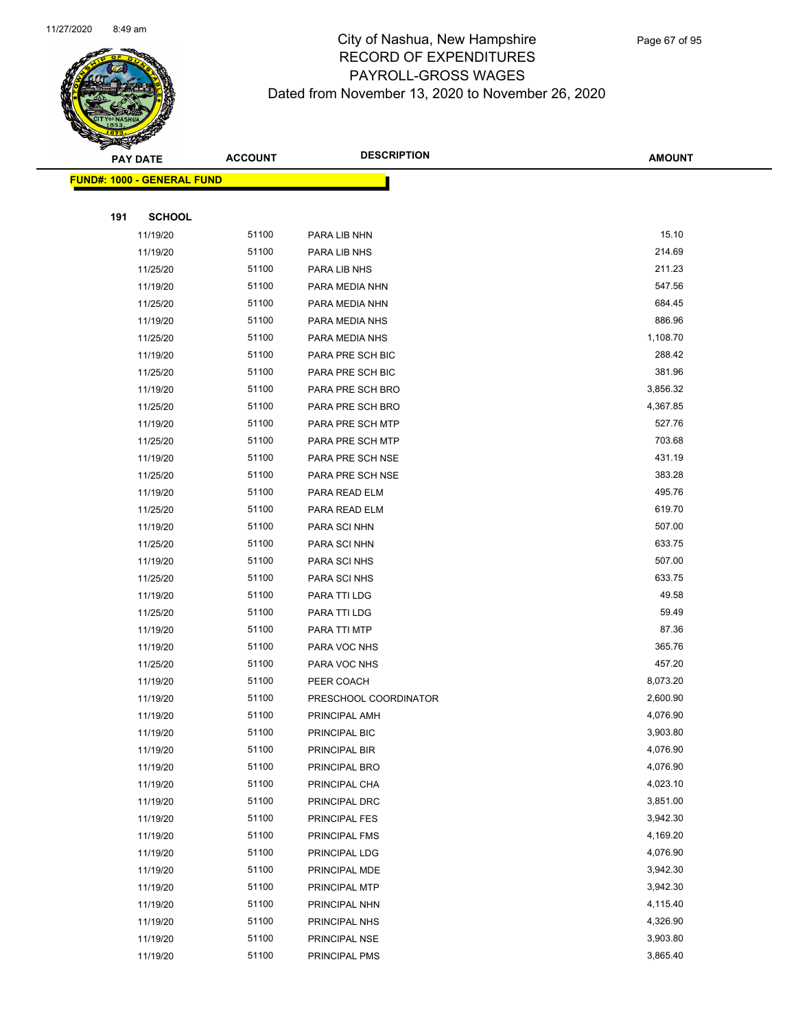

|     | <b>PAY DATE</b>                    | <b>ACCOUNT</b> | <b>DESCRIPTION</b>    | <b>AMOUNT</b> |
|-----|------------------------------------|----------------|-----------------------|---------------|
|     | <u> FUND#: 1000 - GENERAL FUND</u> |                |                       |               |
|     |                                    |                |                       |               |
| 191 | <b>SCHOOL</b>                      |                |                       |               |
|     | 11/19/20                           | 51100          | PARA LIB NHN          | 15.10         |
|     | 11/19/20                           | 51100          | PARA LIB NHS          | 214.69        |
|     | 11/25/20                           | 51100          | PARA LIB NHS          | 211.23        |
|     | 11/19/20                           | 51100          | PARA MEDIA NHN        | 547.56        |
|     | 11/25/20                           | 51100          | PARA MEDIA NHN        | 684.45        |
|     | 11/19/20                           | 51100          | PARA MEDIA NHS        | 886.96        |
|     | 11/25/20                           | 51100          | PARA MEDIA NHS        | 1,108.70      |
|     | 11/19/20                           | 51100          | PARA PRE SCH BIC      | 288.42        |
|     | 11/25/20                           | 51100          | PARA PRE SCH BIC      | 381.96        |
|     | 11/19/20                           | 51100          | PARA PRE SCH BRO      | 3,856.32      |
|     | 11/25/20                           | 51100          | PARA PRE SCH BRO      | 4,367.85      |
|     | 11/19/20                           | 51100          | PARA PRE SCH MTP      | 527.76        |
|     | 11/25/20                           | 51100          | PARA PRE SCH MTP      | 703.68        |
|     | 11/19/20                           | 51100          | PARA PRE SCH NSE      | 431.19        |
|     | 11/25/20                           | 51100          | PARA PRE SCH NSE      | 383.28        |
|     | 11/19/20                           | 51100          | PARA READ ELM         | 495.76        |
|     | 11/25/20                           | 51100          | PARA READ ELM         | 619.70        |
|     | 11/19/20                           | 51100          | PARA SCI NHN          | 507.00        |
|     | 11/25/20                           | 51100          | PARA SCI NHN          | 633.75        |
|     | 11/19/20                           | 51100          | PARA SCI NHS          | 507.00        |
|     | 11/25/20                           | 51100          | PARA SCI NHS          | 633.75        |
|     | 11/19/20                           | 51100          | PARA TTI LDG          | 49.58         |
|     | 11/25/20                           | 51100          | PARA TTI LDG          | 59.49         |
|     | 11/19/20                           | 51100          | PARA TTI MTP          | 87.36         |
|     | 11/19/20                           | 51100          | PARA VOC NHS          | 365.76        |
|     | 11/25/20                           | 51100          | PARA VOC NHS          | 457.20        |
|     | 11/19/20                           | 51100          | PEER COACH            | 8,073.20      |
|     | 11/19/20                           | 51100          | PRESCHOOL COORDINATOR | 2,600.90      |
|     | 11/19/20                           | 51100          | PRINCIPAL AMH         | 4,076.90      |
|     | 11/19/20                           | 51100          | PRINCIPAL BIC         | 3,903.80      |
|     | 11/19/20                           | 51100          | PRINCIPAL BIR         | 4,076.90      |
|     | 11/19/20                           | 51100          | PRINCIPAL BRO         | 4,076.90      |
|     | 11/19/20                           | 51100          | PRINCIPAL CHA         | 4,023.10      |
|     | 11/19/20                           | 51100          | PRINCIPAL DRC         | 3,851.00      |
|     | 11/19/20                           | 51100          | PRINCIPAL FES         | 3,942.30      |
|     | 11/19/20                           | 51100          | PRINCIPAL FMS         | 4,169.20      |
|     | 11/19/20                           | 51100          | PRINCIPAL LDG         | 4,076.90      |
|     | 11/19/20                           | 51100          | PRINCIPAL MDE         | 3,942.30      |
|     | 11/19/20                           | 51100          | PRINCIPAL MTP         | 3,942.30      |
|     | 11/19/20                           | 51100          | PRINCIPAL NHN         | 4,115.40      |
|     | 11/19/20                           | 51100          | PRINCIPAL NHS         | 4,326.90      |
|     | 11/19/20                           | 51100          | PRINCIPAL NSE         | 3,903.80      |
|     | 11/19/20                           | 51100          | PRINCIPAL PMS         | 3,865.40      |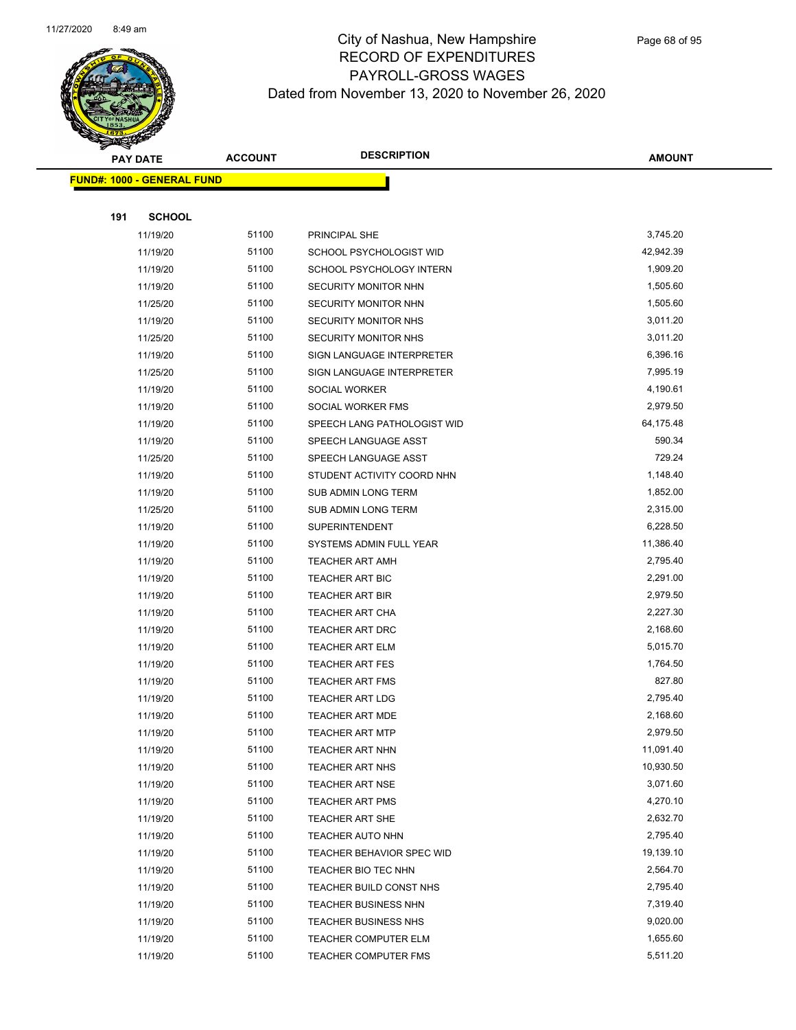

|     | <b>PAY DATE</b>                   | <b>ACCOUNT</b> | <b>DESCRIPTION</b>          | <b>AMOUNT</b> |
|-----|-----------------------------------|----------------|-----------------------------|---------------|
|     | <b>FUND#: 1000 - GENERAL FUND</b> |                |                             |               |
|     |                                   |                |                             |               |
| 191 | <b>SCHOOL</b>                     |                |                             |               |
|     | 11/19/20                          | 51100          | PRINCIPAL SHE               | 3,745.20      |
|     | 11/19/20                          | 51100          | SCHOOL PSYCHOLOGIST WID     | 42,942.39     |
|     | 11/19/20                          | 51100          | SCHOOL PSYCHOLOGY INTERN    | 1,909.20      |
|     | 11/19/20                          | 51100          | SECURITY MONITOR NHN        | 1,505.60      |
|     | 11/25/20                          | 51100          | SECURITY MONITOR NHN        | 1,505.60      |
|     | 11/19/20                          | 51100          | SECURITY MONITOR NHS        | 3,011.20      |
|     | 11/25/20                          | 51100          | <b>SECURITY MONITOR NHS</b> | 3,011.20      |
|     | 11/19/20                          | 51100          | SIGN LANGUAGE INTERPRETER   | 6,396.16      |
|     | 11/25/20                          | 51100          | SIGN LANGUAGE INTERPRETER   | 7,995.19      |
|     | 11/19/20                          | 51100          | SOCIAL WORKER               | 4,190.61      |
|     | 11/19/20                          | 51100          | SOCIAL WORKER FMS           | 2,979.50      |
|     | 11/19/20                          | 51100          | SPEECH LANG PATHOLOGIST WID | 64,175.48     |
|     | 11/19/20                          | 51100          | SPEECH LANGUAGE ASST        | 590.34        |
|     | 11/25/20                          | 51100          | SPEECH LANGUAGE ASST        | 729.24        |
|     | 11/19/20                          | 51100          | STUDENT ACTIVITY COORD NHN  | 1,148.40      |
|     | 11/19/20                          | 51100          | SUB ADMIN LONG TERM         | 1,852.00      |
|     | 11/25/20                          | 51100          | SUB ADMIN LONG TERM         | 2,315.00      |
|     | 11/19/20                          | 51100          | <b>SUPERINTENDENT</b>       | 6,228.50      |
|     | 11/19/20                          | 51100          | SYSTEMS ADMIN FULL YEAR     | 11,386.40     |
|     | 11/19/20                          | 51100          | <b>TEACHER ART AMH</b>      | 2,795.40      |
|     | 11/19/20                          | 51100          | TEACHER ART BIC             | 2,291.00      |
|     | 11/19/20                          | 51100          | <b>TEACHER ART BIR</b>      | 2,979.50      |
|     | 11/19/20                          | 51100          | <b>TEACHER ART CHA</b>      | 2,227.30      |
|     | 11/19/20                          | 51100          | <b>TEACHER ART DRC</b>      | 2,168.60      |
|     | 11/19/20                          | 51100          | <b>TEACHER ART ELM</b>      | 5,015.70      |
|     | 11/19/20                          | 51100          | <b>TEACHER ART FES</b>      | 1,764.50      |
|     | 11/19/20                          | 51100          | <b>TEACHER ART FMS</b>      | 827.80        |
|     | 11/19/20                          | 51100          | <b>TEACHER ART LDG</b>      | 2,795.40      |
|     | 11/19/20                          | 51100          | <b>TEACHER ART MDE</b>      | 2,168.60      |
|     | 11/19/20                          | 51100          | <b>TEACHER ART MTP</b>      | 2,979.50      |
|     | 11/19/20                          | 51100          | TEACHER ART NHN             | 11,091.40     |
|     | 11/19/20                          | 51100          | <b>TEACHER ART NHS</b>      | 10,930.50     |
|     | 11/19/20                          | 51100          | <b>TEACHER ART NSE</b>      | 3,071.60      |
|     | 11/19/20                          | 51100          | <b>TEACHER ART PMS</b>      | 4,270.10      |
|     | 11/19/20                          | 51100          | <b>TEACHER ART SHE</b>      | 2,632.70      |
|     | 11/19/20                          | 51100          | <b>TEACHER AUTO NHN</b>     | 2,795.40      |
|     | 11/19/20                          | 51100          | TEACHER BEHAVIOR SPEC WID   | 19,139.10     |
|     | 11/19/20                          | 51100          | TEACHER BIO TEC NHN         | 2,564.70      |
|     | 11/19/20                          | 51100          | TEACHER BUILD CONST NHS     | 2,795.40      |
|     | 11/19/20                          | 51100          | <b>TEACHER BUSINESS NHN</b> | 7,319.40      |
|     | 11/19/20                          | 51100          | <b>TEACHER BUSINESS NHS</b> | 9,020.00      |
|     | 11/19/20                          | 51100          | <b>TEACHER COMPUTER ELM</b> | 1,655.60      |
|     | 11/19/20                          | 51100          | <b>TEACHER COMPUTER FMS</b> | 5,511.20      |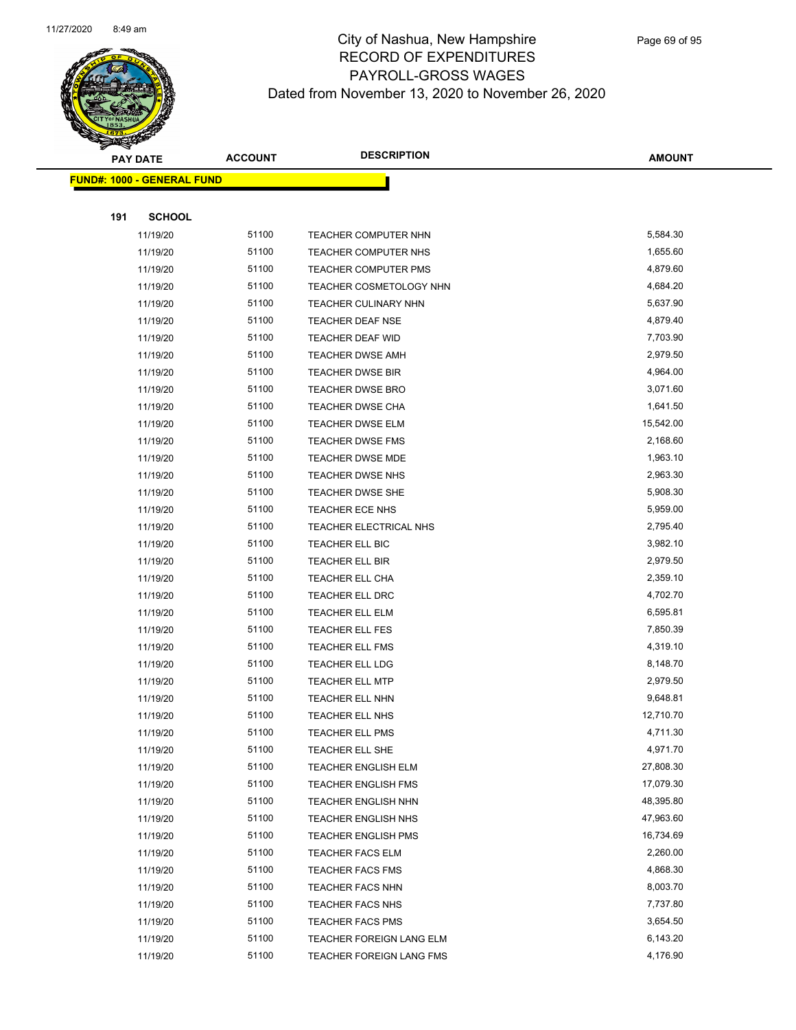

|     | <b>PAY DATE</b>                    | <b>ACCOUNT</b> | <b>DESCRIPTION</b>              | <b>AMOUNT</b> |
|-----|------------------------------------|----------------|---------------------------------|---------------|
|     | <u> FUND#: 1000 - GENERAL FUND</u> |                |                                 |               |
|     |                                    |                |                                 |               |
| 191 | <b>SCHOOL</b>                      |                |                                 |               |
|     | 11/19/20                           | 51100          | TEACHER COMPUTER NHN            | 5,584.30      |
|     | 11/19/20                           | 51100          | <b>TEACHER COMPUTER NHS</b>     | 1,655.60      |
|     | 11/19/20                           | 51100          | <b>TEACHER COMPUTER PMS</b>     | 4,879.60      |
|     | 11/19/20                           | 51100          | TEACHER COSMETOLOGY NHN         | 4,684.20      |
|     | 11/19/20                           | 51100          | <b>TEACHER CULINARY NHN</b>     | 5,637.90      |
|     | 11/19/20                           | 51100          | TEACHER DEAF NSE                | 4,879.40      |
|     | 11/19/20                           | 51100          | TEACHER DEAF WID                | 7,703.90      |
|     | 11/19/20                           | 51100          | <b>TEACHER DWSE AMH</b>         | 2,979.50      |
|     | 11/19/20                           | 51100          | <b>TEACHER DWSE BIR</b>         | 4,964.00      |
|     | 11/19/20                           | 51100          | TEACHER DWSE BRO                | 3,071.60      |
|     | 11/19/20                           | 51100          | <b>TEACHER DWSE CHA</b>         | 1,641.50      |
|     | 11/19/20                           | 51100          | <b>TEACHER DWSE ELM</b>         | 15,542.00     |
|     | 11/19/20                           | 51100          | <b>TEACHER DWSE FMS</b>         | 2,168.60      |
|     | 11/19/20                           | 51100          | <b>TEACHER DWSE MDE</b>         | 1,963.10      |
|     | 11/19/20                           | 51100          | <b>TEACHER DWSE NHS</b>         | 2,963.30      |
|     | 11/19/20                           | 51100          | TEACHER DWSE SHE                | 5,908.30      |
|     | 11/19/20                           | 51100          | <b>TEACHER ECE NHS</b>          | 5,959.00      |
|     | 11/19/20                           | 51100          | TEACHER ELECTRICAL NHS          | 2,795.40      |
|     | 11/19/20                           | 51100          | TEACHER ELL BIC                 | 3,982.10      |
|     | 11/19/20                           | 51100          | TEACHER ELL BIR                 | 2,979.50      |
|     | 11/19/20                           | 51100          | TEACHER ELL CHA                 | 2,359.10      |
|     | 11/19/20                           | 51100          | TEACHER ELL DRC                 | 4,702.70      |
|     | 11/19/20                           | 51100          | TEACHER ELL ELM                 | 6,595.81      |
|     | 11/19/20                           | 51100          | TEACHER ELL FES                 | 7,850.39      |
|     | 11/19/20                           | 51100          | <b>TEACHER ELL FMS</b>          | 4,319.10      |
|     | 11/19/20                           | 51100          | TEACHER ELL LDG                 | 8,148.70      |
|     | 11/19/20                           | 51100          | <b>TEACHER ELL MTP</b>          | 2,979.50      |
|     | 11/19/20                           | 51100          | TEACHER ELL NHN                 | 9,648.81      |
|     | 11/19/20                           | 51100          | <b>TEACHER ELL NHS</b>          | 12,710.70     |
|     | 11/19/20                           | 51100          | TEACHER ELL PMS                 | 4,711.30      |
|     | 11/19/20                           | 51100          | TEACHER ELL SHE                 | 4,971.70      |
|     | 11/19/20                           | 51100          | <b>TEACHER ENGLISH ELM</b>      | 27,808.30     |
|     | 11/19/20                           | 51100          | <b>TEACHER ENGLISH FMS</b>      | 17,079.30     |
|     | 11/19/20                           | 51100          | <b>TEACHER ENGLISH NHN</b>      | 48,395.80     |
|     | 11/19/20                           | 51100          | TEACHER ENGLISH NHS             | 47,963.60     |
|     | 11/19/20                           | 51100          | <b>TEACHER ENGLISH PMS</b>      | 16,734.69     |
|     | 11/19/20                           | 51100          | <b>TEACHER FACS ELM</b>         | 2,260.00      |
|     | 11/19/20                           | 51100          | <b>TEACHER FACS FMS</b>         | 4,868.30      |
|     | 11/19/20                           | 51100          | <b>TEACHER FACS NHN</b>         | 8,003.70      |
|     | 11/19/20                           | 51100          | <b>TEACHER FACS NHS</b>         | 7,737.80      |
|     | 11/19/20                           | 51100          | <b>TEACHER FACS PMS</b>         | 3,654.50      |
|     | 11/19/20                           | 51100          | TEACHER FOREIGN LANG ELM        | 6,143.20      |
|     | 11/19/20                           | 51100          | <b>TEACHER FOREIGN LANG FMS</b> | 4,176.90      |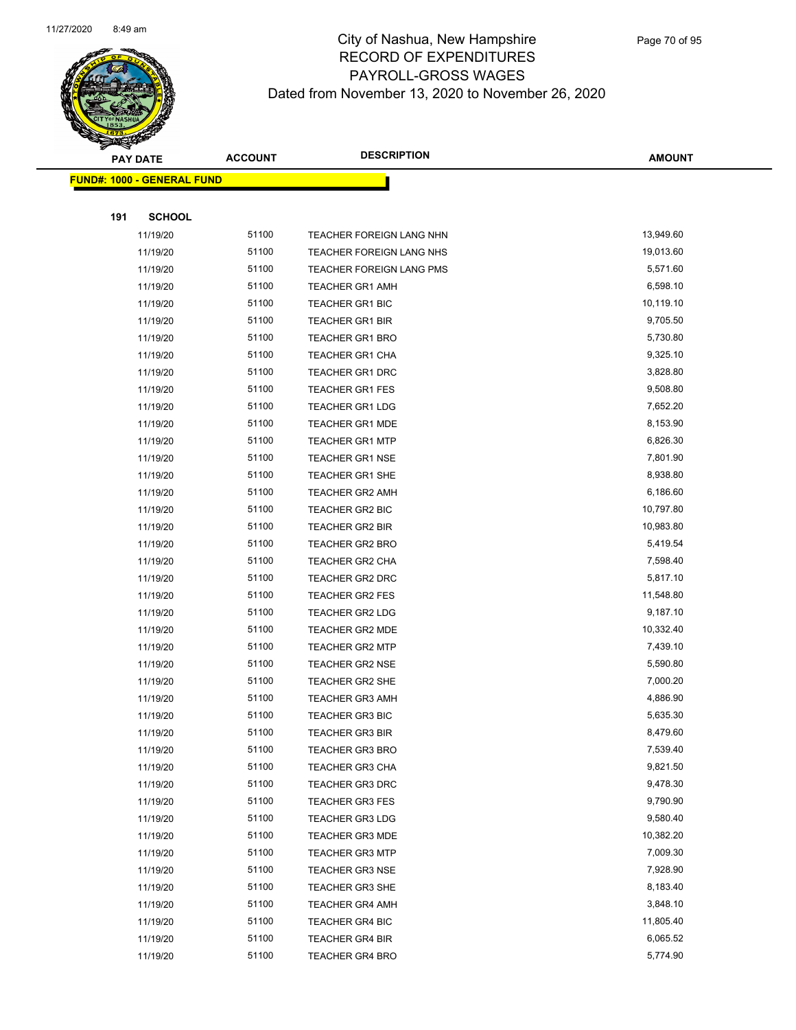

|     | <b>PAY DATE</b><br><b>FUND#: 1000 - GENERAL FUND</b> |       | <b>DESCRIPTION</b><br><b>ACCOUNT</b> | <b>AMOUNT</b> |
|-----|------------------------------------------------------|-------|--------------------------------------|---------------|
|     |                                                      |       |                                      |               |
|     |                                                      |       |                                      |               |
| 191 | <b>SCHOOL</b>                                        |       |                                      |               |
|     | 11/19/20                                             | 51100 | TEACHER FOREIGN LANG NHN             | 13,949.60     |
|     | 11/19/20                                             | 51100 | TEACHER FOREIGN LANG NHS             | 19,013.60     |
|     | 11/19/20                                             | 51100 | TEACHER FOREIGN LANG PMS             | 5,571.60      |
|     | 11/19/20                                             | 51100 | <b>TEACHER GR1 AMH</b>               | 6,598.10      |
|     | 11/19/20                                             | 51100 | <b>TEACHER GR1 BIC</b>               | 10,119.10     |
|     | 11/19/20                                             | 51100 | <b>TEACHER GR1 BIR</b>               | 9,705.50      |
|     | 11/19/20                                             | 51100 | <b>TEACHER GR1 BRO</b>               | 5,730.80      |
|     | 11/19/20                                             | 51100 | <b>TEACHER GR1 CHA</b>               | 9,325.10      |
|     | 11/19/20                                             | 51100 | <b>TEACHER GR1 DRC</b>               | 3,828.80      |
|     | 11/19/20                                             | 51100 | <b>TEACHER GR1 FES</b>               | 9,508.80      |
|     | 11/19/20                                             | 51100 | <b>TEACHER GR1 LDG</b>               | 7,652.20      |
|     | 11/19/20                                             | 51100 | <b>TEACHER GR1 MDE</b>               | 8,153.90      |
|     | 11/19/20                                             | 51100 | <b>TEACHER GR1 MTP</b>               | 6,826.30      |
|     | 11/19/20                                             | 51100 | <b>TEACHER GR1 NSE</b>               | 7,801.90      |
|     | 11/19/20                                             | 51100 | <b>TEACHER GR1 SHE</b>               | 8,938.80      |
|     | 11/19/20                                             | 51100 | <b>TEACHER GR2 AMH</b>               | 6,186.60      |
|     | 11/19/20                                             | 51100 | TEACHER GR2 BIC                      | 10,797.80     |
|     | 11/19/20                                             | 51100 | <b>TEACHER GR2 BIR</b>               | 10,983.80     |
|     | 11/19/20                                             | 51100 | <b>TEACHER GR2 BRO</b>               | 5,419.54      |
|     | 11/19/20                                             | 51100 | <b>TEACHER GR2 CHA</b>               | 7,598.40      |
|     | 11/19/20                                             | 51100 | TEACHER GR2 DRC                      | 5,817.10      |
|     | 11/19/20                                             | 51100 | <b>TEACHER GR2 FES</b>               | 11,548.80     |
|     | 11/19/20                                             | 51100 | <b>TEACHER GR2 LDG</b>               | 9,187.10      |
|     | 11/19/20                                             | 51100 | TEACHER GR2 MDE                      | 10,332.40     |
|     | 11/19/20                                             | 51100 | <b>TEACHER GR2 MTP</b>               | 7,439.10      |
|     | 11/19/20                                             | 51100 | <b>TEACHER GR2 NSE</b>               | 5,590.80      |
|     | 11/19/20                                             | 51100 | <b>TEACHER GR2 SHE</b>               | 7,000.20      |
|     | 11/19/20                                             | 51100 | <b>TEACHER GR3 AMH</b>               | 4,886.90      |
|     | 11/19/20                                             | 51100 | <b>TEACHER GR3 BIC</b>               | 5,635.30      |
|     | 11/19/20                                             | 51100 | <b>TEACHER GR3 BIR</b>               | 8,479.60      |
|     | 11/19/20                                             | 51100 | <b>TEACHER GR3 BRO</b>               | 7,539.40      |
|     | 11/19/20                                             | 51100 | <b>TEACHER GR3 CHA</b>               | 9,821.50      |
|     | 11/19/20                                             | 51100 | <b>TEACHER GR3 DRC</b>               | 9,478.30      |
|     | 11/19/20                                             | 51100 | TEACHER GR3 FES                      | 9,790.90      |
|     | 11/19/20                                             | 51100 | <b>TEACHER GR3 LDG</b>               | 9,580.40      |
|     | 11/19/20                                             | 51100 | <b>TEACHER GR3 MDE</b>               | 10,382.20     |
|     | 11/19/20                                             | 51100 | <b>TEACHER GR3 MTP</b>               | 7,009.30      |
|     | 11/19/20                                             | 51100 | <b>TEACHER GR3 NSE</b>               | 7,928.90      |
|     | 11/19/20                                             | 51100 | TEACHER GR3 SHE                      | 8,183.40      |
|     | 11/19/20                                             | 51100 | <b>TEACHER GR4 AMH</b>               | 3,848.10      |
|     | 11/19/20                                             | 51100 | TEACHER GR4 BIC                      | 11,805.40     |
|     | 11/19/20                                             | 51100 | TEACHER GR4 BIR                      | 6,065.52      |
|     | 11/19/20                                             | 51100 | <b>TEACHER GR4 BRO</b>               | 5,774.90      |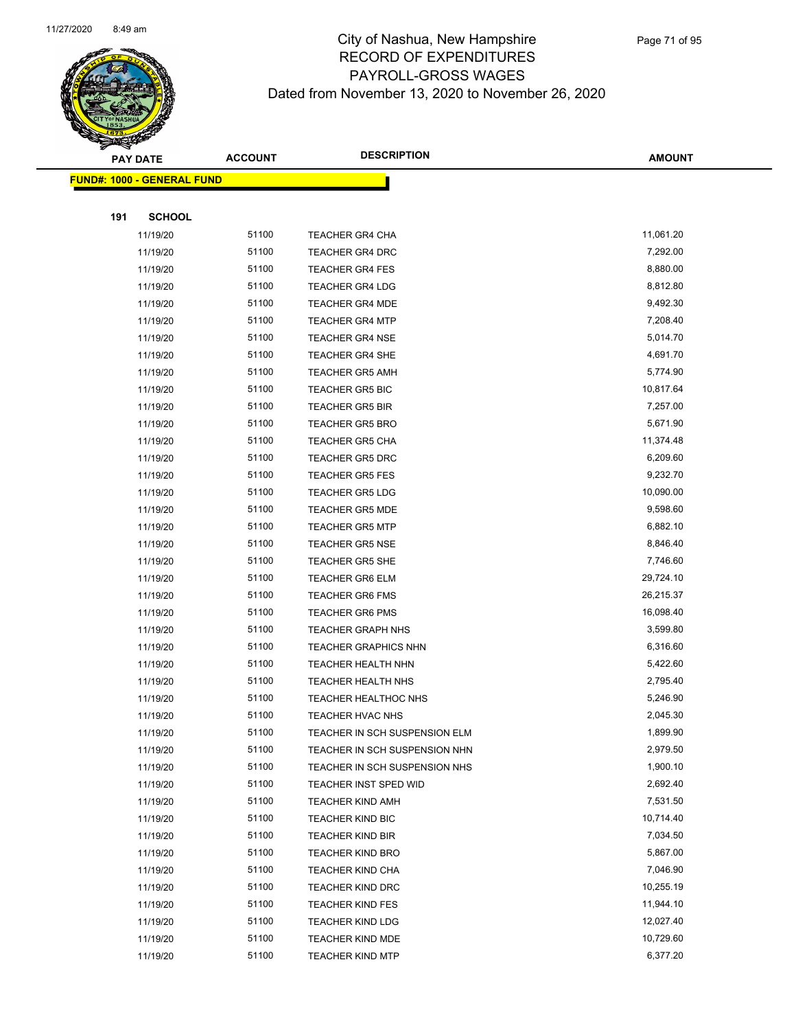

|     | <b>PAY DATE</b>                    | <b>ACCOUNT</b> | <b>DESCRIPTION</b>            | <b>AMOUNT</b> |
|-----|------------------------------------|----------------|-------------------------------|---------------|
|     | <u> FUND#: 1000 - GENERAL FUND</u> |                |                               |               |
|     |                                    |                |                               |               |
| 191 | <b>SCHOOL</b>                      |                |                               |               |
|     | 11/19/20                           | 51100          | <b>TEACHER GR4 CHA</b>        | 11,061.20     |
|     | 11/19/20                           | 51100          | <b>TEACHER GR4 DRC</b>        | 7,292.00      |
|     | 11/19/20                           | 51100          | <b>TEACHER GR4 FES</b>        | 8,880.00      |
|     | 11/19/20                           | 51100          | <b>TEACHER GR4 LDG</b>        | 8,812.80      |
|     | 11/19/20                           | 51100          | <b>TEACHER GR4 MDE</b>        | 9,492.30      |
|     | 11/19/20                           | 51100          | <b>TEACHER GR4 MTP</b>        | 7,208.40      |
|     | 11/19/20                           | 51100          | <b>TEACHER GR4 NSE</b>        | 5,014.70      |
|     | 11/19/20                           | 51100          | <b>TEACHER GR4 SHE</b>        | 4,691.70      |
|     | 11/19/20                           | 51100          | <b>TEACHER GR5 AMH</b>        | 5,774.90      |
|     | 11/19/20                           | 51100          | <b>TEACHER GR5 BIC</b>        | 10,817.64     |
|     | 11/19/20                           | 51100          | <b>TEACHER GR5 BIR</b>        | 7,257.00      |
|     | 11/19/20                           | 51100          | <b>TEACHER GR5 BRO</b>        | 5,671.90      |
|     | 11/19/20                           | 51100          | <b>TEACHER GR5 CHA</b>        | 11,374.48     |
|     | 11/19/20                           | 51100          | <b>TEACHER GR5 DRC</b>        | 6,209.60      |
|     | 11/19/20                           | 51100          | <b>TEACHER GR5 FES</b>        | 9,232.70      |
|     | 11/19/20                           | 51100          | <b>TEACHER GR5 LDG</b>        | 10,090.00     |
|     | 11/19/20                           | 51100          | <b>TEACHER GR5 MDE</b>        | 9,598.60      |
|     | 11/19/20                           | 51100          | <b>TEACHER GR5 MTP</b>        | 6,882.10      |
|     | 11/19/20                           | 51100          | <b>TEACHER GR5 NSE</b>        | 8,846.40      |
|     | 11/19/20                           | 51100          | <b>TEACHER GR5 SHE</b>        | 7,746.60      |
|     | 11/19/20                           | 51100          | <b>TEACHER GR6 ELM</b>        | 29,724.10     |
|     | 11/19/20                           | 51100          | <b>TEACHER GR6 FMS</b>        | 26,215.37     |
|     | 11/19/20                           | 51100          | <b>TEACHER GR6 PMS</b>        | 16,098.40     |
|     | 11/19/20                           | 51100          | <b>TEACHER GRAPH NHS</b>      | 3,599.80      |
|     | 11/19/20                           | 51100          | <b>TEACHER GRAPHICS NHN</b>   | 6,316.60      |
|     | 11/19/20                           | 51100          | <b>TEACHER HEALTH NHN</b>     | 5,422.60      |
|     | 11/19/20                           | 51100          | <b>TEACHER HEALTH NHS</b>     | 2,795.40      |
|     | 11/19/20                           | 51100          | TEACHER HEALTHOC NHS          | 5,246.90      |
|     | 11/19/20                           | 51100          | TEACHER HVAC NHS              | 2,045.30      |
|     | 11/19/20                           | 51100          | TEACHER IN SCH SUSPENSION ELM | 1,899.90      |
|     | 11/19/20                           | 51100          | TEACHER IN SCH SUSPENSION NHN | 2,979.50      |
|     | 11/19/20                           | 51100          | TEACHER IN SCH SUSPENSION NHS | 1,900.10      |
|     | 11/19/20                           | 51100          | TEACHER INST SPED WID         | 2,692.40      |
|     | 11/19/20                           | 51100          | <b>TEACHER KIND AMH</b>       | 7,531.50      |
|     | 11/19/20                           | 51100          | <b>TEACHER KIND BIC</b>       | 10,714.40     |
|     | 11/19/20                           | 51100          | <b>TEACHER KIND BIR</b>       | 7,034.50      |
|     | 11/19/20                           | 51100          | <b>TEACHER KIND BRO</b>       | 5,867.00      |
|     | 11/19/20                           | 51100          | <b>TEACHER KIND CHA</b>       | 7,046.90      |
|     | 11/19/20                           | 51100          | <b>TEACHER KIND DRC</b>       | 10,255.19     |
|     | 11/19/20                           | 51100          | <b>TEACHER KIND FES</b>       | 11,944.10     |
|     | 11/19/20                           | 51100          | <b>TEACHER KIND LDG</b>       | 12,027.40     |
|     | 11/19/20                           | 51100          | <b>TEACHER KIND MDE</b>       | 10,729.60     |
|     | 11/19/20                           | 51100          | TEACHER KIND MTP              | 6,377.20      |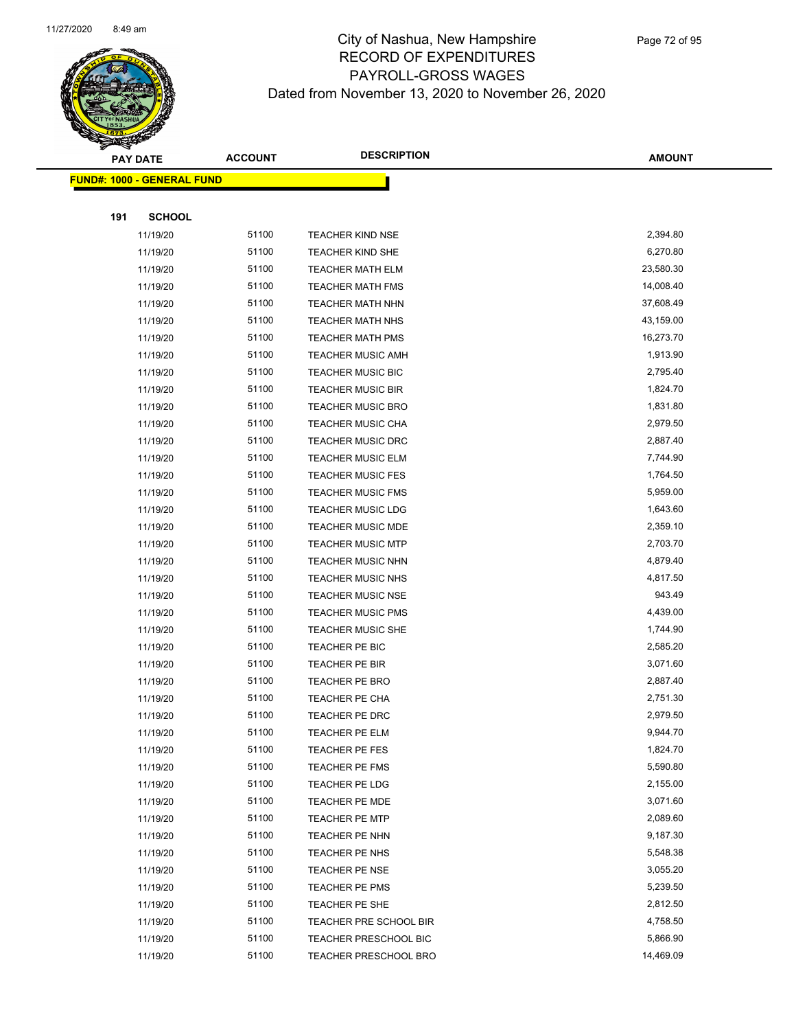

|     | <b>PAY DATE</b>                    | <b>ACCOUNT</b> | <b>DESCRIPTION</b>       | <b>AMOUNT</b> |
|-----|------------------------------------|----------------|--------------------------|---------------|
|     | <u> FUND#: 1000 - GENERAL FUND</u> |                |                          |               |
|     |                                    |                |                          |               |
| 191 | <b>SCHOOL</b>                      |                |                          |               |
|     | 11/19/20                           | 51100          | <b>TEACHER KIND NSE</b>  | 2,394.80      |
|     | 11/19/20                           | 51100          | TEACHER KIND SHE         | 6,270.80      |
|     | 11/19/20                           | 51100          | <b>TEACHER MATH ELM</b>  | 23,580.30     |
|     | 11/19/20                           | 51100          | <b>TEACHER MATH FMS</b>  | 14,008.40     |
|     | 11/19/20                           | 51100          | <b>TEACHER MATH NHN</b>  | 37,608.49     |
|     | 11/19/20                           | 51100          | <b>TEACHER MATH NHS</b>  | 43,159.00     |
|     | 11/19/20                           | 51100          | <b>TEACHER MATH PMS</b>  | 16,273.70     |
|     | 11/19/20                           | 51100          | <b>TEACHER MUSIC AMH</b> | 1,913.90      |
|     | 11/19/20                           | 51100          | TEACHER MUSIC BIC        | 2,795.40      |
|     | 11/19/20                           | 51100          | <b>TEACHER MUSIC BIR</b> | 1,824.70      |
|     | 11/19/20                           | 51100          | <b>TEACHER MUSIC BRO</b> | 1,831.80      |
|     | 11/19/20                           | 51100          | <b>TEACHER MUSIC CHA</b> | 2,979.50      |
|     | 11/19/20                           | 51100          | TEACHER MUSIC DRC        | 2,887.40      |
|     | 11/19/20                           | 51100          | <b>TEACHER MUSIC ELM</b> | 7,744.90      |
|     | 11/19/20                           | 51100          | <b>TEACHER MUSIC FES</b> | 1,764.50      |
|     | 11/19/20                           | 51100          | <b>TEACHER MUSIC FMS</b> | 5,959.00      |
|     | 11/19/20                           | 51100          | <b>TEACHER MUSIC LDG</b> | 1,643.60      |
|     | 11/19/20                           | 51100          | <b>TEACHER MUSIC MDE</b> | 2,359.10      |
|     | 11/19/20                           | 51100          | <b>TEACHER MUSIC MTP</b> | 2,703.70      |
|     | 11/19/20                           | 51100          | <b>TEACHER MUSIC NHN</b> | 4,879.40      |
|     | 11/19/20                           | 51100          | TEACHER MUSIC NHS        | 4,817.50      |
|     | 11/19/20                           | 51100          | <b>TEACHER MUSIC NSE</b> | 943.49        |
|     | 11/19/20                           | 51100          | <b>TEACHER MUSIC PMS</b> | 4,439.00      |
|     | 11/19/20                           | 51100          | <b>TEACHER MUSIC SHE</b> | 1,744.90      |
|     | 11/19/20                           | 51100          | TEACHER PE BIC           | 2,585.20      |
|     | 11/19/20                           | 51100          | <b>TEACHER PE BIR</b>    | 3,071.60      |
|     | 11/19/20                           | 51100          | TEACHER PE BRO           | 2,887.40      |
|     | 11/19/20                           | 51100          | <b>TEACHER PE CHA</b>    | 2,751.30      |
|     | 11/19/20                           | 51100          | TEACHER PE DRC           | 2,979.50      |
|     | 11/19/20                           | 51100          | TEACHER PE ELM           | 9,944.70      |
|     | 11/19/20                           | 51100          | TEACHER PE FES           | 1,824.70      |
|     | 11/19/20                           | 51100          | TEACHER PE FMS           | 5,590.80      |
|     | 11/19/20                           | 51100          | TEACHER PE LDG           | 2,155.00      |
|     | 11/19/20                           | 51100          | TEACHER PE MDE           | 3,071.60      |
|     | 11/19/20                           | 51100          | <b>TEACHER PE MTP</b>    | 2,089.60      |
|     | 11/19/20                           | 51100          | TEACHER PE NHN           | 9,187.30      |
|     | 11/19/20                           | 51100          | TEACHER PE NHS           | 5,548.38      |
|     | 11/19/20                           | 51100          | TEACHER PE NSE           | 3,055.20      |
|     | 11/19/20                           | 51100          | TEACHER PE PMS           | 5,239.50      |
|     | 11/19/20                           | 51100          | TEACHER PE SHE           | 2,812.50      |
|     | 11/19/20                           | 51100          | TEACHER PRE SCHOOL BIR   | 4,758.50      |
|     | 11/19/20                           | 51100          | TEACHER PRESCHOOL BIC    | 5,866.90      |
|     | 11/19/20                           | 51100          | TEACHER PRESCHOOL BRO    | 14,469.09     |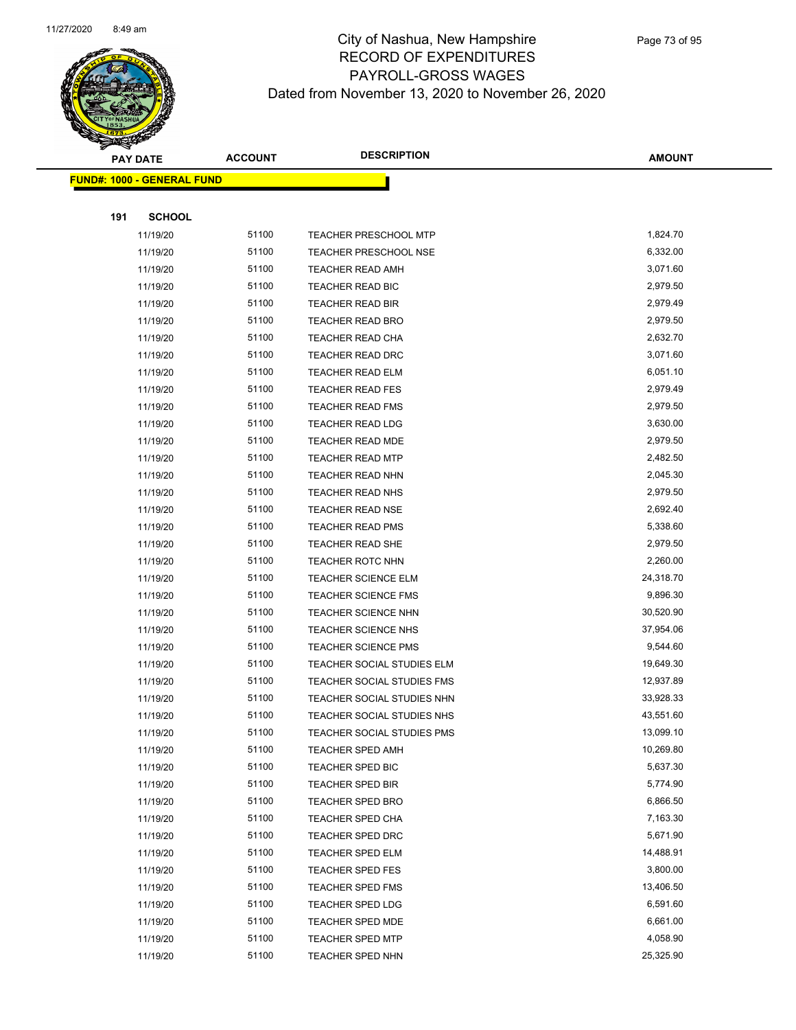

|     | <b>PAY DATE</b>                   | <b>ACCOUNT</b> | <b>DESCRIPTION</b>           | <b>AMOUNT</b> |
|-----|-----------------------------------|----------------|------------------------------|---------------|
|     | <b>FUND#: 1000 - GENERAL FUND</b> |                |                              |               |
|     |                                   |                |                              |               |
| 191 | <b>SCHOOL</b>                     |                |                              |               |
|     | 11/19/20                          | 51100          | <b>TEACHER PRESCHOOL MTP</b> | 1,824.70      |
|     | 11/19/20                          | 51100          | <b>TEACHER PRESCHOOL NSE</b> | 6,332.00      |
|     | 11/19/20                          | 51100          | <b>TEACHER READ AMH</b>      | 3,071.60      |
|     | 11/19/20                          | 51100          | <b>TEACHER READ BIC</b>      | 2,979.50      |
|     | 11/19/20                          | 51100          | <b>TEACHER READ BIR</b>      | 2,979.49      |
|     | 11/19/20                          | 51100          | <b>TEACHER READ BRO</b>      | 2,979.50      |
|     | 11/19/20                          | 51100          | <b>TEACHER READ CHA</b>      | 2,632.70      |
|     | 11/19/20                          | 51100          | TEACHER READ DRC             | 3,071.60      |
|     | 11/19/20                          | 51100          | <b>TEACHER READ ELM</b>      | 6,051.10      |
|     | 11/19/20                          | 51100          | <b>TEACHER READ FES</b>      | 2,979.49      |
|     | 11/19/20                          | 51100          | <b>TEACHER READ FMS</b>      | 2,979.50      |
|     | 11/19/20                          | 51100          | TEACHER READ LDG             | 3,630.00      |
|     | 11/19/20                          | 51100          | TEACHER READ MDE             | 2,979.50      |
|     | 11/19/20                          | 51100          | <b>TEACHER READ MTP</b>      | 2,482.50      |
|     | 11/19/20                          | 51100          | <b>TEACHER READ NHN</b>      | 2,045.30      |
|     | 11/19/20                          | 51100          | TEACHER READ NHS             | 2,979.50      |
|     | 11/19/20                          | 51100          | <b>TEACHER READ NSE</b>      | 2,692.40      |
|     | 11/19/20                          | 51100          | <b>TEACHER READ PMS</b>      | 5,338.60      |
|     | 11/19/20                          | 51100          | <b>TEACHER READ SHE</b>      | 2,979.50      |
|     | 11/19/20                          | 51100          | <b>TEACHER ROTC NHN</b>      | 2,260.00      |
|     | 11/19/20                          | 51100          | <b>TEACHER SCIENCE ELM</b>   | 24,318.70     |
|     | 11/19/20                          | 51100          | <b>TEACHER SCIENCE FMS</b>   | 9,896.30      |
|     | 11/19/20                          | 51100          | <b>TEACHER SCIENCE NHN</b>   | 30,520.90     |
|     | 11/19/20                          | 51100          | <b>TEACHER SCIENCE NHS</b>   | 37,954.06     |
|     | 11/19/20                          | 51100          | <b>TEACHER SCIENCE PMS</b>   | 9,544.60      |
|     | 11/19/20                          | 51100          | TEACHER SOCIAL STUDIES ELM   | 19,649.30     |
|     | 11/19/20                          | 51100          | TEACHER SOCIAL STUDIES FMS   | 12,937.89     |
|     | 11/19/20                          | 51100          | TEACHER SOCIAL STUDIES NHN   | 33,928.33     |
|     | 11/19/20                          | 51100          | TEACHER SOCIAL STUDIES NHS   | 43,551.60     |
|     | 11/19/20                          | 51100          | TEACHER SOCIAL STUDIES PMS   | 13,099.10     |
|     | 11/19/20                          | 51100          | <b>TEACHER SPED AMH</b>      | 10,269.80     |
|     | 11/19/20                          | 51100          | <b>TEACHER SPED BIC</b>      | 5,637.30      |
|     | 11/19/20                          | 51100          | TEACHER SPED BIR             | 5,774.90      |
|     | 11/19/20                          | 51100          | <b>TEACHER SPED BRO</b>      | 6,866.50      |
|     | 11/19/20                          | 51100          | <b>TEACHER SPED CHA</b>      | 7,163.30      |
|     | 11/19/20                          | 51100          | <b>TEACHER SPED DRC</b>      | 5,671.90      |
|     | 11/19/20                          | 51100          | <b>TEACHER SPED ELM</b>      | 14,488.91     |
|     | 11/19/20                          | 51100          | <b>TEACHER SPED FES</b>      | 3,800.00      |
|     | 11/19/20                          | 51100          | TEACHER SPED FMS             | 13,406.50     |
|     | 11/19/20                          | 51100          | <b>TEACHER SPED LDG</b>      | 6,591.60      |
|     | 11/19/20                          | 51100          | <b>TEACHER SPED MDE</b>      | 6,661.00      |
|     | 11/19/20                          | 51100          | TEACHER SPED MTP             | 4,058.90      |
|     | 11/19/20                          | 51100          | <b>TEACHER SPED NHN</b>      | 25,325.90     |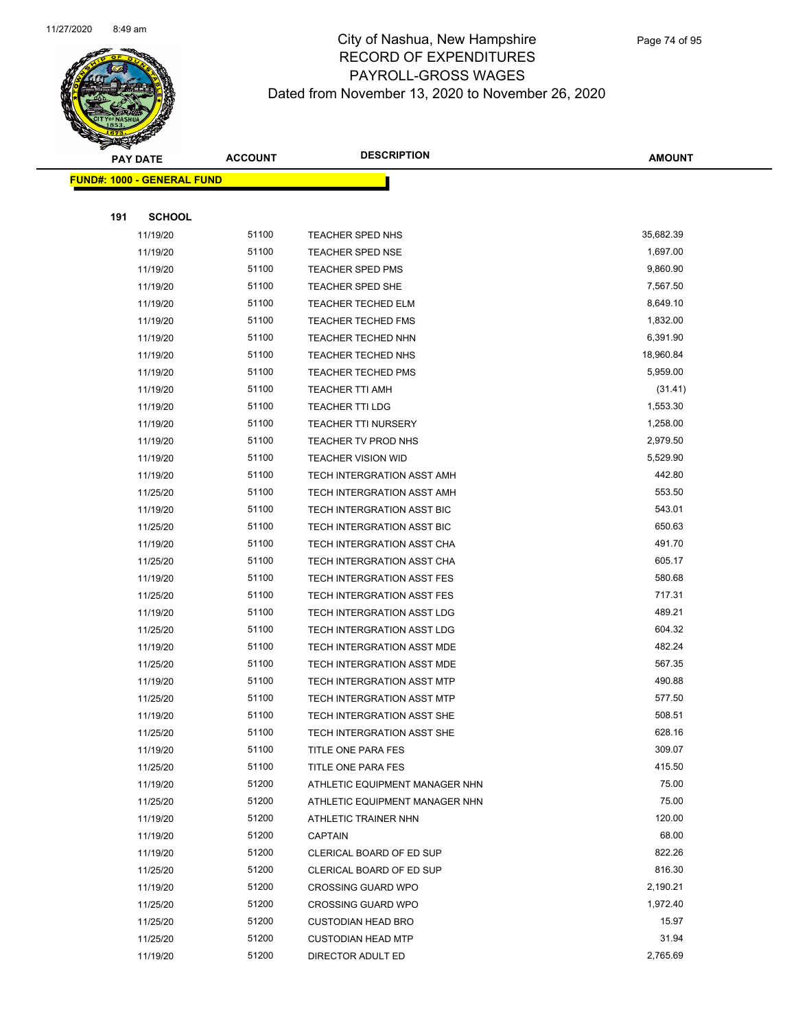

|     | <b>PAY DATE</b>                    | <b>ACCOUNT</b> | <b>DESCRIPTION</b>             | <b>AMOUNT</b> |
|-----|------------------------------------|----------------|--------------------------------|---------------|
|     | <u> FUND#: 1000 - GENERAL FUND</u> |                |                                |               |
|     |                                    |                |                                |               |
| 191 | <b>SCHOOL</b>                      |                |                                |               |
|     | 11/19/20                           | 51100          | TEACHER SPED NHS               | 35,682.39     |
|     | 11/19/20                           | 51100          | <b>TEACHER SPED NSE</b>        | 1,697.00      |
|     | 11/19/20                           | 51100          | <b>TEACHER SPED PMS</b>        | 9,860.90      |
|     | 11/19/20                           | 51100          | TEACHER SPED SHE               | 7,567.50      |
|     | 11/19/20                           | 51100          | <b>TEACHER TECHED ELM</b>      | 8,649.10      |
|     | 11/19/20                           | 51100          | <b>TEACHER TECHED FMS</b>      | 1,832.00      |
|     | 11/19/20                           | 51100          | TEACHER TECHED NHN             | 6,391.90      |
|     | 11/19/20                           | 51100          | <b>TEACHER TECHED NHS</b>      | 18,960.84     |
|     | 11/19/20                           | 51100          | <b>TEACHER TECHED PMS</b>      | 5,959.00      |
|     | 11/19/20                           | 51100          | <b>TEACHER TTI AMH</b>         | (31.41)       |
|     | 11/19/20                           | 51100          | TEACHER TTI LDG                | 1,553.30      |
|     | 11/19/20                           | 51100          | <b>TEACHER TTI NURSERY</b>     | 1,258.00      |
|     | 11/19/20                           | 51100          | TEACHER TV PROD NHS            | 2,979.50      |
|     | 11/19/20                           | 51100          | <b>TEACHER VISION WID</b>      | 5,529.90      |
|     | 11/19/20                           | 51100          | TECH INTERGRATION ASST AMH     | 442.80        |
|     | 11/25/20                           | 51100          | TECH INTERGRATION ASST AMH     | 553.50        |
|     | 11/19/20                           | 51100          | TECH INTERGRATION ASST BIC     | 543.01        |
|     | 11/25/20                           | 51100          | TECH INTERGRATION ASST BIC     | 650.63        |
|     | 11/19/20                           | 51100          | TECH INTERGRATION ASST CHA     | 491.70        |
|     | 11/25/20                           | 51100          | TECH INTERGRATION ASST CHA     | 605.17        |
|     | 11/19/20                           | 51100          | TECH INTERGRATION ASST FES     | 580.68        |
|     | 11/25/20                           | 51100          | TECH INTERGRATION ASST FES     | 717.31        |
|     | 11/19/20                           | 51100          | TECH INTERGRATION ASST LDG     | 489.21        |
|     | 11/25/20                           | 51100          | TECH INTERGRATION ASST LDG     | 604.32        |
|     | 11/19/20                           | 51100          | TECH INTERGRATION ASST MDE     | 482.24        |
|     | 11/25/20                           | 51100          | TECH INTERGRATION ASST MDE     | 567.35        |
|     | 11/19/20                           | 51100          | TECH INTERGRATION ASST MTP     | 490.88        |
|     | 11/25/20                           | 51100          | TECH INTERGRATION ASST MTP     | 577.50        |
|     | 11/19/20                           | 51100          | TECH INTERGRATION ASST SHE     | 508.51        |
|     | 11/25/20                           | 51100          | TECH INTERGRATION ASST SHE     | 628.16        |
|     | 11/19/20                           | 51100          | TITLE ONE PARA FES             | 309.07        |
|     | 11/25/20                           | 51100          | TITLE ONE PARA FES             | 415.50        |
|     | 11/19/20                           | 51200          | ATHLETIC EQUIPMENT MANAGER NHN | 75.00         |
|     | 11/25/20                           | 51200          | ATHLETIC EQUIPMENT MANAGER NHN | 75.00         |
|     | 11/19/20                           | 51200          | ATHLETIC TRAINER NHN           | 120.00        |
|     | 11/19/20                           | 51200          | <b>CAPTAIN</b>                 | 68.00         |
|     | 11/19/20                           | 51200          | CLERICAL BOARD OF ED SUP       | 822.26        |
|     | 11/25/20                           | 51200          | CLERICAL BOARD OF ED SUP       | 816.30        |
|     | 11/19/20                           | 51200          | <b>CROSSING GUARD WPO</b>      | 2,190.21      |
|     | 11/25/20                           | 51200          | <b>CROSSING GUARD WPO</b>      | 1,972.40      |
|     | 11/25/20                           | 51200          | <b>CUSTODIAN HEAD BRO</b>      | 15.97         |
|     | 11/25/20                           | 51200          | <b>CUSTODIAN HEAD MTP</b>      | 31.94         |
|     | 11/19/20                           | 51200          | DIRECTOR ADULT ED              | 2,765.69      |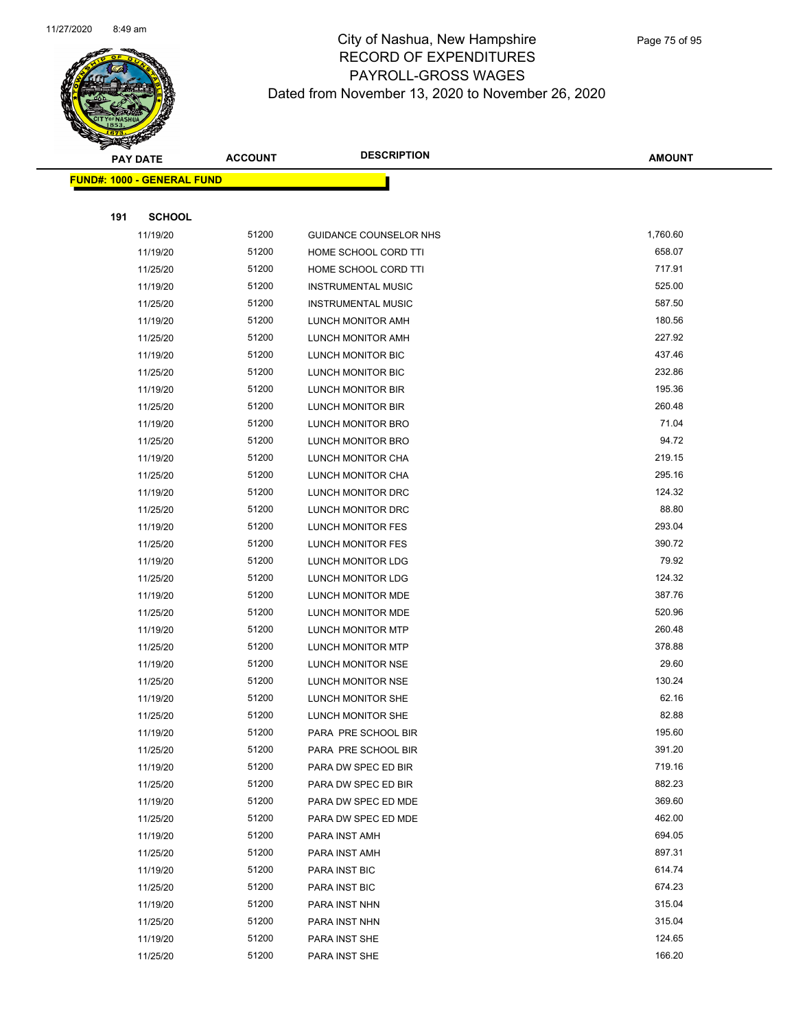

| <b>PAY DATE</b> |                                   | <b>ACCOUNT</b>       | <b>DESCRIPTION</b> | <b>AMOUNT</b>                  |                  |
|-----------------|-----------------------------------|----------------------|--------------------|--------------------------------|------------------|
|                 | <b>FUND#: 1000 - GENERAL FUND</b> |                      |                    |                                |                  |
|                 |                                   |                      |                    |                                |                  |
|                 | 191                               | <b>SCHOOL</b>        |                    |                                |                  |
|                 |                                   | 11/19/20             | 51200              | GUIDANCE COUNSELOR NHS         | 1,760.60         |
|                 |                                   | 11/19/20             | 51200              | HOME SCHOOL CORD TTI           | 658.07           |
|                 |                                   | 11/25/20             | 51200              | HOME SCHOOL CORD TTI           | 717.91           |
|                 |                                   | 11/19/20             | 51200              | <b>INSTRUMENTAL MUSIC</b>      | 525.00           |
|                 |                                   | 11/25/20             | 51200              | <b>INSTRUMENTAL MUSIC</b>      | 587.50           |
|                 |                                   | 11/19/20             | 51200              | LUNCH MONITOR AMH              | 180.56           |
|                 |                                   | 11/25/20             | 51200              | LUNCH MONITOR AMH              | 227.92           |
|                 |                                   | 11/19/20             | 51200              | LUNCH MONITOR BIC              | 437.46           |
|                 |                                   | 11/25/20             | 51200              | LUNCH MONITOR BIC              | 232.86           |
|                 |                                   | 11/19/20             | 51200              | LUNCH MONITOR BIR              | 195.36           |
|                 |                                   | 11/25/20             | 51200              | LUNCH MONITOR BIR              | 260.48           |
|                 |                                   | 11/19/20             | 51200              | LUNCH MONITOR BRO              | 71.04            |
|                 |                                   | 11/25/20             | 51200              | LUNCH MONITOR BRO              | 94.72            |
|                 |                                   | 11/19/20             | 51200              | LUNCH MONITOR CHA              | 219.15           |
|                 |                                   | 11/25/20             | 51200              | LUNCH MONITOR CHA              | 295.16           |
|                 |                                   | 11/19/20             | 51200              | LUNCH MONITOR DRC              | 124.32           |
|                 |                                   | 11/25/20             | 51200              | LUNCH MONITOR DRC              | 88.80            |
|                 |                                   | 11/19/20             | 51200              | LUNCH MONITOR FES              | 293.04           |
|                 |                                   | 11/25/20             | 51200              | LUNCH MONITOR FES              | 390.72           |
|                 |                                   | 11/19/20             | 51200              | LUNCH MONITOR LDG              | 79.92            |
|                 |                                   | 11/25/20             | 51200              | LUNCH MONITOR LDG              | 124.32           |
|                 |                                   | 11/19/20             | 51200              | LUNCH MONITOR MDE              | 387.76           |
|                 |                                   | 11/25/20             | 51200              | LUNCH MONITOR MDE              | 520.96           |
|                 |                                   | 11/19/20             | 51200              | LUNCH MONITOR MTP              | 260.48           |
|                 |                                   | 11/25/20             | 51200              | LUNCH MONITOR MTP              | 378.88           |
|                 |                                   | 11/19/20             | 51200              | LUNCH MONITOR NSE              | 29.60            |
|                 |                                   | 11/25/20             | 51200              | LUNCH MONITOR NSE              | 130.24           |
|                 |                                   | 11/19/20             | 51200              | LUNCH MONITOR SHE              | 62.16            |
|                 |                                   | 11/25/20             | 51200              | LUNCH MONITOR SHE              | 82.88            |
|                 |                                   | 11/19/20             | 51200              | PARA PRE SCHOOL BIR            | 195.60           |
|                 |                                   | 11/25/20             | 51200              | PARA PRE SCHOOL BIR            | 391.20           |
|                 |                                   | 11/19/20             | 51200              | PARA DW SPEC ED BIR            | 719.16           |
|                 |                                   | 11/25/20             | 51200              | PARA DW SPEC ED BIR            | 882.23           |
|                 |                                   | 11/19/20             | 51200              | PARA DW SPEC ED MDE            | 369.60<br>462.00 |
|                 |                                   | 11/25/20             | 51200<br>51200     | PARA DW SPEC ED MDE            | 694.05           |
|                 |                                   | 11/19/20             |                    | PARA INST AMH                  | 897.31           |
|                 |                                   | 11/25/20             | 51200              | PARA INST AMH                  | 614.74           |
|                 |                                   | 11/19/20             | 51200<br>51200     | PARA INST BIC                  | 674.23           |
|                 |                                   | 11/25/20             | 51200              | PARA INST BIC                  | 315.04           |
|                 |                                   | 11/19/20<br>11/25/20 | 51200              | PARA INST NHN<br>PARA INST NHN | 315.04           |
|                 |                                   | 11/19/20             | 51200              | PARA INST SHE                  | 124.65           |
|                 |                                   | 11/25/20             | 51200              | PARA INST SHE                  | 166.20           |
|                 |                                   |                      |                    |                                |                  |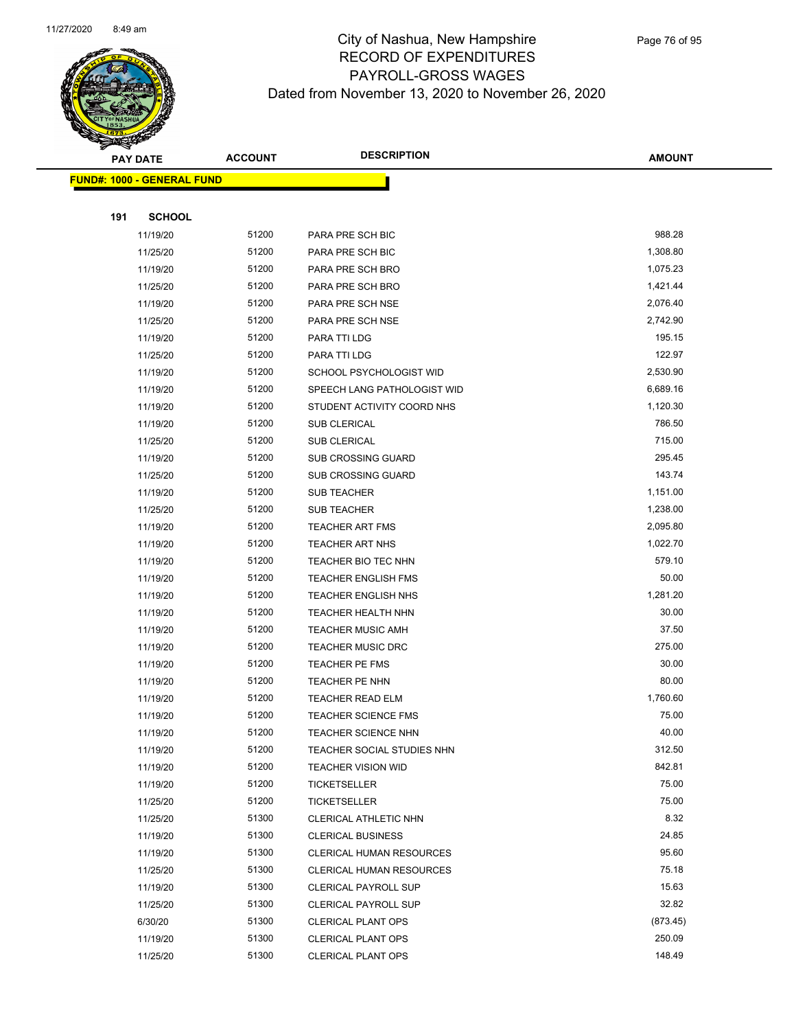

|     | <b>PAY DATE</b>                    | <b>ACCOUNT</b> | <b>DESCRIPTION</b>              | <b>AMOUNT</b> |
|-----|------------------------------------|----------------|---------------------------------|---------------|
|     | <u> FUND#: 1000 - GENERAL FUND</u> |                |                                 |               |
|     |                                    |                |                                 |               |
| 191 | <b>SCHOOL</b>                      |                |                                 |               |
|     | 11/19/20                           | 51200          | PARA PRE SCH BIC                | 988.28        |
|     | 11/25/20                           | 51200          | PARA PRE SCH BIC                | 1,308.80      |
|     | 11/19/20                           | 51200          | PARA PRE SCH BRO                | 1,075.23      |
|     | 11/25/20                           | 51200          | PARA PRE SCH BRO                | 1,421.44      |
|     | 11/19/20                           | 51200          | PARA PRE SCH NSE                | 2,076.40      |
|     | 11/25/20                           | 51200          | PARA PRE SCH NSE                | 2,742.90      |
|     | 11/19/20                           | 51200          | PARA TTI LDG                    | 195.15        |
|     | 11/25/20                           | 51200          | PARA TTI LDG                    | 122.97        |
|     | 11/19/20                           | 51200          | SCHOOL PSYCHOLOGIST WID         | 2,530.90      |
|     | 11/19/20                           | 51200          | SPEECH LANG PATHOLOGIST WID     | 6,689.16      |
|     | 11/19/20                           | 51200          | STUDENT ACTIVITY COORD NHS      | 1,120.30      |
|     | 11/19/20                           | 51200          | SUB CLERICAL                    | 786.50        |
|     | 11/25/20                           | 51200          | <b>SUB CLERICAL</b>             | 715.00        |
|     | 11/19/20                           | 51200          | <b>SUB CROSSING GUARD</b>       | 295.45        |
|     | 11/25/20                           | 51200          | <b>SUB CROSSING GUARD</b>       | 143.74        |
|     | 11/19/20                           | 51200          | SUB TEACHER                     | 1,151.00      |
|     | 11/25/20                           | 51200          | SUB TEACHER                     | 1,238.00      |
|     | 11/19/20                           | 51200          | <b>TEACHER ART FMS</b>          | 2,095.80      |
|     | 11/19/20                           | 51200          | <b>TEACHER ART NHS</b>          | 1,022.70      |
|     | 11/19/20                           | 51200          | TEACHER BIO TEC NHN             | 579.10        |
|     | 11/19/20                           | 51200          | <b>TEACHER ENGLISH FMS</b>      | 50.00         |
|     | 11/19/20                           | 51200          | <b>TEACHER ENGLISH NHS</b>      | 1,281.20      |
|     | 11/19/20                           | 51200          | <b>TEACHER HEALTH NHN</b>       | 30.00         |
|     | 11/19/20                           | 51200          | <b>TEACHER MUSIC AMH</b>        | 37.50         |
|     | 11/19/20                           | 51200          | <b>TEACHER MUSIC DRC</b>        | 275.00        |
|     | 11/19/20                           | 51200          | TEACHER PE FMS                  | 30.00         |
|     | 11/19/20                           | 51200          | TEACHER PE NHN                  | 80.00         |
|     | 11/19/20                           | 51200          | <b>TEACHER READ ELM</b>         | 1,760.60      |
|     | 11/19/20                           | 51200          | <b>TEACHER SCIENCE FMS</b>      | 75.00         |
|     | 11/19/20                           | 51200          | <b>TEACHER SCIENCE NHN</b>      | 40.00         |
|     | 11/19/20                           | 51200          | TEACHER SOCIAL STUDIES NHN      | 312.50        |
|     | 11/19/20                           | 51200          | <b>TEACHER VISION WID</b>       | 842.81        |
|     | 11/19/20                           | 51200          | <b>TICKETSELLER</b>             | 75.00         |
|     | 11/25/20                           | 51200          | <b>TICKETSELLER</b>             | 75.00         |
|     | 11/25/20                           | 51300          | CLERICAL ATHLETIC NHN           | 8.32          |
|     | 11/19/20                           | 51300          | <b>CLERICAL BUSINESS</b>        | 24.85         |
|     | 11/19/20                           | 51300          | <b>CLERICAL HUMAN RESOURCES</b> | 95.60         |
|     | 11/25/20                           | 51300          | <b>CLERICAL HUMAN RESOURCES</b> | 75.18         |
|     | 11/19/20                           | 51300          | <b>CLERICAL PAYROLL SUP</b>     | 15.63         |
|     | 11/25/20                           | 51300          | <b>CLERICAL PAYROLL SUP</b>     | 32.82         |
|     | 6/30/20                            | 51300          | <b>CLERICAL PLANT OPS</b>       | (873.45)      |
|     | 11/19/20                           | 51300          | <b>CLERICAL PLANT OPS</b>       | 250.09        |
|     | 11/25/20                           | 51300          | <b>CLERICAL PLANT OPS</b>       | 148.49        |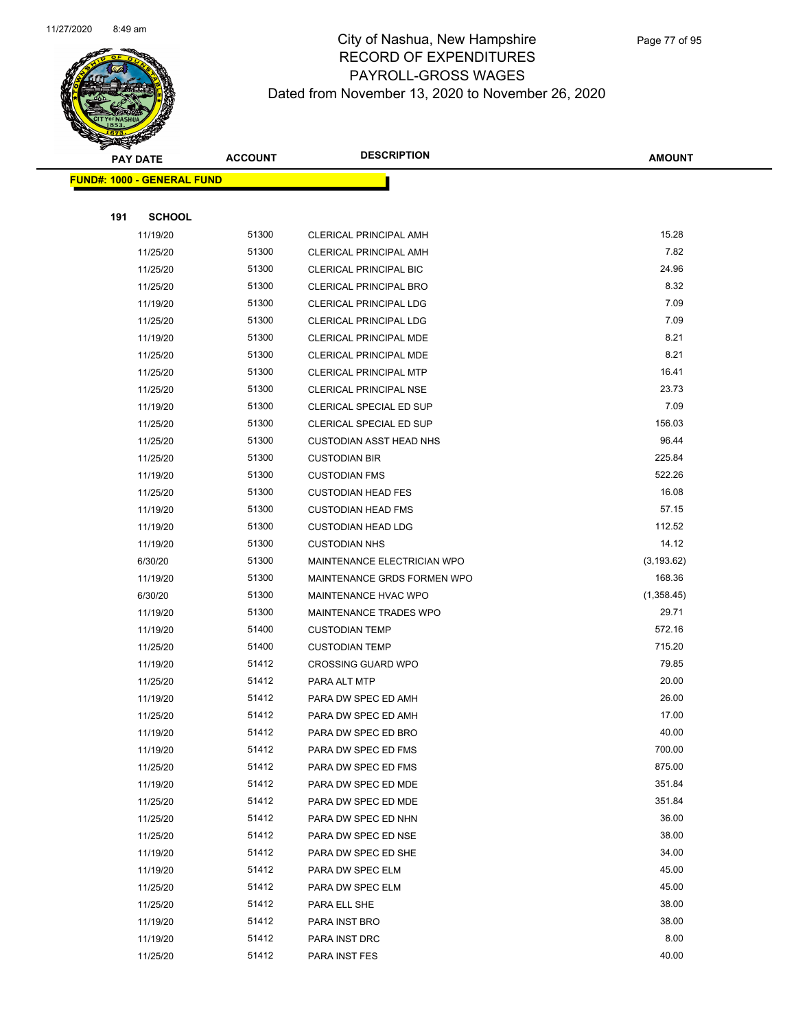

|     | <b>PAY DATE</b>                   | <b>ACCOUNT</b> | <b>DESCRIPTION</b>             | <b>AMOUNT</b> |
|-----|-----------------------------------|----------------|--------------------------------|---------------|
|     | <b>FUND#: 1000 - GENERAL FUND</b> |                |                                |               |
|     |                                   |                |                                |               |
| 191 | <b>SCHOOL</b>                     |                |                                |               |
|     | 11/19/20                          | 51300          | <b>CLERICAL PRINCIPAL AMH</b>  | 15.28         |
|     | 11/25/20                          | 51300          | <b>CLERICAL PRINCIPAL AMH</b>  | 7.82          |
|     | 11/25/20                          | 51300          | <b>CLERICAL PRINCIPAL BIC</b>  | 24.96         |
|     | 11/25/20                          | 51300          | <b>CLERICAL PRINCIPAL BRO</b>  | 8.32          |
|     | 11/19/20                          | 51300          | <b>CLERICAL PRINCIPAL LDG</b>  | 7.09          |
|     | 11/25/20                          | 51300          | CLERICAL PRINCIPAL LDG         | 7.09          |
|     | 11/19/20                          | 51300          | <b>CLERICAL PRINCIPAL MDE</b>  | 8.21          |
|     | 11/25/20                          | 51300          | CLERICAL PRINCIPAL MDE         | 8.21          |
|     | 11/25/20                          | 51300          | <b>CLERICAL PRINCIPAL MTP</b>  | 16.41         |
|     | 11/25/20                          | 51300          | CLERICAL PRINCIPAL NSE         | 23.73         |
|     | 11/19/20                          | 51300          | CLERICAL SPECIAL ED SUP        | 7.09          |
|     | 11/25/20                          | 51300          | CLERICAL SPECIAL ED SUP        | 156.03        |
|     | 11/25/20                          | 51300          | <b>CUSTODIAN ASST HEAD NHS</b> | 96.44         |
|     | 11/25/20                          | 51300          | <b>CUSTODIAN BIR</b>           | 225.84        |
|     | 11/19/20                          | 51300          | <b>CUSTODIAN FMS</b>           | 522.26        |
|     | 11/25/20                          | 51300          | <b>CUSTODIAN HEAD FES</b>      | 16.08         |
|     | 11/19/20                          | 51300          | <b>CUSTODIAN HEAD FMS</b>      | 57.15         |
|     | 11/19/20                          | 51300          | <b>CUSTODIAN HEAD LDG</b>      | 112.52        |
|     | 11/19/20                          | 51300          | <b>CUSTODIAN NHS</b>           | 14.12         |
|     | 6/30/20                           | 51300          | MAINTENANCE ELECTRICIAN WPO    | (3, 193.62)   |
|     | 11/19/20                          | 51300          | MAINTENANCE GRDS FORMEN WPO    | 168.36        |
|     | 6/30/20                           | 51300          | MAINTENANCE HVAC WPO           | (1,358.45)    |
|     | 11/19/20                          | 51300          | MAINTENANCE TRADES WPO         | 29.71         |
|     | 11/19/20                          | 51400          | <b>CUSTODIAN TEMP</b>          | 572.16        |
|     | 11/25/20                          | 51400          | <b>CUSTODIAN TEMP</b>          | 715.20        |
|     | 11/19/20                          | 51412          | <b>CROSSING GUARD WPO</b>      | 79.85         |
|     | 11/25/20                          | 51412          | PARA ALT MTP                   | 20.00         |
|     | 11/19/20                          | 51412          | PARA DW SPEC ED AMH            | 26.00         |
|     | 11/25/20                          | 51412          | PARA DW SPEC ED AMH            | 17.00         |
|     | 11/19/20                          | 51412          | PARA DW SPEC ED BRO            | 40.00         |
|     | 11/19/20                          | 51412          | PARA DW SPEC ED FMS            | 700.00        |
|     | 11/25/20                          | 51412          | PARA DW SPEC ED FMS            | 875.00        |
|     | 11/19/20                          | 51412          | PARA DW SPEC ED MDE            | 351.84        |
|     | 11/25/20                          | 51412          | PARA DW SPEC ED MDE            | 351.84        |
|     | 11/25/20                          | 51412          | PARA DW SPEC ED NHN            | 36.00         |
|     | 11/25/20                          | 51412          | PARA DW SPEC ED NSE            | 38.00         |
|     | 11/19/20                          | 51412          | PARA DW SPEC ED SHE            | 34.00         |
|     | 11/19/20                          | 51412          | PARA DW SPEC ELM               | 45.00         |
|     | 11/25/20                          | 51412          | PARA DW SPEC ELM               | 45.00         |
|     | 11/25/20                          | 51412          | PARA ELL SHE                   | 38.00         |
|     | 11/19/20                          | 51412          | PARA INST BRO                  | 38.00         |
|     | 11/19/20                          | 51412          | PARA INST DRC                  | 8.00          |
|     | 11/25/20                          | 51412          | PARA INST FES                  | 40.00         |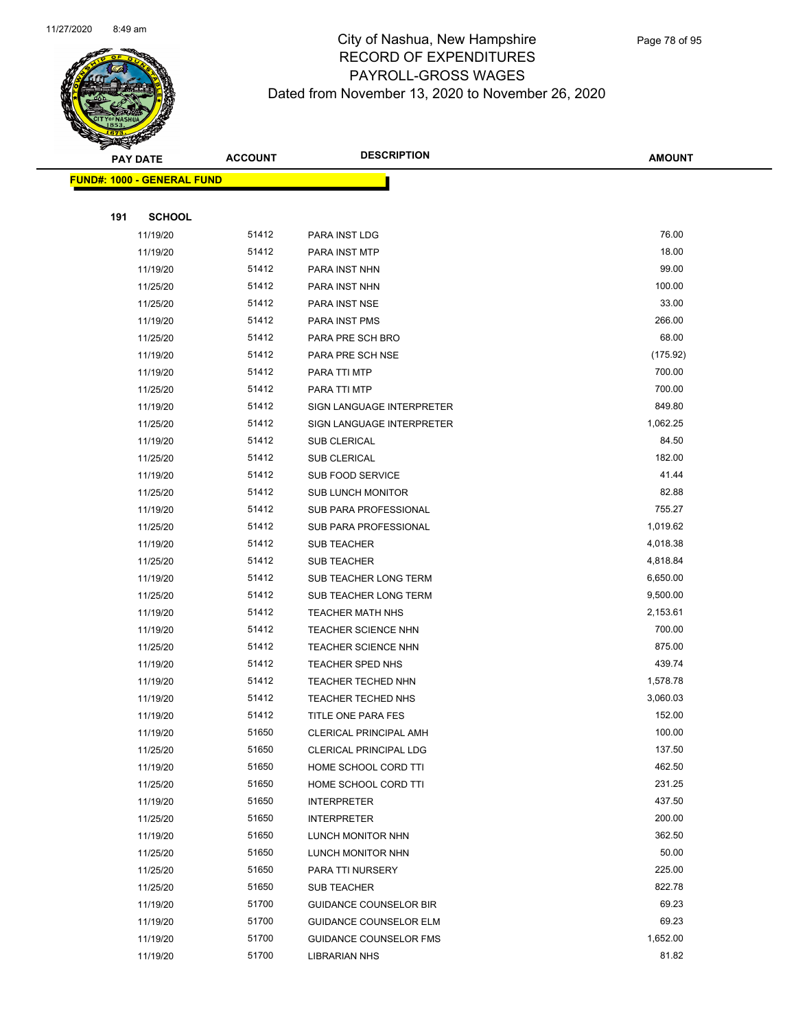

| <b>PAY DATE</b>                   |               | <b>ACCOUNT</b> | <b>DESCRIPTION</b>            | <b>AMOUNT</b> |  |
|-----------------------------------|---------------|----------------|-------------------------------|---------------|--|
| <b>FUND#: 1000 - GENERAL FUND</b> |               |                |                               |               |  |
|                                   |               |                |                               |               |  |
| 191                               | <b>SCHOOL</b> |                |                               |               |  |
|                                   | 11/19/20      | 51412          | PARA INST LDG                 | 76.00         |  |
|                                   | 11/19/20      | 51412          | PARA INST MTP                 | 18.00         |  |
|                                   | 11/19/20      | 51412          | PARA INST NHN                 | 99.00         |  |
|                                   | 11/25/20      | 51412          | PARA INST NHN                 | 100.00        |  |
|                                   | 11/25/20      | 51412          | PARA INST NSE                 | 33.00         |  |
|                                   | 11/19/20      | 51412          | PARA INST PMS                 | 266.00        |  |
|                                   | 11/25/20      | 51412          | PARA PRE SCH BRO              | 68.00         |  |
|                                   | 11/19/20      | 51412          | PARA PRE SCH NSE              | (175.92)      |  |
|                                   | 11/19/20      | 51412          | PARA TTI MTP                  | 700.00        |  |
|                                   | 11/25/20      | 51412          | PARA TTI MTP                  | 700.00        |  |
|                                   | 11/19/20      | 51412          | SIGN LANGUAGE INTERPRETER     | 849.80        |  |
|                                   | 11/25/20      | 51412          | SIGN LANGUAGE INTERPRETER     | 1,062.25      |  |
|                                   | 11/19/20      | 51412          | <b>SUB CLERICAL</b>           | 84.50         |  |
|                                   | 11/25/20      | 51412          | <b>SUB CLERICAL</b>           | 182.00        |  |
|                                   | 11/19/20      | 51412          | <b>SUB FOOD SERVICE</b>       | 41.44         |  |
|                                   | 11/25/20      | 51412          | <b>SUB LUNCH MONITOR</b>      | 82.88         |  |
|                                   | 11/19/20      | 51412          | SUB PARA PROFESSIONAL         | 755.27        |  |
|                                   | 11/25/20      | 51412          | SUB PARA PROFESSIONAL         | 1,019.62      |  |
|                                   | 11/19/20      | 51412          | <b>SUB TEACHER</b>            | 4,018.38      |  |
|                                   | 11/25/20      | 51412          | <b>SUB TEACHER</b>            | 4,818.84      |  |
|                                   | 11/19/20      | 51412          | SUB TEACHER LONG TERM         | 6,650.00      |  |
|                                   | 11/25/20      | 51412          | <b>SUB TEACHER LONG TERM</b>  | 9,500.00      |  |
|                                   | 11/19/20      | 51412          | <b>TEACHER MATH NHS</b>       | 2,153.61      |  |
|                                   | 11/19/20      | 51412          | TEACHER SCIENCE NHN           | 700.00        |  |
|                                   | 11/25/20      | 51412          | <b>TEACHER SCIENCE NHN</b>    | 875.00        |  |
|                                   | 11/19/20      | 51412          | <b>TEACHER SPED NHS</b>       | 439.74        |  |
|                                   | 11/19/20      | 51412          | TEACHER TECHED NHN            | 1,578.78      |  |
|                                   | 11/19/20      | 51412          | <b>TEACHER TECHED NHS</b>     | 3,060.03      |  |
|                                   | 11/19/20      | 51412          | TITLE ONE PARA FES            | 152.00        |  |
|                                   | 11/19/20      | 51650          | CLERICAL PRINCIPAL AMH        | 100.00        |  |
|                                   | 11/25/20      | 51650          | <b>CLERICAL PRINCIPAL LDG</b> | 137.50        |  |
|                                   | 11/19/20      | 51650          | HOME SCHOOL CORD TTI          | 462.50        |  |
|                                   | 11/25/20      | 51650          | HOME SCHOOL CORD TTI          | 231.25        |  |
|                                   | 11/19/20      | 51650          | <b>INTERPRETER</b>            | 437.50        |  |
|                                   | 11/25/20      | 51650          | <b>INTERPRETER</b>            | 200.00        |  |
|                                   | 11/19/20      | 51650          | LUNCH MONITOR NHN             | 362.50        |  |
|                                   | 11/25/20      | 51650          | LUNCH MONITOR NHN             | 50.00         |  |
|                                   | 11/25/20      | 51650          | PARA TTI NURSERY              | 225.00        |  |
|                                   | 11/25/20      | 51650          | <b>SUB TEACHER</b>            | 822.78        |  |
|                                   | 11/19/20      | 51700          | <b>GUIDANCE COUNSELOR BIR</b> | 69.23         |  |
|                                   | 11/19/20      | 51700          | <b>GUIDANCE COUNSELOR ELM</b> | 69.23         |  |
|                                   | 11/19/20      | 51700          | GUIDANCE COUNSELOR FMS        | 1,652.00      |  |
|                                   | 11/19/20      | 51700          | LIBRARIAN NHS                 | 81.82         |  |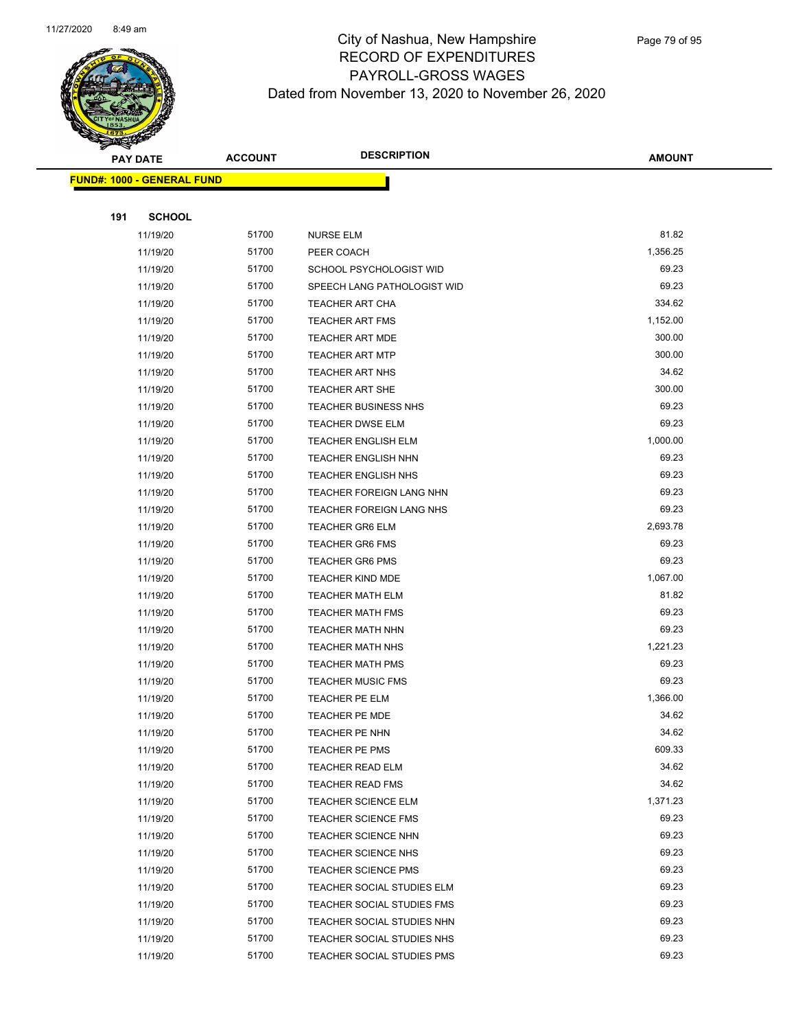

|     | <b>PAY DATE</b>                   | <b>ACCOUNT</b> | <b>DESCRIPTION</b>                               | <b>AMOUNT</b>   |
|-----|-----------------------------------|----------------|--------------------------------------------------|-----------------|
|     | <b>FUND#: 1000 - GENERAL FUND</b> |                |                                                  |                 |
|     |                                   |                |                                                  |                 |
| 191 | <b>SCHOOL</b>                     |                |                                                  |                 |
|     | 11/19/20                          | 51700          | <b>NURSE ELM</b>                                 | 81.82           |
|     | 11/19/20                          | 51700          | PEER COACH                                       | 1,356.25        |
|     | 11/19/20                          | 51700          | SCHOOL PSYCHOLOGIST WID                          | 69.23           |
|     | 11/19/20                          | 51700          | SPEECH LANG PATHOLOGIST WID                      | 69.23           |
|     | 11/19/20                          | 51700          | TEACHER ART CHA                                  | 334.62          |
|     | 11/19/20                          | 51700          | <b>TEACHER ART FMS</b>                           | 1,152.00        |
|     | 11/19/20                          | 51700          | <b>TEACHER ART MDE</b>                           | 300.00          |
|     | 11/19/20                          | 51700          | <b>TEACHER ART MTP</b>                           | 300.00          |
|     | 11/19/20                          | 51700          | <b>TEACHER ART NHS</b>                           | 34.62           |
|     | 11/19/20                          | 51700          | <b>TEACHER ART SHE</b>                           | 300.00          |
|     | 11/19/20                          | 51700          | <b>TEACHER BUSINESS NHS</b>                      | 69.23           |
|     | 11/19/20                          | 51700          | <b>TEACHER DWSE ELM</b>                          | 69.23           |
|     | 11/19/20                          | 51700          | <b>TEACHER ENGLISH ELM</b>                       | 1,000.00        |
|     | 11/19/20                          | 51700          | TEACHER ENGLISH NHN                              | 69.23           |
|     | 11/19/20                          | 51700          | <b>TEACHER ENGLISH NHS</b>                       | 69.23           |
|     | 11/19/20                          | 51700          | TEACHER FOREIGN LANG NHN                         | 69.23           |
|     | 11/19/20                          | 51700          | <b>TEACHER FOREIGN LANG NHS</b>                  | 69.23           |
|     | 11/19/20                          | 51700          | <b>TEACHER GR6 ELM</b>                           | 2,693.78        |
|     | 11/19/20                          | 51700          | <b>TEACHER GR6 FMS</b>                           | 69.23           |
|     | 11/19/20                          | 51700          | <b>TEACHER GR6 PMS</b>                           | 69.23           |
|     | 11/19/20                          | 51700          | <b>TEACHER KIND MDE</b>                          | 1,067.00        |
|     | 11/19/20                          | 51700          | <b>TEACHER MATH ELM</b>                          | 81.82           |
|     | 11/19/20                          | 51700          | <b>TEACHER MATH FMS</b>                          | 69.23           |
|     | 11/19/20                          | 51700          | <b>TEACHER MATH NHN</b>                          | 69.23           |
|     | 11/19/20                          | 51700          | <b>TEACHER MATH NHS</b>                          | 1,221.23        |
|     | 11/19/20                          | 51700          | <b>TEACHER MATH PMS</b>                          | 69.23           |
|     | 11/19/20                          | 51700          | <b>TEACHER MUSIC FMS</b>                         | 69.23           |
|     | 11/19/20                          | 51700          | <b>TEACHER PE ELM</b>                            | 1,366.00        |
|     | 11/19/20                          | 51700          | TEACHER PE MDE                                   | 34.62           |
|     | 11/19/20                          | 51700<br>51700 | TEACHER PE NHN                                   | 34.62<br>609.33 |
|     | 11/19/20<br>11/19/20              | 51700          | <b>TEACHER PE PMS</b><br><b>TEACHER READ ELM</b> | 34.62           |
|     | 11/19/20                          | 51700          | <b>TEACHER READ FMS</b>                          | 34.62           |
|     | 11/19/20                          | 51700          | <b>TEACHER SCIENCE ELM</b>                       | 1,371.23        |
|     | 11/19/20                          | 51700          | <b>TEACHER SCIENCE FMS</b>                       | 69.23           |
|     | 11/19/20                          | 51700          | <b>TEACHER SCIENCE NHN</b>                       | 69.23           |
|     | 11/19/20                          | 51700          | <b>TEACHER SCIENCE NHS</b>                       | 69.23           |
|     | 11/19/20                          | 51700          | <b>TEACHER SCIENCE PMS</b>                       | 69.23           |
|     | 11/19/20                          | 51700          | TEACHER SOCIAL STUDIES ELM                       | 69.23           |
|     | 11/19/20                          | 51700          | TEACHER SOCIAL STUDIES FMS                       | 69.23           |
|     | 11/19/20                          | 51700          | TEACHER SOCIAL STUDIES NHN                       | 69.23           |
|     | 11/19/20                          | 51700          | TEACHER SOCIAL STUDIES NHS                       | 69.23           |
|     | 11/19/20                          | 51700          | TEACHER SOCIAL STUDIES PMS                       | 69.23           |
|     |                                   |                |                                                  |                 |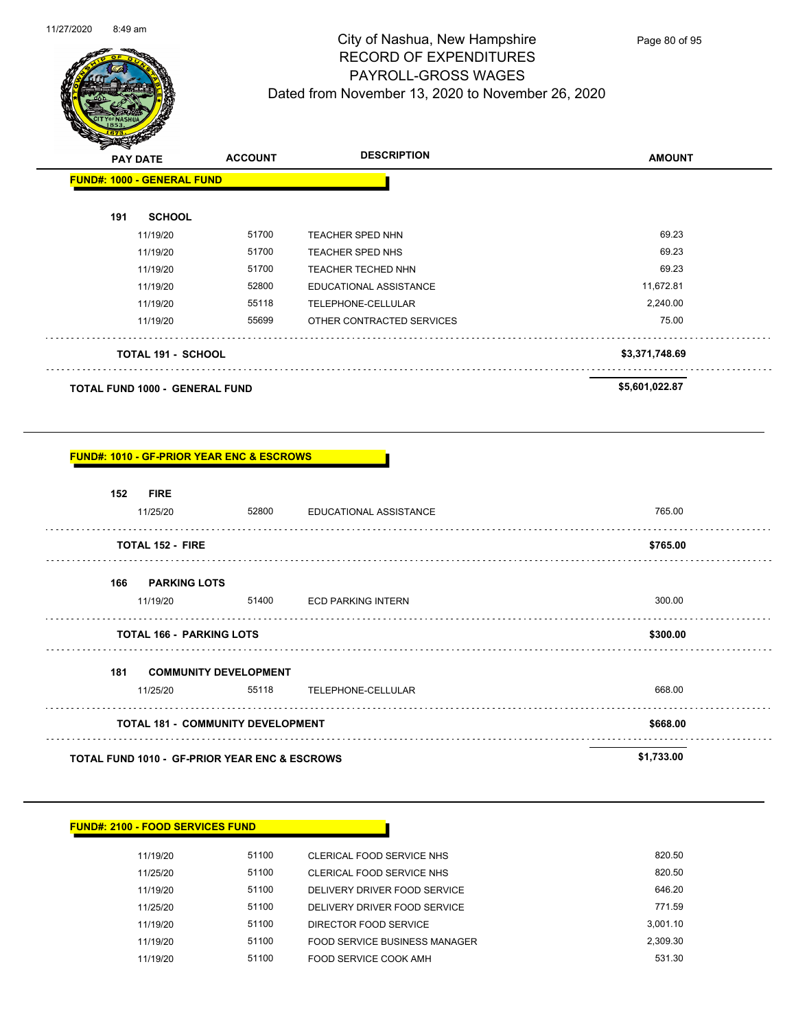

| <b>PAY DATE</b>                       | <b>ACCOUNT</b> | <b>DESCRIPTION</b>        | <b>AMOUNT</b>  |  |
|---------------------------------------|----------------|---------------------------|----------------|--|
| <b>FUND#: 1000 - GENERAL FUND</b>     |                |                           |                |  |
| 191<br><b>SCHOOL</b>                  |                |                           |                |  |
| 11/19/20                              | 51700          | <b>TEACHER SPED NHN</b>   | 69.23          |  |
| 11/19/20                              | 51700          | <b>TEACHER SPED NHS</b>   | 69.23          |  |
| 11/19/20                              | 51700          | <b>TEACHER TECHED NHN</b> | 69.23          |  |
| 11/19/20                              | 52800          | EDUCATIONAL ASSISTANCE    | 11,672.81      |  |
| 11/19/20                              | 55118          | TELEPHONE-CELLULAR        | 2,240.00       |  |
| 11/19/20                              | 55699          | OTHER CONTRACTED SERVICES | 75.00          |  |
| <b>TOTAL 191 - SCHOOL</b>             |                |                           | \$3,371,748.69 |  |
| <b>TOTAL FUND 1000 - GENERAL FUND</b> |                |                           | \$5,601,022.87 |  |

### **FUND#: 1010 - GF-PRIOR YEAR ENC & ESCROWS**

| 152 | <b>FIRE</b><br>11/25/20                                  | 52800 | EDUCATIONAL ASSISTANCE    | 765.00     |
|-----|----------------------------------------------------------|-------|---------------------------|------------|
|     | <b>TOTAL 152 - FIRE</b>                                  |       |                           | \$765.00   |
| 166 | <b>PARKING LOTS</b><br>11/19/20                          | 51400 | <b>ECD PARKING INTERN</b> | 300.00     |
|     | <b>TOTAL 166 - PARKING LOTS</b>                          |       |                           | \$300.00   |
| 181 | <b>COMMUNITY DEVELOPMENT</b><br>11/25/20                 | 55118 | TELEPHONE-CELLULAR        | 668.00     |
|     | <b>TOTAL 181 - COMMUNITY DEVELOPMENT</b>                 |       |                           | \$668.00   |
|     | <b>TOTAL FUND 1010 - GF-PRIOR YEAR ENC &amp; ESCROWS</b> |       |                           | \$1,733.00 |

| <b>FUND#: 2100 - FOOD SERVICES FUND</b> |       |                               |          |  |  |  |
|-----------------------------------------|-------|-------------------------------|----------|--|--|--|
| 11/19/20                                | 51100 | CLERICAL FOOD SERVICE NHS     | 820.50   |  |  |  |
| 11/25/20                                | 51100 | CLERICAL FOOD SERVICE NHS     | 820.50   |  |  |  |
| 11/19/20                                | 51100 | DELIVERY DRIVER FOOD SERVICE  | 646.20   |  |  |  |
| 11/25/20                                | 51100 | DELIVERY DRIVER FOOD SERVICE  | 771.59   |  |  |  |
| 11/19/20                                | 51100 | DIRECTOR FOOD SERVICE         | 3,001.10 |  |  |  |
| 11/19/20                                | 51100 | FOOD SERVICE BUSINESS MANAGER | 2,309.30 |  |  |  |
| 11/19/20                                | 51100 | FOOD SERVICE COOK AMH         | 531.30   |  |  |  |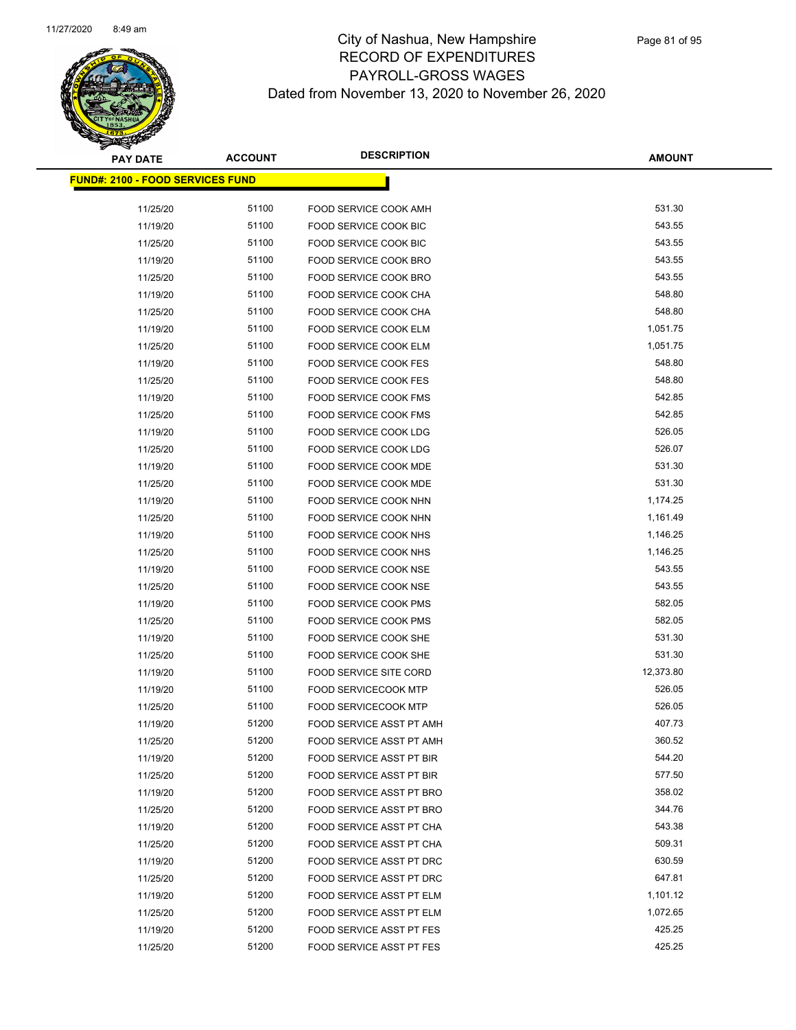

| <b>PAY DATE</b>                         | <b>ACCOUNT</b> | <b>DESCRIPTION</b>                                    | <b>AMOUNT</b>      |
|-----------------------------------------|----------------|-------------------------------------------------------|--------------------|
| <b>FUND#: 2100 - FOOD SERVICES FUND</b> |                |                                                       |                    |
|                                         | 51100          |                                                       | 531.30             |
| 11/25/20<br>11/19/20                    | 51100          | FOOD SERVICE COOK AMH<br><b>FOOD SERVICE COOK BIC</b> | 543.55             |
| 11/25/20                                | 51100          |                                                       | 543.55             |
| 11/19/20                                | 51100          | FOOD SERVICE COOK BIC<br>FOOD SERVICE COOK BRO        | 543.55             |
|                                         | 51100          |                                                       | 543.55             |
| 11/25/20                                |                | FOOD SERVICE COOK BRO                                 |                    |
| 11/19/20                                | 51100          | FOOD SERVICE COOK CHA                                 | 548.80             |
| 11/25/20                                | 51100          | FOOD SERVICE COOK CHA                                 | 548.80             |
| 11/19/20                                | 51100          | FOOD SERVICE COOK ELM                                 | 1,051.75           |
| 11/25/20                                | 51100<br>51100 | FOOD SERVICE COOK ELM                                 | 1,051.75<br>548.80 |
| 11/19/20                                |                | FOOD SERVICE COOK FES                                 |                    |
| 11/25/20                                | 51100<br>51100 | <b>FOOD SERVICE COOK FES</b>                          | 548.80<br>542.85   |
| 11/19/20                                | 51100          | <b>FOOD SERVICE COOK FMS</b>                          | 542.85             |
| 11/25/20                                | 51100          | <b>FOOD SERVICE COOK FMS</b>                          | 526.05             |
| 11/19/20                                | 51100          | <b>FOOD SERVICE COOK LDG</b>                          | 526.07             |
| 11/25/20                                | 51100          | FOOD SERVICE COOK LDG                                 | 531.30             |
| 11/19/20                                | 51100          | FOOD SERVICE COOK MDE<br>FOOD SERVICE COOK MDE        | 531.30             |
| 11/25/20                                | 51100          |                                                       | 1,174.25           |
| 11/19/20<br>11/25/20                    | 51100          | FOOD SERVICE COOK NHN<br>FOOD SERVICE COOK NHN        | 1,161.49           |
| 11/19/20                                | 51100          | FOOD SERVICE COOK NHS                                 | 1,146.25           |
| 11/25/20                                | 51100          | FOOD SERVICE COOK NHS                                 | 1,146.25           |
| 11/19/20                                | 51100          | FOOD SERVICE COOK NSE                                 | 543.55             |
| 11/25/20                                | 51100          | FOOD SERVICE COOK NSE                                 | 543.55             |
| 11/19/20                                | 51100          | <b>FOOD SERVICE COOK PMS</b>                          | 582.05             |
| 11/25/20                                | 51100          | FOOD SERVICE COOK PMS                                 | 582.05             |
| 11/19/20                                | 51100          | FOOD SERVICE COOK SHE                                 | 531.30             |
| 11/25/20                                | 51100          | FOOD SERVICE COOK SHE                                 | 531.30             |
| 11/19/20                                | 51100          | <b>FOOD SERVICE SITE CORD</b>                         | 12,373.80          |
| 11/19/20                                | 51100          | FOOD SERVICECOOK MTP                                  | 526.05             |
| 11/25/20                                | 51100          | <b>FOOD SERVICECOOK MTP</b>                           | 526.05             |
| 11/19/20                                | 51200          | FOOD SERVICE ASST PT AMH                              | 407.73             |
| 11/25/20                                | 51200          | FOOD SERVICE ASST PT AMH                              | 360.52             |
| 11/19/20                                | 51200          | <b>FOOD SERVICE ASST PT BIR</b>                       | 544.20             |
| 11/25/20                                | 51200          | FOOD SERVICE ASST PT BIR                              | 577.50             |
| 11/19/20                                | 51200          | FOOD SERVICE ASST PT BRO                              | 358.02             |
| 11/25/20                                | 51200          | FOOD SERVICE ASST PT BRO                              | 344.76             |
| 11/19/20                                | 51200          | FOOD SERVICE ASST PT CHA                              | 543.38             |
| 11/25/20                                | 51200          | FOOD SERVICE ASST PT CHA                              | 509.31             |
| 11/19/20                                | 51200          | FOOD SERVICE ASST PT DRC                              | 630.59             |
| 11/25/20                                | 51200          | FOOD SERVICE ASST PT DRC                              | 647.81             |
| 11/19/20                                | 51200          | FOOD SERVICE ASST PT ELM                              | 1,101.12           |
| 11/25/20                                | 51200          | FOOD SERVICE ASST PT ELM                              | 1,072.65           |
| 11/19/20                                | 51200          | FOOD SERVICE ASST PT FES                              | 425.25             |
| 11/25/20                                | 51200          | FOOD SERVICE ASST PT FES                              | 425.25             |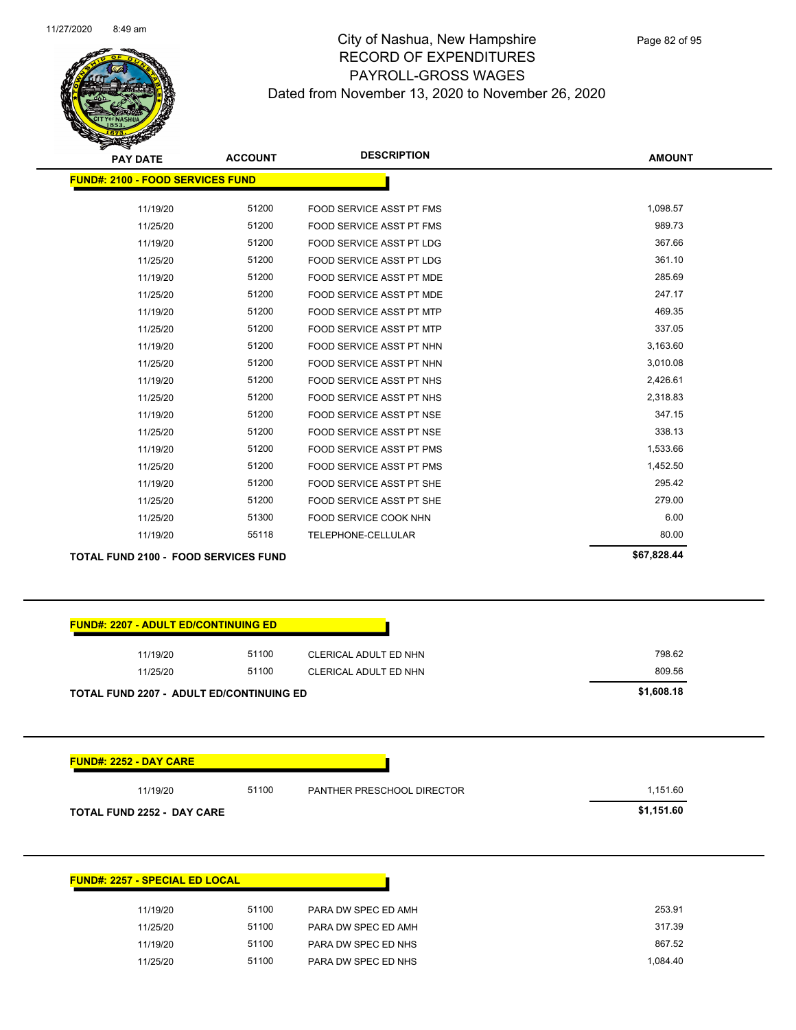

| <b>PAY DATE</b>                             | <b>ACCOUNT</b> | <b>DESCRIPTION</b>              | <b>AMOUNT</b> |
|---------------------------------------------|----------------|---------------------------------|---------------|
| <b>FUND#: 2100 - FOOD SERVICES FUND</b>     |                |                                 |               |
| 11/19/20                                    | 51200          | FOOD SERVICE ASST PT FMS        | 1,098.57      |
| 11/25/20                                    | 51200          | FOOD SERVICE ASST PT FMS        | 989.73        |
| 11/19/20                                    | 51200          | <b>FOOD SERVICE ASST PT LDG</b> | 367.66        |
| 11/25/20                                    | 51200          | <b>FOOD SERVICE ASST PT LDG</b> | 361.10        |
| 11/19/20                                    | 51200          | FOOD SERVICE ASST PT MDE        | 285.69        |
| 11/25/20                                    | 51200          | FOOD SERVICE ASST PT MDE        | 247.17        |
| 11/19/20                                    | 51200          | <b>FOOD SERVICE ASST PT MTP</b> | 469.35        |
| 11/25/20                                    | 51200          | <b>FOOD SERVICE ASST PT MTP</b> | 337.05        |
| 11/19/20                                    | 51200          | FOOD SERVICE ASST PT NHN        | 3,163.60      |
| 11/25/20                                    | 51200          | FOOD SERVICE ASST PT NHN        | 3,010.08      |
| 11/19/20                                    | 51200          | FOOD SERVICE ASST PT NHS        | 2,426.61      |
| 11/25/20                                    | 51200          | FOOD SERVICE ASST PT NHS        | 2,318.83      |
| 11/19/20                                    | 51200          | <b>FOOD SERVICE ASST PT NSE</b> | 347.15        |
| 11/25/20                                    | 51200          | <b>FOOD SERVICE ASST PT NSE</b> | 338.13        |
| 11/19/20                                    | 51200          | FOOD SERVICE ASST PT PMS        | 1,533.66      |
| 11/25/20                                    | 51200          | <b>FOOD SERVICE ASST PT PMS</b> | 1,452.50      |
| 11/19/20                                    | 51200          | FOOD SERVICE ASST PT SHE        | 295.42        |
| 11/25/20                                    | 51200          | FOOD SERVICE ASST PT SHE        | 279.00        |
| 11/25/20                                    | 51300          | FOOD SERVICE COOK NHN           | 6.00          |
| 11/19/20                                    | 55118          | TELEPHONE-CELLULAR              | 80.00         |
| <b>TOTAL FUND 2100 - FOOD SERVICES FUND</b> |                |                                 | \$67,828.44   |

| 11/19/20                                        | 51100 | CLERICAL ADULT ED NHN      | 798.62     |
|-------------------------------------------------|-------|----------------------------|------------|
| 11/25/20                                        | 51100 | CLERICAL ADULT ED NHN      | 809.56     |
| <b>TOTAL FUND 2207 - ADULT ED/CONTINUING ED</b> |       |                            | \$1,608.18 |
|                                                 |       |                            |            |
|                                                 |       |                            |            |
| <b>FUND#: 2252 - DAY CARE</b>                   |       |                            |            |
| 11/19/20                                        | 51100 | PANTHER PRESCHOOL DIRECTOR | 1,151.60   |

| <b>FUND#: 2257 - SPECIAL ED LOCAL</b> |                     |
|---------------------------------------|---------------------|
| 51100                                 | PARA DW SPEC ED AMH |
| 51100                                 | PARA DW SPEC ED AMH |
| 51100                                 | PARA DW SPEC ED NHS |
| 51100                                 | PARA DW SPEC ED NHS |
|                                       |                     |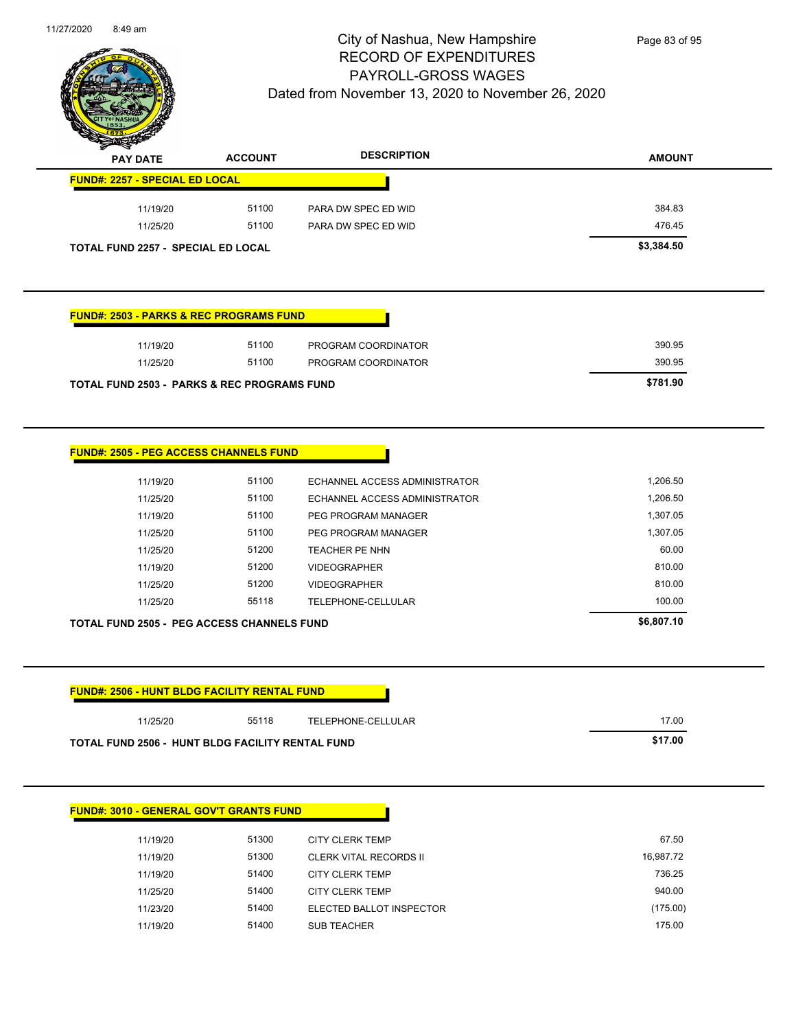

| <b>PAY DATE</b>                                     | <b>ACCOUNT</b> | <b>DESCRIPTION</b>            | <b>AMOUNT</b> |
|-----------------------------------------------------|----------------|-------------------------------|---------------|
| <b>FUND#: 2257 - SPECIAL ED LOCAL</b>               |                |                               |               |
| 11/19/20                                            | 51100          | PARA DW SPEC ED WID           | 384.83        |
| 11/25/20                                            | 51100          | PARA DW SPEC ED WID           | 476.45        |
| TOTAL FUND 2257 - SPECIAL ED LOCAL                  |                |                               | \$3,384.50    |
| <b>FUND#: 2503 - PARKS &amp; REC PROGRAMS FUND</b>  |                |                               |               |
| 11/19/20                                            | 51100          | PROGRAM COORDINATOR           | 390.95        |
| 11/25/20                                            | 51100          | PROGRAM COORDINATOR           | 390.95        |
| TOTAL FUND 2503 - PARKS & REC PROGRAMS FUND         |                |                               | \$781.90      |
|                                                     |                |                               |               |
| <b>FUND#: 2505 - PEG ACCESS CHANNELS FUND</b>       |                |                               |               |
| 11/19/20                                            | 51100          | ECHANNEL ACCESS ADMINISTRATOR | 1,206.50      |
| 11/25/20                                            | 51100          | ECHANNEL ACCESS ADMINISTRATOR | 1,206.50      |
| 11/19/20                                            | 51100          | PEG PROGRAM MANAGER           | 1,307.05      |
| 11/25/20                                            | 51100          | PEG PROGRAM MANAGER           | 1,307.05      |
| 11/25/20                                            | 51200          | TEACHER PE NHN                | 60.00         |
| 11/19/20                                            | 51200          | <b>VIDEOGRAPHER</b>           | 810.00        |
| 11/25/20                                            | 51200          | <b>VIDEOGRAPHER</b>           | 810.00        |
| 11/25/20                                            | 55118          | TELEPHONE-CELLULAR            | 100.00        |
| <b>TOTAL FUND 2505 - PEG ACCESS CHANNELS FUND</b>   |                |                               | \$6,807.10    |
| <b>FUND#: 2506 - HUNT BLDG FACILITY RENTAL FUND</b> |                |                               |               |
| 11/25/20                                            | 55118          | TELEPHONE-CELLULAR            | 17.00         |
| TOTAL FUND 2506 - HUNT BLDG FACILITY RENTAL FUND    |                |                               | \$17.00       |
|                                                     |                |                               |               |

| 11/19/20 | 51300 | CITY CLERK TEMP          | 67.50     |
|----------|-------|--------------------------|-----------|
| 11/19/20 | 51300 | CLERK VITAL RECORDS II   | 16,987.72 |
| 11/19/20 | 51400 | <b>CITY CLERK TEMP</b>   | 736.25    |
| 11/25/20 | 51400 | <b>CITY CLERK TEMP</b>   | 940.00    |
| 11/23/20 | 51400 | ELECTED BALLOT INSPECTOR | (175.00)  |
| 11/19/20 | 51400 | <b>SUB TEACHER</b>       | 175.00    |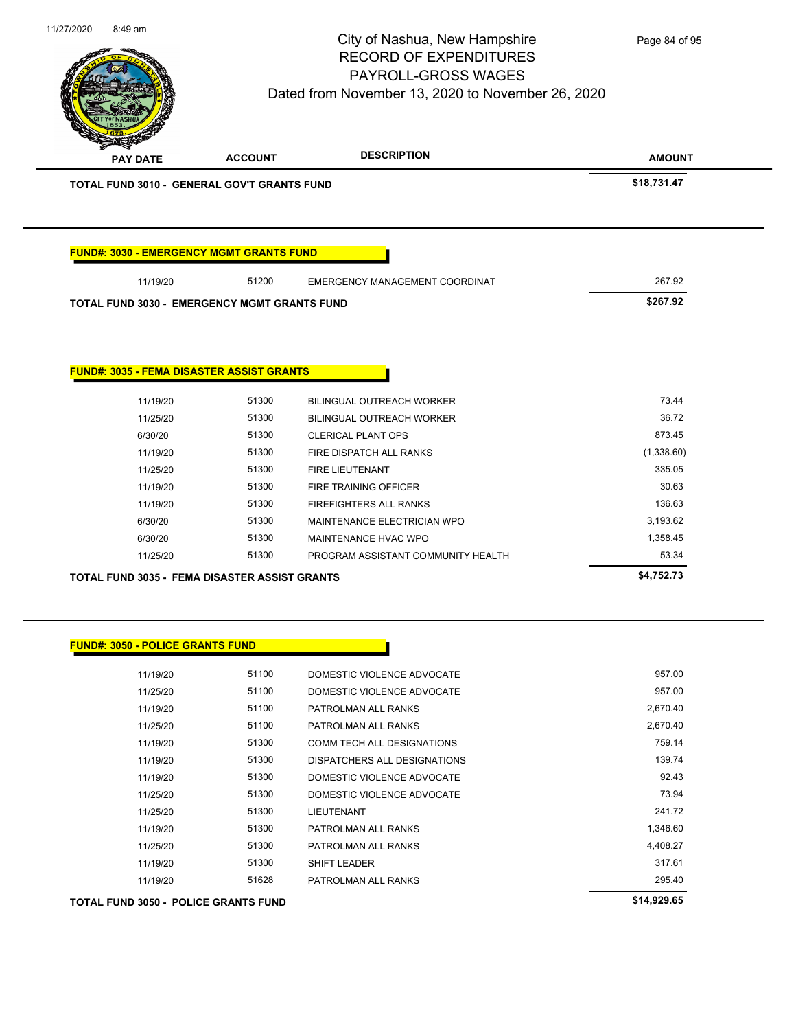| 11/27/2020 | 8:49 am                                 |                                                           | City of Nashua, New Hampshire<br><b>RECORD OF EXPENDITURES</b><br><b>PAYROLL-GROSS WAGES</b><br>Dated from November 13, 2020 to November 26, 2020 | Page 84 of 95      |
|------------|-----------------------------------------|-----------------------------------------------------------|---------------------------------------------------------------------------------------------------------------------------------------------------|--------------------|
|            | <b>PAY DATE</b>                         | <b>ACCOUNT</b>                                            | <b>DESCRIPTION</b>                                                                                                                                | <b>AMOUNT</b>      |
|            |                                         | <b>TOTAL FUND 3010 - GENERAL GOV'T GRANTS FUND</b>        |                                                                                                                                                   | \$18,731.47        |
|            |                                         | <b>FUND#: 3030 - EMERGENCY MGMT GRANTS FUND</b>           |                                                                                                                                                   |                    |
|            | 11/19/20                                | 51200                                                     | EMERGENCY MANAGEMENT COORDINAT                                                                                                                    | 267.92             |
|            |                                         | <b>TOTAL FUND 3030 - EMERGENCY MGMT GRANTS FUND</b>       |                                                                                                                                                   | \$267.92           |
|            | 11/19/20                                | <b>FUND#: 3035 - FEMA DISASTER ASSIST GRANTS</b><br>51300 | BILINGUAL OUTREACH WORKER                                                                                                                         | 73.44              |
|            | 11/25/20                                | 51300                                                     | BILINGUAL OUTREACH WORKER                                                                                                                         | 36.72              |
|            | 6/30/20                                 | 51300                                                     | <b>CLERICAL PLANT OPS</b>                                                                                                                         | 873.45             |
|            | 11/19/20                                | 51300                                                     | FIRE DISPATCH ALL RANKS                                                                                                                           | (1,338.60)         |
|            | 11/25/20                                | 51300                                                     | FIRE LIEUTENANT                                                                                                                                   | 335.05             |
|            | 11/19/20                                | 51300                                                     | FIRE TRAINING OFFICER                                                                                                                             | 30.63              |
|            | 11/19/20                                | 51300                                                     | FIREFIGHTERS ALL RANKS                                                                                                                            | 136.63             |
|            | 6/30/20                                 | 51300                                                     | MAINTENANCE ELECTRICIAN WPO                                                                                                                       | 3,193.62           |
|            | 6/30/20                                 | 51300                                                     | MAINTENANCE HVAC WPO                                                                                                                              | 1,358.45           |
|            | 11/25/20                                | 51300                                                     | PROGRAM ASSISTANT COMMUNITY HEALTH                                                                                                                | 53.34              |
|            |                                         | <b>TOTAL FUND 3035 - FEMA DISASTER ASSIST GRANTS</b>      |                                                                                                                                                   | \$4,752.73         |
|            | <b>FUND#: 3050 - POLICE GRANTS FUND</b> |                                                           |                                                                                                                                                   |                    |
|            | 11/19/20                                | 51100                                                     | DOMESTIC VIOLENCE ADVOCATE                                                                                                                        | 957.00             |
|            | 11/25/20                                | 51100                                                     | DOMESTIC VIOLENCE ADVOCATE                                                                                                                        | 957.00             |
|            | 11/19/20                                | 51100                                                     | PATROLMAN ALL RANKS                                                                                                                               | 2,670.40           |
|            | 11/25/20                                | 51100                                                     | PATROLMAN ALL RANKS                                                                                                                               | 2,670.40           |
|            | 11/19/20                                | 51300                                                     | COMM TECH ALL DESIGNATIONS                                                                                                                        | 759.14             |
|            | 11/19/20                                | 51300                                                     | DISPATCHERS ALL DESIGNATIONS                                                                                                                      | 139.74             |
|            | 11/19/20                                | 51300                                                     | DOMESTIC VIOLENCE ADVOCATE                                                                                                                        | 92.43              |
|            | 11/25/20                                | 51300<br>51300                                            | DOMESTIC VIOLENCE ADVOCATE                                                                                                                        | 73.94<br>241.72    |
|            | 11/25/20                                | 51300                                                     | LIEUTENANT<br>PATROLMAN ALL RANKS                                                                                                                 | 1,346.60           |
|            |                                         |                                                           |                                                                                                                                                   |                    |
|            | 11/19/20                                |                                                           |                                                                                                                                                   |                    |
|            | 11/25/20<br>11/19/20                    | 51300<br>51300                                            | PATROLMAN ALL RANKS<br>SHIFT LEADER                                                                                                               | 4,408.27<br>317.61 |

**TOTAL FUND 3050 - POLICE GRANTS FUND \$14,929.65**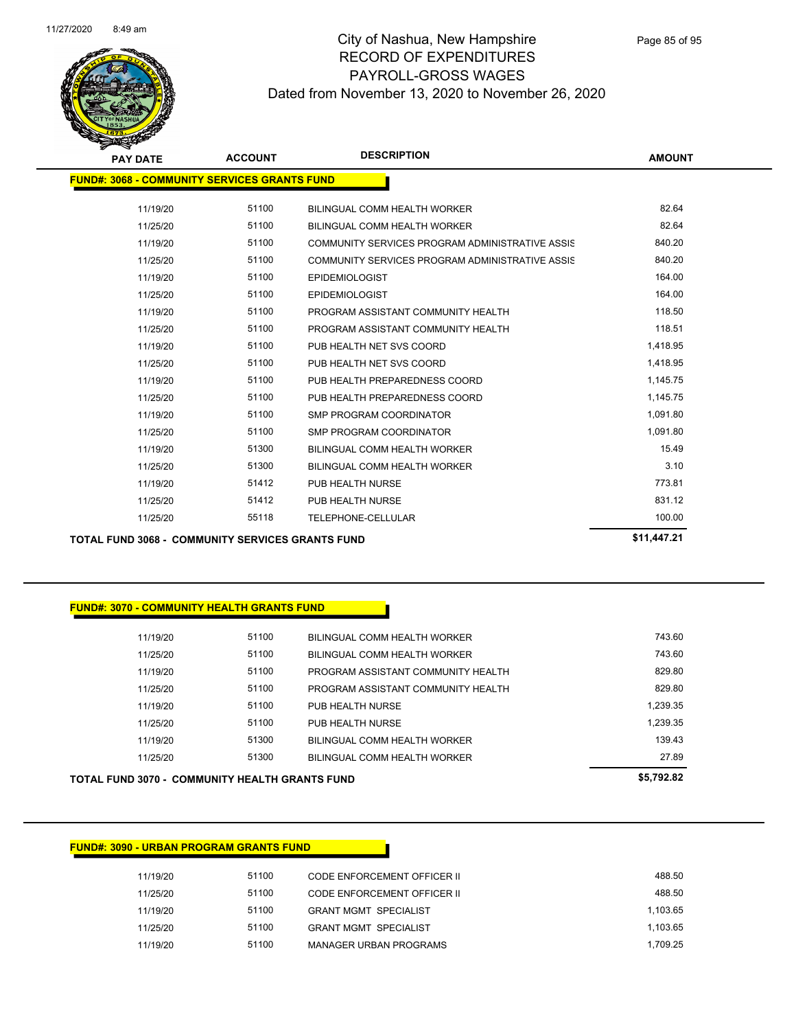

| <b>PAY DATE</b>                                         | <b>ACCOUNT</b> | <b>DESCRIPTION</b>                              | <b>AMOUNT</b> |
|---------------------------------------------------------|----------------|-------------------------------------------------|---------------|
| <b>FUND#: 3068 - COMMUNITY SERVICES GRANTS FUND</b>     |                |                                                 |               |
| 11/19/20                                                | 51100          | BILINGUAL COMM HEALTH WORKER                    | 82.64         |
| 11/25/20                                                | 51100          | BILINGUAL COMM HEALTH WORKER                    | 82.64         |
| 11/19/20                                                | 51100          | COMMUNITY SERVICES PROGRAM ADMINISTRATIVE ASSIS | 840.20        |
| 11/25/20                                                | 51100          | COMMUNITY SERVICES PROGRAM ADMINISTRATIVE ASSIS | 840.20        |
| 11/19/20                                                | 51100          | <b>EPIDEMIOLOGIST</b>                           | 164.00        |
| 11/25/20                                                | 51100          | <b>EPIDEMIOLOGIST</b>                           | 164.00        |
| 11/19/20                                                | 51100          | PROGRAM ASSISTANT COMMUNITY HEALTH              | 118.50        |
| 11/25/20                                                | 51100          | PROGRAM ASSISTANT COMMUNITY HEALTH              | 118.51        |
| 11/19/20                                                | 51100          | PUB HEALTH NET SVS COORD                        | 1,418.95      |
| 11/25/20                                                | 51100          | PUB HEALTH NET SVS COORD                        | 1,418.95      |
| 11/19/20                                                | 51100          | PUB HEALTH PREPAREDNESS COORD                   | 1,145.75      |
| 11/25/20                                                | 51100          | PUB HEALTH PREPAREDNESS COORD                   | 1,145.75      |
| 11/19/20                                                | 51100          | <b>SMP PROGRAM COORDINATOR</b>                  | 1,091.80      |
| 11/25/20                                                | 51100          | <b>SMP PROGRAM COORDINATOR</b>                  | 1,091.80      |
| 11/19/20                                                | 51300          | BILINGUAL COMM HEALTH WORKER                    | 15.49         |
| 11/25/20                                                | 51300          | BILINGUAL COMM HEALTH WORKER                    | 3.10          |
| 11/19/20                                                | 51412          | PUB HEALTH NURSE                                | 773.81        |
| 11/25/20                                                | 51412          | PUB HEALTH NURSE                                | 831.12        |
| 11/25/20                                                | 55118          | TELEPHONE-CELLULAR                              | 100.00        |
| <b>TOTAL FUND 3068 - COMMUNITY SERVICES GRANTS FUND</b> |                |                                                 | \$11,447.21   |

#### **FUND#: 3070 - COMMUNITY HEALTH GRANTS FUND**

| 11/19/20 | 51100 | BILINGUAL COMM HEALTH WORKER       | 743.60   |
|----------|-------|------------------------------------|----------|
| 11/25/20 | 51100 | BILINGUAL COMM HEALTH WORKER       | 743.60   |
| 11/19/20 | 51100 | PROGRAM ASSISTANT COMMUNITY HEALTH | 829.80   |
| 11/25/20 | 51100 | PROGRAM ASSISTANT COMMUNITY HEALTH | 829.80   |
| 11/19/20 | 51100 | PUB HEALTH NURSE                   | 1.239.35 |
| 11/25/20 | 51100 | PUB HEALTH NURSE                   | 1.239.35 |
| 11/19/20 | 51300 | BILINGUAL COMM HEALTH WORKER       | 139 43   |
| 11/25/20 | 51300 | BILINGUAL COMM HEALTH WORKER       | 27.89    |
|          |       |                                    |          |

**TOTAL FUND 3070 - COMMUNITY HEALTH GRANTS FUND \$5,792.82** 

| 11/19/20 | 51100 | CODE ENFORCEMENT OFFICER II  | 488.50   |
|----------|-------|------------------------------|----------|
| 11/25/20 | 51100 | CODE ENFORCEMENT OFFICER II  | 488.50   |
| 11/19/20 | 51100 | <b>GRANT MGMT SPECIALIST</b> | 1.103.65 |
| 11/25/20 | 51100 | <b>GRANT MGMT SPECIALIST</b> | 1.103.65 |
| 11/19/20 | 51100 | MANAGER URBAN PROGRAMS       | 1.709.25 |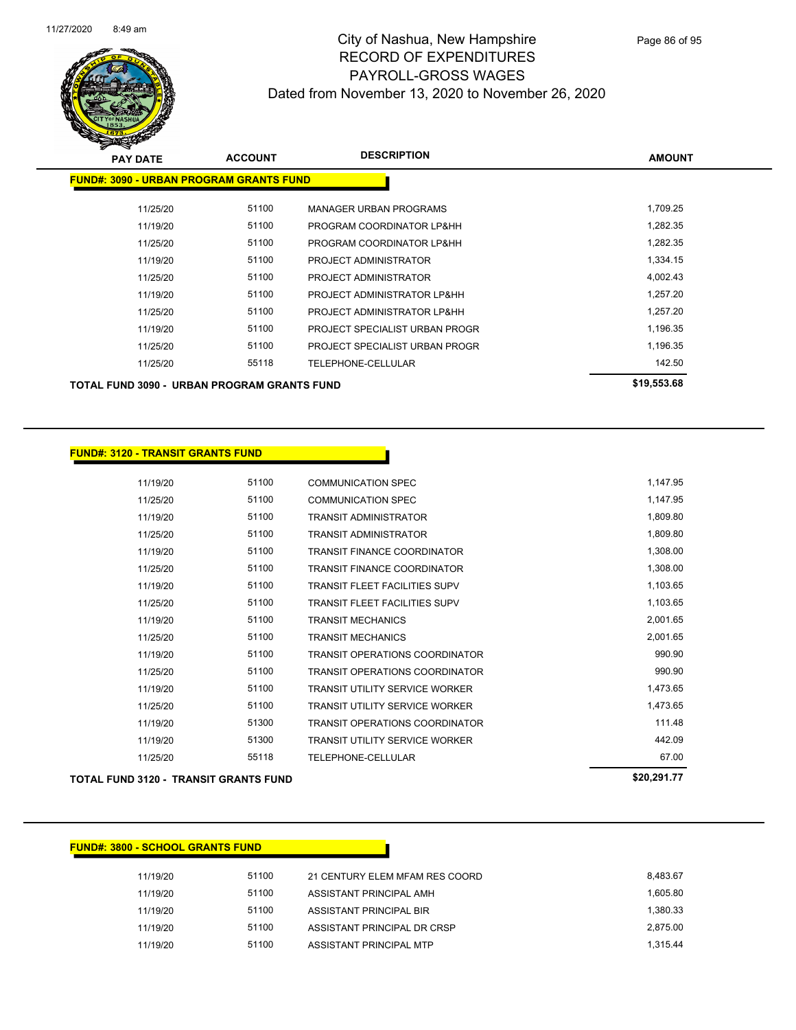

| <b>PAY DATE</b>                                | <b>ACCOUNT</b> | <b>DESCRIPTION</b>             | <b>AMOUNT</b> |
|------------------------------------------------|----------------|--------------------------------|---------------|
| <b>FUND#: 3090 - URBAN PROGRAM GRANTS FUND</b> |                |                                |               |
| 11/25/20                                       | 51100          | <b>MANAGER URBAN PROGRAMS</b>  | 1,709.25      |
| 11/19/20                                       | 51100          | PROGRAM COORDINATOR LP&HH      | 1,282.35      |
| 11/25/20                                       | 51100          | PROGRAM COORDINATOR LP&HH      | 1,282.35      |
| 11/19/20                                       | 51100          | PROJECT ADMINISTRATOR          | 1,334.15      |
| 11/25/20                                       | 51100          | PROJECT ADMINISTRATOR          | 4,002.43      |
| 11/19/20                                       | 51100          | PROJECT ADMINISTRATOR LP&HH    | 1,257.20      |
| 11/25/20                                       | 51100          | PROJECT ADMINISTRATOR LP&HH    | 1,257.20      |
| 11/19/20                                       | 51100          | PROJECT SPECIALIST URBAN PROGR | 1,196.35      |
| 11/25/20                                       | 51100          | PROJECT SPECIALIST URBAN PROGR | 1,196.35      |
| 11/25/20                                       | 55118          | TELEPHONE-CELLULAR             | 142.50        |
| TOTAL FUND 3090 - URBAN PROGRAM GRANTS FUND    |                |                                | \$19,553.68   |

#### **FUND#: 3120 - TRANSIT GRANTS FUND**

| 11/19/20 | 51100 | <b>COMMUNICATION SPEC</b>             | 1,147.95 |
|----------|-------|---------------------------------------|----------|
| 11/25/20 | 51100 | <b>COMMUNICATION SPEC</b>             | 1,147.95 |
| 11/19/20 | 51100 | <b>TRANSIT ADMINISTRATOR</b>          | 1,809.80 |
| 11/25/20 | 51100 | <b>TRANSIT ADMINISTRATOR</b>          | 1,809.80 |
| 11/19/20 | 51100 | <b>TRANSIT FINANCE COORDINATOR</b>    | 1,308.00 |
| 11/25/20 | 51100 | <b>TRANSIT FINANCE COORDINATOR</b>    | 1,308.00 |
| 11/19/20 | 51100 | <b>TRANSIT FLEET FACILITIES SUPV</b>  | 1,103.65 |
| 11/25/20 | 51100 | <b>TRANSIT FLEET FACILITIES SUPV</b>  | 1,103.65 |
| 11/19/20 | 51100 | <b>TRANSIT MECHANICS</b>              | 2,001.65 |
| 11/25/20 | 51100 | <b>TRANSIT MECHANICS</b>              | 2,001.65 |
| 11/19/20 | 51100 | <b>TRANSIT OPERATIONS COORDINATOR</b> | 990.90   |
| 11/25/20 | 51100 | <b>TRANSIT OPERATIONS COORDINATOR</b> | 990.90   |
| 11/19/20 | 51100 | <b>TRANSIT UTILITY SERVICE WORKER</b> | 1,473.65 |
| 11/25/20 | 51100 | <b>TRANSIT UTILITY SERVICE WORKER</b> | 1,473.65 |
| 11/19/20 | 51300 | <b>TRANSIT OPERATIONS COORDINATOR</b> | 111.48   |
| 11/19/20 | 51300 | <b>TRANSIT UTILITY SERVICE WORKER</b> | 442.09   |
| 11/25/20 | 55118 | TELEPHONE-CELLULAR                    | 67.00    |
|          |       |                                       |          |

## **TOTAL FUND 3120 - TRANSIT GRANTS FUND \$20,291.77**

## **FUND#: 3800 - SCHOOL GRANTS FUND**

| 11/19/20 | 51100 | 21 CENTURY ELEM MFAM RES COORD | 8.483.67 |
|----------|-------|--------------------------------|----------|
| 11/19/20 | 51100 | ASSISTANT PRINCIPAL AMH        | 1.605.80 |
| 11/19/20 | 51100 | ASSISTANT PRINCIPAL BIR        | 1.380.33 |
| 11/19/20 | 51100 | ASSISTANT PRINCIPAL DR CRSP    | 2.875.00 |
| 11/19/20 | 51100 | ASSISTANT PRINCIPAL MTP        | 1.315.44 |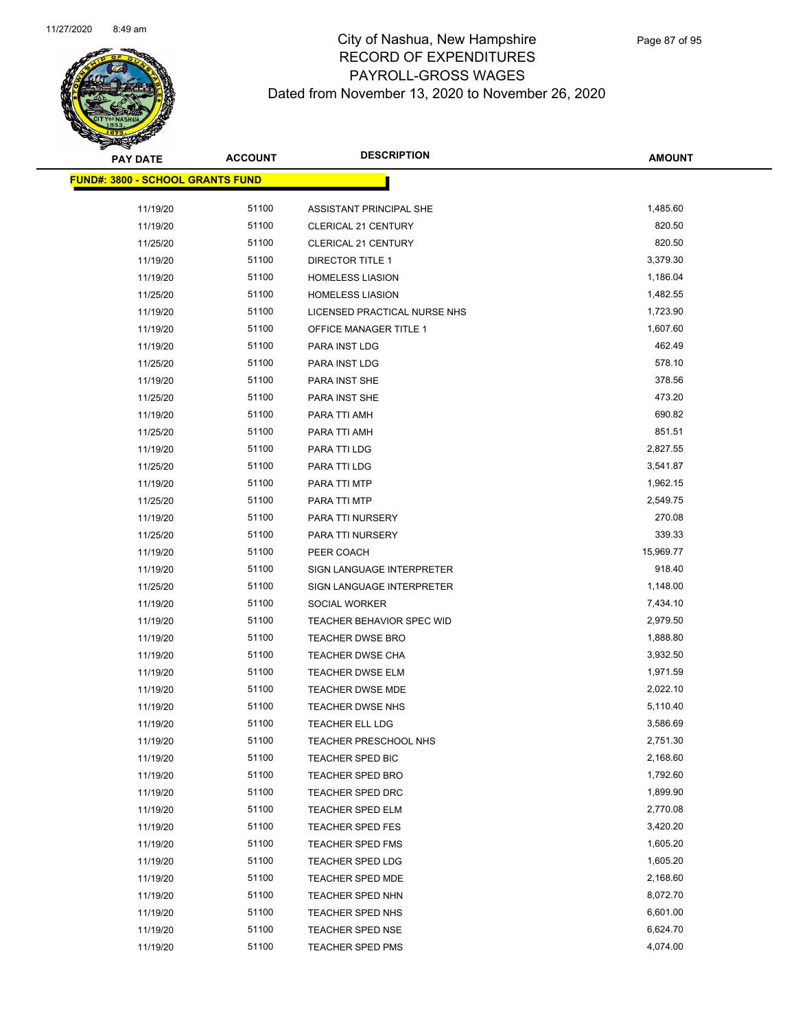

| <b>PAY DATE</b>                  | <b>ACCOUNT</b> | <b>DESCRIPTION</b>                                 | <b>AMOUNT</b> |
|----------------------------------|----------------|----------------------------------------------------|---------------|
| FUND#: 3800 - SCHOOL GRANTS FUND |                |                                                    |               |
|                                  | 51100          |                                                    | 1,485.60      |
| 11/19/20<br>11/19/20             | 51100          | ASSISTANT PRINCIPAL SHE                            | 820.50        |
|                                  | 51100          | <b>CLERICAL 21 CENTURY</b>                         | 820.50        |
| 11/25/20                         | 51100          | <b>CLERICAL 21 CENTURY</b>                         | 3,379.30      |
| 11/19/20                         | 51100          | <b>DIRECTOR TITLE 1</b>                            | 1,186.04      |
| 11/19/20                         | 51100          | <b>HOMELESS LIASION</b><br><b>HOMELESS LIASION</b> | 1,482.55      |
| 11/25/20<br>11/19/20             | 51100          | LICENSED PRACTICAL NURSE NHS                       | 1,723.90      |
|                                  | 51100          |                                                    | 1,607.60      |
| 11/19/20<br>11/19/20             | 51100          | OFFICE MANAGER TITLE 1<br>PARA INST LDG            | 462.49        |
| 11/25/20                         | 51100          | PARA INST LDG                                      | 578.10        |
| 11/19/20                         | 51100          | PARA INST SHE                                      | 378.56        |
| 11/25/20                         | 51100          | PARA INST SHE                                      | 473.20        |
| 11/19/20                         | 51100          | PARA TTI AMH                                       | 690.82        |
| 11/25/20                         | 51100          | PARA TTI AMH                                       | 851.51        |
| 11/19/20                         | 51100          | PARA TTI LDG                                       | 2,827.55      |
| 11/25/20                         | 51100          | PARA TTI LDG                                       | 3,541.87      |
| 11/19/20                         | 51100          | PARA TTI MTP                                       | 1,962.15      |
| 11/25/20                         | 51100          | PARA TTI MTP                                       | 2,549.75      |
| 11/19/20                         | 51100          | PARA TTI NURSERY                                   | 270.08        |
| 11/25/20                         | 51100          | PARA TTI NURSERY                                   | 339.33        |
| 11/19/20                         | 51100          | PEER COACH                                         | 15,969.77     |
| 11/19/20                         | 51100          | SIGN LANGUAGE INTERPRETER                          | 918.40        |
| 11/25/20                         | 51100          | SIGN LANGUAGE INTERPRETER                          | 1,148.00      |
| 11/19/20                         | 51100          | SOCIAL WORKER                                      | 7,434.10      |
| 11/19/20                         | 51100          | TEACHER BEHAVIOR SPEC WID                          | 2,979.50      |
| 11/19/20                         | 51100          | <b>TEACHER DWSE BRO</b>                            | 1,888.80      |
| 11/19/20                         | 51100          | TEACHER DWSE CHA                                   | 3,932.50      |
| 11/19/20                         | 51100          | <b>TEACHER DWSE ELM</b>                            | 1,971.59      |
| 11/19/20                         | 51100          | <b>TEACHER DWSE MDE</b>                            | 2,022.10      |
| 11/19/20                         | 51100          | TEACHER DWSE NHS                                   | 5,110.40      |
| 11/19/20                         | 51100          | <b>TEACHER ELL LDG</b>                             | 3,586.69      |
| 11/19/20                         | 51100          | <b>TEACHER PRESCHOOL NHS</b>                       | 2,751.30      |
| 11/19/20                         | 51100          | TEACHER SPED BIC                                   | 2,168.60      |
| 11/19/20                         | 51100          | <b>TEACHER SPED BRO</b>                            | 1,792.60      |
| 11/19/20                         | 51100          | TEACHER SPED DRC                                   | 1,899.90      |
| 11/19/20                         | 51100          | <b>TEACHER SPED ELM</b>                            | 2,770.08      |
| 11/19/20                         | 51100          | TEACHER SPED FES                                   | 3,420.20      |
| 11/19/20                         | 51100          | TEACHER SPED FMS                                   | 1,605.20      |
| 11/19/20                         | 51100          | <b>TEACHER SPED LDG</b>                            | 1,605.20      |
| 11/19/20                         | 51100          | TEACHER SPED MDE                                   | 2,168.60      |
| 11/19/20                         | 51100          | TEACHER SPED NHN                                   | 8,072.70      |
| 11/19/20                         | 51100          | TEACHER SPED NHS                                   | 6,601.00      |
| 11/19/20                         | 51100          | <b>TEACHER SPED NSE</b>                            | 6,624.70      |
| 11/19/20                         | 51100          | <b>TEACHER SPED PMS</b>                            | 4,074.00      |
|                                  |                |                                                    |               |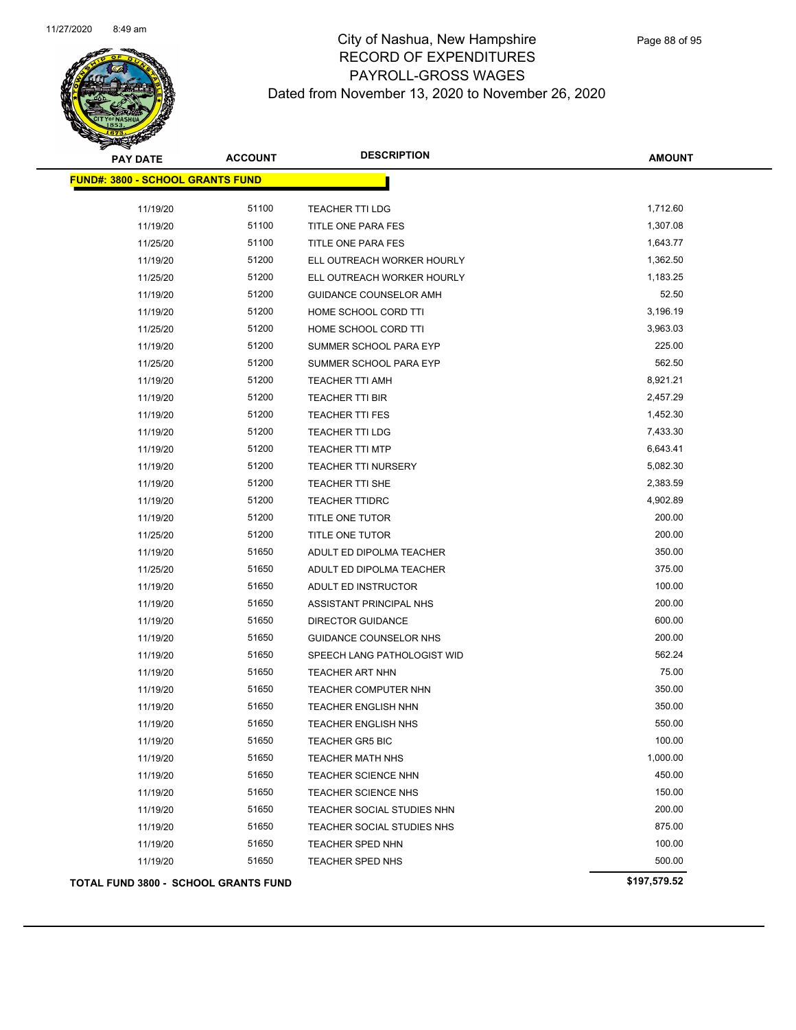

## City of Nashua, New Hampshire RECORD OF EXPENDITURES PAYROLL-GROSS WAGES Dated from November

| PTION                           | <b>AMOUNT</b> |
|---------------------------------|---------------|
|                                 |               |
|                                 |               |
| r 13, 2020 to November 26, 2020 |               |
| LL-GRUSS WAGES                  |               |

| <b>FUND#: 3800 - SCHOOL GRANTS FUND</b>     |       |                             |              |
|---------------------------------------------|-------|-----------------------------|--------------|
| 11/19/20                                    | 51100 | <b>TEACHER TTI LDG</b>      | 1,712.60     |
| 11/19/20                                    | 51100 | TITLE ONE PARA FES          | 1,307.08     |
| 11/25/20                                    | 51100 | TITLE ONE PARA FES          | 1,643.77     |
| 11/19/20                                    | 51200 | ELL OUTREACH WORKER HOURLY  | 1,362.50     |
| 11/25/20                                    | 51200 | ELL OUTREACH WORKER HOURLY  | 1,183.25     |
| 11/19/20                                    | 51200 | GUIDANCE COUNSELOR AMH      | 52.50        |
| 11/19/20                                    | 51200 | HOME SCHOOL CORD TTI        | 3,196.19     |
| 11/25/20                                    | 51200 | HOME SCHOOL CORD TTI        | 3,963.03     |
| 11/19/20                                    | 51200 | SUMMER SCHOOL PARA EYP      | 225.00       |
| 11/25/20                                    | 51200 | SUMMER SCHOOL PARA EYP      | 562.50       |
| 11/19/20                                    | 51200 | <b>TEACHER TTI AMH</b>      | 8,921.21     |
| 11/19/20                                    | 51200 | <b>TEACHER TTI BIR</b>      | 2,457.29     |
| 11/19/20                                    | 51200 | <b>TEACHER TTI FES</b>      | 1,452.30     |
| 11/19/20                                    | 51200 | <b>TEACHER TTI LDG</b>      | 7,433.30     |
| 11/19/20                                    | 51200 | <b>TEACHER TTI MTP</b>      | 6,643.41     |
| 11/19/20                                    | 51200 | <b>TEACHER TTI NURSERY</b>  | 5,082.30     |
| 11/19/20                                    | 51200 | <b>TEACHER TTI SHE</b>      | 2,383.59     |
| 11/19/20                                    | 51200 | <b>TEACHER TTIDRC</b>       | 4,902.89     |
| 11/19/20                                    | 51200 | TITLE ONE TUTOR             | 200.00       |
| 11/25/20                                    | 51200 | <b>TITLE ONE TUTOR</b>      | 200.00       |
| 11/19/20                                    | 51650 | ADULT ED DIPOLMA TEACHER    | 350.00       |
| 11/25/20                                    | 51650 | ADULT ED DIPOLMA TEACHER    | 375.00       |
| 11/19/20                                    | 51650 | ADULT ED INSTRUCTOR         | 100.00       |
| 11/19/20                                    | 51650 | ASSISTANT PRINCIPAL NHS     | 200.00       |
| 11/19/20                                    | 51650 | <b>DIRECTOR GUIDANCE</b>    | 600.00       |
| 11/19/20                                    | 51650 | GUIDANCE COUNSELOR NHS      | 200.00       |
| 11/19/20                                    | 51650 | SPEECH LANG PATHOLOGIST WID | 562.24       |
| 11/19/20                                    | 51650 | TEACHER ART NHN             | 75.00        |
| 11/19/20                                    | 51650 | TEACHER COMPUTER NHN        | 350.00       |
| 11/19/20                                    | 51650 | <b>TEACHER ENGLISH NHN</b>  | 350.00       |
| 11/19/20                                    | 51650 | <b>TEACHER ENGLISH NHS</b>  | 550.00       |
| 11/19/20                                    | 51650 | <b>TEACHER GR5 BIC</b>      | 100.00       |
| 11/19/20                                    | 51650 | TEACHER MATH NHS            | 1,000.00     |
| 11/19/20                                    | 51650 | <b>TEACHER SCIENCE NHN</b>  | 450.00       |
| 11/19/20                                    | 51650 | TEACHER SCIENCE NHS         | 150.00       |
| 11/19/20                                    | 51650 | TEACHER SOCIAL STUDIES NHN  | 200.00       |
| 11/19/20                                    | 51650 | TEACHER SOCIAL STUDIES NHS  | 875.00       |
| 11/19/20                                    | 51650 | TEACHER SPED NHN            | 100.00       |
| 11/19/20                                    | 51650 | <b>TEACHER SPED NHS</b>     | 500.00       |
| <b>TOTAL FUND 3800 - SCHOOL GRANTS FUND</b> |       |                             | \$197,579.52 |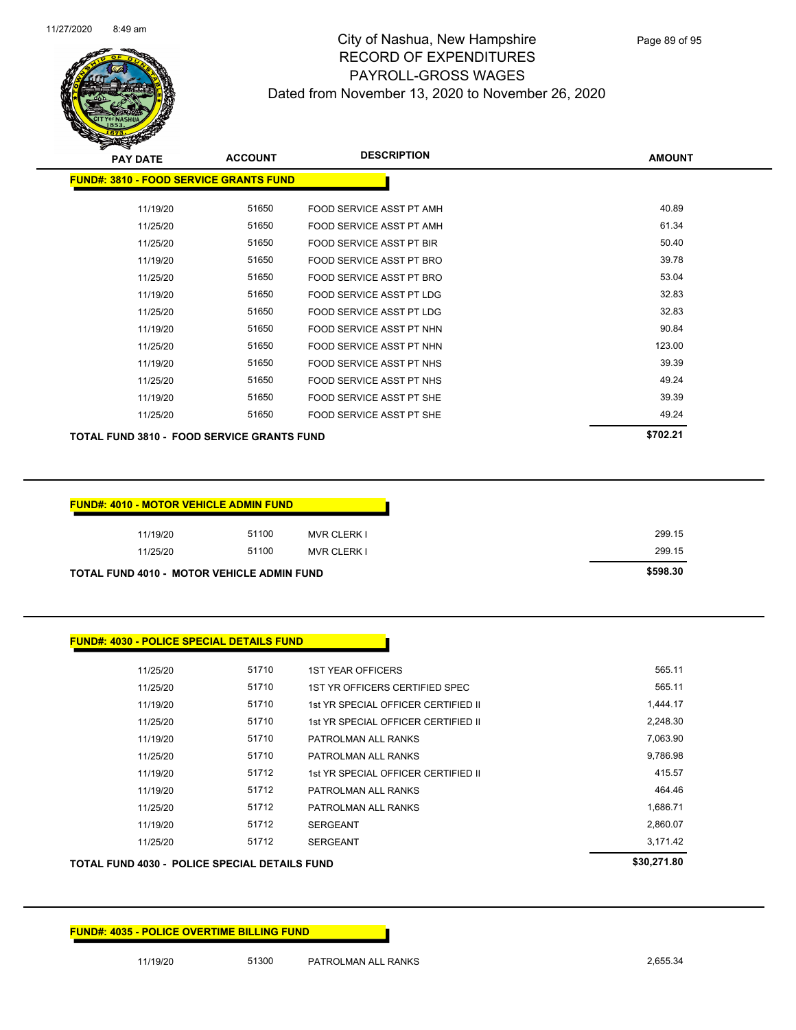

| <b>FUND#: 4035 - POLICE OVERTIME BILLING FUND</b> |       |                                     |             |
|---------------------------------------------------|-------|-------------------------------------|-------------|
|                                                   |       |                                     |             |
|                                                   |       |                                     |             |
| TOTAL FUND 4030 - POLICE SPECIAL DETAILS FUND     |       |                                     | \$30,271.80 |
| 11/25/20                                          | 51712 | <b>SERGEANT</b>                     | 3,171.42    |
| 11/19/20                                          | 51712 | <b>SERGEANT</b>                     | 2,860.07    |
| 11/25/20                                          | 51712 | PATROLMAN ALL RANKS                 | 1,686.71    |
| 11/19/20                                          | 51712 | PATROLMAN ALL RANKS                 | 464.46      |
| 11/19/20                                          | 51712 | 1st YR SPECIAL OFFICER CERTIFIED II | 415.57      |
| 11/25/20                                          | 51710 | PATROLMAN ALL RANKS                 | 9,786.98    |
| 11/19/20                                          | 51710 | PATROLMAN ALL RANKS                 | 7,063.90    |
| 11/25/20                                          | 51710 | 1st YR SPECIAL OFFICER CERTIFIED II | 2,248.30    |
| 11/19/20                                          | 51710 | 1st YR SPECIAL OFFICER CERTIFIED II | 1,444.17    |

| <b>FUND#: 4030 - POLICE SPECIAL DETAILS FUND</b> |  |
|--------------------------------------------------|--|
|                                                  |  |
|                                                  |  |

| 11/19/20                                          | 51100 | <b>MVR CLERK I</b> | 299.15   |
|---------------------------------------------------|-------|--------------------|----------|
| 11/25/20                                          | 51100 | <b>MVR CLERK I</b> | 299.15   |
| <b>TOTAL FUND 4010 - MOTOR VEHICLE ADMIN FUND</b> |       |                    | \$598.30 |

11/25/20 51710 1ST YEAR OFFICERS 565.11 11/25/20 51710 1ST YR OFFICERS CERTIFIED SPEC

| <b>FUND#: 4010 - MOTOR VEHICLE ADMIN FUND</b> |       |                    |
|-----------------------------------------------|-------|--------------------|
| 11/19/20                                      | 51100 | <b>MVR CLERK I</b> |
| 11/25/20                                      | 51100 | MVR CLERK L        |

| <b>REAL AREA</b>                              |                |                          |               |
|-----------------------------------------------|----------------|--------------------------|---------------|
| <b>PAY DATE</b>                               | <b>ACCOUNT</b> | <b>DESCRIPTION</b>       | <b>AMOUNT</b> |
| <b>FUND#: 3810 - FOOD SERVICE GRANTS FUND</b> |                |                          |               |
| 11/19/20                                      | 51650          | FOOD SERVICE ASST PT AMH | 40.89         |
| 11/25/20                                      | 51650          | FOOD SERVICE ASST PT AMH | 61.34         |
| 11/25/20                                      | 51650          | FOOD SERVICE ASST PT BIR | 50.40         |
| 11/19/20                                      | 51650          | FOOD SERVICE ASST PT BRO | 39.78         |
| 11/25/20                                      | 51650          | FOOD SERVICE ASST PT BRO | 53.04         |
| 11/19/20                                      | 51650          | FOOD SERVICE ASST PT LDG | 32.83         |
| 11/25/20                                      | 51650          | FOOD SERVICE ASST PT LDG | 32.83         |
| 11/19/20                                      | 51650          | FOOD SERVICE ASST PT NHN | 90.84         |
| 11/25/20                                      | 51650          | FOOD SERVICE ASST PT NHN | 123.00        |
| 11/19/20                                      | 51650          | FOOD SERVICE ASST PT NHS | 39.39         |
| 11/25/20                                      | 51650          | FOOD SERVICE ASST PT NHS | 49.24         |
| 11/19/20                                      | 51650          | FOOD SERVICE ASST PT SHE | 39.39         |
| 11/25/20                                      | 51650          | FOOD SERVICE ASST PT SHE | 49.24         |
| TOTAL FUND 3810 - FOOD SERVICE GRANTS FUND    |                |                          | \$702.21      |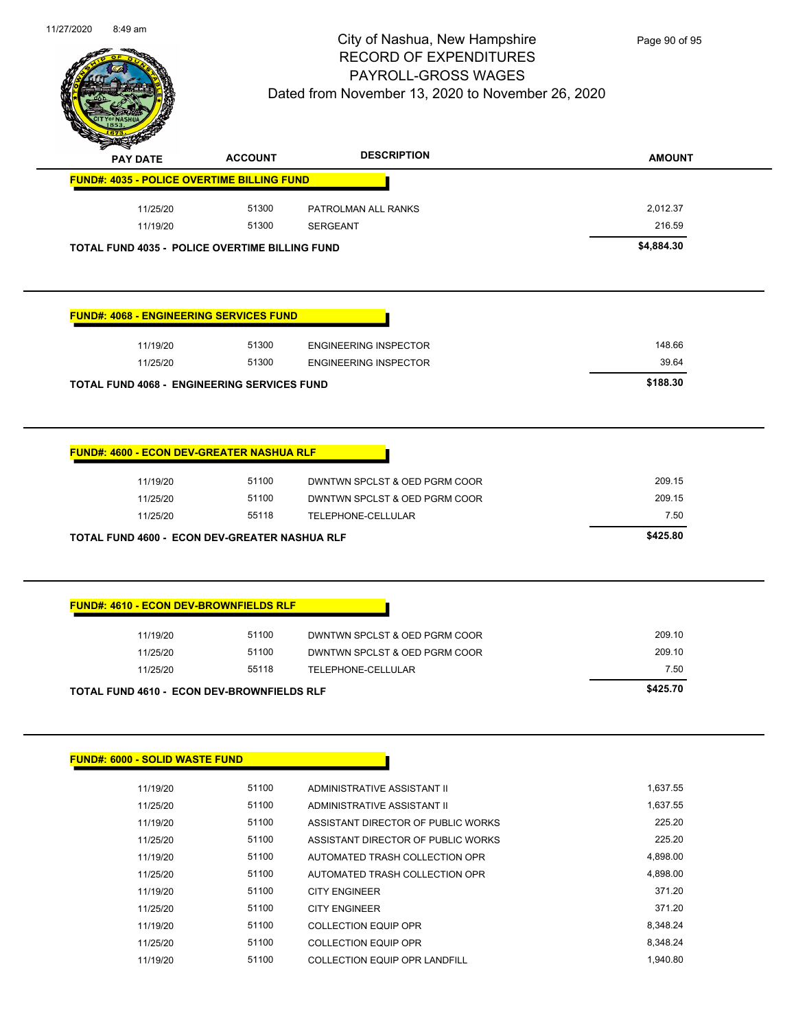

| <b>PAY DATE</b> | <b>ACCOUNT</b>                                        | <b>DESCRIPTION</b>                 | <b>AMOUNT</b> |
|-----------------|-------------------------------------------------------|------------------------------------|---------------|
|                 | <b>FUND#: 4035 - POLICE OVERTIME BILLING FUND</b>     |                                    |               |
| 11/25/20        | 51300                                                 | PATROLMAN ALL RANKS                | 2,012.37      |
| 11/19/20        | 51300                                                 | <b>SERGEANT</b>                    | 216.59        |
|                 | <b>TOTAL FUND 4035 - POLICE OVERTIME BILLING FUND</b> |                                    | \$4,884.30    |
|                 |                                                       |                                    |               |
|                 |                                                       |                                    |               |
|                 | <b>FUND#: 4068 - ENGINEERING SERVICES FUND</b>        |                                    |               |
| 11/19/20        | 51300                                                 | <b>ENGINEERING INSPECTOR</b>       | 148.66        |
| 11/25/20        | 51300                                                 | <b>ENGINEERING INSPECTOR</b>       | 39.64         |
|                 | <b>TOTAL FUND 4068 - ENGINEERING SERVICES FUND</b>    |                                    | \$188.30      |
|                 |                                                       |                                    |               |
|                 | <b>FUND#: 4600 - ECON DEV-GREATER NASHUA RLF</b>      |                                    |               |
| 11/19/20        | 51100                                                 | DWNTWN SPCLST & OED PGRM COOR      | 209.15        |
|                 |                                                       | DWNTWN SPCLST & OED PGRM COOR      |               |
| 11/25/20        | 51100                                                 |                                    | 209.15        |
| 11/25/20        | 55118                                                 | TELEPHONE-CELLULAR                 | 7.50          |
|                 | TOTAL FUND 4600 - ECON DEV-GREATER NASHUA RLF         |                                    | \$425.80      |
|                 |                                                       |                                    |               |
|                 | <b>FUND#: 4610 - ECON DEV-BROWNFIELDS RLF</b>         |                                    |               |
| 11/19/20        | 51100                                                 | DWNTWN SPCLST & OED PGRM COOR      | 209.10        |
| 11/25/20        | 51100                                                 | DWNTWN SPCLST & OED PGRM COOR      | 209.10        |
| 11/25/20        | 55118                                                 | TELEPHONE-CELLULAR                 | 7.50          |
|                 | <b>TOTAL FUND 4610 - ECON DEV-BROWNFIELDS RLF</b>     |                                    | \$425.70      |
|                 |                                                       |                                    |               |
|                 | <b>FUND#: 6000 - SOLID WASTE FUND</b>                 |                                    |               |
| 11/19/20        | 51100                                                 | ADMINISTRATIVE ASSISTANT II        | 1,637.55      |
| 11/25/20        | 51100                                                 | ADMINISTRATIVE ASSISTANT II        | 1,637.55      |
| 11/19/20        | 51100                                                 | ASSISTANT DIRECTOR OF PUBLIC WORKS | 225.20        |
| 11/25/20        | 51100                                                 | ASSISTANT DIRECTOR OF PUBLIC WORKS | 225.20        |
| 11/19/20        | 51100                                                 | AUTOMATED TRASH COLLECTION OPR     | 4,898.00      |
| 11/25/20        | 51100                                                 | AUTOMATED TRASH COLLECTION OPR     | 4,898.00      |
| 11/19/20        | 51100                                                 | <b>CITY ENGINEER</b>               | 371.20        |
| 11/25/20        | 51100                                                 | <b>CITY ENGINEER</b>               | 371.20        |

11/25/20 51100 COLLECTION EQUIP OPR 8,348.24 11/19/20 51100 COLLECTION EQUIP OPR LANDFILL 1,940.80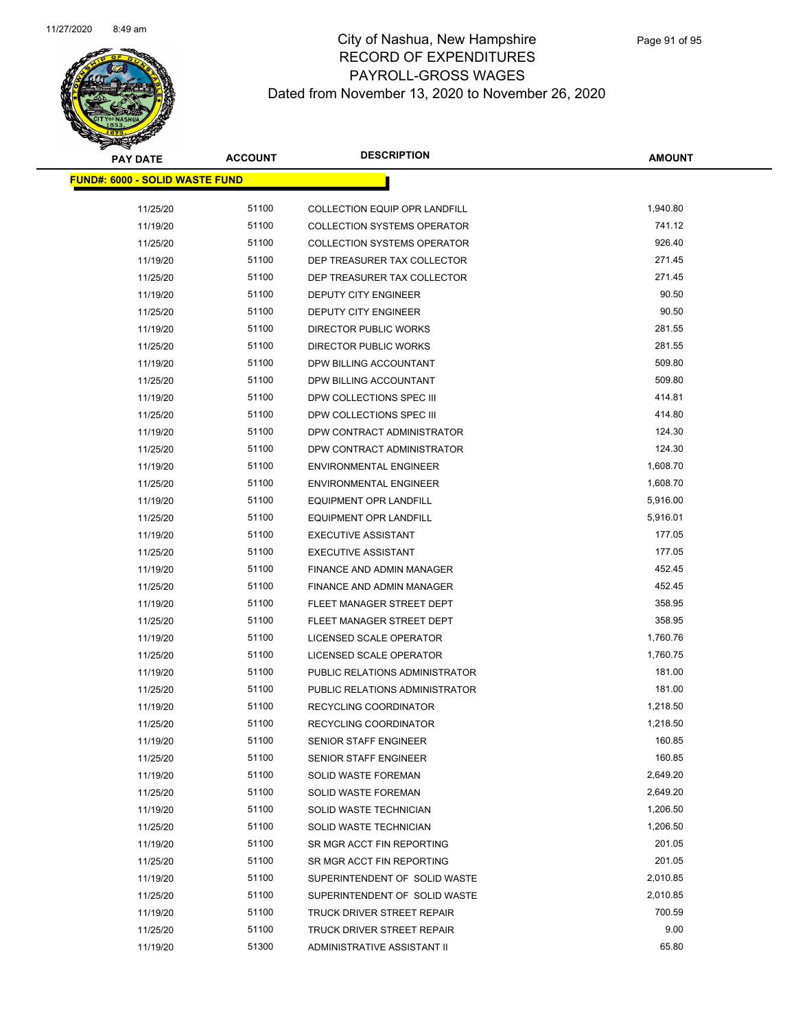

| <b>PAY DATE</b>                       | <b>ACCOUNT</b> | <b>DESCRIPTION</b>                 | <b>AMOUNT</b>      |
|---------------------------------------|----------------|------------------------------------|--------------------|
| <b>FUND#: 6000 - SOLID WASTE FUND</b> |                |                                    |                    |
|                                       |                |                                    |                    |
| 11/25/20                              | 51100          | COLLECTION EQUIP OPR LANDFILL      | 1,940.80<br>741.12 |
| 11/19/20                              | 51100          | <b>COLLECTION SYSTEMS OPERATOR</b> | 926.40             |
| 11/25/20                              | 51100          | <b>COLLECTION SYSTEMS OPERATOR</b> | 271.45             |
| 11/19/20                              | 51100          | DEP TREASURER TAX COLLECTOR        |                    |
| 11/25/20                              | 51100          | DEP TREASURER TAX COLLECTOR        | 271.45             |
| 11/19/20                              | 51100          | <b>DEPUTY CITY ENGINEER</b>        | 90.50              |
| 11/25/20                              | 51100          | DEPUTY CITY ENGINEER               | 90.50              |
| 11/19/20                              | 51100          | DIRECTOR PUBLIC WORKS              | 281.55             |
| 11/25/20                              | 51100          | DIRECTOR PUBLIC WORKS              | 281.55             |
| 11/19/20                              | 51100          | DPW BILLING ACCOUNTANT             | 509.80             |
| 11/25/20                              | 51100          | DPW BILLING ACCOUNTANT             | 509.80             |
| 11/19/20                              | 51100          | DPW COLLECTIONS SPEC III           | 414.81             |
| 11/25/20                              | 51100          | DPW COLLECTIONS SPEC III           | 414.80             |
| 11/19/20                              | 51100          | DPW CONTRACT ADMINISTRATOR         | 124.30             |
| 11/25/20                              | 51100          | DPW CONTRACT ADMINISTRATOR         | 124.30             |
| 11/19/20                              | 51100          | <b>ENVIRONMENTAL ENGINEER</b>      | 1,608.70           |
| 11/25/20                              | 51100          | <b>ENVIRONMENTAL ENGINEER</b>      | 1,608.70           |
| 11/19/20                              | 51100          | <b>EQUIPMENT OPR LANDFILL</b>      | 5,916.00           |
| 11/25/20                              | 51100          | EQUIPMENT OPR LANDFILL             | 5,916.01           |
| 11/19/20                              | 51100          | <b>EXECUTIVE ASSISTANT</b>         | 177.05             |
| 11/25/20                              | 51100          | <b>EXECUTIVE ASSISTANT</b>         | 177.05             |
| 11/19/20                              | 51100          | FINANCE AND ADMIN MANAGER          | 452.45             |
| 11/25/20                              | 51100          | FINANCE AND ADMIN MANAGER          | 452.45             |
| 11/19/20                              | 51100          | FLEET MANAGER STREET DEPT          | 358.95             |
| 11/25/20                              | 51100          | FLEET MANAGER STREET DEPT          | 358.95             |
| 11/19/20                              | 51100          | LICENSED SCALE OPERATOR            | 1,760.76           |
| 11/25/20                              | 51100          | LICENSED SCALE OPERATOR            | 1,760.75           |
| 11/19/20                              | 51100          | PUBLIC RELATIONS ADMINISTRATOR     | 181.00             |
| 11/25/20                              | 51100          | PUBLIC RELATIONS ADMINISTRATOR     | 181.00             |
| 11/19/20                              | 51100          | RECYCLING COORDINATOR              | 1,218.50           |
| 11/25/20                              | 51100          | <b>RECYCLING COORDINATOR</b>       | 1,218.50           |
| 11/19/20                              | 51100          | SENIOR STAFF ENGINEER              | 160.85             |
| 11/25/20                              | 51100          | SENIOR STAFF ENGINEER              | 160.85             |
| 11/19/20                              | 51100          | <b>SOLID WASTE FOREMAN</b>         | 2,649.20           |
| 11/25/20                              | 51100          | <b>SOLID WASTE FOREMAN</b>         | 2,649.20           |
| 11/19/20                              | 51100          | SOLID WASTE TECHNICIAN             | 1,206.50           |
| 11/25/20                              | 51100          | SOLID WASTE TECHNICIAN             | 1,206.50           |
| 11/19/20                              | 51100          | SR MGR ACCT FIN REPORTING          | 201.05             |
| 11/25/20                              | 51100          | SR MGR ACCT FIN REPORTING          | 201.05             |
| 11/19/20                              | 51100          | SUPERINTENDENT OF SOLID WASTE      | 2,010.85           |
| 11/25/20                              | 51100          | SUPERINTENDENT OF SOLID WASTE      | 2,010.85           |
| 11/19/20                              | 51100          | TRUCK DRIVER STREET REPAIR         | 700.59             |
| 11/25/20                              | 51100          | TRUCK DRIVER STREET REPAIR         | 9.00               |
| 11/19/20                              | 51300          | ADMINISTRATIVE ASSISTANT II        | 65.80              |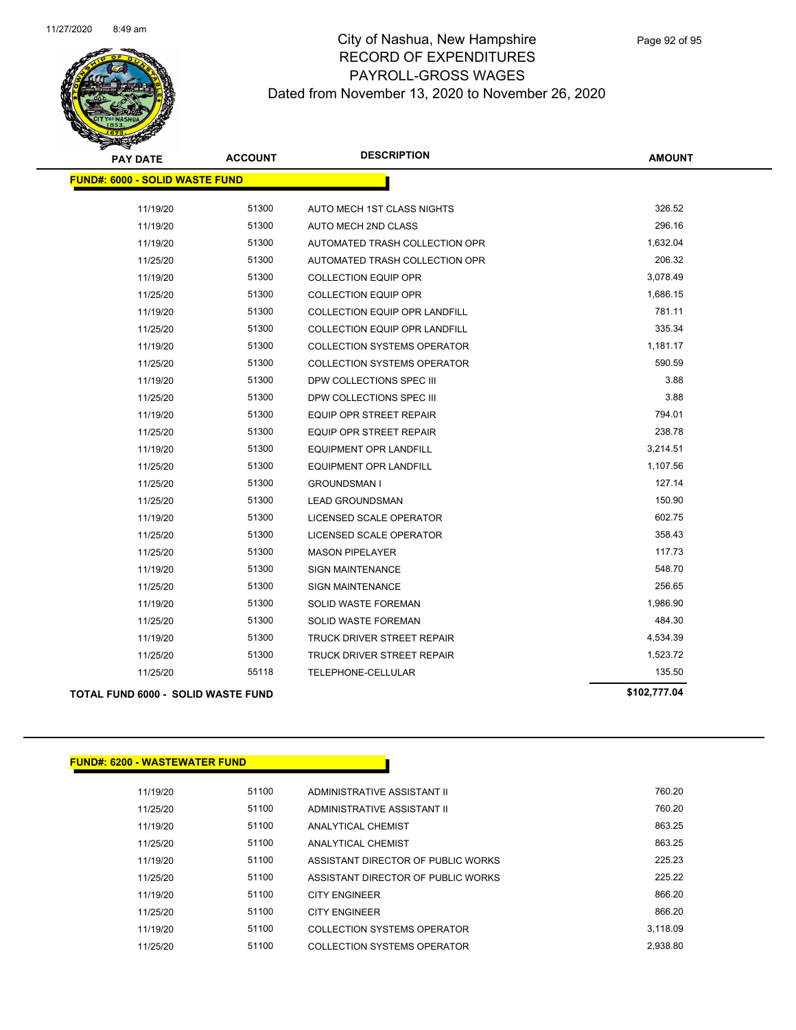

| <b>PAY DATE</b>                       | <b>ACCOUNT</b> | <b>DESCRIPTION</b>                   | <b>AMOUNT</b> |
|---------------------------------------|----------------|--------------------------------------|---------------|
| <b>FUND#: 6000 - SOLID WASTE FUND</b> |                |                                      |               |
| 11/19/20                              | 51300          | AUTO MECH 1ST CLASS NIGHTS           | 326.52        |
| 11/19/20                              | 51300          | <b>AUTO MECH 2ND CLASS</b>           | 296.16        |
| 11/19/20                              | 51300          | AUTOMATED TRASH COLLECTION OPR       | 1,632.04      |
| 11/25/20                              | 51300          | AUTOMATED TRASH COLLECTION OPR       | 206.32        |
| 11/19/20                              | 51300          | <b>COLLECTION EQUIP OPR</b>          | 3,078.49      |
| 11/25/20                              | 51300          | <b>COLLECTION EQUIP OPR</b>          | 1,686.15      |
| 11/19/20                              | 51300          | <b>COLLECTION EQUIP OPR LANDFILL</b> | 781.11        |
| 11/25/20                              | 51300          | <b>COLLECTION EQUIP OPR LANDFILL</b> | 335.34        |
| 11/19/20                              | 51300          | <b>COLLECTION SYSTEMS OPERATOR</b>   | 1,181.17      |
| 11/25/20                              | 51300          | <b>COLLECTION SYSTEMS OPERATOR</b>   | 590.59        |
| 11/19/20                              | 51300          | DPW COLLECTIONS SPEC III             | 3.88          |
| 11/25/20                              | 51300          | DPW COLLECTIONS SPEC III             | 3.88          |
| 11/19/20                              | 51300          | <b>EQUIP OPR STREET REPAIR</b>       | 794.01        |
| 11/25/20                              | 51300          | <b>EQUIP OPR STREET REPAIR</b>       | 238.78        |
| 11/19/20                              | 51300          | EQUIPMENT OPR LANDFILL               | 3,214.51      |
| 11/25/20                              | 51300          | <b>EQUIPMENT OPR LANDFILL</b>        | 1,107.56      |
| 11/25/20                              | 51300          | <b>GROUNDSMAN I</b>                  | 127.14        |
| 11/25/20                              | 51300          | <b>LEAD GROUNDSMAN</b>               | 150.90        |
| 11/19/20                              | 51300          | LICENSED SCALE OPERATOR              | 602.75        |
| 11/25/20                              | 51300          | LICENSED SCALE OPERATOR              | 358.43        |
| 11/25/20                              | 51300          | <b>MASON PIPELAYER</b>               | 117.73        |
| 11/19/20                              | 51300          | <b>SIGN MAINTENANCE</b>              | 548.70        |
| 11/25/20                              | 51300          | <b>SIGN MAINTENANCE</b>              | 256.65        |
| 11/19/20                              | 51300          | SOLID WASTE FOREMAN                  | 1,986.90      |
| 11/25/20                              | 51300          | SOLID WASTE FOREMAN                  | 484.30        |
| 11/19/20                              | 51300          | <b>TRUCK DRIVER STREET REPAIR</b>    | 4,534.39      |
| 11/25/20                              | 51300          | TRUCK DRIVER STREET REPAIR           | 1,523.72      |
| 11/25/20                              | 55118          | TELEPHONE-CELLULAR                   | 135.50        |
| TOTAL FUND 6000 - SOLID WASTE FUND    |                |                                      | \$102,777.04  |

## **FUND#: 6200 - WASTEWATER FUND**

| 11/19/20 | 51100 | ADMINISTRATIVE ASSISTANT II        | 760.20   |
|----------|-------|------------------------------------|----------|
| 11/25/20 | 51100 | ADMINISTRATIVE ASSISTANT II        | 760.20   |
| 11/19/20 | 51100 | <b>ANALYTICAL CHEMIST</b>          | 863.25   |
| 11/25/20 | 51100 | ANALYTICAL CHEMIST                 | 863.25   |
| 11/19/20 | 51100 | ASSISTANT DIRECTOR OF PUBLIC WORKS | 225.23   |
| 11/25/20 | 51100 | ASSISTANT DIRECTOR OF PUBLIC WORKS | 225.22   |
| 11/19/20 | 51100 | <b>CITY ENGINEER</b>               | 866.20   |
| 11/25/20 | 51100 | <b>CITY ENGINEER</b>               | 866.20   |
| 11/19/20 | 51100 | COLLECTION SYSTEMS OPERATOR        | 3.118.09 |
| 11/25/20 | 51100 | COLLECTION SYSTEMS OPERATOR        | 2.938.80 |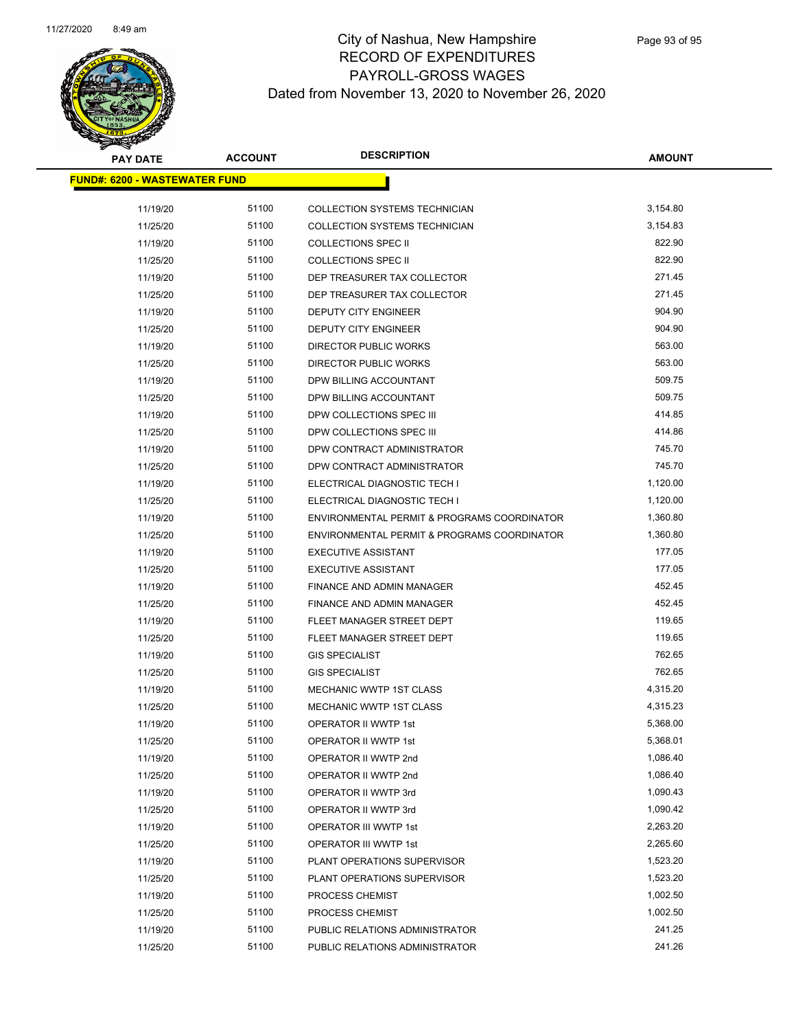

| <b>PAY DATE</b>                      | <b>ACCOUNT</b> | <b>DESCRIPTION</b>                          | <b>AMOUNT</b> |  |
|--------------------------------------|----------------|---------------------------------------------|---------------|--|
| <b>FUND#: 6200 - WASTEWATER FUND</b> |                |                                             |               |  |
| 11/19/20                             | 51100          | <b>COLLECTION SYSTEMS TECHNICIAN</b>        | 3,154.80      |  |
| 11/25/20                             | 51100          | COLLECTION SYSTEMS TECHNICIAN               | 3,154.83      |  |
| 11/19/20                             | 51100          | <b>COLLECTIONS SPEC II</b>                  | 822.90        |  |
| 11/25/20                             | 51100          | <b>COLLECTIONS SPEC II</b>                  | 822.90        |  |
| 11/19/20                             | 51100          | DEP TREASURER TAX COLLECTOR                 | 271.45        |  |
| 11/25/20                             | 51100          | DEP TREASURER TAX COLLECTOR                 | 271.45        |  |
| 11/19/20                             | 51100          | DEPUTY CITY ENGINEER                        | 904.90        |  |
| 11/25/20                             | 51100          | <b>DEPUTY CITY ENGINEER</b>                 | 904.90        |  |
| 11/19/20                             | 51100          | DIRECTOR PUBLIC WORKS                       | 563.00        |  |
| 11/25/20                             | 51100          | DIRECTOR PUBLIC WORKS                       | 563.00        |  |
| 11/19/20                             | 51100          | DPW BILLING ACCOUNTANT                      | 509.75        |  |
| 11/25/20                             | 51100          | DPW BILLING ACCOUNTANT                      | 509.75        |  |
| 11/19/20                             | 51100          | DPW COLLECTIONS SPEC III                    | 414.85        |  |
| 11/25/20                             | 51100          | DPW COLLECTIONS SPEC III                    | 414.86        |  |
| 11/19/20                             | 51100          | DPW CONTRACT ADMINISTRATOR                  | 745.70        |  |
| 11/25/20                             | 51100          | DPW CONTRACT ADMINISTRATOR                  | 745.70        |  |
| 11/19/20                             | 51100          | ELECTRICAL DIAGNOSTIC TECH I                | 1,120.00      |  |
| 11/25/20                             | 51100          | ELECTRICAL DIAGNOSTIC TECH I                | 1,120.00      |  |
| 11/19/20                             | 51100          | ENVIRONMENTAL PERMIT & PROGRAMS COORDINATOR | 1,360.80      |  |
| 11/25/20                             | 51100          | ENVIRONMENTAL PERMIT & PROGRAMS COORDINATOR | 1,360.80      |  |
| 11/19/20                             | 51100          | <b>EXECUTIVE ASSISTANT</b>                  | 177.05        |  |
| 11/25/20                             | 51100          | <b>EXECUTIVE ASSISTANT</b>                  | 177.05        |  |
| 11/19/20                             | 51100          | FINANCE AND ADMIN MANAGER                   | 452.45        |  |
| 11/25/20                             | 51100          | FINANCE AND ADMIN MANAGER                   | 452.45        |  |
| 11/19/20                             | 51100          | FLEET MANAGER STREET DEPT                   | 119.65        |  |
| 11/25/20                             | 51100          | FLEET MANAGER STREET DEPT                   | 119.65        |  |
| 11/19/20                             | 51100          | <b>GIS SPECIALIST</b>                       | 762.65        |  |
| 11/25/20                             | 51100          | <b>GIS SPECIALIST</b>                       | 762.65        |  |
| 11/19/20                             | 51100          | <b>MECHANIC WWTP 1ST CLASS</b>              | 4,315.20      |  |
| 11/25/20                             | 51100          | <b>MECHANIC WWTP 1ST CLASS</b>              | 4,315.23      |  |
| 11/19/20                             | 51100          | OPERATOR II WWTP 1st                        | 5,368.00      |  |
| 11/25/20                             | 51100          | OPERATOR II WWTP 1st                        | 5,368.01      |  |
| 11/19/20                             | 51100          | OPERATOR II WWTP 2nd                        | 1,086.40      |  |
| 11/25/20                             | 51100          | OPERATOR II WWTP 2nd                        | 1,086.40      |  |
| 11/19/20                             | 51100          | OPERATOR II WWTP 3rd                        | 1,090.43      |  |
| 11/25/20                             | 51100          | OPERATOR II WWTP 3rd                        | 1,090.42      |  |
| 11/19/20                             | 51100          | OPERATOR III WWTP 1st                       | 2,263.20      |  |
| 11/25/20                             | 51100          | OPERATOR III WWTP 1st                       | 2,265.60      |  |
| 11/19/20                             | 51100          | PLANT OPERATIONS SUPERVISOR                 | 1,523.20      |  |
| 11/25/20                             | 51100          | PLANT OPERATIONS SUPERVISOR                 | 1,523.20      |  |
| 11/19/20                             | 51100          | PROCESS CHEMIST                             | 1,002.50      |  |
| 11/25/20                             | 51100          | PROCESS CHEMIST                             | 1,002.50      |  |
| 11/19/20                             | 51100          | PUBLIC RELATIONS ADMINISTRATOR              | 241.25        |  |
| 11/25/20                             | 51100          | PUBLIC RELATIONS ADMINISTRATOR              | 241.26        |  |
|                                      |                |                                             |               |  |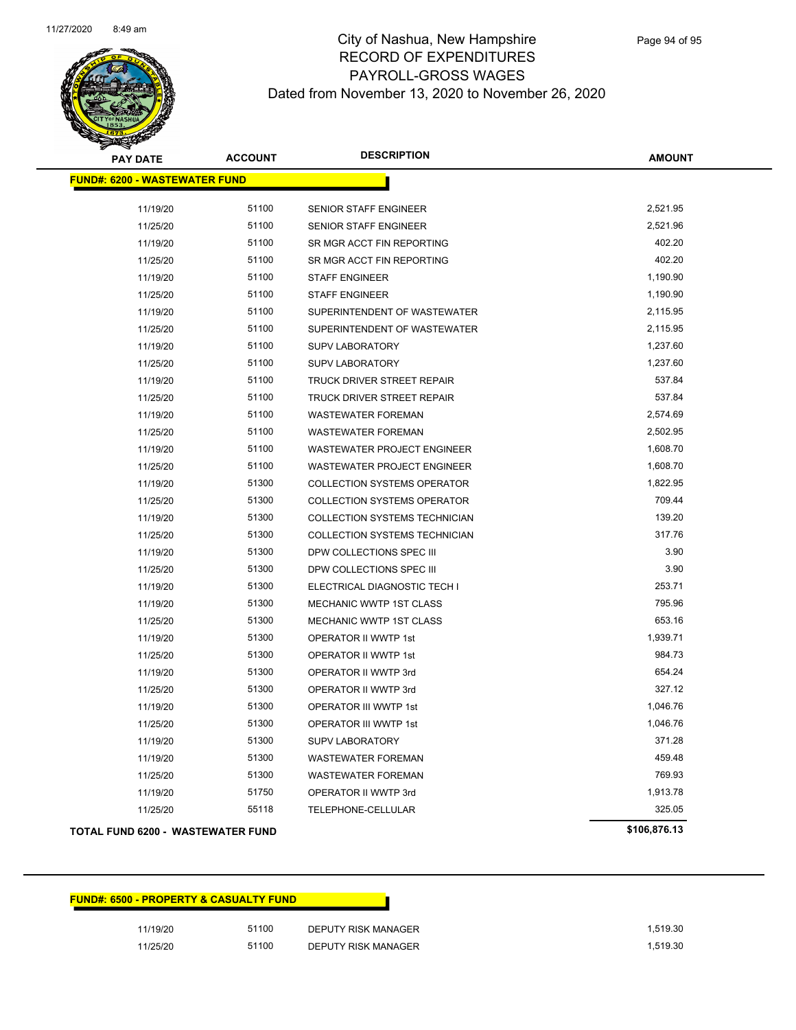

| <b>PAY DATE</b>                          | <b>ACCOUNT</b> | <b>DESCRIPTION</b>                   | <b>AMOUNT</b> |
|------------------------------------------|----------------|--------------------------------------|---------------|
| <b>FUND#: 6200 - WASTEWATER FUND</b>     |                |                                      |               |
|                                          |                |                                      |               |
| 11/19/20                                 | 51100          | SENIOR STAFF ENGINEER                | 2,521.95      |
| 11/25/20                                 | 51100          | SENIOR STAFF ENGINEER                | 2,521.96      |
| 11/19/20                                 | 51100          | SR MGR ACCT FIN REPORTING            | 402.20        |
| 11/25/20                                 | 51100          | SR MGR ACCT FIN REPORTING            | 402.20        |
| 11/19/20                                 | 51100          | <b>STAFF ENGINEER</b>                | 1,190.90      |
| 11/25/20                                 | 51100          | <b>STAFF ENGINEER</b>                | 1,190.90      |
| 11/19/20                                 | 51100          | SUPERINTENDENT OF WASTEWATER         | 2,115.95      |
| 11/25/20                                 | 51100          | SUPERINTENDENT OF WASTEWATER         | 2,115.95      |
| 11/19/20                                 | 51100          | <b>SUPV LABORATORY</b>               | 1,237.60      |
| 11/25/20                                 | 51100          | <b>SUPV LABORATORY</b>               | 1,237.60      |
| 11/19/20                                 | 51100          | TRUCK DRIVER STREET REPAIR           | 537.84        |
| 11/25/20                                 | 51100          | TRUCK DRIVER STREET REPAIR           | 537.84        |
| 11/19/20                                 | 51100          | <b>WASTEWATER FOREMAN</b>            | 2,574.69      |
| 11/25/20                                 | 51100          | <b>WASTEWATER FOREMAN</b>            | 2,502.95      |
| 11/19/20                                 | 51100          | WASTEWATER PROJECT ENGINEER          | 1,608.70      |
| 11/25/20                                 | 51100          | WASTEWATER PROJECT ENGINEER          | 1,608.70      |
| 11/19/20                                 | 51300          | <b>COLLECTION SYSTEMS OPERATOR</b>   | 1,822.95      |
| 11/25/20                                 | 51300          | <b>COLLECTION SYSTEMS OPERATOR</b>   | 709.44        |
| 11/19/20                                 | 51300          | <b>COLLECTION SYSTEMS TECHNICIAN</b> | 139.20        |
| 11/25/20                                 | 51300          | COLLECTION SYSTEMS TECHNICIAN        | 317.76        |
| 11/19/20                                 | 51300          | DPW COLLECTIONS SPEC III             | 3.90          |
| 11/25/20                                 | 51300          | DPW COLLECTIONS SPEC III             | 3.90          |
| 11/19/20                                 | 51300          | ELECTRICAL DIAGNOSTIC TECH I         | 253.71        |
| 11/19/20                                 | 51300          | MECHANIC WWTP 1ST CLASS              | 795.96        |
| 11/25/20                                 | 51300          | MECHANIC WWTP 1ST CLASS              | 653.16        |
| 11/19/20                                 | 51300          | OPERATOR II WWTP 1st                 | 1,939.71      |
| 11/25/20                                 | 51300          | OPERATOR II WWTP 1st                 | 984.73        |
| 11/19/20                                 | 51300          | OPERATOR II WWTP 3rd                 | 654.24        |
| 11/25/20                                 | 51300          | OPERATOR II WWTP 3rd                 | 327.12        |
| 11/19/20                                 | 51300          | OPERATOR III WWTP 1st                | 1,046.76      |
| 11/25/20                                 | 51300          | OPERATOR III WWTP 1st                | 1,046.76      |
| 11/19/20                                 | 51300          | <b>SUPV LABORATORY</b>               | 371.28        |
| 11/19/20                                 | 51300          | <b>WASTEWATER FOREMAN</b>            | 459.48        |
| 11/25/20                                 | 51300          | <b>WASTEWATER FOREMAN</b>            | 769.93        |
| 11/19/20                                 | 51750          | OPERATOR II WWTP 3rd                 | 1,913.78      |
| 11/25/20                                 | 55118          | TELEPHONE-CELLULAR                   | 325.05        |
| <b>TOTAL FUND 6200 - WASTEWATER FUND</b> |                |                                      | \$106,876.13  |

|          | <b>FUND#: 6500 - PROPERTY &amp; CASUALTY FUND</b> |                     |          |
|----------|---------------------------------------------------|---------------------|----------|
| 11/19/20 | 51100                                             | DEPUTY RISK MANAGER | 1,519.30 |
| 11/25/20 | 51100                                             | DEPUTY RISK MANAGER | 1.519.30 |